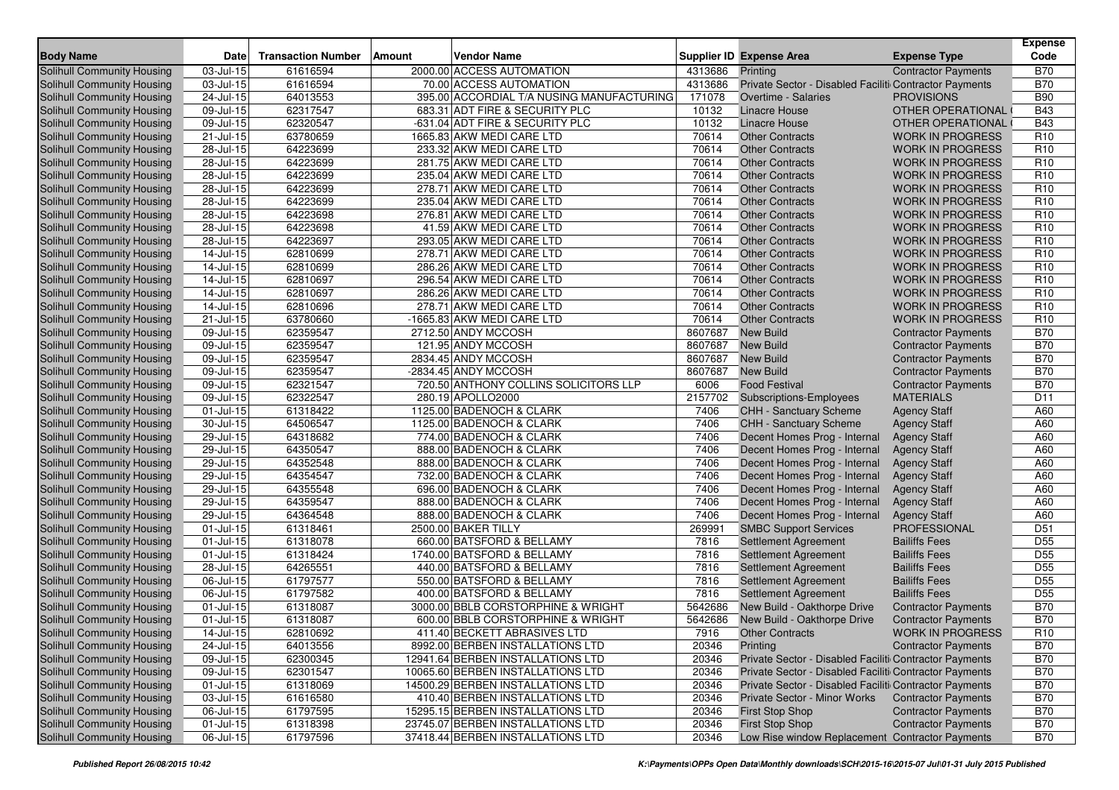|                                                          | <b>Date</b>                          |                           |               | <b>Vendor Name</b>                                               |                   |                                                        |                                                    | Expense<br>Code                    |
|----------------------------------------------------------|--------------------------------------|---------------------------|---------------|------------------------------------------------------------------|-------------------|--------------------------------------------------------|----------------------------------------------------|------------------------------------|
| <b>Body Name</b>                                         | $03$ -Jul-15                         | <b>Transaction Number</b> | <b>Amount</b> |                                                                  |                   | <b>Supplier ID Expense Area</b>                        | <b>Expense Type</b>                                |                                    |
| Solihull Community Housing                               |                                      | 61616594                  |               | 2000.00 ACCESS AUTOMATION                                        | 4313686           | Printing                                               | <b>Contractor Payments</b>                         | <b>B70</b>                         |
| Solihull Community Housing                               | 03-Jul-15                            | 61616594                  |               | 70.00 ACCESS AUTOMATION                                          | 4313686<br>171078 | Private Sector - Disabled Faciliti Contractor Payments |                                                    | <b>B70</b><br><b>B90</b>           |
| Solihull Community Housing                               | 24-Jul-15<br>$\overline{0}9$ -Jul-15 | 64013553                  |               | 395.00 ACCORDIAL T/A NUSING MANUFACTURING                        |                   | Overtime - Salaries                                    | <b>PROVISIONS</b>                                  |                                    |
| Solihull Community Housing                               |                                      | 62317547                  |               | 683.31 ADT FIRE & SECURITY PLC                                   | 10132<br>10132    | <b>Linacre House</b><br><b>Linacre House</b>           | OTHER OPERATIONAL                                  | <b>B43</b>                         |
| Solihull Community Housing                               | 09-Jul-15                            | 62320547<br>63780659      |               | -631.04 ADT FIRE & SECURITY PLC<br>1665.83 AKW MEDI CARE LTD     | 70614             |                                                        | OTHER OPERATIONAL                                  | <b>B43</b>                         |
| Solihull Community Housing                               | 21-Jul-15                            |                           |               |                                                                  | 70614             | <b>Other Contracts</b>                                 | <b>WORK IN PROGRESS</b>                            | R <sub>10</sub>                    |
| <b>Solihull Community Housing</b>                        | 28-Jul-15                            | 64223699<br>64223699      |               | 233.32 AKW MEDI CARE LTD                                         | 70614             | <b>Other Contracts</b>                                 | <b>WORK IN PROGRESS</b>                            | R <sub>10</sub><br>R <sub>10</sub> |
| Solihull Community Housing                               | 28-Jul-15<br>28-Jul-15               | 64223699                  |               | 281.75 AKW MEDI CARE LTD<br>235.04 AKW MEDI CARE LTD             | 70614             | <b>Other Contracts</b><br><b>Other Contracts</b>       | <b>WORK IN PROGRESS</b><br><b>WORK IN PROGRESS</b> | R <sub>10</sub>                    |
| Solihull Community Housing                               |                                      |                           |               |                                                                  |                   |                                                        |                                                    |                                    |
| Solihull Community Housing                               | 28-Jul-15                            | 64223699                  |               | 278.71 AKW MEDI CARE LTD                                         | 70614             | <b>Other Contracts</b>                                 | <b>WORK IN PROGRESS</b>                            | R <sub>10</sub>                    |
| Solihull Community Housing                               | 28-Jul-15                            | 64223699                  |               | 235.04 AKW MEDI CARE LTD                                         | 70614             | <b>Other Contracts</b>                                 | <b>WORK IN PROGRESS</b>                            | R <sub>10</sub>                    |
| Solihull Community Housing                               | 28-Jul-15                            | 64223698                  |               | 276.81 AKW MEDI CARE LTD                                         | 70614             | <b>Other Contracts</b>                                 | <b>WORK IN PROGRESS</b>                            | R <sub>10</sub>                    |
| Solihull Community Housing                               | 28-Jul-15                            | 64223698                  |               | 41.59 AKW MEDI CARE LTD                                          | 70614             | <b>Other Contracts</b>                                 | <b>WORK IN PROGRESS</b>                            | R <sub>10</sub>                    |
| Solihull Community Housing                               | 28-Jul-15                            | 64223697                  |               | 293.05 AKW MEDI CARE LTD                                         | 70614             | <b>Other Contracts</b>                                 | <b>WORK IN PROGRESS</b>                            | R <sub>10</sub>                    |
| Solihull Community Housing                               | $\overline{1}$ 4-Jul-15              | 62810699                  |               | 278.71 AKW MEDI CARE LTD                                         | 70614             | <b>Other Contracts</b>                                 | <b>WORK IN PROGRESS</b>                            | R <sub>10</sub>                    |
| Solihull Community Housing                               | 14-Jul-15                            | 62810699                  |               | 286.26 AKW MEDI CARE LTD                                         | 70614             | <b>Other Contracts</b>                                 | <b>WORK IN PROGRESS</b>                            | R <sub>10</sub>                    |
| Solihull Community Housing                               | 14-Jul-15                            | 62810697                  |               | 296.54 AKW MEDI CARE LTD                                         | 70614             | <b>Other Contracts</b>                                 | <b>WORK IN PROGRESS</b>                            | R <sub>10</sub>                    |
| Solihull Community Housing                               | 14-Jul-15                            | 62810697                  |               | 286.26 AKW MEDI CARE LTD                                         | 70614             | <b>Other Contracts</b>                                 | <b>WORK IN PROGRESS</b>                            | R <sub>10</sub>                    |
| Solihull Community Housing                               | 14-Jul-15                            | 62810696                  |               | 278.71 AKW MEDI CARE LTD                                         | 70614             | <b>Other Contracts</b>                                 | <b>WORK IN PROGRESS</b>                            | R <sub>10</sub>                    |
| Solihull Community Housing                               | 21-Jul-15                            | 63780660                  |               | -1665.83 AKW MEDI CARE LTD                                       | 70614             | <b>Other Contracts</b>                                 | <b>WORK IN PROGRESS</b>                            | R <sub>10</sub>                    |
| Solihull Community Housing                               | 09-Jul-15                            | 62359547                  |               | 2712.50 ANDY MCCOSH                                              | 8607687           | <b>New Build</b>                                       | <b>Contractor Payments</b>                         | <b>B70</b>                         |
| Solihull Community Housing                               | 09-Jul-15                            | 62359547                  |               | 121.95 ANDY MCCOSH                                               | 8607687           | <b>New Build</b>                                       | <b>Contractor Payments</b>                         | <b>B70</b>                         |
| Solihull Community Housing                               | 09-Jul-15                            | 62359547                  |               | 2834.45 ANDY MCCOSH                                              | 8607687           | <b>New Build</b>                                       | <b>Contractor Payments</b>                         | <b>B70</b>                         |
| Solihull Community Housing                               | 09-Jul-15                            | 62359547                  |               | -2834.45 ANDY MCCOSH                                             | 8607687           | <b>New Build</b>                                       | <b>Contractor Payments</b>                         | <b>B70</b>                         |
| Solihull Community Housing                               | 09-Jul-15                            | 62321547                  |               | 720.50 ANTHONY COLLINS SOLICITORS LLP                            | 6006              | <b>Food Festival</b>                                   | <b>Contractor Payments</b>                         | <b>B70</b>                         |
| Solihull Community Housing                               | 09-Jul-15                            | 62322547                  |               | 280.19 APOLLO2000                                                | 2157702           | <b>Subscriptions-Employees</b>                         | <b>MATERIALS</b>                                   | D <sub>11</sub>                    |
| Solihull Community Housing                               | 01-Jul-15                            | 61318422                  |               | 1125.00 BADENOCH & CLARK                                         | 7406              | <b>CHH - Sanctuary Scheme</b>                          | <b>Agency Staff</b>                                | A60                                |
| Solihull Community Housing                               | 30-Jul-15                            | 64506547                  |               | 1125.00 BADENOCH & CLARK                                         | 7406              | <b>CHH - Sanctuary Scheme</b>                          | <b>Agency Staff</b>                                | A60                                |
| Solihull Community Housing                               | 29-Jul-15                            | 64318682                  |               | 774.00 BADENOCH & CLARK                                          | 7406              | Decent Homes Prog - Internal                           | <b>Agency Staff</b>                                | A60                                |
| Solihull Community Housing                               | 29-Jul-15                            | 64350547                  |               | 888.00 BADENOCH & CLARK                                          | 7406              | Decent Homes Prog - Internal                           | <b>Agency Staff</b>                                | A60                                |
| Solihull Community Housing                               | 29-Jul-15                            | 64352548                  |               | 888.00 BADENOCH & CLARK                                          | 7406              | Decent Homes Prog - Internal                           | <b>Agency Staff</b>                                | A60                                |
| Solihull Community Housing                               | 29-Jul-15                            | 64354547                  |               | 732.00 BADENOCH & CLARK                                          | 7406              | Decent Homes Prog - Internal                           | <b>Agency Staff</b>                                | A60                                |
| Solihull Community Housing                               | 29-Jul-15                            | 64355548                  |               | 696.00 BADENOCH & CLARK                                          | 7406              | Decent Homes Prog - Internal                           | <b>Agency Staff</b>                                | A60                                |
| Solihull Community Housing                               | 29-Jul-15                            | 64359547                  |               | 888.00 BADENOCH & CLARK                                          | 7406              | Decent Homes Prog - Internal                           | <b>Agency Staff</b>                                | A60                                |
| <b>Solihull Community Housing</b>                        | 29-Jul-15                            | 64364548                  |               | 888.00 BADENOCH & CLARK                                          | 7406              | Decent Homes Prog - Internal                           | <b>Agency Staff</b>                                | A60                                |
| <b>Solihull Community Housing</b>                        | 01-Jul-15                            | 61318461                  |               | 2500.00 BAKER TILLY                                              | 269991            | <b>SMBC Support Services</b>                           | <b>PROFESSIONAL</b>                                | D <sub>51</sub>                    |
| Solihull Community Housing                               | 01-Jul-15                            | 61318078                  |               | 660.00 BATSFORD & BELLAMY                                        | 7816              | Settlement Agreement                                   | <b>Bailiffs Fees</b>                               | D <sub>55</sub>                    |
| Solihull Community Housing                               | 01-Jul-15                            | 61318424                  |               | 1740.00 BATSFORD & BELLAMY                                       | 7816              | <b>Settlement Agreement</b>                            | <b>Bailiffs Fees</b>                               | D <sub>55</sub>                    |
| Solihull Community Housing                               | 28-Jul-15                            | 64265551                  |               | 440.00 BATSFORD & BELLAMY                                        | 7816              | <b>Settlement Agreement</b>                            | <b>Bailiffs Fees</b>                               | D <sub>55</sub>                    |
| Solihull Community Housing                               | 06-Jul-15                            | 61797577                  |               | 550.00 BATSFORD & BELLAMY                                        | 7816              | Settlement Agreement                                   | <b>Bailiffs Fees</b>                               | D <sub>55</sub>                    |
| Solihull Community Housing                               | 06-Jul-15                            | 61797582                  |               | 400.00 BATSFORD & BELLAMY                                        | 7816              | <b>Settlement Agreement</b>                            | <b>Bailiffs Fees</b>                               | D <sub>55</sub>                    |
| Solihull Community Housing                               | 01-Jul-15                            | 61318087                  |               | 3000.00 BBLB CORSTORPHINE & WRIGHT                               | 5642686           | New Build - Oakthorpe Drive                            | <b>Contractor Payments</b>                         | <b>B70</b>                         |
| Solihull Community Housing                               | 01-Jul-15                            | 61318087                  |               | 600.00 BBLB CORSTORPHINE & WRIGHT                                | 5642686           | New Build - Oakthorpe Drive                            | <b>Contractor Payments</b>                         | <b>B70</b>                         |
| Solihull Community Housing<br>Solihull Community Housing | 14-Jul-15                            | 62810692                  |               | 411.40 BECKETT ABRASIVES LTD<br>8992.00 BERBEN INSTALLATIONS LTD | 7916              | <b>Other Contracts</b>                                 | WORK IN PROGRESS                                   | R <sub>10</sub>                    |
|                                                          | 24-Jul-15                            | 64013556                  |               |                                                                  | 20346             | Printing                                               | <b>Contractor Payments</b>                         | <b>B70</b>                         |
| Solihull Community Housing                               | $09 -$ Jul-15                        | 62300345                  |               | 12941.64 BERBEN INSTALLATIONS LTD                                | 20346             | Private Sector - Disabled Faciliti Contractor Payments |                                                    | <b>B70</b>                         |
| Solihull Community Housing                               | 09-Jul-15                            | 62301547                  |               | 10065.60 BERBEN INSTALLATIONS LTD                                | 20346             | Private Sector - Disabled Faciliti Contractor Payments |                                                    | <b>B70</b>                         |
| Solihull Community Housing                               | $01 -$ Jul-15                        | 61318069                  |               | 14500.29 BERBEN INSTALLATIONS LTD                                | 20346             | Private Sector - Disabled Faciliti Contractor Payments |                                                    | <b>B70</b>                         |
| Solihull Community Housing                               | 03-Jul-15                            | 61616580                  |               | 410.40 BERBEN INSTALLATIONS LTD                                  | 20346             | Private Sector - Minor Works                           | <b>Contractor Payments</b>                         | <b>B70</b>                         |
| Solihull Community Housing                               | 06-Jul-15                            | 61797595                  |               | 15295.15 BERBEN INSTALLATIONS LTD                                | 20346             | <b>First Stop Shop</b>                                 | <b>Contractor Payments</b>                         | <b>B70</b>                         |
| Solihull Community Housing                               | $01 -$ Jul-15                        | 61318398                  |               | 23745.07 BERBEN INSTALLATIONS LTD                                | 20346             | <b>First Stop Shop</b>                                 | <b>Contractor Payments</b>                         | <b>B70</b>                         |
| Solihull Community Housing                               | 06-Jul-15                            | 61797596                  |               | 37418.44 BERBEN INSTALLATIONS LTD                                | 20346             | Low Rise window Replacement Contractor Payments        |                                                    | <b>B70</b>                         |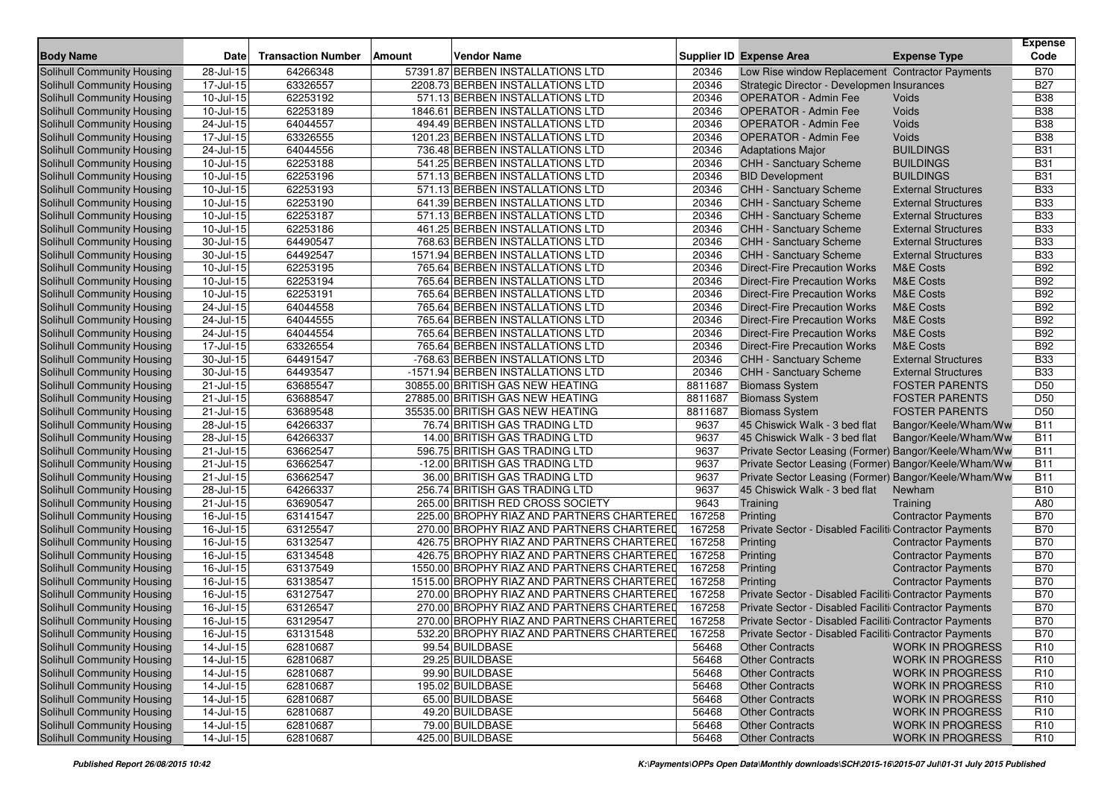| <b>Solihull Community Housing</b><br>28-Jul-15<br>64266348<br>57391.87 BERBEN INSTALLATIONS LTD<br>Low Rise window Replacement Contractor Payments<br><b>B70</b><br>20346<br><b>B27</b><br>17-Jul-15<br>63326557<br>2208.73 BERBEN INSTALLATIONS LTD<br>20346<br>Solihull Community Housing<br>Strategic Director - Developmen Insurances<br>10-Jul-15<br>62253192<br>20346<br><b>B38</b><br>Solihull Community Housing<br>571.13 BERBEN INSTALLATIONS LTD<br><b>OPERATOR - Admin Fee</b><br>Voids<br>62253189<br>1846.61 BERBEN INSTALLATIONS LTD<br>20346<br><b>OPERATOR - Admin Fee</b><br><b>B38</b><br>Solihull Community Housing<br>10-Jul-15<br>Voids<br>20346<br><b>B38</b><br>Solihull Community Housing<br>24-Jul-15<br>64044557<br>494.49 BERBEN INSTALLATIONS LTD<br><b>OPERATOR - Admin Fee</b><br>Voids<br>17-Jul-15<br>63326555<br>20346<br>Voids<br><b>B38</b><br>Solihull Community Housing<br>1201.23 BERBEN INSTALLATIONS LTD<br><b>OPERATOR - Admin Fee</b><br>736.48 BERBEN INSTALLATIONS LTD<br>20346<br><b>BUILDINGS</b><br><b>B31</b><br>Solihull Community Housing<br>24-Jul-15<br>64044556<br><b>Adaptations Major</b><br>62253188<br>20346<br><b>BUILDINGS</b><br><b>B31</b><br>Solihull Community Housing<br>10-Jul-15<br>541.25 BERBEN INSTALLATIONS LTD<br>CHH - Sanctuary Scheme<br>$10 -$ Jul-15<br>62253196<br>20346<br><b>BUILDINGS</b><br><b>B31</b><br>Solihull Community Housing<br>571.13 BERBEN INSTALLATIONS LTD<br><b>BID Development</b><br>20346<br><b>B33</b><br>Solihull Community Housing<br>10-Jul-15<br>62253193<br>571.13 BERBEN INSTALLATIONS LTD<br>CHH - Sanctuary Scheme<br><b>External Structures</b><br>10-Jul-15<br>62253190<br>641.39 BERBEN INSTALLATIONS LTD<br>20346<br><b>External Structures</b><br><b>B33</b><br>Solihull Community Housing<br>CHH - Sanctuary Scheme<br>10-Jul-15<br>62253187<br>571.13 BERBEN INSTALLATIONS LTD<br>20346<br><b>B33</b><br>Solihull Community Housing<br>CHH - Sanctuary Scheme<br><b>External Structures</b><br>20346<br><b>B33</b><br>Solihull Community Housing<br>10-Jul-15<br>62253186<br>461.25 BERBEN INSTALLATIONS LTD<br>CHH - Sanctuary Scheme<br><b>External Structures</b><br><b>B33</b><br>Solihull Community Housing<br>30-Jul-15<br>64490547<br>768.63 BERBEN INSTALLATIONS LTD<br>20346<br><b>CHH - Sanctuary Scheme</b><br><b>External Structures</b><br>64492547<br>1571.94 BERBEN INSTALLATIONS LTD<br>20346<br><b>B33</b><br>Solihull Community Housing<br>30-Jul-15<br>CHH - Sanctuary Scheme<br><b>External Structures</b><br>62253195<br>20346<br><b>B92</b><br>Solihull Community Housing<br>10-Jul-15<br>765.64 BERBEN INSTALLATIONS LTD<br><b>Direct-Fire Precaution Works</b><br><b>M&amp;E Costs</b><br><b>B92</b><br>Solihull Community Housing<br>10-Jul-15<br>62253194<br>765.64 BERBEN INSTALLATIONS LTD<br>20346<br><b>Direct-Fire Precaution Works</b><br><b>M&amp;E Costs</b><br><b>B92</b><br>Solihull Community Housing<br>10-Jul-15<br>62253191<br>765.64 BERBEN INSTALLATIONS LTD<br>20346<br><b>M&amp;E Costs</b><br><b>Direct-Fire Precaution Works</b><br>24-Jul-15<br>64044558<br>20346<br><b>B92</b><br>Solihull Community Housing<br>765.64 BERBEN INSTALLATIONS LTD<br><b>Direct-Fire Precaution Works</b><br><b>M&amp;E Costs</b><br><b>B92</b><br>24-Jul-15<br>64044555<br>20346<br><b>M&amp;E Costs</b><br>Solihull Community Housing<br>765.64 BERBEN INSTALLATIONS LTD<br>Direct-Fire Precaution Works<br>20346<br><b>B92</b><br>Solihull Community Housing<br>24-Jul-15<br>64044554<br>765.64 BERBEN INSTALLATIONS LTD<br><b>Direct-Fire Precaution Works</b><br><b>M&amp;E Costs</b><br><b>B92</b><br>Solihull Community Housing<br>17-Jul-15<br>63326554<br>765.64 BERBEN INSTALLATIONS LTD<br>20346<br><b>M&amp;E Costs</b><br><b>Direct-Fire Precaution Works</b><br>30-Jul-15<br>64491547<br>-768.63 BERBEN INSTALLATIONS LTD<br>20346<br><b>B33</b><br>Solihull Community Housing<br>CHH - Sanctuary Scheme<br><b>External Structures</b><br>20346<br><b>B33</b><br>Solihull Community Housing<br>30-Jul-15<br>64493547<br>-1571.94 BERBEN INSTALLATIONS LTD<br><b>CHH - Sanctuary Scheme</b><br><b>External Structures</b><br>21-Jul-15<br>63685547<br>8811687<br>D <sub>50</sub><br>Solihull Community Housing<br>30855.00 BRITISH GAS NEW HEATING<br><b>Biomass System</b><br><b>FOSTER PARENTS</b><br>D <sub>50</sub><br>$21 -$ Jul-15<br>63688547<br>27885.00 BRITISH GAS NEW HEATING<br>8811687<br>Solihull Community Housing<br><b>Biomass System</b><br><b>FOSTER PARENTS</b><br>Solihull Community Housing<br>$21 -$ Jul-15<br>63689548<br>35535.00 BRITISH GAS NEW HEATING<br><b>FOSTER PARENTS</b><br>D <sub>50</sub><br>8811687<br><b>Biomass System</b><br>28-Jul-15<br>64266337<br>76.74 BRITISH GAS TRADING LTD<br>9637<br><b>B11</b><br>Solihull Community Housing<br>45 Chiswick Walk - 3 bed flat<br>Bangor/Keele/Wham/Ww<br>28-Jul-15<br>64266337<br>14.00 BRITISH GAS TRADING LTD<br>9637<br><b>B11</b><br>Solihull Community Housing<br>45 Chiswick Walk - 3 bed flat<br>Bangor/Keele/Wham/Ww<br><b>B11</b><br>63662547<br>9637<br>Solihull Community Housing<br>21-Jul-15<br>596.75 BRITISH GAS TRADING LTD<br>Private Sector Leasing (Former) Bangor/Keele/Wham/Ww<br><b>B11</b><br>21-Jul-15<br>63662547<br>-12.00 BRITISH GAS TRADING LTD<br>Private Sector Leasing (Former) Bangor/Keele/Wham/Ww<br>Solihull Community Housing<br>9637<br><b>B11</b><br>63662547<br>36.00 BRITISH GAS TRADING LTD<br>9637<br>Solihull Community Housing<br>21-Jul-15<br>Private Sector Leasing (Former) Bangor/Keele/Wham/Ww<br>64266337<br>256.74 BRITISH GAS TRADING LTD<br><b>B10</b><br>Solihull Community Housing<br>28-Jul-15<br>9637<br>45 Chiswick Walk - 3 bed flat<br>Newham<br>$21$ -Jul-15<br>63690547<br>9643<br>A80<br>Solihull Community Housing<br>265.00 BRITISH RED CROSS SOCIETY<br>Training<br>Training<br><b>B70</b><br>$16$ -Jul-15<br>167258<br>Solihull Community Housing<br>63141547<br>225.00 BROPHY RIAZ AND PARTNERS CHARTERED<br>Printing<br><b>Contractor Payments</b><br>63125547<br>16-Jul-15<br>167258<br><b>B70</b><br>Solihull Community Housing<br>270.00 BROPHY RIAZ AND PARTNERS CHARTERED<br>Private Sector - Disabled Faciliti Contractor Payments<br><b>B70</b><br>16-Jul-15<br>63132547<br>167258<br>Solihull Community Housing<br>426.75 BROPHY RIAZ AND PARTNERS CHARTERED<br>Printing<br><b>Contractor Payments</b><br>167258<br><b>B70</b><br>Solihull Community Housing<br>16-Jul-15<br>63134548<br>426.75 BROPHY RIAZ AND PARTNERS CHARTERED<br>Printing<br><b>Contractor Payments</b><br>63137549<br>167258<br><b>B70</b><br>1550.00 BROPHY RIAZ AND PARTNERS CHARTERED<br>Solihull Community Housing<br>16-Jul-15<br>Printing<br><b>Contractor Payments</b><br><b>B70</b><br>$16$ -Jul-15<br>63138547<br>1515.00 BROPHY RIAZ AND PARTNERS CHARTERED<br>167258<br>Solihull Community Housing<br>Printing<br><b>Contractor Payments</b><br>63127547<br>167258<br>Private Sector - Disabled Faciliti Contractor Payments<br><b>B70</b><br>Solihull Community Housing<br>16-Jul-15<br>270.00 BROPHY RIAZ AND PARTNERS CHARTERED<br><b>B70</b><br>63126547<br>167258<br>Solihull Community Housing<br>16-Jul-15<br>270.00 BROPHY RIAZ AND PARTNERS CHARTERED<br>Private Sector - Disabled Faciliti Contractor Payments<br><b>B70</b><br>Solihull Community Housing<br>63129547<br>270.00 BROPHY RIAZ AND PARTNERS CHARTERED<br>167258<br>Private Sector - Disabled Faciliti Contractor Payments<br>16-Jul-15<br>$16$ -Jul-15<br>167258<br><b>B70</b><br>Solihull Community Housing<br>63131548<br>Private Sector - Disabled Faciliti Contractor Payments<br>532.20 BROPHY RIAZ AND PARTNERS CHARTERED<br>R <sub>10</sub><br>Solihull Community Housing<br>14-Jul-15<br>62810687<br>99.54 BUILDBASE<br><b>WORK IN PROGRESS</b><br>56468<br><b>Other Contracts</b><br>Solihull Community Housing<br>14-Jul-15<br>62810687<br>29.25 BUILDBASE<br>56468<br><b>Other Contracts</b><br><b>WORK IN PROGRESS</b><br>R <sub>10</sub><br>Solihull Community Housing<br>99.90 BUILDBASE<br>14-Jul-15<br>62810687<br>56468<br><b>Other Contracts</b><br><b>WORK IN PROGRESS</b><br>R <sub>10</sub><br>Solihull Community Housing<br>14-Jul-15<br>62810687<br>195.02 BUILDBASE<br>R <sub>10</sub><br>56468<br><b>Other Contracts</b><br><b>WORK IN PROGRESS</b><br>Solihull Community Housing<br>14-Jul-15<br>62810687<br>65.00 BUILDBASE<br>56468<br><b>Other Contracts</b><br><b>WORK IN PROGRESS</b><br>R <sub>10</sub><br>$14$ -Jul-15<br>62810687<br>49.20 BUILDBASE<br>R <sub>10</sub><br>Solihull Community Housing<br>56468<br><b>Other Contracts</b><br><b>WORK IN PROGRESS</b><br>Solihull Community Housing<br>$14$ -Jul-15<br>62810687<br>79.00 BUILDBASE<br>56468<br>R <sub>10</sub><br><b>Other Contracts</b><br><b>WORK IN PROGRESS</b><br>Solihull Community Housing<br>$14$ -Jul-15<br>62810687<br>425.00 BUILDBASE<br>R <sub>10</sub><br>56468<br><b>Other Contracts</b><br>WORK IN PROGRESS | <b>Body Name</b> | <b>Date</b> | <b>Transaction Number</b> | <b>Vendor Name</b><br><b>Amount</b> | Supplier ID Expense Area | <b>Expense Type</b> | <b>Expense</b><br>Code |
|--------------------------------------------------------------------------------------------------------------------------------------------------------------------------------------------------------------------------------------------------------------------------------------------------------------------------------------------------------------------------------------------------------------------------------------------------------------------------------------------------------------------------------------------------------------------------------------------------------------------------------------------------------------------------------------------------------------------------------------------------------------------------------------------------------------------------------------------------------------------------------------------------------------------------------------------------------------------------------------------------------------------------------------------------------------------------------------------------------------------------------------------------------------------------------------------------------------------------------------------------------------------------------------------------------------------------------------------------------------------------------------------------------------------------------------------------------------------------------------------------------------------------------------------------------------------------------------------------------------------------------------------------------------------------------------------------------------------------------------------------------------------------------------------------------------------------------------------------------------------------------------------------------------------------------------------------------------------------------------------------------------------------------------------------------------------------------------------------------------------------------------------------------------------------------------------------------------------------------------------------------------------------------------------------------------------------------------------------------------------------------------------------------------------------------------------------------------------------------------------------------------------------------------------------------------------------------------------------------------------------------------------------------------------------------------------------------------------------------------------------------------------------------------------------------------------------------------------------------------------------------------------------------------------------------------------------------------------------------------------------------------------------------------------------------------------------------------------------------------------------------------------------------------------------------------------------------------------------------------------------------------------------------------------------------------------------------------------------------------------------------------------------------------------------------------------------------------------------------------------------------------------------------------------------------------------------------------------------------------------------------------------------------------------------------------------------------------------------------------------------------------------------------------------------------------------------------------------------------------------------------------------------------------------------------------------------------------------------------------------------------------------------------------------------------------------------------------------------------------------------------------------------------------------------------------------------------------------------------------------------------------------------------------------------------------------------------------------------------------------------------------------------------------------------------------------------------------------------------------------------------------------------------------------------------------------------------------------------------------------------------------------------------------------------------------------------------------------------------------------------------------------------------------------------------------------------------------------------------------------------------------------------------------------------------------------------------------------------------------------------------------------------------------------------------------------------------------------------------------------------------------------------------------------------------------------------------------------------------------------------------------------------------------------------------------------------------------------------------------------------------------------------------------------------------------------------------------------------------------------------------------------------------------------------------------------------------------------------------------------------------------------------------------------------------------------------------------------------------------------------------------------------------------------------------------------------------------------------------------------------------------------------------------------------------------------------------------------------------------------------------------------------------------------------------------------------------------------------------------------------------------------------------------------------------------------------------------------------------------------------------------------------------------------------------------------------------------------------------------------------------------------------------------------------------------------------------------------------------------------------------------------------------------------------------------------------------------------------------------------------------------------------------------------------------------------------------------------------------------------------------------------------------------------------------------------------------------------------------------------------------------------------------------------------------------------------------------------------------------------------------------------------------------------------------------------------------------------------------------------------------------------------------------------------------------------------------------------------------------------------------------------------------------------------------------------------------------------------------------------------------------------------------------------------------------------------------------------------------------------------------------------------------------------------------------------------------------------------------------------------------------------------------------------------------------------------------------------------------------------------------------------------------------------------------------------------------------------------------------------------------------------------------------------------------------------------------------------------------------------------------------------------------------------------------------------------------------------------------------------------------------------------------------------------------------------------------------------------------------------------------------------------------------------------------------------------------------------------------------------------------------------------------------------------------------------------------------------------------------------------------------------------------------------------------------------------------------------------------------------------------------------------------------------------------------------------------------------------------------------------------------------------------------------------------------------------------------------------------------------------------------------------------------------------------------------------------------------------------------------------------------------|------------------|-------------|---------------------------|-------------------------------------|--------------------------|---------------------|------------------------|
|                                                                                                                                                                                                                                                                                                                                                                                                                                                                                                                                                                                                                                                                                                                                                                                                                                                                                                                                                                                                                                                                                                                                                                                                                                                                                                                                                                                                                                                                                                                                                                                                                                                                                                                                                                                                                                                                                                                                                                                                                                                                                                                                                                                                                                                                                                                                                                                                                                                                                                                                                                                                                                                                                                                                                                                                                                                                                                                                                                                                                                                                                                                                                                                                                                                                                                                                                                                                                                                                                                                                                                                                                                                                                                                                                                                                                                                                                                                                                                                                                                                                                                                                                                                                                                                                                                                                                                                                                                                                                                                                                                                                                                                                                                                                                                                                                                                                                                                                                                                                                                                                                                                                                                                                                                                                                                                                                                                                                                                                                                                                                                                                                                                                                                                                                                                                                                                                                                                                                                                                                                                                                                                                                                                                                                                                                                                                                                                                                                                                                                                                                                                                                                                                                                                                                                                                                                                                                                                                                                                                                                                                                                                                                                                                                                                                                                                                                                                                                                                                                                                                                                                                                                                                                                                                                                                                                                                                                                                                                                                                                                                                                                                                                                                                                                                                                                                                                                                                                                                                                                                                                                                                                                                                                                                                                                                                                                                                                                                                                                                                                    |                  |             |                           |                                     |                          |                     |                        |
|                                                                                                                                                                                                                                                                                                                                                                                                                                                                                                                                                                                                                                                                                                                                                                                                                                                                                                                                                                                                                                                                                                                                                                                                                                                                                                                                                                                                                                                                                                                                                                                                                                                                                                                                                                                                                                                                                                                                                                                                                                                                                                                                                                                                                                                                                                                                                                                                                                                                                                                                                                                                                                                                                                                                                                                                                                                                                                                                                                                                                                                                                                                                                                                                                                                                                                                                                                                                                                                                                                                                                                                                                                                                                                                                                                                                                                                                                                                                                                                                                                                                                                                                                                                                                                                                                                                                                                                                                                                                                                                                                                                                                                                                                                                                                                                                                                                                                                                                                                                                                                                                                                                                                                                                                                                                                                                                                                                                                                                                                                                                                                                                                                                                                                                                                                                                                                                                                                                                                                                                                                                                                                                                                                                                                                                                                                                                                                                                                                                                                                                                                                                                                                                                                                                                                                                                                                                                                                                                                                                                                                                                                                                                                                                                                                                                                                                                                                                                                                                                                                                                                                                                                                                                                                                                                                                                                                                                                                                                                                                                                                                                                                                                                                                                                                                                                                                                                                                                                                                                                                                                                                                                                                                                                                                                                                                                                                                                                                                                                                                                                    |                  |             |                           |                                     |                          |                     |                        |
|                                                                                                                                                                                                                                                                                                                                                                                                                                                                                                                                                                                                                                                                                                                                                                                                                                                                                                                                                                                                                                                                                                                                                                                                                                                                                                                                                                                                                                                                                                                                                                                                                                                                                                                                                                                                                                                                                                                                                                                                                                                                                                                                                                                                                                                                                                                                                                                                                                                                                                                                                                                                                                                                                                                                                                                                                                                                                                                                                                                                                                                                                                                                                                                                                                                                                                                                                                                                                                                                                                                                                                                                                                                                                                                                                                                                                                                                                                                                                                                                                                                                                                                                                                                                                                                                                                                                                                                                                                                                                                                                                                                                                                                                                                                                                                                                                                                                                                                                                                                                                                                                                                                                                                                                                                                                                                                                                                                                                                                                                                                                                                                                                                                                                                                                                                                                                                                                                                                                                                                                                                                                                                                                                                                                                                                                                                                                                                                                                                                                                                                                                                                                                                                                                                                                                                                                                                                                                                                                                                                                                                                                                                                                                                                                                                                                                                                                                                                                                                                                                                                                                                                                                                                                                                                                                                                                                                                                                                                                                                                                                                                                                                                                                                                                                                                                                                                                                                                                                                                                                                                                                                                                                                                                                                                                                                                                                                                                                                                                                                                                                    |                  |             |                           |                                     |                          |                     |                        |
|                                                                                                                                                                                                                                                                                                                                                                                                                                                                                                                                                                                                                                                                                                                                                                                                                                                                                                                                                                                                                                                                                                                                                                                                                                                                                                                                                                                                                                                                                                                                                                                                                                                                                                                                                                                                                                                                                                                                                                                                                                                                                                                                                                                                                                                                                                                                                                                                                                                                                                                                                                                                                                                                                                                                                                                                                                                                                                                                                                                                                                                                                                                                                                                                                                                                                                                                                                                                                                                                                                                                                                                                                                                                                                                                                                                                                                                                                                                                                                                                                                                                                                                                                                                                                                                                                                                                                                                                                                                                                                                                                                                                                                                                                                                                                                                                                                                                                                                                                                                                                                                                                                                                                                                                                                                                                                                                                                                                                                                                                                                                                                                                                                                                                                                                                                                                                                                                                                                                                                                                                                                                                                                                                                                                                                                                                                                                                                                                                                                                                                                                                                                                                                                                                                                                                                                                                                                                                                                                                                                                                                                                                                                                                                                                                                                                                                                                                                                                                                                                                                                                                                                                                                                                                                                                                                                                                                                                                                                                                                                                                                                                                                                                                                                                                                                                                                                                                                                                                                                                                                                                                                                                                                                                                                                                                                                                                                                                                                                                                                                                                    |                  |             |                           |                                     |                          |                     |                        |
|                                                                                                                                                                                                                                                                                                                                                                                                                                                                                                                                                                                                                                                                                                                                                                                                                                                                                                                                                                                                                                                                                                                                                                                                                                                                                                                                                                                                                                                                                                                                                                                                                                                                                                                                                                                                                                                                                                                                                                                                                                                                                                                                                                                                                                                                                                                                                                                                                                                                                                                                                                                                                                                                                                                                                                                                                                                                                                                                                                                                                                                                                                                                                                                                                                                                                                                                                                                                                                                                                                                                                                                                                                                                                                                                                                                                                                                                                                                                                                                                                                                                                                                                                                                                                                                                                                                                                                                                                                                                                                                                                                                                                                                                                                                                                                                                                                                                                                                                                                                                                                                                                                                                                                                                                                                                                                                                                                                                                                                                                                                                                                                                                                                                                                                                                                                                                                                                                                                                                                                                                                                                                                                                                                                                                                                                                                                                                                                                                                                                                                                                                                                                                                                                                                                                                                                                                                                                                                                                                                                                                                                                                                                                                                                                                                                                                                                                                                                                                                                                                                                                                                                                                                                                                                                                                                                                                                                                                                                                                                                                                                                                                                                                                                                                                                                                                                                                                                                                                                                                                                                                                                                                                                                                                                                                                                                                                                                                                                                                                                                                                    |                  |             |                           |                                     |                          |                     |                        |
|                                                                                                                                                                                                                                                                                                                                                                                                                                                                                                                                                                                                                                                                                                                                                                                                                                                                                                                                                                                                                                                                                                                                                                                                                                                                                                                                                                                                                                                                                                                                                                                                                                                                                                                                                                                                                                                                                                                                                                                                                                                                                                                                                                                                                                                                                                                                                                                                                                                                                                                                                                                                                                                                                                                                                                                                                                                                                                                                                                                                                                                                                                                                                                                                                                                                                                                                                                                                                                                                                                                                                                                                                                                                                                                                                                                                                                                                                                                                                                                                                                                                                                                                                                                                                                                                                                                                                                                                                                                                                                                                                                                                                                                                                                                                                                                                                                                                                                                                                                                                                                                                                                                                                                                                                                                                                                                                                                                                                                                                                                                                                                                                                                                                                                                                                                                                                                                                                                                                                                                                                                                                                                                                                                                                                                                                                                                                                                                                                                                                                                                                                                                                                                                                                                                                                                                                                                                                                                                                                                                                                                                                                                                                                                                                                                                                                                                                                                                                                                                                                                                                                                                                                                                                                                                                                                                                                                                                                                                                                                                                                                                                                                                                                                                                                                                                                                                                                                                                                                                                                                                                                                                                                                                                                                                                                                                                                                                                                                                                                                                                                    |                  |             |                           |                                     |                          |                     |                        |
|                                                                                                                                                                                                                                                                                                                                                                                                                                                                                                                                                                                                                                                                                                                                                                                                                                                                                                                                                                                                                                                                                                                                                                                                                                                                                                                                                                                                                                                                                                                                                                                                                                                                                                                                                                                                                                                                                                                                                                                                                                                                                                                                                                                                                                                                                                                                                                                                                                                                                                                                                                                                                                                                                                                                                                                                                                                                                                                                                                                                                                                                                                                                                                                                                                                                                                                                                                                                                                                                                                                                                                                                                                                                                                                                                                                                                                                                                                                                                                                                                                                                                                                                                                                                                                                                                                                                                                                                                                                                                                                                                                                                                                                                                                                                                                                                                                                                                                                                                                                                                                                                                                                                                                                                                                                                                                                                                                                                                                                                                                                                                                                                                                                                                                                                                                                                                                                                                                                                                                                                                                                                                                                                                                                                                                                                                                                                                                                                                                                                                                                                                                                                                                                                                                                                                                                                                                                                                                                                                                                                                                                                                                                                                                                                                                                                                                                                                                                                                                                                                                                                                                                                                                                                                                                                                                                                                                                                                                                                                                                                                                                                                                                                                                                                                                                                                                                                                                                                                                                                                                                                                                                                                                                                                                                                                                                                                                                                                                                                                                                                                    |                  |             |                           |                                     |                          |                     |                        |
|                                                                                                                                                                                                                                                                                                                                                                                                                                                                                                                                                                                                                                                                                                                                                                                                                                                                                                                                                                                                                                                                                                                                                                                                                                                                                                                                                                                                                                                                                                                                                                                                                                                                                                                                                                                                                                                                                                                                                                                                                                                                                                                                                                                                                                                                                                                                                                                                                                                                                                                                                                                                                                                                                                                                                                                                                                                                                                                                                                                                                                                                                                                                                                                                                                                                                                                                                                                                                                                                                                                                                                                                                                                                                                                                                                                                                                                                                                                                                                                                                                                                                                                                                                                                                                                                                                                                                                                                                                                                                                                                                                                                                                                                                                                                                                                                                                                                                                                                                                                                                                                                                                                                                                                                                                                                                                                                                                                                                                                                                                                                                                                                                                                                                                                                                                                                                                                                                                                                                                                                                                                                                                                                                                                                                                                                                                                                                                                                                                                                                                                                                                                                                                                                                                                                                                                                                                                                                                                                                                                                                                                                                                                                                                                                                                                                                                                                                                                                                                                                                                                                                                                                                                                                                                                                                                                                                                                                                                                                                                                                                                                                                                                                                                                                                                                                                                                                                                                                                                                                                                                                                                                                                                                                                                                                                                                                                                                                                                                                                                                                                    |                  |             |                           |                                     |                          |                     |                        |
|                                                                                                                                                                                                                                                                                                                                                                                                                                                                                                                                                                                                                                                                                                                                                                                                                                                                                                                                                                                                                                                                                                                                                                                                                                                                                                                                                                                                                                                                                                                                                                                                                                                                                                                                                                                                                                                                                                                                                                                                                                                                                                                                                                                                                                                                                                                                                                                                                                                                                                                                                                                                                                                                                                                                                                                                                                                                                                                                                                                                                                                                                                                                                                                                                                                                                                                                                                                                                                                                                                                                                                                                                                                                                                                                                                                                                                                                                                                                                                                                                                                                                                                                                                                                                                                                                                                                                                                                                                                                                                                                                                                                                                                                                                                                                                                                                                                                                                                                                                                                                                                                                                                                                                                                                                                                                                                                                                                                                                                                                                                                                                                                                                                                                                                                                                                                                                                                                                                                                                                                                                                                                                                                                                                                                                                                                                                                                                                                                                                                                                                                                                                                                                                                                                                                                                                                                                                                                                                                                                                                                                                                                                                                                                                                                                                                                                                                                                                                                                                                                                                                                                                                                                                                                                                                                                                                                                                                                                                                                                                                                                                                                                                                                                                                                                                                                                                                                                                                                                                                                                                                                                                                                                                                                                                                                                                                                                                                                                                                                                                                                    |                  |             |                           |                                     |                          |                     |                        |
|                                                                                                                                                                                                                                                                                                                                                                                                                                                                                                                                                                                                                                                                                                                                                                                                                                                                                                                                                                                                                                                                                                                                                                                                                                                                                                                                                                                                                                                                                                                                                                                                                                                                                                                                                                                                                                                                                                                                                                                                                                                                                                                                                                                                                                                                                                                                                                                                                                                                                                                                                                                                                                                                                                                                                                                                                                                                                                                                                                                                                                                                                                                                                                                                                                                                                                                                                                                                                                                                                                                                                                                                                                                                                                                                                                                                                                                                                                                                                                                                                                                                                                                                                                                                                                                                                                                                                                                                                                                                                                                                                                                                                                                                                                                                                                                                                                                                                                                                                                                                                                                                                                                                                                                                                                                                                                                                                                                                                                                                                                                                                                                                                                                                                                                                                                                                                                                                                                                                                                                                                                                                                                                                                                                                                                                                                                                                                                                                                                                                                                                                                                                                                                                                                                                                                                                                                                                                                                                                                                                                                                                                                                                                                                                                                                                                                                                                                                                                                                                                                                                                                                                                                                                                                                                                                                                                                                                                                                                                                                                                                                                                                                                                                                                                                                                                                                                                                                                                                                                                                                                                                                                                                                                                                                                                                                                                                                                                                                                                                                                                                    |                  |             |                           |                                     |                          |                     |                        |
|                                                                                                                                                                                                                                                                                                                                                                                                                                                                                                                                                                                                                                                                                                                                                                                                                                                                                                                                                                                                                                                                                                                                                                                                                                                                                                                                                                                                                                                                                                                                                                                                                                                                                                                                                                                                                                                                                                                                                                                                                                                                                                                                                                                                                                                                                                                                                                                                                                                                                                                                                                                                                                                                                                                                                                                                                                                                                                                                                                                                                                                                                                                                                                                                                                                                                                                                                                                                                                                                                                                                                                                                                                                                                                                                                                                                                                                                                                                                                                                                                                                                                                                                                                                                                                                                                                                                                                                                                                                                                                                                                                                                                                                                                                                                                                                                                                                                                                                                                                                                                                                                                                                                                                                                                                                                                                                                                                                                                                                                                                                                                                                                                                                                                                                                                                                                                                                                                                                                                                                                                                                                                                                                                                                                                                                                                                                                                                                                                                                                                                                                                                                                                                                                                                                                                                                                                                                                                                                                                                                                                                                                                                                                                                                                                                                                                                                                                                                                                                                                                                                                                                                                                                                                                                                                                                                                                                                                                                                                                                                                                                                                                                                                                                                                                                                                                                                                                                                                                                                                                                                                                                                                                                                                                                                                                                                                                                                                                                                                                                                                                    |                  |             |                           |                                     |                          |                     |                        |
|                                                                                                                                                                                                                                                                                                                                                                                                                                                                                                                                                                                                                                                                                                                                                                                                                                                                                                                                                                                                                                                                                                                                                                                                                                                                                                                                                                                                                                                                                                                                                                                                                                                                                                                                                                                                                                                                                                                                                                                                                                                                                                                                                                                                                                                                                                                                                                                                                                                                                                                                                                                                                                                                                                                                                                                                                                                                                                                                                                                                                                                                                                                                                                                                                                                                                                                                                                                                                                                                                                                                                                                                                                                                                                                                                                                                                                                                                                                                                                                                                                                                                                                                                                                                                                                                                                                                                                                                                                                                                                                                                                                                                                                                                                                                                                                                                                                                                                                                                                                                                                                                                                                                                                                                                                                                                                                                                                                                                                                                                                                                                                                                                                                                                                                                                                                                                                                                                                                                                                                                                                                                                                                                                                                                                                                                                                                                                                                                                                                                                                                                                                                                                                                                                                                                                                                                                                                                                                                                                                                                                                                                                                                                                                                                                                                                                                                                                                                                                                                                                                                                                                                                                                                                                                                                                                                                                                                                                                                                                                                                                                                                                                                                                                                                                                                                                                                                                                                                                                                                                                                                                                                                                                                                                                                                                                                                                                                                                                                                                                                                                    |                  |             |                           |                                     |                          |                     |                        |
|                                                                                                                                                                                                                                                                                                                                                                                                                                                                                                                                                                                                                                                                                                                                                                                                                                                                                                                                                                                                                                                                                                                                                                                                                                                                                                                                                                                                                                                                                                                                                                                                                                                                                                                                                                                                                                                                                                                                                                                                                                                                                                                                                                                                                                                                                                                                                                                                                                                                                                                                                                                                                                                                                                                                                                                                                                                                                                                                                                                                                                                                                                                                                                                                                                                                                                                                                                                                                                                                                                                                                                                                                                                                                                                                                                                                                                                                                                                                                                                                                                                                                                                                                                                                                                                                                                                                                                                                                                                                                                                                                                                                                                                                                                                                                                                                                                                                                                                                                                                                                                                                                                                                                                                                                                                                                                                                                                                                                                                                                                                                                                                                                                                                                                                                                                                                                                                                                                                                                                                                                                                                                                                                                                                                                                                                                                                                                                                                                                                                                                                                                                                                                                                                                                                                                                                                                                                                                                                                                                                                                                                                                                                                                                                                                                                                                                                                                                                                                                                                                                                                                                                                                                                                                                                                                                                                                                                                                                                                                                                                                                                                                                                                                                                                                                                                                                                                                                                                                                                                                                                                                                                                                                                                                                                                                                                                                                                                                                                                                                                                                    |                  |             |                           |                                     |                          |                     |                        |
|                                                                                                                                                                                                                                                                                                                                                                                                                                                                                                                                                                                                                                                                                                                                                                                                                                                                                                                                                                                                                                                                                                                                                                                                                                                                                                                                                                                                                                                                                                                                                                                                                                                                                                                                                                                                                                                                                                                                                                                                                                                                                                                                                                                                                                                                                                                                                                                                                                                                                                                                                                                                                                                                                                                                                                                                                                                                                                                                                                                                                                                                                                                                                                                                                                                                                                                                                                                                                                                                                                                                                                                                                                                                                                                                                                                                                                                                                                                                                                                                                                                                                                                                                                                                                                                                                                                                                                                                                                                                                                                                                                                                                                                                                                                                                                                                                                                                                                                                                                                                                                                                                                                                                                                                                                                                                                                                                                                                                                                                                                                                                                                                                                                                                                                                                                                                                                                                                                                                                                                                                                                                                                                                                                                                                                                                                                                                                                                                                                                                                                                                                                                                                                                                                                                                                                                                                                                                                                                                                                                                                                                                                                                                                                                                                                                                                                                                                                                                                                                                                                                                                                                                                                                                                                                                                                                                                                                                                                                                                                                                                                                                                                                                                                                                                                                                                                                                                                                                                                                                                                                                                                                                                                                                                                                                                                                                                                                                                                                                                                                                                    |                  |             |                           |                                     |                          |                     |                        |
|                                                                                                                                                                                                                                                                                                                                                                                                                                                                                                                                                                                                                                                                                                                                                                                                                                                                                                                                                                                                                                                                                                                                                                                                                                                                                                                                                                                                                                                                                                                                                                                                                                                                                                                                                                                                                                                                                                                                                                                                                                                                                                                                                                                                                                                                                                                                                                                                                                                                                                                                                                                                                                                                                                                                                                                                                                                                                                                                                                                                                                                                                                                                                                                                                                                                                                                                                                                                                                                                                                                                                                                                                                                                                                                                                                                                                                                                                                                                                                                                                                                                                                                                                                                                                                                                                                                                                                                                                                                                                                                                                                                                                                                                                                                                                                                                                                                                                                                                                                                                                                                                                                                                                                                                                                                                                                                                                                                                                                                                                                                                                                                                                                                                                                                                                                                                                                                                                                                                                                                                                                                                                                                                                                                                                                                                                                                                                                                                                                                                                                                                                                                                                                                                                                                                                                                                                                                                                                                                                                                                                                                                                                                                                                                                                                                                                                                                                                                                                                                                                                                                                                                                                                                                                                                                                                                                                                                                                                                                                                                                                                                                                                                                                                                                                                                                                                                                                                                                                                                                                                                                                                                                                                                                                                                                                                                                                                                                                                                                                                                                                    |                  |             |                           |                                     |                          |                     |                        |
|                                                                                                                                                                                                                                                                                                                                                                                                                                                                                                                                                                                                                                                                                                                                                                                                                                                                                                                                                                                                                                                                                                                                                                                                                                                                                                                                                                                                                                                                                                                                                                                                                                                                                                                                                                                                                                                                                                                                                                                                                                                                                                                                                                                                                                                                                                                                                                                                                                                                                                                                                                                                                                                                                                                                                                                                                                                                                                                                                                                                                                                                                                                                                                                                                                                                                                                                                                                                                                                                                                                                                                                                                                                                                                                                                                                                                                                                                                                                                                                                                                                                                                                                                                                                                                                                                                                                                                                                                                                                                                                                                                                                                                                                                                                                                                                                                                                                                                                                                                                                                                                                                                                                                                                                                                                                                                                                                                                                                                                                                                                                                                                                                                                                                                                                                                                                                                                                                                                                                                                                                                                                                                                                                                                                                                                                                                                                                                                                                                                                                                                                                                                                                                                                                                                                                                                                                                                                                                                                                                                                                                                                                                                                                                                                                                                                                                                                                                                                                                                                                                                                                                                                                                                                                                                                                                                                                                                                                                                                                                                                                                                                                                                                                                                                                                                                                                                                                                                                                                                                                                                                                                                                                                                                                                                                                                                                                                                                                                                                                                                                                    |                  |             |                           |                                     |                          |                     |                        |
|                                                                                                                                                                                                                                                                                                                                                                                                                                                                                                                                                                                                                                                                                                                                                                                                                                                                                                                                                                                                                                                                                                                                                                                                                                                                                                                                                                                                                                                                                                                                                                                                                                                                                                                                                                                                                                                                                                                                                                                                                                                                                                                                                                                                                                                                                                                                                                                                                                                                                                                                                                                                                                                                                                                                                                                                                                                                                                                                                                                                                                                                                                                                                                                                                                                                                                                                                                                                                                                                                                                                                                                                                                                                                                                                                                                                                                                                                                                                                                                                                                                                                                                                                                                                                                                                                                                                                                                                                                                                                                                                                                                                                                                                                                                                                                                                                                                                                                                                                                                                                                                                                                                                                                                                                                                                                                                                                                                                                                                                                                                                                                                                                                                                                                                                                                                                                                                                                                                                                                                                                                                                                                                                                                                                                                                                                                                                                                                                                                                                                                                                                                                                                                                                                                                                                                                                                                                                                                                                                                                                                                                                                                                                                                                                                                                                                                                                                                                                                                                                                                                                                                                                                                                                                                                                                                                                                                                                                                                                                                                                                                                                                                                                                                                                                                                                                                                                                                                                                                                                                                                                                                                                                                                                                                                                                                                                                                                                                                                                                                                                                    |                  |             |                           |                                     |                          |                     |                        |
|                                                                                                                                                                                                                                                                                                                                                                                                                                                                                                                                                                                                                                                                                                                                                                                                                                                                                                                                                                                                                                                                                                                                                                                                                                                                                                                                                                                                                                                                                                                                                                                                                                                                                                                                                                                                                                                                                                                                                                                                                                                                                                                                                                                                                                                                                                                                                                                                                                                                                                                                                                                                                                                                                                                                                                                                                                                                                                                                                                                                                                                                                                                                                                                                                                                                                                                                                                                                                                                                                                                                                                                                                                                                                                                                                                                                                                                                                                                                                                                                                                                                                                                                                                                                                                                                                                                                                                                                                                                                                                                                                                                                                                                                                                                                                                                                                                                                                                                                                                                                                                                                                                                                                                                                                                                                                                                                                                                                                                                                                                                                                                                                                                                                                                                                                                                                                                                                                                                                                                                                                                                                                                                                                                                                                                                                                                                                                                                                                                                                                                                                                                                                                                                                                                                                                                                                                                                                                                                                                                                                                                                                                                                                                                                                                                                                                                                                                                                                                                                                                                                                                                                                                                                                                                                                                                                                                                                                                                                                                                                                                                                                                                                                                                                                                                                                                                                                                                                                                                                                                                                                                                                                                                                                                                                                                                                                                                                                                                                                                                                                                    |                  |             |                           |                                     |                          |                     |                        |
|                                                                                                                                                                                                                                                                                                                                                                                                                                                                                                                                                                                                                                                                                                                                                                                                                                                                                                                                                                                                                                                                                                                                                                                                                                                                                                                                                                                                                                                                                                                                                                                                                                                                                                                                                                                                                                                                                                                                                                                                                                                                                                                                                                                                                                                                                                                                                                                                                                                                                                                                                                                                                                                                                                                                                                                                                                                                                                                                                                                                                                                                                                                                                                                                                                                                                                                                                                                                                                                                                                                                                                                                                                                                                                                                                                                                                                                                                                                                                                                                                                                                                                                                                                                                                                                                                                                                                                                                                                                                                                                                                                                                                                                                                                                                                                                                                                                                                                                                                                                                                                                                                                                                                                                                                                                                                                                                                                                                                                                                                                                                                                                                                                                                                                                                                                                                                                                                                                                                                                                                                                                                                                                                                                                                                                                                                                                                                                                                                                                                                                                                                                                                                                                                                                                                                                                                                                                                                                                                                                                                                                                                                                                                                                                                                                                                                                                                                                                                                                                                                                                                                                                                                                                                                                                                                                                                                                                                                                                                                                                                                                                                                                                                                                                                                                                                                                                                                                                                                                                                                                                                                                                                                                                                                                                                                                                                                                                                                                                                                                                                                    |                  |             |                           |                                     |                          |                     |                        |
|                                                                                                                                                                                                                                                                                                                                                                                                                                                                                                                                                                                                                                                                                                                                                                                                                                                                                                                                                                                                                                                                                                                                                                                                                                                                                                                                                                                                                                                                                                                                                                                                                                                                                                                                                                                                                                                                                                                                                                                                                                                                                                                                                                                                                                                                                                                                                                                                                                                                                                                                                                                                                                                                                                                                                                                                                                                                                                                                                                                                                                                                                                                                                                                                                                                                                                                                                                                                                                                                                                                                                                                                                                                                                                                                                                                                                                                                                                                                                                                                                                                                                                                                                                                                                                                                                                                                                                                                                                                                                                                                                                                                                                                                                                                                                                                                                                                                                                                                                                                                                                                                                                                                                                                                                                                                                                                                                                                                                                                                                                                                                                                                                                                                                                                                                                                                                                                                                                                                                                                                                                                                                                                                                                                                                                                                                                                                                                                                                                                                                                                                                                                                                                                                                                                                                                                                                                                                                                                                                                                                                                                                                                                                                                                                                                                                                                                                                                                                                                                                                                                                                                                                                                                                                                                                                                                                                                                                                                                                                                                                                                                                                                                                                                                                                                                                                                                                                                                                                                                                                                                                                                                                                                                                                                                                                                                                                                                                                                                                                                                                                    |                  |             |                           |                                     |                          |                     |                        |
|                                                                                                                                                                                                                                                                                                                                                                                                                                                                                                                                                                                                                                                                                                                                                                                                                                                                                                                                                                                                                                                                                                                                                                                                                                                                                                                                                                                                                                                                                                                                                                                                                                                                                                                                                                                                                                                                                                                                                                                                                                                                                                                                                                                                                                                                                                                                                                                                                                                                                                                                                                                                                                                                                                                                                                                                                                                                                                                                                                                                                                                                                                                                                                                                                                                                                                                                                                                                                                                                                                                                                                                                                                                                                                                                                                                                                                                                                                                                                                                                                                                                                                                                                                                                                                                                                                                                                                                                                                                                                                                                                                                                                                                                                                                                                                                                                                                                                                                                                                                                                                                                                                                                                                                                                                                                                                                                                                                                                                                                                                                                                                                                                                                                                                                                                                                                                                                                                                                                                                                                                                                                                                                                                                                                                                                                                                                                                                                                                                                                                                                                                                                                                                                                                                                                                                                                                                                                                                                                                                                                                                                                                                                                                                                                                                                                                                                                                                                                                                                                                                                                                                                                                                                                                                                                                                                                                                                                                                                                                                                                                                                                                                                                                                                                                                                                                                                                                                                                                                                                                                                                                                                                                                                                                                                                                                                                                                                                                                                                                                                                                    |                  |             |                           |                                     |                          |                     |                        |
|                                                                                                                                                                                                                                                                                                                                                                                                                                                                                                                                                                                                                                                                                                                                                                                                                                                                                                                                                                                                                                                                                                                                                                                                                                                                                                                                                                                                                                                                                                                                                                                                                                                                                                                                                                                                                                                                                                                                                                                                                                                                                                                                                                                                                                                                                                                                                                                                                                                                                                                                                                                                                                                                                                                                                                                                                                                                                                                                                                                                                                                                                                                                                                                                                                                                                                                                                                                                                                                                                                                                                                                                                                                                                                                                                                                                                                                                                                                                                                                                                                                                                                                                                                                                                                                                                                                                                                                                                                                                                                                                                                                                                                                                                                                                                                                                                                                                                                                                                                                                                                                                                                                                                                                                                                                                                                                                                                                                                                                                                                                                                                                                                                                                                                                                                                                                                                                                                                                                                                                                                                                                                                                                                                                                                                                                                                                                                                                                                                                                                                                                                                                                                                                                                                                                                                                                                                                                                                                                                                                                                                                                                                                                                                                                                                                                                                                                                                                                                                                                                                                                                                                                                                                                                                                                                                                                                                                                                                                                                                                                                                                                                                                                                                                                                                                                                                                                                                                                                                                                                                                                                                                                                                                                                                                                                                                                                                                                                                                                                                                                                    |                  |             |                           |                                     |                          |                     |                        |
|                                                                                                                                                                                                                                                                                                                                                                                                                                                                                                                                                                                                                                                                                                                                                                                                                                                                                                                                                                                                                                                                                                                                                                                                                                                                                                                                                                                                                                                                                                                                                                                                                                                                                                                                                                                                                                                                                                                                                                                                                                                                                                                                                                                                                                                                                                                                                                                                                                                                                                                                                                                                                                                                                                                                                                                                                                                                                                                                                                                                                                                                                                                                                                                                                                                                                                                                                                                                                                                                                                                                                                                                                                                                                                                                                                                                                                                                                                                                                                                                                                                                                                                                                                                                                                                                                                                                                                                                                                                                                                                                                                                                                                                                                                                                                                                                                                                                                                                                                                                                                                                                                                                                                                                                                                                                                                                                                                                                                                                                                                                                                                                                                                                                                                                                                                                                                                                                                                                                                                                                                                                                                                                                                                                                                                                                                                                                                                                                                                                                                                                                                                                                                                                                                                                                                                                                                                                                                                                                                                                                                                                                                                                                                                                                                                                                                                                                                                                                                                                                                                                                                                                                                                                                                                                                                                                                                                                                                                                                                                                                                                                                                                                                                                                                                                                                                                                                                                                                                                                                                                                                                                                                                                                                                                                                                                                                                                                                                                                                                                                                                    |                  |             |                           |                                     |                          |                     |                        |
|                                                                                                                                                                                                                                                                                                                                                                                                                                                                                                                                                                                                                                                                                                                                                                                                                                                                                                                                                                                                                                                                                                                                                                                                                                                                                                                                                                                                                                                                                                                                                                                                                                                                                                                                                                                                                                                                                                                                                                                                                                                                                                                                                                                                                                                                                                                                                                                                                                                                                                                                                                                                                                                                                                                                                                                                                                                                                                                                                                                                                                                                                                                                                                                                                                                                                                                                                                                                                                                                                                                                                                                                                                                                                                                                                                                                                                                                                                                                                                                                                                                                                                                                                                                                                                                                                                                                                                                                                                                                                                                                                                                                                                                                                                                                                                                                                                                                                                                                                                                                                                                                                                                                                                                                                                                                                                                                                                                                                                                                                                                                                                                                                                                                                                                                                                                                                                                                                                                                                                                                                                                                                                                                                                                                                                                                                                                                                                                                                                                                                                                                                                                                                                                                                                                                                                                                                                                                                                                                                                                                                                                                                                                                                                                                                                                                                                                                                                                                                                                                                                                                                                                                                                                                                                                                                                                                                                                                                                                                                                                                                                                                                                                                                                                                                                                                                                                                                                                                                                                                                                                                                                                                                                                                                                                                                                                                                                                                                                                                                                                                                    |                  |             |                           |                                     |                          |                     |                        |
|                                                                                                                                                                                                                                                                                                                                                                                                                                                                                                                                                                                                                                                                                                                                                                                                                                                                                                                                                                                                                                                                                                                                                                                                                                                                                                                                                                                                                                                                                                                                                                                                                                                                                                                                                                                                                                                                                                                                                                                                                                                                                                                                                                                                                                                                                                                                                                                                                                                                                                                                                                                                                                                                                                                                                                                                                                                                                                                                                                                                                                                                                                                                                                                                                                                                                                                                                                                                                                                                                                                                                                                                                                                                                                                                                                                                                                                                                                                                                                                                                                                                                                                                                                                                                                                                                                                                                                                                                                                                                                                                                                                                                                                                                                                                                                                                                                                                                                                                                                                                                                                                                                                                                                                                                                                                                                                                                                                                                                                                                                                                                                                                                                                                                                                                                                                                                                                                                                                                                                                                                                                                                                                                                                                                                                                                                                                                                                                                                                                                                                                                                                                                                                                                                                                                                                                                                                                                                                                                                                                                                                                                                                                                                                                                                                                                                                                                                                                                                                                                                                                                                                                                                                                                                                                                                                                                                                                                                                                                                                                                                                                                                                                                                                                                                                                                                                                                                                                                                                                                                                                                                                                                                                                                                                                                                                                                                                                                                                                                                                                                                    |                  |             |                           |                                     |                          |                     |                        |
|                                                                                                                                                                                                                                                                                                                                                                                                                                                                                                                                                                                                                                                                                                                                                                                                                                                                                                                                                                                                                                                                                                                                                                                                                                                                                                                                                                                                                                                                                                                                                                                                                                                                                                                                                                                                                                                                                                                                                                                                                                                                                                                                                                                                                                                                                                                                                                                                                                                                                                                                                                                                                                                                                                                                                                                                                                                                                                                                                                                                                                                                                                                                                                                                                                                                                                                                                                                                                                                                                                                                                                                                                                                                                                                                                                                                                                                                                                                                                                                                                                                                                                                                                                                                                                                                                                                                                                                                                                                                                                                                                                                                                                                                                                                                                                                                                                                                                                                                                                                                                                                                                                                                                                                                                                                                                                                                                                                                                                                                                                                                                                                                                                                                                                                                                                                                                                                                                                                                                                                                                                                                                                                                                                                                                                                                                                                                                                                                                                                                                                                                                                                                                                                                                                                                                                                                                                                                                                                                                                                                                                                                                                                                                                                                                                                                                                                                                                                                                                                                                                                                                                                                                                                                                                                                                                                                                                                                                                                                                                                                                                                                                                                                                                                                                                                                                                                                                                                                                                                                                                                                                                                                                                                                                                                                                                                                                                                                                                                                                                                                                    |                  |             |                           |                                     |                          |                     |                        |
|                                                                                                                                                                                                                                                                                                                                                                                                                                                                                                                                                                                                                                                                                                                                                                                                                                                                                                                                                                                                                                                                                                                                                                                                                                                                                                                                                                                                                                                                                                                                                                                                                                                                                                                                                                                                                                                                                                                                                                                                                                                                                                                                                                                                                                                                                                                                                                                                                                                                                                                                                                                                                                                                                                                                                                                                                                                                                                                                                                                                                                                                                                                                                                                                                                                                                                                                                                                                                                                                                                                                                                                                                                                                                                                                                                                                                                                                                                                                                                                                                                                                                                                                                                                                                                                                                                                                                                                                                                                                                                                                                                                                                                                                                                                                                                                                                                                                                                                                                                                                                                                                                                                                                                                                                                                                                                                                                                                                                                                                                                                                                                                                                                                                                                                                                                                                                                                                                                                                                                                                                                                                                                                                                                                                                                                                                                                                                                                                                                                                                                                                                                                                                                                                                                                                                                                                                                                                                                                                                                                                                                                                                                                                                                                                                                                                                                                                                                                                                                                                                                                                                                                                                                                                                                                                                                                                                                                                                                                                                                                                                                                                                                                                                                                                                                                                                                                                                                                                                                                                                                                                                                                                                                                                                                                                                                                                                                                                                                                                                                                                                    |                  |             |                           |                                     |                          |                     |                        |
|                                                                                                                                                                                                                                                                                                                                                                                                                                                                                                                                                                                                                                                                                                                                                                                                                                                                                                                                                                                                                                                                                                                                                                                                                                                                                                                                                                                                                                                                                                                                                                                                                                                                                                                                                                                                                                                                                                                                                                                                                                                                                                                                                                                                                                                                                                                                                                                                                                                                                                                                                                                                                                                                                                                                                                                                                                                                                                                                                                                                                                                                                                                                                                                                                                                                                                                                                                                                                                                                                                                                                                                                                                                                                                                                                                                                                                                                                                                                                                                                                                                                                                                                                                                                                                                                                                                                                                                                                                                                                                                                                                                                                                                                                                                                                                                                                                                                                                                                                                                                                                                                                                                                                                                                                                                                                                                                                                                                                                                                                                                                                                                                                                                                                                                                                                                                                                                                                                                                                                                                                                                                                                                                                                                                                                                                                                                                                                                                                                                                                                                                                                                                                                                                                                                                                                                                                                                                                                                                                                                                                                                                                                                                                                                                                                                                                                                                                                                                                                                                                                                                                                                                                                                                                                                                                                                                                                                                                                                                                                                                                                                                                                                                                                                                                                                                                                                                                                                                                                                                                                                                                                                                                                                                                                                                                                                                                                                                                                                                                                                                                    |                  |             |                           |                                     |                          |                     |                        |
|                                                                                                                                                                                                                                                                                                                                                                                                                                                                                                                                                                                                                                                                                                                                                                                                                                                                                                                                                                                                                                                                                                                                                                                                                                                                                                                                                                                                                                                                                                                                                                                                                                                                                                                                                                                                                                                                                                                                                                                                                                                                                                                                                                                                                                                                                                                                                                                                                                                                                                                                                                                                                                                                                                                                                                                                                                                                                                                                                                                                                                                                                                                                                                                                                                                                                                                                                                                                                                                                                                                                                                                                                                                                                                                                                                                                                                                                                                                                                                                                                                                                                                                                                                                                                                                                                                                                                                                                                                                                                                                                                                                                                                                                                                                                                                                                                                                                                                                                                                                                                                                                                                                                                                                                                                                                                                                                                                                                                                                                                                                                                                                                                                                                                                                                                                                                                                                                                                                                                                                                                                                                                                                                                                                                                                                                                                                                                                                                                                                                                                                                                                                                                                                                                                                                                                                                                                                                                                                                                                                                                                                                                                                                                                                                                                                                                                                                                                                                                                                                                                                                                                                                                                                                                                                                                                                                                                                                                                                                                                                                                                                                                                                                                                                                                                                                                                                                                                                                                                                                                                                                                                                                                                                                                                                                                                                                                                                                                                                                                                                                                    |                  |             |                           |                                     |                          |                     |                        |
|                                                                                                                                                                                                                                                                                                                                                                                                                                                                                                                                                                                                                                                                                                                                                                                                                                                                                                                                                                                                                                                                                                                                                                                                                                                                                                                                                                                                                                                                                                                                                                                                                                                                                                                                                                                                                                                                                                                                                                                                                                                                                                                                                                                                                                                                                                                                                                                                                                                                                                                                                                                                                                                                                                                                                                                                                                                                                                                                                                                                                                                                                                                                                                                                                                                                                                                                                                                                                                                                                                                                                                                                                                                                                                                                                                                                                                                                                                                                                                                                                                                                                                                                                                                                                                                                                                                                                                                                                                                                                                                                                                                                                                                                                                                                                                                                                                                                                                                                                                                                                                                                                                                                                                                                                                                                                                                                                                                                                                                                                                                                                                                                                                                                                                                                                                                                                                                                                                                                                                                                                                                                                                                                                                                                                                                                                                                                                                                                                                                                                                                                                                                                                                                                                                                                                                                                                                                                                                                                                                                                                                                                                                                                                                                                                                                                                                                                                                                                                                                                                                                                                                                                                                                                                                                                                                                                                                                                                                                                                                                                                                                                                                                                                                                                                                                                                                                                                                                                                                                                                                                                                                                                                                                                                                                                                                                                                                                                                                                                                                                                                    |                  |             |                           |                                     |                          |                     |                        |
|                                                                                                                                                                                                                                                                                                                                                                                                                                                                                                                                                                                                                                                                                                                                                                                                                                                                                                                                                                                                                                                                                                                                                                                                                                                                                                                                                                                                                                                                                                                                                                                                                                                                                                                                                                                                                                                                                                                                                                                                                                                                                                                                                                                                                                                                                                                                                                                                                                                                                                                                                                                                                                                                                                                                                                                                                                                                                                                                                                                                                                                                                                                                                                                                                                                                                                                                                                                                                                                                                                                                                                                                                                                                                                                                                                                                                                                                                                                                                                                                                                                                                                                                                                                                                                                                                                                                                                                                                                                                                                                                                                                                                                                                                                                                                                                                                                                                                                                                                                                                                                                                                                                                                                                                                                                                                                                                                                                                                                                                                                                                                                                                                                                                                                                                                                                                                                                                                                                                                                                                                                                                                                                                                                                                                                                                                                                                                                                                                                                                                                                                                                                                                                                                                                                                                                                                                                                                                                                                                                                                                                                                                                                                                                                                                                                                                                                                                                                                                                                                                                                                                                                                                                                                                                                                                                                                                                                                                                                                                                                                                                                                                                                                                                                                                                                                                                                                                                                                                                                                                                                                                                                                                                                                                                                                                                                                                                                                                                                                                                                                                    |                  |             |                           |                                     |                          |                     |                        |
|                                                                                                                                                                                                                                                                                                                                                                                                                                                                                                                                                                                                                                                                                                                                                                                                                                                                                                                                                                                                                                                                                                                                                                                                                                                                                                                                                                                                                                                                                                                                                                                                                                                                                                                                                                                                                                                                                                                                                                                                                                                                                                                                                                                                                                                                                                                                                                                                                                                                                                                                                                                                                                                                                                                                                                                                                                                                                                                                                                                                                                                                                                                                                                                                                                                                                                                                                                                                                                                                                                                                                                                                                                                                                                                                                                                                                                                                                                                                                                                                                                                                                                                                                                                                                                                                                                                                                                                                                                                                                                                                                                                                                                                                                                                                                                                                                                                                                                                                                                                                                                                                                                                                                                                                                                                                                                                                                                                                                                                                                                                                                                                                                                                                                                                                                                                                                                                                                                                                                                                                                                                                                                                                                                                                                                                                                                                                                                                                                                                                                                                                                                                                                                                                                                                                                                                                                                                                                                                                                                                                                                                                                                                                                                                                                                                                                                                                                                                                                                                                                                                                                                                                                                                                                                                                                                                                                                                                                                                                                                                                                                                                                                                                                                                                                                                                                                                                                                                                                                                                                                                                                                                                                                                                                                                                                                                                                                                                                                                                                                                                                    |                  |             |                           |                                     |                          |                     |                        |
|                                                                                                                                                                                                                                                                                                                                                                                                                                                                                                                                                                                                                                                                                                                                                                                                                                                                                                                                                                                                                                                                                                                                                                                                                                                                                                                                                                                                                                                                                                                                                                                                                                                                                                                                                                                                                                                                                                                                                                                                                                                                                                                                                                                                                                                                                                                                                                                                                                                                                                                                                                                                                                                                                                                                                                                                                                                                                                                                                                                                                                                                                                                                                                                                                                                                                                                                                                                                                                                                                                                                                                                                                                                                                                                                                                                                                                                                                                                                                                                                                                                                                                                                                                                                                                                                                                                                                                                                                                                                                                                                                                                                                                                                                                                                                                                                                                                                                                                                                                                                                                                                                                                                                                                                                                                                                                                                                                                                                                                                                                                                                                                                                                                                                                                                                                                                                                                                                                                                                                                                                                                                                                                                                                                                                                                                                                                                                                                                                                                                                                                                                                                                                                                                                                                                                                                                                                                                                                                                                                                                                                                                                                                                                                                                                                                                                                                                                                                                                                                                                                                                                                                                                                                                                                                                                                                                                                                                                                                                                                                                                                                                                                                                                                                                                                                                                                                                                                                                                                                                                                                                                                                                                                                                                                                                                                                                                                                                                                                                                                                                                    |                  |             |                           |                                     |                          |                     |                        |
|                                                                                                                                                                                                                                                                                                                                                                                                                                                                                                                                                                                                                                                                                                                                                                                                                                                                                                                                                                                                                                                                                                                                                                                                                                                                                                                                                                                                                                                                                                                                                                                                                                                                                                                                                                                                                                                                                                                                                                                                                                                                                                                                                                                                                                                                                                                                                                                                                                                                                                                                                                                                                                                                                                                                                                                                                                                                                                                                                                                                                                                                                                                                                                                                                                                                                                                                                                                                                                                                                                                                                                                                                                                                                                                                                                                                                                                                                                                                                                                                                                                                                                                                                                                                                                                                                                                                                                                                                                                                                                                                                                                                                                                                                                                                                                                                                                                                                                                                                                                                                                                                                                                                                                                                                                                                                                                                                                                                                                                                                                                                                                                                                                                                                                                                                                                                                                                                                                                                                                                                                                                                                                                                                                                                                                                                                                                                                                                                                                                                                                                                                                                                                                                                                                                                                                                                                                                                                                                                                                                                                                                                                                                                                                                                                                                                                                                                                                                                                                                                                                                                                                                                                                                                                                                                                                                                                                                                                                                                                                                                                                                                                                                                                                                                                                                                                                                                                                                                                                                                                                                                                                                                                                                                                                                                                                                                                                                                                                                                                                                                                    |                  |             |                           |                                     |                          |                     |                        |
|                                                                                                                                                                                                                                                                                                                                                                                                                                                                                                                                                                                                                                                                                                                                                                                                                                                                                                                                                                                                                                                                                                                                                                                                                                                                                                                                                                                                                                                                                                                                                                                                                                                                                                                                                                                                                                                                                                                                                                                                                                                                                                                                                                                                                                                                                                                                                                                                                                                                                                                                                                                                                                                                                                                                                                                                                                                                                                                                                                                                                                                                                                                                                                                                                                                                                                                                                                                                                                                                                                                                                                                                                                                                                                                                                                                                                                                                                                                                                                                                                                                                                                                                                                                                                                                                                                                                                                                                                                                                                                                                                                                                                                                                                                                                                                                                                                                                                                                                                                                                                                                                                                                                                                                                                                                                                                                                                                                                                                                                                                                                                                                                                                                                                                                                                                                                                                                                                                                                                                                                                                                                                                                                                                                                                                                                                                                                                                                                                                                                                                                                                                                                                                                                                                                                                                                                                                                                                                                                                                                                                                                                                                                                                                                                                                                                                                                                                                                                                                                                                                                                                                                                                                                                                                                                                                                                                                                                                                                                                                                                                                                                                                                                                                                                                                                                                                                                                                                                                                                                                                                                                                                                                                                                                                                                                                                                                                                                                                                                                                                                                    |                  |             |                           |                                     |                          |                     |                        |
|                                                                                                                                                                                                                                                                                                                                                                                                                                                                                                                                                                                                                                                                                                                                                                                                                                                                                                                                                                                                                                                                                                                                                                                                                                                                                                                                                                                                                                                                                                                                                                                                                                                                                                                                                                                                                                                                                                                                                                                                                                                                                                                                                                                                                                                                                                                                                                                                                                                                                                                                                                                                                                                                                                                                                                                                                                                                                                                                                                                                                                                                                                                                                                                                                                                                                                                                                                                                                                                                                                                                                                                                                                                                                                                                                                                                                                                                                                                                                                                                                                                                                                                                                                                                                                                                                                                                                                                                                                                                                                                                                                                                                                                                                                                                                                                                                                                                                                                                                                                                                                                                                                                                                                                                                                                                                                                                                                                                                                                                                                                                                                                                                                                                                                                                                                                                                                                                                                                                                                                                                                                                                                                                                                                                                                                                                                                                                                                                                                                                                                                                                                                                                                                                                                                                                                                                                                                                                                                                                                                                                                                                                                                                                                                                                                                                                                                                                                                                                                                                                                                                                                                                                                                                                                                                                                                                                                                                                                                                                                                                                                                                                                                                                                                                                                                                                                                                                                                                                                                                                                                                                                                                                                                                                                                                                                                                                                                                                                                                                                                                                    |                  |             |                           |                                     |                          |                     |                        |
|                                                                                                                                                                                                                                                                                                                                                                                                                                                                                                                                                                                                                                                                                                                                                                                                                                                                                                                                                                                                                                                                                                                                                                                                                                                                                                                                                                                                                                                                                                                                                                                                                                                                                                                                                                                                                                                                                                                                                                                                                                                                                                                                                                                                                                                                                                                                                                                                                                                                                                                                                                                                                                                                                                                                                                                                                                                                                                                                                                                                                                                                                                                                                                                                                                                                                                                                                                                                                                                                                                                                                                                                                                                                                                                                                                                                                                                                                                                                                                                                                                                                                                                                                                                                                                                                                                                                                                                                                                                                                                                                                                                                                                                                                                                                                                                                                                                                                                                                                                                                                                                                                                                                                                                                                                                                                                                                                                                                                                                                                                                                                                                                                                                                                                                                                                                                                                                                                                                                                                                                                                                                                                                                                                                                                                                                                                                                                                                                                                                                                                                                                                                                                                                                                                                                                                                                                                                                                                                                                                                                                                                                                                                                                                                                                                                                                                                                                                                                                                                                                                                                                                                                                                                                                                                                                                                                                                                                                                                                                                                                                                                                                                                                                                                                                                                                                                                                                                                                                                                                                                                                                                                                                                                                                                                                                                                                                                                                                                                                                                                                                    |                  |             |                           |                                     |                          |                     |                        |
|                                                                                                                                                                                                                                                                                                                                                                                                                                                                                                                                                                                                                                                                                                                                                                                                                                                                                                                                                                                                                                                                                                                                                                                                                                                                                                                                                                                                                                                                                                                                                                                                                                                                                                                                                                                                                                                                                                                                                                                                                                                                                                                                                                                                                                                                                                                                                                                                                                                                                                                                                                                                                                                                                                                                                                                                                                                                                                                                                                                                                                                                                                                                                                                                                                                                                                                                                                                                                                                                                                                                                                                                                                                                                                                                                                                                                                                                                                                                                                                                                                                                                                                                                                                                                                                                                                                                                                                                                                                                                                                                                                                                                                                                                                                                                                                                                                                                                                                                                                                                                                                                                                                                                                                                                                                                                                                                                                                                                                                                                                                                                                                                                                                                                                                                                                                                                                                                                                                                                                                                                                                                                                                                                                                                                                                                                                                                                                                                                                                                                                                                                                                                                                                                                                                                                                                                                                                                                                                                                                                                                                                                                                                                                                                                                                                                                                                                                                                                                                                                                                                                                                                                                                                                                                                                                                                                                                                                                                                                                                                                                                                                                                                                                                                                                                                                                                                                                                                                                                                                                                                                                                                                                                                                                                                                                                                                                                                                                                                                                                                                                    |                  |             |                           |                                     |                          |                     |                        |
|                                                                                                                                                                                                                                                                                                                                                                                                                                                                                                                                                                                                                                                                                                                                                                                                                                                                                                                                                                                                                                                                                                                                                                                                                                                                                                                                                                                                                                                                                                                                                                                                                                                                                                                                                                                                                                                                                                                                                                                                                                                                                                                                                                                                                                                                                                                                                                                                                                                                                                                                                                                                                                                                                                                                                                                                                                                                                                                                                                                                                                                                                                                                                                                                                                                                                                                                                                                                                                                                                                                                                                                                                                                                                                                                                                                                                                                                                                                                                                                                                                                                                                                                                                                                                                                                                                                                                                                                                                                                                                                                                                                                                                                                                                                                                                                                                                                                                                                                                                                                                                                                                                                                                                                                                                                                                                                                                                                                                                                                                                                                                                                                                                                                                                                                                                                                                                                                                                                                                                                                                                                                                                                                                                                                                                                                                                                                                                                                                                                                                                                                                                                                                                                                                                                                                                                                                                                                                                                                                                                                                                                                                                                                                                                                                                                                                                                                                                                                                                                                                                                                                                                                                                                                                                                                                                                                                                                                                                                                                                                                                                                                                                                                                                                                                                                                                                                                                                                                                                                                                                                                                                                                                                                                                                                                                                                                                                                                                                                                                                                                                    |                  |             |                           |                                     |                          |                     |                        |
|                                                                                                                                                                                                                                                                                                                                                                                                                                                                                                                                                                                                                                                                                                                                                                                                                                                                                                                                                                                                                                                                                                                                                                                                                                                                                                                                                                                                                                                                                                                                                                                                                                                                                                                                                                                                                                                                                                                                                                                                                                                                                                                                                                                                                                                                                                                                                                                                                                                                                                                                                                                                                                                                                                                                                                                                                                                                                                                                                                                                                                                                                                                                                                                                                                                                                                                                                                                                                                                                                                                                                                                                                                                                                                                                                                                                                                                                                                                                                                                                                                                                                                                                                                                                                                                                                                                                                                                                                                                                                                                                                                                                                                                                                                                                                                                                                                                                                                                                                                                                                                                                                                                                                                                                                                                                                                                                                                                                                                                                                                                                                                                                                                                                                                                                                                                                                                                                                                                                                                                                                                                                                                                                                                                                                                                                                                                                                                                                                                                                                                                                                                                                                                                                                                                                                                                                                                                                                                                                                                                                                                                                                                                                                                                                                                                                                                                                                                                                                                                                                                                                                                                                                                                                                                                                                                                                                                                                                                                                                                                                                                                                                                                                                                                                                                                                                                                                                                                                                                                                                                                                                                                                                                                                                                                                                                                                                                                                                                                                                                                                                    |                  |             |                           |                                     |                          |                     |                        |
|                                                                                                                                                                                                                                                                                                                                                                                                                                                                                                                                                                                                                                                                                                                                                                                                                                                                                                                                                                                                                                                                                                                                                                                                                                                                                                                                                                                                                                                                                                                                                                                                                                                                                                                                                                                                                                                                                                                                                                                                                                                                                                                                                                                                                                                                                                                                                                                                                                                                                                                                                                                                                                                                                                                                                                                                                                                                                                                                                                                                                                                                                                                                                                                                                                                                                                                                                                                                                                                                                                                                                                                                                                                                                                                                                                                                                                                                                                                                                                                                                                                                                                                                                                                                                                                                                                                                                                                                                                                                                                                                                                                                                                                                                                                                                                                                                                                                                                                                                                                                                                                                                                                                                                                                                                                                                                                                                                                                                                                                                                                                                                                                                                                                                                                                                                                                                                                                                                                                                                                                                                                                                                                                                                                                                                                                                                                                                                                                                                                                                                                                                                                                                                                                                                                                                                                                                                                                                                                                                                                                                                                                                                                                                                                                                                                                                                                                                                                                                                                                                                                                                                                                                                                                                                                                                                                                                                                                                                                                                                                                                                                                                                                                                                                                                                                                                                                                                                                                                                                                                                                                                                                                                                                                                                                                                                                                                                                                                                                                                                                                                    |                  |             |                           |                                     |                          |                     |                        |
|                                                                                                                                                                                                                                                                                                                                                                                                                                                                                                                                                                                                                                                                                                                                                                                                                                                                                                                                                                                                                                                                                                                                                                                                                                                                                                                                                                                                                                                                                                                                                                                                                                                                                                                                                                                                                                                                                                                                                                                                                                                                                                                                                                                                                                                                                                                                                                                                                                                                                                                                                                                                                                                                                                                                                                                                                                                                                                                                                                                                                                                                                                                                                                                                                                                                                                                                                                                                                                                                                                                                                                                                                                                                                                                                                                                                                                                                                                                                                                                                                                                                                                                                                                                                                                                                                                                                                                                                                                                                                                                                                                                                                                                                                                                                                                                                                                                                                                                                                                                                                                                                                                                                                                                                                                                                                                                                                                                                                                                                                                                                                                                                                                                                                                                                                                                                                                                                                                                                                                                                                                                                                                                                                                                                                                                                                                                                                                                                                                                                                                                                                                                                                                                                                                                                                                                                                                                                                                                                                                                                                                                                                                                                                                                                                                                                                                                                                                                                                                                                                                                                                                                                                                                                                                                                                                                                                                                                                                                                                                                                                                                                                                                                                                                                                                                                                                                                                                                                                                                                                                                                                                                                                                                                                                                                                                                                                                                                                                                                                                                                                    |                  |             |                           |                                     |                          |                     |                        |
|                                                                                                                                                                                                                                                                                                                                                                                                                                                                                                                                                                                                                                                                                                                                                                                                                                                                                                                                                                                                                                                                                                                                                                                                                                                                                                                                                                                                                                                                                                                                                                                                                                                                                                                                                                                                                                                                                                                                                                                                                                                                                                                                                                                                                                                                                                                                                                                                                                                                                                                                                                                                                                                                                                                                                                                                                                                                                                                                                                                                                                                                                                                                                                                                                                                                                                                                                                                                                                                                                                                                                                                                                                                                                                                                                                                                                                                                                                                                                                                                                                                                                                                                                                                                                                                                                                                                                                                                                                                                                                                                                                                                                                                                                                                                                                                                                                                                                                                                                                                                                                                                                                                                                                                                                                                                                                                                                                                                                                                                                                                                                                                                                                                                                                                                                                                                                                                                                                                                                                                                                                                                                                                                                                                                                                                                                                                                                                                                                                                                                                                                                                                                                                                                                                                                                                                                                                                                                                                                                                                                                                                                                                                                                                                                                                                                                                                                                                                                                                                                                                                                                                                                                                                                                                                                                                                                                                                                                                                                                                                                                                                                                                                                                                                                                                                                                                                                                                                                                                                                                                                                                                                                                                                                                                                                                                                                                                                                                                                                                                                                                    |                  |             |                           |                                     |                          |                     |                        |
|                                                                                                                                                                                                                                                                                                                                                                                                                                                                                                                                                                                                                                                                                                                                                                                                                                                                                                                                                                                                                                                                                                                                                                                                                                                                                                                                                                                                                                                                                                                                                                                                                                                                                                                                                                                                                                                                                                                                                                                                                                                                                                                                                                                                                                                                                                                                                                                                                                                                                                                                                                                                                                                                                                                                                                                                                                                                                                                                                                                                                                                                                                                                                                                                                                                                                                                                                                                                                                                                                                                                                                                                                                                                                                                                                                                                                                                                                                                                                                                                                                                                                                                                                                                                                                                                                                                                                                                                                                                                                                                                                                                                                                                                                                                                                                                                                                                                                                                                                                                                                                                                                                                                                                                                                                                                                                                                                                                                                                                                                                                                                                                                                                                                                                                                                                                                                                                                                                                                                                                                                                                                                                                                                                                                                                                                                                                                                                                                                                                                                                                                                                                                                                                                                                                                                                                                                                                                                                                                                                                                                                                                                                                                                                                                                                                                                                                                                                                                                                                                                                                                                                                                                                                                                                                                                                                                                                                                                                                                                                                                                                                                                                                                                                                                                                                                                                                                                                                                                                                                                                                                                                                                                                                                                                                                                                                                                                                                                                                                                                                                                    |                  |             |                           |                                     |                          |                     |                        |
|                                                                                                                                                                                                                                                                                                                                                                                                                                                                                                                                                                                                                                                                                                                                                                                                                                                                                                                                                                                                                                                                                                                                                                                                                                                                                                                                                                                                                                                                                                                                                                                                                                                                                                                                                                                                                                                                                                                                                                                                                                                                                                                                                                                                                                                                                                                                                                                                                                                                                                                                                                                                                                                                                                                                                                                                                                                                                                                                                                                                                                                                                                                                                                                                                                                                                                                                                                                                                                                                                                                                                                                                                                                                                                                                                                                                                                                                                                                                                                                                                                                                                                                                                                                                                                                                                                                                                                                                                                                                                                                                                                                                                                                                                                                                                                                                                                                                                                                                                                                                                                                                                                                                                                                                                                                                                                                                                                                                                                                                                                                                                                                                                                                                                                                                                                                                                                                                                                                                                                                                                                                                                                                                                                                                                                                                                                                                                                                                                                                                                                                                                                                                                                                                                                                                                                                                                                                                                                                                                                                                                                                                                                                                                                                                                                                                                                                                                                                                                                                                                                                                                                                                                                                                                                                                                                                                                                                                                                                                                                                                                                                                                                                                                                                                                                                                                                                                                                                                                                                                                                                                                                                                                                                                                                                                                                                                                                                                                                                                                                                                                    |                  |             |                           |                                     |                          |                     |                        |
|                                                                                                                                                                                                                                                                                                                                                                                                                                                                                                                                                                                                                                                                                                                                                                                                                                                                                                                                                                                                                                                                                                                                                                                                                                                                                                                                                                                                                                                                                                                                                                                                                                                                                                                                                                                                                                                                                                                                                                                                                                                                                                                                                                                                                                                                                                                                                                                                                                                                                                                                                                                                                                                                                                                                                                                                                                                                                                                                                                                                                                                                                                                                                                                                                                                                                                                                                                                                                                                                                                                                                                                                                                                                                                                                                                                                                                                                                                                                                                                                                                                                                                                                                                                                                                                                                                                                                                                                                                                                                                                                                                                                                                                                                                                                                                                                                                                                                                                                                                                                                                                                                                                                                                                                                                                                                                                                                                                                                                                                                                                                                                                                                                                                                                                                                                                                                                                                                                                                                                                                                                                                                                                                                                                                                                                                                                                                                                                                                                                                                                                                                                                                                                                                                                                                                                                                                                                                                                                                                                                                                                                                                                                                                                                                                                                                                                                                                                                                                                                                                                                                                                                                                                                                                                                                                                                                                                                                                                                                                                                                                                                                                                                                                                                                                                                                                                                                                                                                                                                                                                                                                                                                                                                                                                                                                                                                                                                                                                                                                                                                                    |                  |             |                           |                                     |                          |                     |                        |
|                                                                                                                                                                                                                                                                                                                                                                                                                                                                                                                                                                                                                                                                                                                                                                                                                                                                                                                                                                                                                                                                                                                                                                                                                                                                                                                                                                                                                                                                                                                                                                                                                                                                                                                                                                                                                                                                                                                                                                                                                                                                                                                                                                                                                                                                                                                                                                                                                                                                                                                                                                                                                                                                                                                                                                                                                                                                                                                                                                                                                                                                                                                                                                                                                                                                                                                                                                                                                                                                                                                                                                                                                                                                                                                                                                                                                                                                                                                                                                                                                                                                                                                                                                                                                                                                                                                                                                                                                                                                                                                                                                                                                                                                                                                                                                                                                                                                                                                                                                                                                                                                                                                                                                                                                                                                                                                                                                                                                                                                                                                                                                                                                                                                                                                                                                                                                                                                                                                                                                                                                                                                                                                                                                                                                                                                                                                                                                                                                                                                                                                                                                                                                                                                                                                                                                                                                                                                                                                                                                                                                                                                                                                                                                                                                                                                                                                                                                                                                                                                                                                                                                                                                                                                                                                                                                                                                                                                                                                                                                                                                                                                                                                                                                                                                                                                                                                                                                                                                                                                                                                                                                                                                                                                                                                                                                                                                                                                                                                                                                                                                    |                  |             |                           |                                     |                          |                     |                        |
|                                                                                                                                                                                                                                                                                                                                                                                                                                                                                                                                                                                                                                                                                                                                                                                                                                                                                                                                                                                                                                                                                                                                                                                                                                                                                                                                                                                                                                                                                                                                                                                                                                                                                                                                                                                                                                                                                                                                                                                                                                                                                                                                                                                                                                                                                                                                                                                                                                                                                                                                                                                                                                                                                                                                                                                                                                                                                                                                                                                                                                                                                                                                                                                                                                                                                                                                                                                                                                                                                                                                                                                                                                                                                                                                                                                                                                                                                                                                                                                                                                                                                                                                                                                                                                                                                                                                                                                                                                                                                                                                                                                                                                                                                                                                                                                                                                                                                                                                                                                                                                                                                                                                                                                                                                                                                                                                                                                                                                                                                                                                                                                                                                                                                                                                                                                                                                                                                                                                                                                                                                                                                                                                                                                                                                                                                                                                                                                                                                                                                                                                                                                                                                                                                                                                                                                                                                                                                                                                                                                                                                                                                                                                                                                                                                                                                                                                                                                                                                                                                                                                                                                                                                                                                                                                                                                                                                                                                                                                                                                                                                                                                                                                                                                                                                                                                                                                                                                                                                                                                                                                                                                                                                                                                                                                                                                                                                                                                                                                                                                                                    |                  |             |                           |                                     |                          |                     |                        |
|                                                                                                                                                                                                                                                                                                                                                                                                                                                                                                                                                                                                                                                                                                                                                                                                                                                                                                                                                                                                                                                                                                                                                                                                                                                                                                                                                                                                                                                                                                                                                                                                                                                                                                                                                                                                                                                                                                                                                                                                                                                                                                                                                                                                                                                                                                                                                                                                                                                                                                                                                                                                                                                                                                                                                                                                                                                                                                                                                                                                                                                                                                                                                                                                                                                                                                                                                                                                                                                                                                                                                                                                                                                                                                                                                                                                                                                                                                                                                                                                                                                                                                                                                                                                                                                                                                                                                                                                                                                                                                                                                                                                                                                                                                                                                                                                                                                                                                                                                                                                                                                                                                                                                                                                                                                                                                                                                                                                                                                                                                                                                                                                                                                                                                                                                                                                                                                                                                                                                                                                                                                                                                                                                                                                                                                                                                                                                                                                                                                                                                                                                                                                                                                                                                                                                                                                                                                                                                                                                                                                                                                                                                                                                                                                                                                                                                                                                                                                                                                                                                                                                                                                                                                                                                                                                                                                                                                                                                                                                                                                                                                                                                                                                                                                                                                                                                                                                                                                                                                                                                                                                                                                                                                                                                                                                                                                                                                                                                                                                                                                                    |                  |             |                           |                                     |                          |                     |                        |
|                                                                                                                                                                                                                                                                                                                                                                                                                                                                                                                                                                                                                                                                                                                                                                                                                                                                                                                                                                                                                                                                                                                                                                                                                                                                                                                                                                                                                                                                                                                                                                                                                                                                                                                                                                                                                                                                                                                                                                                                                                                                                                                                                                                                                                                                                                                                                                                                                                                                                                                                                                                                                                                                                                                                                                                                                                                                                                                                                                                                                                                                                                                                                                                                                                                                                                                                                                                                                                                                                                                                                                                                                                                                                                                                                                                                                                                                                                                                                                                                                                                                                                                                                                                                                                                                                                                                                                                                                                                                                                                                                                                                                                                                                                                                                                                                                                                                                                                                                                                                                                                                                                                                                                                                                                                                                                                                                                                                                                                                                                                                                                                                                                                                                                                                                                                                                                                                                                                                                                                                                                                                                                                                                                                                                                                                                                                                                                                                                                                                                                                                                                                                                                                                                                                                                                                                                                                                                                                                                                                                                                                                                                                                                                                                                                                                                                                                                                                                                                                                                                                                                                                                                                                                                                                                                                                                                                                                                                                                                                                                                                                                                                                                                                                                                                                                                                                                                                                                                                                                                                                                                                                                                                                                                                                                                                                                                                                                                                                                                                                                                    |                  |             |                           |                                     |                          |                     |                        |
|                                                                                                                                                                                                                                                                                                                                                                                                                                                                                                                                                                                                                                                                                                                                                                                                                                                                                                                                                                                                                                                                                                                                                                                                                                                                                                                                                                                                                                                                                                                                                                                                                                                                                                                                                                                                                                                                                                                                                                                                                                                                                                                                                                                                                                                                                                                                                                                                                                                                                                                                                                                                                                                                                                                                                                                                                                                                                                                                                                                                                                                                                                                                                                                                                                                                                                                                                                                                                                                                                                                                                                                                                                                                                                                                                                                                                                                                                                                                                                                                                                                                                                                                                                                                                                                                                                                                                                                                                                                                                                                                                                                                                                                                                                                                                                                                                                                                                                                                                                                                                                                                                                                                                                                                                                                                                                                                                                                                                                                                                                                                                                                                                                                                                                                                                                                                                                                                                                                                                                                                                                                                                                                                                                                                                                                                                                                                                                                                                                                                                                                                                                                                                                                                                                                                                                                                                                                                                                                                                                                                                                                                                                                                                                                                                                                                                                                                                                                                                                                                                                                                                                                                                                                                                                                                                                                                                                                                                                                                                                                                                                                                                                                                                                                                                                                                                                                                                                                                                                                                                                                                                                                                                                                                                                                                                                                                                                                                                                                                                                                                                    |                  |             |                           |                                     |                          |                     |                        |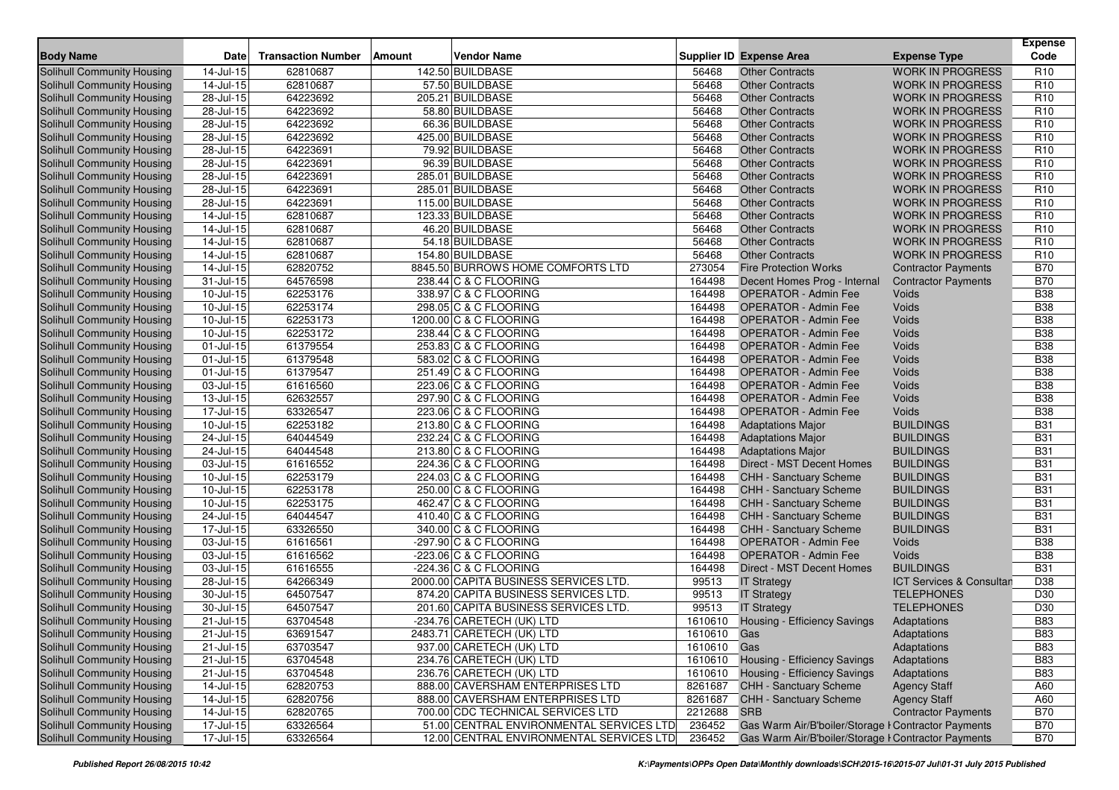| <b>Body Name</b>                                                | Date                    | <b>Transaction Number</b> | <b>Vendor Name</b><br>Amount             |                | <b>Supplier ID Expense Area</b>                     | <b>Expense Type</b>                 | <b>Expense</b><br>Code |
|-----------------------------------------------------------------|-------------------------|---------------------------|------------------------------------------|----------------|-----------------------------------------------------|-------------------------------------|------------------------|
| Solihull Community Housing                                      | 14-Jul-15               | 62810687                  | 142.50 BUILDBASE                         | 56468          | <b>Other Contracts</b>                              | <b>WORK IN PROGRESS</b>             | R <sub>10</sub>        |
| Solihull Community Housing                                      | 14-Jul-15               | 62810687                  | 57.50 BUILDBASE                          | 56468          | <b>Other Contracts</b>                              | <b>WORK IN PROGRESS</b>             | R <sub>10</sub>        |
| Solihull Community Housing                                      | 28-Jul-15               | 64223692                  | 205.21 BUILDBASE                         | 56468          | <b>Other Contracts</b>                              | <b>WORK IN PROGRESS</b>             | R <sub>10</sub>        |
| <b>Solihull Community Housing</b>                               | 28-Jul-15               | 64223692                  | 58.80 BUILDBASE                          | 56468          | <b>Other Contracts</b>                              | <b>WORK IN PROGRESS</b>             | R <sub>10</sub>        |
| Solihull Community Housing                                      | 28-Jul-15               | 64223692                  | 66.36 BUILDBASE                          | 56468          | <b>Other Contracts</b>                              | <b>WORK IN PROGRESS</b>             | R <sub>10</sub>        |
| <b>Solihull Community Housing</b>                               | 28-Jul-15               | 64223692                  | 425.00 BUILDBASE                         | 56468          | <b>Other Contracts</b>                              | <b>WORK IN PROGRESS</b>             | R <sub>10</sub>        |
| Solihull Community Housing                                      | 28-Jul-15               | 64223691                  | 79.92 BUILDBASE                          | 56468          | <b>Other Contracts</b>                              | <b>WORK IN PROGRESS</b>             | R <sub>10</sub>        |
| Solihull Community Housing                                      | $28 -$ Jul-15           | 64223691                  | 96.39 BUILDBASE                          | 56468          | <b>Other Contracts</b>                              | <b>WORK IN PROGRESS</b>             | R <sub>10</sub>        |
| Solihull Community Housing                                      | 28-Jul-15               | 64223691                  | 285.01 BUILDBASE                         | 56468          | <b>Other Contracts</b>                              | <b>WORK IN PROGRESS</b>             | R <sub>10</sub>        |
| <b>Solihull Community Housing</b>                               | 28-Jul-15               | 64223691                  | 285.01 BUILDBASE                         | 56468          | <b>Other Contracts</b>                              | <b>WORK IN PROGRESS</b>             | R <sub>10</sub>        |
| <b>Solihull Community Housing</b>                               | 28-Jul-15               | 64223691                  | 115.00 BUILDBASE                         | 56468          | <b>Other Contracts</b>                              | <b>WORK IN PROGRESS</b>             | R <sub>10</sub>        |
| Solihull Community Housing                                      | $14$ -Jul-15            | 62810687                  | 123.33 BUILDBASE                         | 56468          | <b>Other Contracts</b>                              | <b>WORK IN PROGRESS</b>             | R <sub>10</sub>        |
|                                                                 | $\overline{14}$ -Jul-15 | 62810687                  | 46.20 BUILDBASE                          | 56468          | <b>Other Contracts</b>                              | <b>WORK IN PROGRESS</b>             | R <sub>10</sub>        |
| Solihull Community Housing                                      |                         | 62810687                  |                                          |                | <b>Other Contracts</b>                              | <b>WORK IN PROGRESS</b>             | R <sub>10</sub>        |
| Solihull Community Housing<br><b>Solihull Community Housing</b> | 14-Jul-15               |                           | 54.18 BUILDBASE                          | 56468<br>56468 | <b>Other Contracts</b>                              |                                     | R <sub>10</sub>        |
|                                                                 | 14-Jul-15               | 62810687                  | 154.80 BUILDBASE                         |                |                                                     | <b>WORK IN PROGRESS</b>             | <b>B70</b>             |
| Solihull Community Housing                                      | 14-Jul-15               | 62820752                  | 8845.50 BURROWS HOME COMFORTS LTD        | 273054         | <b>Fire Protection Works</b>                        | <b>Contractor Payments</b>          |                        |
| Solihull Community Housing                                      | $31 -$ Jul-15           | 64576598                  | 238.44 C & C FLOORING                    | 164498         | Decent Homes Prog - Internal                        | <b>Contractor Payments</b>          | <b>B70</b>             |
| <b>Solihull Community Housing</b>                               | 10-Jul-15               | 62253176                  | 338.97 C & C FLOORING                    | 164498         | <b>OPERATOR - Admin Fee</b>                         | Voids                               | <b>B38</b>             |
| Solihull Community Housing                                      | 10-Jul-15               | 62253174                  | 298.05 C & C FLOORING                    | 164498         | <b>OPERATOR - Admin Fee</b>                         | Voids                               | <b>B38</b>             |
| Solihull Community Housing                                      | 10-Jul-15               | 62253173                  | 1200.00 C & C FLOORING                   | 164498         | <b>OPERATOR - Admin Fee</b>                         | Voids                               | <b>B38</b>             |
| Solihull Community Housing                                      | 10-Jul-15               | 62253172                  | 238.44 C & C FLOORING                    | 164498         | <b>OPERATOR - Admin Fee</b>                         | Voids                               | <b>B38</b>             |
| Solihull Community Housing                                      | $01$ -Jul-15            | 61379554                  | 253.83 C & C FLOORING                    | 164498         | <b>OPERATOR - Admin Fee</b>                         | Voids                               | <b>B38</b>             |
| Solihull Community Housing                                      | 01-Jul-15               | 61379548                  | 583.02 C & C FLOORING                    | 164498         | <b>OPERATOR - Admin Fee</b>                         | Voids                               | <b>B38</b>             |
| Solihull Community Housing                                      | 01-Jul-15               | 61379547                  | 251.49 C & C FLOORING                    | 164498         | <b>OPERATOR - Admin Fee</b>                         | Voids                               | <b>B38</b>             |
| Solihull Community Housing                                      | 03-Jul-15               | 61616560                  | 223.06 C & C FLOORING                    | 164498         | <b>OPERATOR - Admin Fee</b>                         | Voids                               | <b>B38</b>             |
| Solihull Community Housing                                      | $13 -$ Jul-15           | 62632557                  | 297.90 C & C FLOORING                    | 164498         | <b>OPERATOR - Admin Fee</b>                         | Voids                               | <b>B38</b>             |
| Solihull Community Housing                                      | 17-Jul-15               | 63326547                  | 223.06 C & C FLOORING                    | 164498         | <b>OPERATOR - Admin Fee</b>                         | Voids                               | <b>B38</b>             |
| Solihull Community Housing                                      | 10-Jul-15               | 62253182                  | 213.80 C & C FLOORING                    | 164498         | <b>Adaptations Major</b>                            | <b>BUILDINGS</b>                    | <b>B31</b>             |
| <b>Solihull Community Housing</b>                               | 24-Jul-15               | 64044549                  | 232.24 C & C FLOORING                    | 164498         | <b>Adaptations Major</b>                            | <b>BUILDINGS</b>                    | <b>B31</b>             |
| Solihull Community Housing                                      | 24-Jul-15               | 64044548                  | 213.80 C & C FLOORING                    | 164498         | <b>Adaptations Major</b>                            | <b>BUILDINGS</b>                    | <b>B31</b>             |
| Solihull Community Housing                                      | 03-Jul-15               | 61616552                  | 224.36 C & C FLOORING                    | 164498         | <b>Direct - MST Decent Homes</b>                    | <b>BUILDINGS</b>                    | <b>B31</b>             |
| Solihull Community Housing                                      | 10-Jul-15               | 62253179                  | 224.03 C & C FLOORING                    | 164498         | CHH - Sanctuary Scheme                              | <b>BUILDINGS</b>                    | <b>B31</b>             |
| Solihull Community Housing                                      | $10$ -Jul- $15$         | 62253178                  | 250.00 C & C FLOORING                    | 164498         | CHH - Sanctuary Scheme                              | <b>BUILDINGS</b>                    | <b>B31</b>             |
| Solihull Community Housing                                      | 10-Jul-15               | 62253175                  | 462.47 C & C FLOORING                    | 164498         | CHH - Sanctuary Scheme                              | <b>BUILDINGS</b>                    | <b>B31</b>             |
| <b>Solihull Community Housing</b>                               | 24-Jul-15               | 64044547                  | 410.40 C & C FLOORING                    | 164498         | CHH - Sanctuary Scheme                              | <b>BUILDINGS</b>                    | <b>B31</b>             |
| Solihull Community Housing                                      | 17-Jul-15               | 63326550                  | 340.00 C & C FLOORING                    | 164498         | CHH - Sanctuary Scheme                              | <b>BUILDINGS</b>                    | <b>B31</b>             |
| <b>Solihull Community Housing</b>                               | $03$ -Jul-15            | 61616561                  | $-297.90$ C & C FLOORING                 | 164498         | <b>OPERATOR - Admin Fee</b>                         | Voids                               | <b>B38</b>             |
| Solihull Community Housing                                      | 03-Jul-15               | 61616562                  | $-223.06$ C & C FLOORING                 | 164498         | <b>OPERATOR - Admin Fee</b>                         | Voids                               | <b>B38</b>             |
| <b>Solihull Community Housing</b>                               | 03-Jul-15               | 61616555                  | $-224.36$ C & C FLOORING                 | 164498         | Direct - MST Decent Homes                           | <b>BUILDINGS</b>                    | <b>B31</b>             |
| Solihull Community Housing                                      | 28-Jul-15               | 64266349                  | 2000.00 CAPITA BUSINESS SERVICES LTD.    | 99513          | <b>IT Strategy</b>                                  | <b>ICT Services &amp; Consultan</b> | D38                    |
| Solihull Community Housing                                      | 30-Jul-15               | 64507547                  | 874.20 CAPITA BUSINESS SERVICES LTD.     | 99513          | <b>IT Strategy</b>                                  | <b>TELEPHONES</b>                   | D30                    |
| Solihull Community Housing                                      | 30-Jul-15               | 64507547                  | 201.60 CAPITA BUSINESS SERVICES LTD.     | 99513          | <b>IT Strategy</b>                                  | <b>TELEPHONES</b>                   | D <sub>30</sub>        |
| Solihull Community Housing                                      | $21 -$ Jul-15           | 63704548                  | -234.76 CARETECH (UK) LTD                |                | 1610610 Housing - Efficiency Savings                | Adaptations                         | <b>B83</b>             |
| Solihull Community Housing                                      | $21$ -Jul-15            | 63691547                  | 2483.71 CARETECH (UK) LTD                | 1610610 Gas    |                                                     | Adaptations                         | <b>B83</b>             |
| <b>Solihull Community Housing</b>                               | $21 -$ Jul-15           | 63703547                  | 937.00 CARETECH (UK) LTD                 | 1610610 Gas    |                                                     | Adaptations                         | <b>B83</b>             |
| <b>Solihull Community Housing</b>                               | $\overline{21}$ -Jul-15 | 63704548                  | 234.76 CARETECH (UK) LTD                 |                | 1610610 Housing - Efficiency Savings                | Adaptations                         | <b>B83</b>             |
| Solihull Community Housing                                      | 21-Jul-15               | 63704548                  | 236.76 CARETECH (UK) LTD                 | 1610610        | Housing - Efficiency Savings                        | Adaptations                         | <b>B83</b>             |
| <b>Solihull Community Housing</b>                               | 14-Jul-15               | 62820753                  | 888.00 CAVERSHAM ENTERPRISES LTD         | 8261687        | <b>CHH - Sanctuary Scheme</b>                       | <b>Agency Staff</b>                 | A60                    |
| <b>Solihull Community Housing</b>                               | $\overline{1}$ 4-Jul-15 | 62820756                  | 888.00 CAVERSHAM ENTERPRISES LTD         | 8261687        | <b>CHH - Sanctuary Scheme</b>                       | <b>Agency Staff</b>                 | A60                    |
| Solihull Community Housing                                      | $14 -$ Jul-15           | 62820765                  | 700.00 CDC TECHNICAL SERVICES LTD        | 2212688        | <b>SRB</b>                                          | <b>Contractor Payments</b>          | <b>B70</b>             |
| <b>Solihull Community Housing</b>                               | $17 -$ Jul-15           | 63326564                  | 51.00 CENTRAL ENVIRONMENTAL SERVICES LTD | 236452         | Gas Warm Air/B'boiler/Storage I Contractor Payments |                                     | <b>B70</b>             |
| Solihull Community Housing                                      | 17-Jul-15               | 63326564                  | 12.00 CENTRAL ENVIRONMENTAL SERVICES LTD | 236452         | Gas Warm Air/B'boiler/Storage I Contractor Payments |                                     | <b>B70</b>             |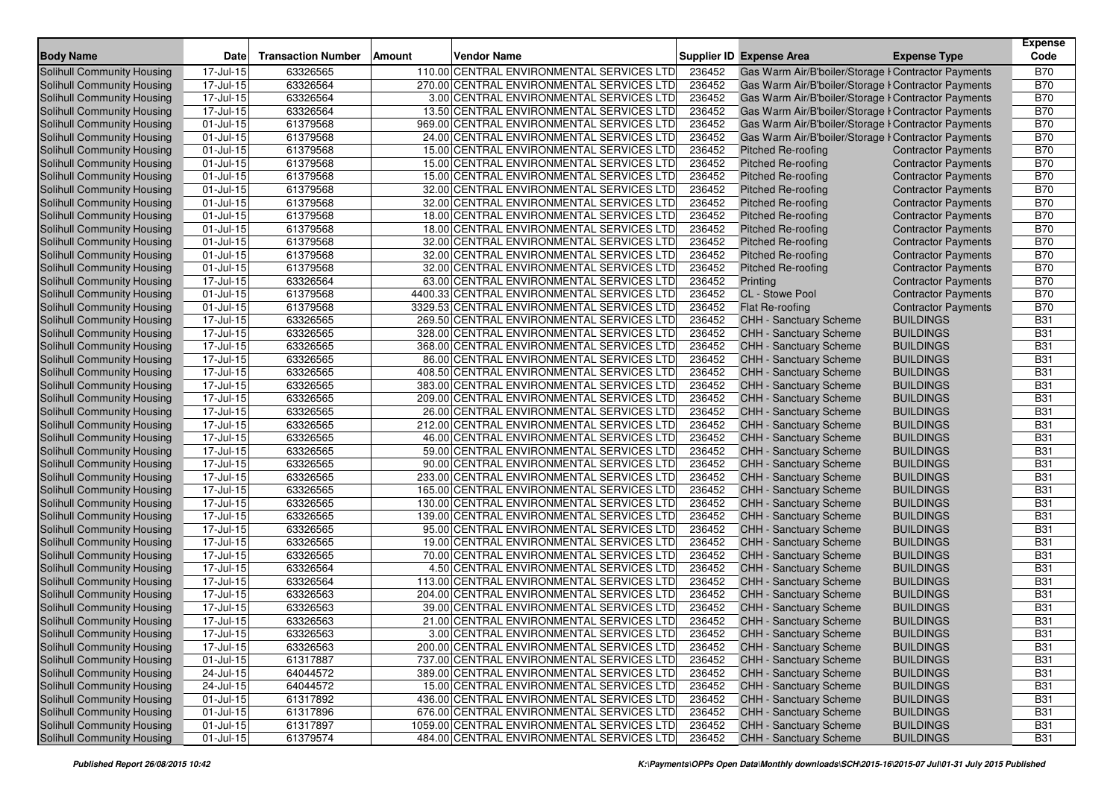| <b>Body Name</b>                  | Date          | <b>Transaction Number</b> | Vendor Name<br>Amount                      |        | Supplier ID Expense Area                            | <b>Expense Type</b>        | <b>Expense</b><br>Code |
|-----------------------------------|---------------|---------------------------|--------------------------------------------|--------|-----------------------------------------------------|----------------------------|------------------------|
| Solihull Community Housing        | 17-Jul-15     | 63326565                  | 110.00 CENTRAL ENVIRONMENTAL SERVICES LTD  | 236452 | Gas Warm Air/B'boiler/Storage I Contractor Payments |                            | <b>B70</b>             |
| Solihull Community Housing        | 17-Jul-15     | 63326564                  | 270.00 CENTRAL ENVIRONMENTAL SERVICES LTD  | 236452 | Gas Warm Air/B'boiler/Storage I Contractor Payments |                            | <b>B70</b>             |
| Solihull Community Housing        | 17-Jul-15     | 63326564                  | 3.00 CENTRAL ENVIRONMENTAL SERVICES LTD    | 236452 | Gas Warm Air/B'boiler/Storage I Contractor Payments |                            | <b>B70</b>             |
| Solihull Community Housing        | 17-Jul-15     | 63326564                  | 13.50 CENTRAL ENVIRONMENTAL SERVICES LTD   | 236452 | Gas Warm Air/B'boiler/Storage I Contractor Payments |                            | <b>B70</b>             |
| Solihull Community Housing        | 01-Jul-15     | 61379568                  | 969.00 CENTRAL ENVIRONMENTAL SERVICES LTD  | 236452 | Gas Warm Air/B'boiler/Storage I Contractor Payments |                            | <b>B70</b>             |
| Solihull Community Housing        | 01-Jul-15     | 61379568                  | 24.00 CENTRAL ENVIRONMENTAL SERVICES LTD   | 236452 | Gas Warm Air/B'boiler/Storage I Contractor Payments |                            | <b>B70</b>             |
| Solihull Community Housing        | 01-Jul-15     | 61379568                  | 15.00 CENTRAL ENVIRONMENTAL SERVICES LTD   | 236452 | Pitched Re-roofing                                  | <b>Contractor Payments</b> | <b>B70</b>             |
| <b>Solihull Community Housing</b> | 01-Jul-15     | 61379568                  | 15.00 CENTRAL ENVIRONMENTAL SERVICES LTD   | 236452 | <b>Pitched Re-roofing</b>                           | <b>Contractor Payments</b> | <b>B70</b>             |
| Solihull Community Housing        | $01$ -Jul-15  | 61379568                  | 15.00 CENTRAL ENVIRONMENTAL SERVICES LTD   | 236452 | Pitched Re-roofing                                  | <b>Contractor Payments</b> | <b>B70</b>             |
| Solihull Community Housing        | 01-Jul-15     | 61379568                  | 32.00 CENTRAL ENVIRONMENTAL SERVICES LTD   | 236452 | <b>Pitched Re-roofing</b>                           | <b>Contractor Payments</b> | <b>B70</b>             |
| <b>Solihull Community Housing</b> | 01-Jul-15     | 61379568                  | 32.00 CENTRAL ENVIRONMENTAL SERVICES LTD   | 236452 | <b>Pitched Re-roofing</b>                           | <b>Contractor Payments</b> | <b>B70</b>             |
| Solihull Community Housing        | 01-Jul-15     | 61379568                  | 18.00 CENTRAL ENVIRONMENTAL SERVICES LTD   | 236452 | <b>Pitched Re-roofing</b>                           | <b>Contractor Payments</b> | <b>B70</b>             |
| Solihull Community Housing        | 01-Jul-15     | 61379568                  | 18.00 CENTRAL ENVIRONMENTAL SERVICES LTD   | 236452 | Pitched Re-roofing                                  | <b>Contractor Payments</b> | <b>B70</b>             |
| Solihull Community Housing        | 01-Jul-15     | 61379568                  | 32.00 CENTRAL ENVIRONMENTAL SERVICES LTD   | 236452 | Pitched Re-roofing                                  | <b>Contractor Payments</b> | <b>B70</b>             |
| Solihull Community Housing        | 01-Jul-15     | 61379568                  | 32.00 CENTRAL ENVIRONMENTAL SERVICES LTD   | 236452 | <b>Pitched Re-roofing</b>                           | <b>Contractor Payments</b> | <b>B70</b>             |
| Solihull Community Housing        | 01-Jul-15     | 61379568                  | 32.00 CENTRAL ENVIRONMENTAL SERVICES LTD   | 236452 | Pitched Re-roofing                                  | <b>Contractor Payments</b> | <b>B70</b>             |
| Solihull Community Housing        | 17-Jul-15     | 63326564                  | 63.00 CENTRAL ENVIRONMENTAL SERVICES LTD   | 236452 | Printing                                            | <b>Contractor Payments</b> | <b>B70</b>             |
| Solihull Community Housing        | 01-Jul-15     | 61379568                  | 4400.33 CENTRAL ENVIRONMENTAL SERVICES LTD | 236452 | CL - Stowe Pool                                     | <b>Contractor Payments</b> | <b>B70</b>             |
| Solihull Community Housing        | 01-Jul-15     | 61379568                  | 3329.53 CENTRAL ENVIRONMENTAL SERVICES LTD | 236452 | Flat Re-roofing                                     | <b>Contractor Payments</b> | <b>B70</b>             |
| Solihull Community Housing        | 17-Jul-15     | 63326565                  | 269.50 CENTRAL ENVIRONMENTAL SERVICES LTD  | 236452 | CHH - Sanctuary Scheme                              | <b>BUILDINGS</b>           | <b>B31</b>             |
| Solihull Community Housing        | 17-Jul-15     | 63326565                  | 328.00 CENTRAL ENVIRONMENTAL SERVICES LTD  | 236452 | <b>CHH - Sanctuary Scheme</b>                       | <b>BUILDINGS</b>           | <b>B31</b>             |
| Solihull Community Housing        | 17-Jul-15     | 63326565                  | 368.00 CENTRAL ENVIRONMENTAL SERVICES LTD  | 236452 | CHH - Sanctuary Scheme                              | <b>BUILDINGS</b>           | <b>B31</b>             |
| Solihull Community Housing        | 17-Jul-15     | 63326565                  | 86.00 CENTRAL ENVIRONMENTAL SERVICES LTD   | 236452 | <b>CHH - Sanctuary Scheme</b>                       | <b>BUILDINGS</b>           | <b>B31</b>             |
| <b>Solihull Community Housing</b> | 17-Jul-15     | 63326565                  | 408.50 CENTRAL ENVIRONMENTAL SERVICES LTD  | 236452 | CHH - Sanctuary Scheme                              | <b>BUILDINGS</b>           | <b>B31</b>             |
| Solihull Community Housing        | 17-Jul-15     | 63326565                  | 383.00 CENTRAL ENVIRONMENTAL SERVICES LTD  | 236452 | <b>CHH - Sanctuary Scheme</b>                       | <b>BUILDINGS</b>           | <b>B31</b>             |
| Solihull Community Housing        | $17 -$ Jul-15 | 63326565                  | 209.00 CENTRAL ENVIRONMENTAL SERVICES LTD  | 236452 | CHH - Sanctuary Scheme                              | <b>BUILDINGS</b>           | <b>B31</b>             |
| Solihull Community Housing        | 17-Jul-15     | 63326565                  | 26.00 CENTRAL ENVIRONMENTAL SERVICES LTD   | 236452 | <b>CHH - Sanctuary Scheme</b>                       | <b>BUILDINGS</b>           | <b>B31</b>             |
| Solihull Community Housing        | 17-Jul-15     | 63326565                  | 212.00 CENTRAL ENVIRONMENTAL SERVICES LTD  | 236452 | <b>CHH - Sanctuary Scheme</b>                       | <b>BUILDINGS</b>           | <b>B31</b>             |
| Solihull Community Housing        | 17-Jul-15     | 63326565                  | 46.00 CENTRAL ENVIRONMENTAL SERVICES LTD   | 236452 | CHH - Sanctuary Scheme                              | <b>BUILDINGS</b>           | <b>B31</b>             |
| Solihull Community Housing        | 17-Jul-15     | 63326565                  | 59.00 CENTRAL ENVIRONMENTAL SERVICES LTD   | 236452 | CHH - Sanctuary Scheme                              | <b>BUILDINGS</b>           | <b>B31</b>             |
| Solihull Community Housing        | 17-Jul-15     | 63326565                  | 90.00 CENTRAL ENVIRONMENTAL SERVICES LTD   | 236452 | CHH - Sanctuary Scheme                              | <b>BUILDINGS</b>           | <b>B31</b>             |
| Solihull Community Housing        | 17-Jul-15     | 63326565                  | 233.00 CENTRAL ENVIRONMENTAL SERVICES LTD  | 236452 | <b>CHH - Sanctuary Scheme</b>                       | <b>BUILDINGS</b>           | <b>B31</b>             |
| Solihull Community Housing        | 17-Jul-15     | 63326565                  | 165.00 CENTRAL ENVIRONMENTAL SERVICES LTD  | 236452 | CHH - Sanctuary Scheme                              | <b>BUILDINGS</b>           | <b>B31</b>             |
| Solihull Community Housing        | 17-Jul-15     | 63326565                  | 130.00 CENTRAL ENVIRONMENTAL SERVICES LTD  | 236452 | CHH - Sanctuary Scheme                              | <b>BUILDINGS</b>           | <b>B31</b>             |
| Solihull Community Housing        | 17-Jul-15     | 63326565                  | 139.00 CENTRAL ENVIRONMENTAL SERVICES LTD  | 236452 | <b>CHH - Sanctuary Scheme</b>                       | <b>BUILDINGS</b>           | <b>B31</b>             |
| <b>Solihull Community Housing</b> | 17-Jul-15     | 63326565                  | 95.00 CENTRAL ENVIRONMENTAL SERVICES LTD   | 236452 | CHH - Sanctuary Scheme                              | <b>BUILDINGS</b>           | <b>B31</b>             |
| Solihull Community Housing        | 17-Jul-15     | 63326565                  | 19.00 CENTRAL ENVIRONMENTAL SERVICES LTD   | 236452 | <b>CHH - Sanctuary Scheme</b>                       | <b>BUILDINGS</b>           | <b>B31</b>             |
| Solihull Community Housing        | 17-Jul-15     | 63326565                  | 70.00 CENTRAL ENVIRONMENTAL SERVICES LTD   | 236452 | CHH - Sanctuary Scheme                              | <b>BUILDINGS</b>           | <b>B31</b>             |
| Solihull Community Housing        | 17-Jul-15     | 63326564                  | 4.50 CENTRAL ENVIRONMENTAL SERVICES LTD    | 236452 | CHH - Sanctuary Scheme                              | <b>BUILDINGS</b>           | <b>B31</b>             |
| Solihull Community Housing        | 17-Jul-15     | 63326564                  | 113.00 CENTRAL ENVIRONMENTAL SERVICES LTD  | 236452 | CHH - Sanctuary Scheme                              | <b>BUILDINGS</b>           | <b>B31</b>             |
| Solihull Community Housing        | 17-Jul-15     | 63326563                  | 204.00 CENTRAL ENVIRONMENTAL SERVICES LTD  | 236452 | <b>CHH - Sanctuary Scheme</b>                       | <b>BUILDINGS</b>           | <b>B31</b>             |
| Solihull Community Housing        | 17-Jul-15     | 63326563                  | 39.00 CENTRAL ENVIRONMENTAL SERVICES LTD   | 236452 | CHH - Sanctuary Scheme                              | <b>BUILDINGS</b>           | <b>B31</b>             |
| Solihull Community Housing        | 17-Jul-15     | 63326563                  | 21.00 CENTRAL ENVIRONMENTAL SERVICES LTD   | 236452 | CHH - Sanctuary Scheme                              | <b>BUILDINGS</b>           | <b>B31</b>             |
| Solihull Community Housing        | 17-Jul-15     | 63326563                  | 3.00 CENTRAL ENVIRONMENTAL SERVICES LTD    | 236452 | CHH - Sanctuary Scheme                              | <b>BUILDINGS</b>           | <b>B31</b>             |
| Solihull Community Housing        | 17-Jul-15     | 63326563                  | 200.00 CENTRAL ENVIRONMENTAL SERVICES LTD  | 236452 | CHH - Sanctuary Scheme                              | <b>BUILDINGS</b>           | <b>B31</b>             |
| Solihull Community Housing        | 01-Jul-15     | 61317887                  | 737.00 CENTRAL ENVIRONMENTAL SERVICES LTD  | 236452 | <b>CHH - Sanctuary Scheme</b>                       | <b>BUILDINGS</b>           | <b>B31</b>             |
| Solihull Community Housing        | 24-Jul-15     | 64044572                  | 389.00 CENTRAL ENVIRONMENTAL SERVICES LTD  | 236452 | CHH - Sanctuary Scheme                              | <b>BUILDINGS</b>           | <b>B31</b>             |
| Solihull Community Housing        | 24-Jul-15     | 64044572                  | 15.00 CENTRAL ENVIRONMENTAL SERVICES LTD   | 236452 | CHH - Sanctuary Scheme                              | <b>BUILDINGS</b>           | <b>B31</b>             |
| Solihull Community Housing        | 01-Jul-15     | 61317892                  | 436.00 CENTRAL ENVIRONMENTAL SERVICES LTD  | 236452 | <b>CHH - Sanctuary Scheme</b>                       | <b>BUILDINGS</b>           | <b>B31</b>             |
| Solihull Community Housing        | 01-Jul-15     | 61317896                  | 676.00 CENTRAL ENVIRONMENTAL SERVICES LTD  | 236452 | <b>CHH - Sanctuary Scheme</b>                       | <b>BUILDINGS</b>           | <b>B31</b>             |
| Solihull Community Housing        | $01$ -Jul-15  | 61317897                  | 1059.00 CENTRAL ENVIRONMENTAL SERVICES LTD | 236452 | CHH - Sanctuary Scheme                              | <b>BUILDINGS</b>           | <b>B31</b>             |
| Solihull Community Housing        | 01-Jul-15     | 61379574                  | 484.00 CENTRAL ENVIRONMENTAL SERVICES LTD  | 236452 | <b>CHH - Sanctuary Scheme</b>                       | <b>BUILDINGS</b>           | <b>B31</b>             |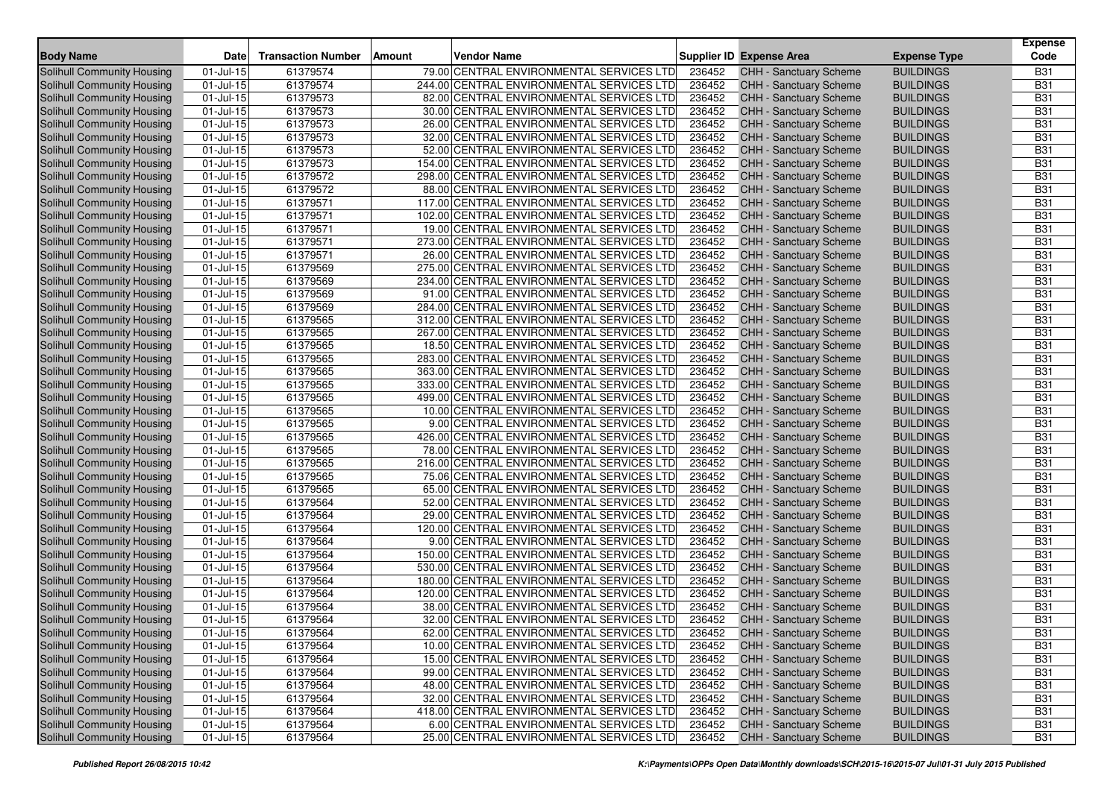| <b>Body Name</b>                                         | Date          | <b>Transaction Number</b> | <b>Vendor Name</b><br>Amount                                                         |        | Supplier ID Expense Area                         | <b>Expense Type</b>                  | <b>Expense</b><br>Code   |
|----------------------------------------------------------|---------------|---------------------------|--------------------------------------------------------------------------------------|--------|--------------------------------------------------|--------------------------------------|--------------------------|
| Solihull Community Housing                               | 01-Jul-15     | 61379574                  | 79.00 CENTRAL ENVIRONMENTAL SERVICES LTD                                             | 236452 | <b>CHH - Sanctuary Scheme</b>                    | <b>BUILDINGS</b>                     | <b>B31</b>               |
| <b>Solihull Community Housing</b>                        | 01-Jul-15     | 61379574                  | 244.00 CENTRAL ENVIRONMENTAL SERVICES LTD                                            | 236452 | <b>CHH - Sanctuary Scheme</b>                    | <b>BUILDINGS</b>                     | <b>B31</b>               |
| <b>Solihull Community Housing</b>                        | 01-Jul-15     | 61379573                  | 82.00 CENTRAL ENVIRONMENTAL SERVICES LTD                                             | 236452 | <b>CHH - Sanctuary Scheme</b>                    | <b>BUILDINGS</b>                     | <b>B31</b>               |
| Solihull Community Housing                               | 01-Jul-15     | 61379573                  | 30.00 CENTRAL ENVIRONMENTAL SERVICES LTD                                             | 236452 | CHH - Sanctuary Scheme                           | <b>BUILDINGS</b>                     | <b>B31</b>               |
| <b>Solihull Community Housing</b>                        | 01-Jul-15     | 61379573                  | 26.00 CENTRAL ENVIRONMENTAL SERVICES LTD                                             | 236452 | <b>CHH - Sanctuary Scheme</b>                    | <b>BUILDINGS</b>                     | <b>B31</b>               |
| Solihull Community Housing                               | 01-Jul-15     | 61379573                  | 32.00 CENTRAL ENVIRONMENTAL SERVICES LTD                                             | 236452 | <b>CHH - Sanctuary Scheme</b>                    | <b>BUILDINGS</b>                     | <b>B31</b>               |
| Solihull Community Housing                               | 01-Jul-15     | 61379573                  | 52.00 CENTRAL ENVIRONMENTAL SERVICES LTD                                             | 236452 | CHH - Sanctuary Scheme                           | <b>BUILDINGS</b>                     | <b>B31</b>               |
| Solihull Community Housing                               | 01-Jul-15     | 61379573                  | 154.00 CENTRAL ENVIRONMENTAL SERVICES LTD                                            | 236452 | <b>CHH - Sanctuary Scheme</b>                    | <b>BUILDINGS</b>                     | <b>B31</b>               |
| Solihull Community Housing                               | $01$ -Jul-15  | 61379572                  | 298.00 CENTRAL ENVIRONMENTAL SERVICES LTD                                            | 236452 | CHH - Sanctuary Scheme                           | <b>BUILDINGS</b>                     | <b>B31</b>               |
| Solihull Community Housing                               | 01-Jul-15     | 61379572                  | 88.00 CENTRAL ENVIRONMENTAL SERVICES LTD                                             | 236452 | <b>CHH - Sanctuary Scheme</b>                    | <b>BUILDINGS</b>                     | <b>B31</b>               |
| Solihull Community Housing                               | 01-Jul-15     | 61379571                  | 117.00 CENTRAL ENVIRONMENTAL SERVICES LTD                                            | 236452 | CHH - Sanctuary Scheme                           | <b>BUILDINGS</b>                     | <b>B31</b>               |
| Solihull Community Housing                               | 01-Jul-15     | 61379571                  | 102.00 CENTRAL ENVIRONMENTAL SERVICES LTD                                            | 236452 | CHH - Sanctuary Scheme                           | <b>BUILDINGS</b>                     | <b>B31</b>               |
| Solihull Community Housing                               | 01-Jul-15     | 61379571                  | 19.00 CENTRAL ENVIRONMENTAL SERVICES LTD                                             | 236452 | CHH - Sanctuary Scheme                           | <b>BUILDINGS</b>                     | <b>B31</b>               |
| Solihull Community Housing                               | 01-Jul-15     | 61379571                  | 273.00 CENTRAL ENVIRONMENTAL SERVICES LTD                                            | 236452 | <b>CHH - Sanctuary Scheme</b>                    | <b>BUILDINGS</b>                     | <b>B31</b>               |
| Solihull Community Housing                               | 01-Jul-15     | 61379571                  | 26.00 CENTRAL ENVIRONMENTAL SERVICES LTD                                             | 236452 | <b>CHH - Sanctuary Scheme</b>                    | <b>BUILDINGS</b>                     | <b>B31</b>               |
| Solihull Community Housing                               | 01-Jul-15     | 61379569                  | 275.00 CENTRAL ENVIRONMENTAL SERVICES LTD                                            | 236452 | CHH - Sanctuary Scheme                           | <b>BUILDINGS</b>                     | <b>B31</b>               |
| Solihull Community Housing                               | 01-Jul-15     | 61379569                  | 234.00 CENTRAL ENVIRONMENTAL SERVICES LTD                                            | 236452 | CHH - Sanctuary Scheme                           | <b>BUILDINGS</b>                     | <b>B31</b>               |
| Solihull Community Housing                               | 01-Jul-15     | 61379569                  | 91.00 CENTRAL ENVIRONMENTAL SERVICES LTD                                             | 236452 | CHH - Sanctuary Scheme                           | <b>BUILDINGS</b>                     | <b>B31</b>               |
| Solihull Community Housing                               | 01-Jul-15     | 61379569                  | 284.00 CENTRAL ENVIRONMENTAL SERVICES LTD                                            | 236452 | <b>CHH - Sanctuary Scheme</b>                    | <b>BUILDINGS</b>                     | <b>B31</b>               |
| Solihull Community Housing                               | 01-Jul-15     | 61379565                  | 312.00 CENTRAL ENVIRONMENTAL SERVICES LTD                                            | 236452 | <b>CHH - Sanctuary Scheme</b>                    | <b>BUILDINGS</b>                     | <b>B31</b>               |
| <b>Solihull Community Housing</b>                        | 01-Jul-15     | 61379565                  | 267.00 CENTRAL ENVIRONMENTAL SERVICES LTD                                            | 236452 | <b>CHH - Sanctuary Scheme</b>                    | <b>BUILDINGS</b>                     | <b>B31</b>               |
| Solihull Community Housing                               | 01-Jul-15     | 61379565                  | 18.50 CENTRAL ENVIRONMENTAL SERVICES LTD                                             | 236452 | CHH - Sanctuary Scheme                           | <b>BUILDINGS</b>                     | <b>B31</b>               |
| Solihull Community Housing                               | 01-Jul-15     | 61379565                  | 283.00 CENTRAL ENVIRONMENTAL SERVICES LTD                                            | 236452 | <b>CHH - Sanctuary Scheme</b>                    | <b>BUILDINGS</b>                     | <b>B31</b>               |
| Solihull Community Housing                               | $01$ -Jul-15  | 61379565                  | 363.00 CENTRAL ENVIRONMENTAL SERVICES LTD                                            | 236452 | <b>CHH - Sanctuary Scheme</b>                    | <b>BUILDINGS</b>                     | <b>B31</b>               |
| Solihull Community Housing                               | 01-Jul-15     | 61379565                  | 333.00 CENTRAL ENVIRONMENTAL SERVICES LTD                                            | 236452 | <b>CHH - Sanctuary Scheme</b>                    | <b>BUILDINGS</b>                     | <b>B31</b>               |
| Solihull Community Housing                               | 01-Jul-15     | 61379565                  | 499.00 CENTRAL ENVIRONMENTAL SERVICES LTD                                            | 236452 | <b>CHH - Sanctuary Scheme</b>                    | <b>BUILDINGS</b>                     | <b>B31</b>               |
| Solihull Community Housing                               | $01$ -Jul-15  | 61379565                  | 10.00 CENTRAL ENVIRONMENTAL SERVICES LTD                                             | 236452 | CHH - Sanctuary Scheme                           | <b>BUILDINGS</b>                     | <b>B31</b>               |
| Solihull Community Housing                               | 01-Jul-15     | 61379565                  | 9.00 CENTRAL ENVIRONMENTAL SERVICES LTD                                              | 236452 | CHH - Sanctuary Scheme                           | <b>BUILDINGS</b>                     | <b>B31</b>               |
| Solihull Community Housing                               | 01-Jul-15     | 61379565                  | 426.00 CENTRAL ENVIRONMENTAL SERVICES LTD                                            | 236452 | CHH - Sanctuary Scheme                           | <b>BUILDINGS</b>                     | <b>B31</b>               |
| Solihull Community Housing                               | 01-Jul-15     | 61379565                  | 78.00 CENTRAL ENVIRONMENTAL SERVICES LTD                                             | 236452 | <b>CHH - Sanctuary Scheme</b>                    | <b>BUILDINGS</b>                     | <b>B31</b>               |
| Solihull Community Housing                               | 01-Jul-15     | 61379565                  | 216.00 CENTRAL ENVIRONMENTAL SERVICES LTD                                            | 236452 | CHH - Sanctuary Scheme                           | <b>BUILDINGS</b>                     | <b>B31</b>               |
| <b>Solihull Community Housing</b>                        | 01-Jul-15     | 61379565                  | 75.06 CENTRAL ENVIRONMENTAL SERVICES LTD                                             | 236452 | <b>CHH - Sanctuary Scheme</b>                    | <b>BUILDINGS</b>                     | <b>B31</b>               |
| Solihull Community Housing                               | 01-Jul-15     | 61379565                  | 65.00 CENTRAL ENVIRONMENTAL SERVICES LTD                                             | 236452 | <b>CHH - Sanctuary Scheme</b>                    | <b>BUILDINGS</b>                     | <b>B31</b>               |
| Solihull Community Housing                               | 01-Jul-15     | 61379564                  | 52.00 CENTRAL ENVIRONMENTAL SERVICES LTD                                             | 236452 | CHH - Sanctuary Scheme                           | <b>BUILDINGS</b>                     | <b>B31</b>               |
| Solihull Community Housing                               | 01-Jul-15     | 61379564                  | 29.00 CENTRAL ENVIRONMENTAL SERVICES LTD                                             | 236452 | CHH - Sanctuary Scheme                           | <b>BUILDINGS</b>                     | <b>B31</b>               |
| Solihull Community Housing                               | 01-Jul-15     | 61379564                  | 120.00 CENTRAL ENVIRONMENTAL SERVICES LTD                                            | 236452 | CHH - Sanctuary Scheme                           | <b>BUILDINGS</b>                     | <b>B31</b>               |
| Solihull Community Housing                               | 01-Jul-15     | 61379564                  | 9.00 CENTRAL ENVIRONMENTAL SERVICES LTD                                              | 236452 | <b>CHH - Sanctuary Scheme</b>                    | <b>BUILDINGS</b>                     | <b>B31</b>               |
| <b>Solihull Community Housing</b>                        | $01$ -Jul-15  | 61379564                  | 150.00 CENTRAL ENVIRONMENTAL SERVICES LTD                                            | 236452 | CHH - Sanctuary Scheme                           | <b>BUILDINGS</b>                     | <b>B31</b>               |
| Solihull Community Housing                               | 01-Jul-15     | 61379564                  | 530.00 CENTRAL ENVIRONMENTAL SERVICES LTD                                            | 236452 | <b>CHH - Sanctuary Scheme</b>                    | <b>BUILDINGS</b>                     | <b>B31</b>               |
| Solihull Community Housing                               | 01-Jul-15     | 61379564                  | 180.00 CENTRAL ENVIRONMENTAL SERVICES LTD                                            | 236452 | CHH - Sanctuary Scheme                           | <b>BUILDINGS</b>                     | <b>B31</b>               |
| Solihull Community Housing                               | 01-Jul-15     | 61379564                  | 120.00 CENTRAL ENVIRONMENTAL SERVICES LTD                                            | 236452 | <b>CHH - Sanctuary Scheme</b>                    | <b>BUILDINGS</b>                     | <b>B31</b>               |
| Solihull Community Housing                               | $01$ -Jul-15  | 61379564                  | 38.00 CENTRAL ENVIRONMENTAL SERVICES LTD                                             | 236452 | <b>CHH - Sanctuary Scheme</b>                    | <b>BUILDINGS</b>                     | <b>B31</b>               |
| <b>Solihull Community Housing</b>                        | 01-Jul-15     | 61379564                  | 32.00 CENTRAL ENVIRONMENTAL SERVICES LTD                                             | 236452 | <b>CHH - Sanctuary Scheme</b>                    | <b>BUILDINGS</b>                     | <b>B31</b>               |
| Solihull Community Housing                               | $01$ -Jul-15  | 61379564                  | 62.00 CENTRAL ENVIRONMENTAL SERVICES LTD                                             | 236452 | <b>CHH - Sanctuary Scheme</b>                    | <b>BUILDINGS</b>                     | <b>B31</b>               |
| Solihull Community Housing<br>Solihull Community Housing | $01 -$ Jul-15 | 61379564                  | 10.00 CENTRAL ENVIRONMENTAL SERVICES LTD<br>15.00 CENTRAL ENVIRONMENTAL SERVICES LTD | 236452 | CHH - Sanctuary Scheme                           | <b>BUILDINGS</b>                     | <b>B31</b>               |
|                                                          | 01-Jul-15     | 61379564                  |                                                                                      | 236452 | CHH - Sanctuary Scheme                           | <b>BUILDINGS</b>                     | <b>B31</b>               |
| Solihull Community Housing                               | $01 -$ Jul-15 | 61379564                  | 99.00 CENTRAL ENVIRONMENTAL SERVICES LTD                                             | 236452 | CHH - Sanctuary Scheme                           | <b>BUILDINGS</b>                     | <b>B31</b>               |
| Solihull Community Housing                               | 01-Jul-15     | 61379564                  | 48.00 CENTRAL ENVIRONMENTAL SERVICES LTD<br>32.00 CENTRAL ENVIRONMENTAL SERVICES LTD | 236452 | CHH - Sanctuary Scheme                           | <b>BUILDINGS</b>                     | <b>B31</b>               |
| Solihull Community Housing                               | 01-Jul-15     | 61379564                  | 418.00 CENTRAL ENVIRONMENTAL SERVICES LTD                                            | 236452 | CHH - Sanctuary Scheme<br>CHH - Sanctuary Scheme | <b>BUILDINGS</b>                     | <b>B31</b>               |
| Solihull Community Housing<br>Solihull Community Housing | 01-Jul-15     | 61379564                  | 6.00 CENTRAL ENVIRONMENTAL SERVICES LTD                                              | 236452 | CHH - Sanctuary Scheme                           | <b>BUILDINGS</b><br><b>BUILDINGS</b> | <b>B31</b><br><b>B31</b> |
| Solihull Community Housing                               | 01-Jul-15     | 61379564                  |                                                                                      | 236452 |                                                  |                                      |                          |
|                                                          | $01 -$ Jul-15 | 61379564                  | 25.00 CENTRAL ENVIRONMENTAL SERVICES LTD                                             | 236452 | CHH - Sanctuary Scheme                           | <b>BUILDINGS</b>                     | <b>B31</b>               |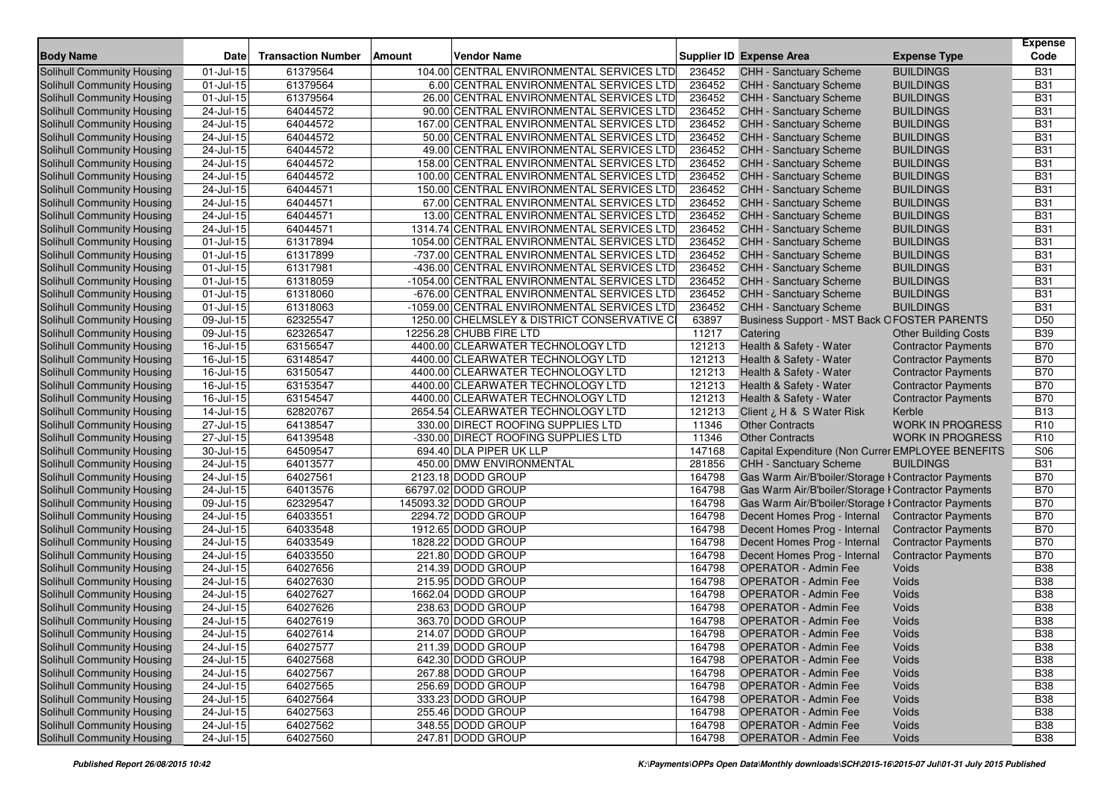| <b>Body Name</b>                  | <b>Date</b>             | <b>Transaction Number</b> | Amount<br><b>Vendor Name</b>                |        | Supplier ID Expense Area                            | <b>Expense Type</b>         | <b>Expense</b><br>Code |
|-----------------------------------|-------------------------|---------------------------|---------------------------------------------|--------|-----------------------------------------------------|-----------------------------|------------------------|
| Solihull Community Housing        | 01-Jul-15               | 61379564                  | 104.00 CENTRAL ENVIRONMENTAL SERVICES LTD   | 236452 | CHH - Sanctuary Scheme                              | <b>BUILDINGS</b>            | <b>B31</b>             |
| Solihull Community Housing        | 01-Jul-15               | 61379564                  | 6.00 CENTRAL ENVIRONMENTAL SERVICES LTD     | 236452 | <b>CHH - Sanctuary Scheme</b>                       | <b>BUILDINGS</b>            | <b>B31</b>             |
| Solihull Community Housing        | 01-Jul-15               | 61379564                  | 26.00 CENTRAL ENVIRONMENTAL SERVICES LTD    | 236452 | <b>CHH - Sanctuary Scheme</b>                       | <b>BUILDINGS</b>            | <b>B31</b>             |
| Solihull Community Housing        | 24-Jul-15               | 64044572                  | 90.00 CENTRAL ENVIRONMENTAL SERVICES LTD    | 236452 | CHH - Sanctuary Scheme                              | <b>BUILDINGS</b>            | <b>B31</b>             |
| Solihull Community Housing        | 24-Jul-15               | 64044572                  | 167.00 CENTRAL ENVIRONMENTAL SERVICES LTD   | 236452 | CHH - Sanctuary Scheme                              | <b>BUILDINGS</b>            | <b>B31</b>             |
| Solihull Community Housing        | 24-Jul-15               | 64044572                  | 50.00 CENTRAL ENVIRONMENTAL SERVICES LTD    | 236452 | CHH - Sanctuary Scheme                              | <b>BUILDINGS</b>            | <b>B31</b>             |
| Solihull Community Housing        | 24-Jul-15               | 64044572                  | 49.00 CENTRAL ENVIRONMENTAL SERVICES LTD    | 236452 | CHH - Sanctuary Scheme                              | <b>BUILDINGS</b>            | <b>B31</b>             |
| Solihull Community Housing        | 24-Jul-15               | 64044572                  | 158.00 CENTRAL ENVIRONMENTAL SERVICES LTD   | 236452 | CHH - Sanctuary Scheme                              | <b>BUILDINGS</b>            | <b>B31</b>             |
| Solihull Community Housing        | 24-Jul-15               | 64044572                  | 100.00 CENTRAL ENVIRONMENTAL SERVICES LTD   | 236452 | CHH - Sanctuary Scheme                              | <b>BUILDINGS</b>            | <b>B31</b>             |
| Solihull Community Housing        | 24-Jul-15               | 64044571                  | 150.00 CENTRAL ENVIRONMENTAL SERVICES LTD   | 236452 | <b>CHH - Sanctuary Scheme</b>                       | <b>BUILDINGS</b>            | <b>B31</b>             |
| Solihull Community Housing        | 24-Jul-15               | 64044571                  | 67.00 CENTRAL ENVIRONMENTAL SERVICES LTD    | 236452 | CHH - Sanctuary Scheme                              | <b>BUILDINGS</b>            | <b>B31</b>             |
| Solihull Community Housing        | 24-Jul-15               | 64044571                  | 13.00 CENTRAL ENVIRONMENTAL SERVICES LTD    | 236452 | CHH - Sanctuary Scheme                              | <b>BUILDINGS</b>            | <b>B31</b>             |
| Solihull Community Housing        | 24-Jul-15               | 64044571                  | 1314.74 CENTRAL ENVIRONMENTAL SERVICES LTD  | 236452 | CHH - Sanctuary Scheme                              | <b>BUILDINGS</b>            | <b>B31</b>             |
| Solihull Community Housing        | 01-Jul-15               | 61317894                  | 1054.00 CENTRAL ENVIRONMENTAL SERVICES LTD  | 236452 | <b>CHH - Sanctuary Scheme</b>                       | <b>BUILDINGS</b>            | <b>B31</b>             |
| Solihull Community Housing        | 01-Jul-15               | 61317899                  | -737.00 CENTRAL ENVIRONMENTAL SERVICES LTD  | 236452 | <b>CHH - Sanctuary Scheme</b>                       | <b>BUILDINGS</b>            | <b>B31</b>             |
| Solihull Community Housing        | 01-Jul-15               | 61317981                  | -436.00 CENTRAL ENVIRONMENTAL SERVICES LTD  | 236452 | CHH - Sanctuary Scheme                              | <b>BUILDINGS</b>            | <b>B31</b>             |
| Solihull Community Housing        | 01-Jul-15               | 61318059                  | -1054.00 CENTRAL ENVIRONMENTAL SERVICES LTD | 236452 | CHH - Sanctuary Scheme                              | <b>BUILDINGS</b>            | <b>B31</b>             |
| Solihull Community Housing        | 01-Jul-15               | 61318060                  | -676.00 CENTRAL ENVIRONMENTAL SERVICES LTD  | 236452 | <b>CHH - Sanctuary Scheme</b>                       | <b>BUILDINGS</b>            | <b>B31</b>             |
| Solihull Community Housing        | $01$ -Jul- $15$         | 61318063                  | -1059.00 CENTRAL ENVIRONMENTAL SERVICES LTD | 236452 | <b>CHH - Sanctuary Scheme</b>                       | <b>BUILDINGS</b>            | <b>B31</b>             |
| Solihull Community Housing        | 09-Jul-15               | 62325547                  | 1250.00 CHELMSLEY & DISTRICT CONSERVATIVE C | 63897  | <b>Business Support - MST Back OFOSTER PARENTS</b>  |                             | D <sub>50</sub>        |
| Solihull Community Housing        | 09-Jul-15               | 62326547                  | 12256.28 CHUBB FIRE LTD                     | 11217  | Catering                                            | <b>Other Building Costs</b> | <b>B39</b>             |
| Solihull Community Housing        | 16-Jul-15               | 63156547                  | 4400.00 CLEARWATER TECHNOLOGY LTD           | 121213 | Health & Safety - Water                             | <b>Contractor Payments</b>  | <b>B70</b>             |
| Solihull Community Housing        | 16-Jul-15               | 63148547                  | 4400.00 CLEARWATER TECHNOLOGY LTD           | 121213 | Health & Safety - Water                             | <b>Contractor Payments</b>  | <b>B70</b>             |
| Solihull Community Housing        | 16-Jul-15               | 63150547                  | 4400.00 CLEARWATER TECHNOLOGY LTD           | 121213 | Health & Safety - Water                             | <b>Contractor Payments</b>  | <b>B70</b>             |
| Solihull Community Housing        | 16-Jul-15               | 63153547                  | 4400.00 CLEARWATER TECHNOLOGY LTD           | 121213 | Health & Safety - Water                             | <b>Contractor Payments</b>  | <b>B70</b>             |
| Solihull Community Housing        | 16-Jul-15               | 63154547                  | 4400.00 CLEARWATER TECHNOLOGY LTD           | 121213 | Health & Safety - Water                             | <b>Contractor Payments</b>  | <b>B70</b>             |
| Solihull Community Housing        | 14-Jul-15               | 62820767                  | 2654.54 CLEARWATER TECHNOLOGY LTD           | 121213 | Client ¿ H & S Water Risk                           | Kerble                      | <b>B13</b>             |
| Solihull Community Housing        | 27-Jul-15               | 64138547                  | 330.00 DIRECT ROOFING SUPPLIES LTD          | 11346  | <b>Other Contracts</b>                              | <b>WORK IN PROGRESS</b>     | R <sub>10</sub>        |
| Solihull Community Housing        | 27-Jul-15               | 64139548                  | -330.00 DIRECT ROOFING SUPPLIES LTD         | 11346  | <b>Other Contracts</b>                              | <b>WORK IN PROGRESS</b>     | R <sub>10</sub>        |
| Solihull Community Housing        | 30-Jul-15               | 64509547                  | 694.40 DLA PIPER UK LLP                     | 147168 | Capital Expenditure (Non Currer EMPLOYEE BENEFITS   |                             | S <sub>06</sub>        |
| Solihull Community Housing        | 24-Jul-15               | 64013577                  | 450.00 DMW ENVIRONMENTAL                    | 281856 | <b>CHH - Sanctuary Scheme</b>                       | <b>BUILDINGS</b>            | <b>B31</b>             |
| Solihull Community Housing        | 24-Jul-15               | 64027561                  | 2123.18 DODD GROUP                          | 164798 | Gas Warm Air/B'boiler/Storage I Contractor Payments |                             | <b>B70</b>             |
| Solihull Community Housing        | 24-Jul-15               | 64013576                  | 66797.02 DODD GROUP                         | 164798 | Gas Warm Air/B'boiler/Storage I Contractor Payments |                             | <b>B70</b>             |
| Solihull Community Housing        | 09-Jul-15               | 62329547                  | 145093.32 DODD GROUP                        | 164798 | Gas Warm Air/B'boiler/Storage I Contractor Payments |                             | <b>B70</b>             |
| Solihull Community Housing        | 24-Jul-15               | 64033551                  | 2294.72 DODD GROUP                          | 164798 | Decent Homes Prog - Internal                        | <b>Contractor Payments</b>  | <b>B70</b>             |
| Solihull Community Housing        | 24-Jul-15               | 64033548                  | 1912.65 DODD GROUP                          | 164798 | Decent Homes Prog - Internal                        | <b>Contractor Payments</b>  | <b>B70</b>             |
| Solihull Community Housing        | $24$ -Jul-15            | 64033549                  | 1828.22 DODD GROUP                          | 164798 | Decent Homes Prog - Internal                        | <b>Contractor Payments</b>  | <b>B70</b>             |
| Solihull Community Housing        | 24-Jul-15               | 64033550                  | 221.80 DODD GROUP                           | 164798 | Decent Homes Prog - Internal                        | <b>Contractor Payments</b>  | <b>B70</b>             |
| Solihull Community Housing        | 24-Jul-15               | 64027656                  | 214.39 DODD GROUP                           | 164798 | <b>OPERATOR - Admin Fee</b>                         | Voids                       | <b>B38</b>             |
| Solihull Community Housing        | 24-Jul-15               | 64027630                  | 215.95 DODD GROUP                           | 164798 | <b>OPERATOR - Admin Fee</b>                         | Voids                       | <b>B38</b>             |
| Solihull Community Housing        | 24-Jul-15               | 64027627                  | 1662.04 DODD GROUP                          | 164798 | <b>OPERATOR - Admin Fee</b>                         | Voids                       | <b>B38</b>             |
| <b>Solihull Community Housing</b> | $24$ -Jul-15            | 64027626                  | 238.63 DODD GROUP                           | 164798 | <b>OPERATOR - Admin Fee</b>                         | Voids                       | <b>B38</b>             |
| Solihull Community Housing        | 24-Jul-15               | 64027619                  | 363.70 DODD GROUP                           | 164798 | <b>OPERATOR - Admin Fee</b>                         | Voids                       | <b>B38</b>             |
| Solihull Community Housing        | 24-Jul-15               | 64027614                  | 214.07 DODD GROUP                           | 164798 | OPERATOR - Admin Fee                                | Voids                       | <b>B38</b>             |
| Solihull Community Housing        | $\overline{2}$ 4-Jul-15 | 64027577                  | 211.39 DODD GROUP                           | 164798 | <b>OPERATOR - Admin Fee</b>                         | Voids                       | <b>B38</b>             |
| Solihull Community Housing        | $\overline{24}$ -Jul-15 | 64027568                  | 642.30 DODD GROUP                           | 164798 | <b>OPERATOR - Admin Fee</b>                         | Voids                       | <b>B38</b>             |
| Solihull Community Housing        | 24-Jul-15               | 64027567                  | 267.88 DODD GROUP                           | 164798 | <b>OPERATOR - Admin Fee</b>                         | Voids                       | <b>B38</b>             |
| Solihull Community Housing        | $24$ -Jul-15            | 64027565                  | 256.69 DODD GROUP                           | 164798 | <b>OPERATOR - Admin Fee</b>                         | Voids                       | <b>B38</b>             |
| Solihull Community Housing        | 24-Jul-15               | 64027564                  | 333.23 DODD GROUP                           | 164798 | <b>OPERATOR - Admin Fee</b>                         | Voids                       | <b>B38</b>             |
| Solihull Community Housing        | 24-Jul-15               | 64027563                  | 255.46 DODD GROUP                           | 164798 | <b>OPERATOR - Admin Fee</b>                         | Voids                       | <b>B38</b>             |
| Solihull Community Housing        | $24 -$ Jul-15           | 64027562                  | 348.55 DODD GROUP                           | 164798 | <b>OPERATOR - Admin Fee</b>                         | Voids                       | <b>B38</b>             |
| Solihull Community Housing        | $24 -$ Jul-15           | 64027560                  | 247.81 DODD GROUP                           | 164798 | <b>OPERATOR - Admin Fee</b>                         | Voids                       | <b>B38</b>             |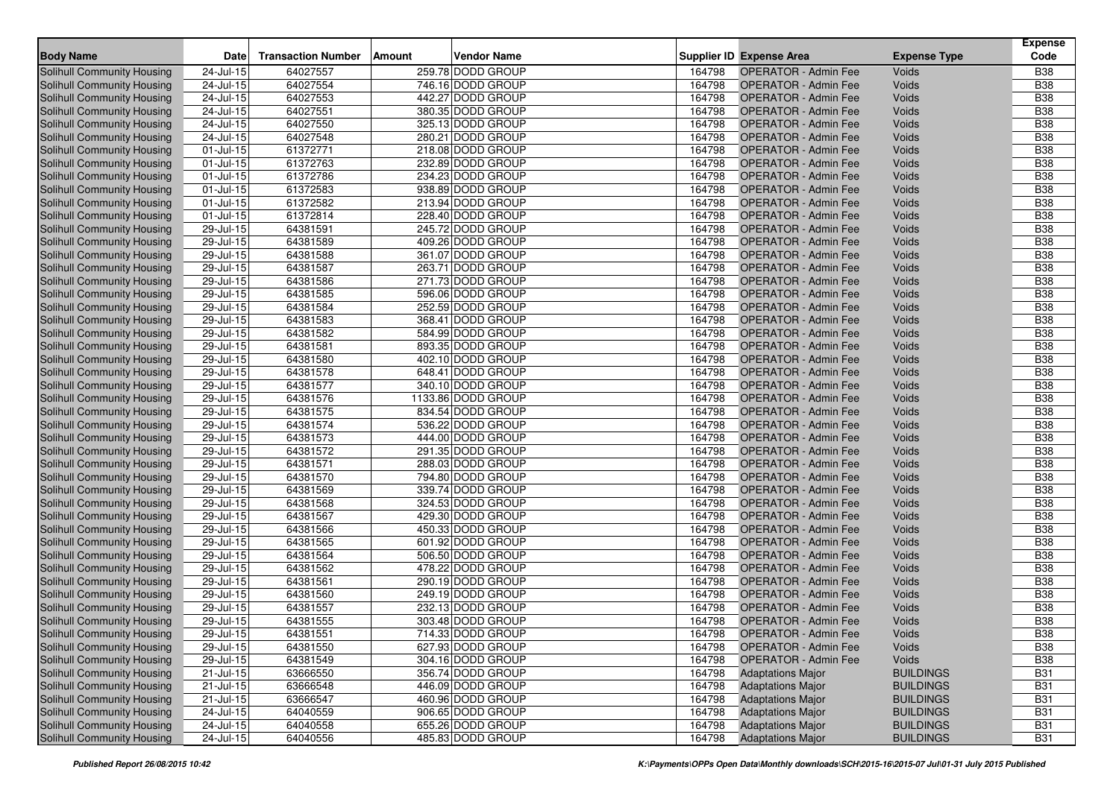|                                   |                         |                           |               |                    |        |                                 |                     | <b>Expense</b> |
|-----------------------------------|-------------------------|---------------------------|---------------|--------------------|--------|---------------------------------|---------------------|----------------|
| <b>Body Name</b>                  | Date                    | <b>Transaction Number</b> | <b>Amount</b> | <b>Vendor Name</b> |        | <b>Supplier ID Expense Area</b> | <b>Expense Type</b> | Code           |
| <b>Solihull Community Housing</b> | 24-Jul-15               | 64027557                  |               | 259.78 DODD GROUP  | 164798 | <b>OPERATOR - Admin Fee</b>     | Voids               | <b>B38</b>     |
| <b>Solihull Community Housing</b> | 24-Jul-15               | 64027554                  |               | 746.16 DODD GROUP  | 164798 | <b>OPERATOR - Admin Fee</b>     | Voids               | <b>B</b> 38    |
| <b>Solihull Community Housing</b> | 24-Jul-15               | 64027553                  |               | 442.27 DODD GROUP  | 164798 | <b>OPERATOR - Admin Fee</b>     | Voids               | <b>B38</b>     |
| Solihull Community Housing        | $24$ -Jul-15            | 64027551                  |               | 380.35 DODD GROUP  | 164798 | <b>OPERATOR - Admin Fee</b>     | Voids               | <b>B38</b>     |
| Solihull Community Housing        | 24-Jul-15               | 64027550                  |               | 325.13 DODD GROUP  | 164798 | <b>OPERATOR - Admin Fee</b>     | Voids               | <b>B</b> 38    |
| <b>Solihull Community Housing</b> | 24-Jul-15               | 64027548                  |               | 280.21 DODD GROUP  | 164798 | <b>OPERATOR - Admin Fee</b>     | Voids               | <b>B38</b>     |
| Solihull Community Housing        | 01-Jul-15               | 61372771                  |               | 218.08 DODD GROUP  | 164798 | <b>OPERATOR - Admin Fee</b>     | Voids               | <b>B38</b>     |
| Solihull Community Housing        | 01-Jul-15               | 61372763                  |               | 232.89 DODD GROUP  | 164798 | <b>OPERATOR - Admin Fee</b>     | Voids               | <b>B38</b>     |
| Solihull Community Housing        | $01$ -Jul-15            | 61372786                  |               | 234.23 DODD GROUP  | 164798 | <b>OPERATOR - Admin Fee</b>     | Voids               | <b>B38</b>     |
| <b>Solihull Community Housing</b> | 01-Jul-15               | 61372583                  |               | 938.89 DODD GROUP  | 164798 | <b>OPERATOR - Admin Fee</b>     | Voids               | <b>B38</b>     |
| Solihull Community Housing        | $01$ -Jul-15            | 61372582                  |               | 213.94 DODD GROUP  | 164798 | <b>OPERATOR - Admin Fee</b>     | Voids               | <b>B</b> 38    |
| Solihull Community Housing        | 01-Jul-15               | 61372814                  |               | 228.40 DODD GROUP  | 164798 | <b>OPERATOR - Admin Fee</b>     | Voids               | <b>B</b> 38    |
| Solihull Community Housing        | 29-Jul-15               | 64381591                  |               | 245.72 DODD GROUP  | 164798 | <b>OPERATOR - Admin Fee</b>     | Voids               | <b>B38</b>     |
| <b>Solihull Community Housing</b> | 29-Jul-15               | 64381589                  |               | 409.26 DODD GROUP  | 164798 | <b>OPERATOR - Admin Fee</b>     | Voids               | <b>B</b> 38    |
| Solihull Community Housing        | $29 -$ Jul-15           | 64381588                  |               | 361.07 DODD GROUP  | 164798 | <b>OPERATOR - Admin Fee</b>     | Voids               | <b>B38</b>     |
| <b>Solihull Community Housing</b> | 29-Jul-15               | 64381587                  |               | 263.71 DODD GROUP  | 164798 | <b>OPERATOR - Admin Fee</b>     | Voids               | <b>B38</b>     |
| Solihull Community Housing        | 29-Jul-15               | 64381586                  |               | 271.73 DODD GROUP  | 164798 | <b>OPERATOR - Admin Fee</b>     | Voids               | <b>B38</b>     |
| Solihull Community Housing        | 29-Jul-15               | 64381585                  |               | 596.06 DODD GROUP  | 164798 | <b>OPERATOR - Admin Fee</b>     | Voids               | <b>B38</b>     |
| Solihull Community Housing        | 29-Jul-15               | 64381584                  |               | 252.59 DODD GROUP  | 164798 | <b>OPERATOR - Admin Fee</b>     | Voids               | <b>B38</b>     |
| Solihull Community Housing        | 29-Jul-15               | 64381583                  |               | 368.41 DODD GROUP  | 164798 | <b>OPERATOR - Admin Fee</b>     | Voids               | <b>B</b> 38    |
| Solihull Community Housing        | 29-Jul-15               | 64381582                  |               | 584.99 DODD GROUP  | 164798 | <b>OPERATOR - Admin Fee</b>     | Voids               | <b>B38</b>     |
| Solihull Community Housing        | 29-Jul-15               | 64381581                  |               | 893.35 DODD GROUP  | 164798 | <b>OPERATOR - Admin Fee</b>     | Voids               | <b>B</b> 38    |
| Solihull Community Housing        | 29-Jul-15               | 64381580                  |               | 402.10 DODD GROUP  | 164798 | <b>OPERATOR - Admin Fee</b>     | Voids               | <b>B38</b>     |
| Solihull Community Housing        | 29-Jul-15               | 64381578                  |               | 648.41 DODD GROUP  | 164798 | <b>OPERATOR - Admin Fee</b>     | Voids               | <b>B38</b>     |
| <b>Solihull Community Housing</b> | 29-Jul-15               | 64381577                  |               | 340.10 DODD GROUP  | 164798 | <b>OPERATOR - Admin Fee</b>     | Voids               | <b>B</b> 38    |
| Solihull Community Housing        | $29$ -Jul-15            | 64381576                  |               | 1133.86 DODD GROUP | 164798 | <b>OPERATOR - Admin Fee</b>     | Voids               | <b>B</b> 38    |
| <b>Solihull Community Housing</b> | 29-Jul-15               | 64381575                  |               | 834.54 DODD GROUP  | 164798 | <b>OPERATOR - Admin Fee</b>     | Voids               | <b>B</b> 38    |
| Solihull Community Housing        | 29-Jul-15               | 64381574                  |               | 536.22 DODD GROUP  | 164798 | <b>OPERATOR - Admin Fee</b>     | Voids               | <b>B38</b>     |
| Solihull Community Housing        | 29-Jul-15               | 64381573                  |               | 444.00 DODD GROUP  | 164798 | <b>OPERATOR - Admin Fee</b>     | Voids               | <b>B</b> 38    |
| <b>Solihull Community Housing</b> | $29$ -Jul-15            | 64381572                  |               | 291.35 DODD GROUP  | 164798 | <b>OPERATOR - Admin Fee</b>     | Voids               | <b>B</b> 38    |
| <b>Solihull Community Housing</b> | 29-Jul-15               | 64381571                  |               | 288.03 DODD GROUP  | 164798 | <b>OPERATOR - Admin Fee</b>     | Voids               | <b>B38</b>     |
| Solihull Community Housing        | 29-Jul-15               | 64381570                  |               | 794.80 DODD GROUP  | 164798 | <b>OPERATOR - Admin Fee</b>     | Voids               | <b>B38</b>     |
| Solihull Community Housing        | 29-Jul-15               | 64381569                  |               | 339.74 DODD GROUP  | 164798 | <b>OPERATOR - Admin Fee</b>     | Voids               | <b>B38</b>     |
| Solihull Community Housing        | $29$ -Jul-15            | 64381568                  |               | 324.53 DODD GROUP  | 164798 | <b>OPERATOR - Admin Fee</b>     | Voids               | <b>B38</b>     |
| Solihull Community Housing        | 29-Jul-15               | 64381567                  |               | 429.30 DODD GROUP  | 164798 | <b>OPERATOR - Admin Fee</b>     | Voids               | <b>B</b> 38    |
| <b>Solihull Community Housing</b> | 29-Jul-15               | 64381566                  |               | 450.33 DODD GROUP  | 164798 | <b>OPERATOR - Admin Fee</b>     | Voids               | <b>B38</b>     |
| Solihull Community Housing        | $29 -$ Jul-15           | 64381565                  |               | 601.92 DODD GROUP  | 164798 | <b>OPERATOR - Admin Fee</b>     | Voids               | <b>B38</b>     |
| <b>Solihull Community Housing</b> | 29-Jul-15               | 64381564                  |               | 506.50 DODD GROUP  | 164798 | <b>OPERATOR - Admin Fee</b>     | Voids               | <b>B38</b>     |
| Solihull Community Housing        | 29-Jul-15               | 64381562                  |               | 478.22 DODD GROUP  | 164798 | <b>OPERATOR - Admin Fee</b>     | Voids               | <b>B38</b>     |
| Solihull Community Housing        | 29-Jul-15               | 64381561                  |               | 290.19 DODD GROUP  | 164798 | <b>OPERATOR - Admin Fee</b>     | Voids               | <b>B38</b>     |
| <b>Solihull Community Housing</b> | 29-Jul-15               | 64381560                  |               | 249.19 DODD GROUP  | 164798 | <b>OPERATOR - Admin Fee</b>     | Voids               | <b>B38</b>     |
| <b>Solihull Community Housing</b> | 29-Jul-15               | 64381557                  |               | 232.13 DODD GROUP  | 164798 | <b>OPERATOR - Admin Fee</b>     | Voids               | <b>B38</b>     |
| Solihull Community Housing        | 29-Jul-15               | 64381555                  |               | 303.48 DODD GROUP  | 164798 | <b>OPERATOR - Admin Fee</b>     | Voids               | <b>B</b> 38    |
| Solihull Community Housing        | 29-Jul-15               | 64381551                  |               | 714.33 DODD GROUP  | 164798 | OPERATOR - Admin Fee            | Voids               | <b>B</b> 38    |
| Solihull Community Housing        | 29-Jul-15               | 64381550                  |               | 627.93 DODD GROUP  | 164798 | <b>OPERATOR - Admin Fee</b>     | Voids               | <b>B38</b>     |
| Solihull Community Housing        | 29-Jul-15               | 64381549                  |               | 304.16 DODD GROUP  | 164798 | <b>OPERATOR - Admin Fee</b>     | Voids               | <b>B38</b>     |
| Solihull Community Housing        | 21-Jul-15               | 63666550                  |               | 356.74 DODD GROUP  | 164798 | <b>Adaptations Major</b>        | <b>BUILDINGS</b>    | <b>B31</b>     |
| Solihull Community Housing        | 21-Jul-15               | 63666548                  |               | 446.09 DODD GROUP  | 164798 | <b>Adaptations Major</b>        | <b>BUILDINGS</b>    | <b>B31</b>     |
| Solihull Community Housing        | $\overline{2}$ 1-Jul-15 | 63666547                  |               | 460.96 DODD GROUP  | 164798 | <b>Adaptations Major</b>        | <b>BUILDINGS</b>    | <b>B31</b>     |
| Solihull Community Housing        | $24 -$ Jul-15           | 64040559                  |               | 906.65 DODD GROUP  | 164798 | <b>Adaptations Major</b>        | <b>BUILDINGS</b>    | <b>B31</b>     |
| <b>Solihull Community Housing</b> | $24$ -Jul-15            | 64040558                  |               | 655.26 DODD GROUP  | 164798 | <b>Adaptations Major</b>        | <b>BUILDINGS</b>    | <b>B31</b>     |
| Solihull Community Housing        | $24 -$ Jul-15           | 64040556                  |               | 485.83 DODD GROUP  | 164798 | <b>Adaptations Major</b>        | <b>BUILDINGS</b>    | <b>B31</b>     |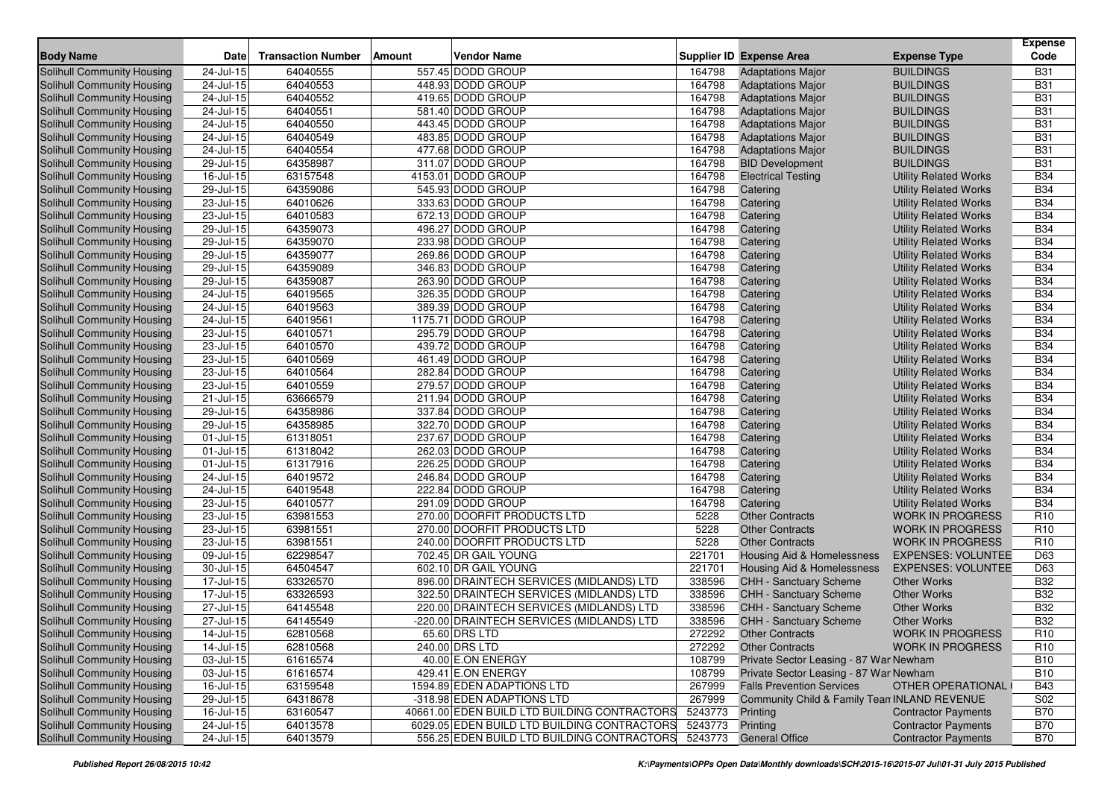| <b>Body Name</b>                  | Date                    | <b>Transaction Number</b> | <b>Vendor Name</b><br>Amount                 |         | <b>Supplier ID Expense Area</b>              | <b>Expense Type</b>          | <b>Expense</b><br>Code |
|-----------------------------------|-------------------------|---------------------------|----------------------------------------------|---------|----------------------------------------------|------------------------------|------------------------|
| Solihull Community Housing        | 24-Jul-15               | 64040555                  | 557.45 DODD GROUP                            | 164798  | <b>Adaptations Major</b>                     | <b>BUILDINGS</b>             | <b>B31</b>             |
| Solihull Community Housing        | 24-Jul-15               | 64040553                  | 448.93 DODD GROUP                            | 164798  | <b>Adaptations Major</b>                     | <b>BUILDINGS</b>             | <b>B31</b>             |
| Solihull Community Housing        | 24-Jul-15               | 64040552                  | 419.65 DODD GROUP                            | 164798  | <b>Adaptations Major</b>                     | <b>BUILDINGS</b>             | <b>B31</b>             |
| <b>Solihull Community Housing</b> | 24-Jul-15               | 64040551                  | 581.40 DODD GROUP                            | 164798  | <b>Adaptations Major</b>                     | <b>BUILDINGS</b>             | <b>B31</b>             |
| Solihull Community Housing        | $24$ -Jul-15            | 64040550                  | 443.45 DODD GROUP                            | 164798  | <b>Adaptations Major</b>                     | <b>BUILDINGS</b>             | <b>B31</b>             |
| Solihull Community Housing        | 24-Jul-15               | 64040549                  | 483.85 DODD GROUP                            | 164798  | <b>Adaptations Major</b>                     | <b>BUILDINGS</b>             | <b>B31</b>             |
| Solihull Community Housing        | 24-Jul-15               | 64040554                  | 477.68 DODD GROUP                            | 164798  | <b>Adaptations Major</b>                     | <b>BUILDINGS</b>             | <b>B31</b>             |
| Solihull Community Housing        | 29-Jul-15               | 64358987                  | 311.07 DODD GROUP                            | 164798  | <b>BID Development</b>                       | <b>BUILDINGS</b>             | <b>B31</b>             |
| Solihull Community Housing        | 16-Jul-15               | 63157548                  | 4153.01 DODD GROUP                           | 164798  | <b>Electrical Testing</b>                    | <b>Utility Related Works</b> | <b>B34</b>             |
| <b>Solihull Community Housing</b> | $\overline{29}$ -Jul-15 | 64359086                  | 545.93 DODD GROUP                            | 164798  | Catering                                     | <b>Utility Related Works</b> | <b>B34</b>             |
| Solihull Community Housing        | 23-Jul-15               | 64010626                  | 333.63 DODD GROUP                            | 164798  | Catering                                     | <b>Utility Related Works</b> | <b>B34</b>             |
| Solihull Community Housing        | $23 -$ Jul-15           | 64010583                  | 672.13 DODD GROUP                            | 164798  | Catering                                     | <b>Utility Related Works</b> | <b>B34</b>             |
| Solihull Community Housing        | $29$ -Jul-15            | 64359073                  | 496.27 DODD GROUP                            | 164798  | Catering                                     | <b>Utility Related Works</b> | <b>B34</b>             |
| Solihull Community Housing        | 29-Jul-15               | 64359070                  | 233.98 DODD GROUP                            | 164798  | Catering                                     | <b>Utility Related Works</b> | <b>B34</b>             |
| <b>Solihull Community Housing</b> | 29-Jul-15               | 64359077                  | 269.86 DODD GROUP                            | 164798  | Catering                                     | <b>Utility Related Works</b> | <b>B34</b>             |
| Solihull Community Housing        | 29-Jul-15               | 64359089                  | 346.83 DODD GROUP                            | 164798  | Catering                                     | <b>Utility Related Works</b> | <b>B34</b>             |
| Solihull Community Housing        | 29-Jul-15               | 64359087                  | 263.90 DODD GROUP                            | 164798  | Catering                                     | <b>Utility Related Works</b> | <b>B34</b>             |
| Solihull Community Housing        | 24-Jul-15               | 64019565                  | 326.35 DODD GROUP                            | 164798  | Catering                                     | <b>Utility Related Works</b> | <b>B34</b>             |
| Solihull Community Housing        | 24-Jul-15               | 64019563                  | 389.39 DODD GROUP                            | 164798  | Catering                                     | <b>Utility Related Works</b> | <b>B34</b>             |
| Solihull Community Housing        | 24-Jul-15               | 64019561                  | 1175.71 DODD GROUP                           | 164798  | Catering                                     | <b>Utility Related Works</b> | <b>B34</b>             |
| Solihull Community Housing        | 23-Jul-15               | 64010571                  | 295.79 DODD GROUP                            | 164798  | Catering                                     | <b>Utility Related Works</b> | <b>B34</b>             |
| Solihull Community Housing        | 23-Jul-15               | 64010570                  | 439.72 DODD GROUP                            | 164798  | Catering                                     | <b>Utility Related Works</b> | <b>B34</b>             |
| Solihull Community Housing        | 23-Jul-15               | 64010569                  | 461.49 DODD GROUP                            | 164798  | Catering                                     | <b>Utility Related Works</b> | <b>B34</b>             |
| Solihull Community Housing        | 23-Jul-15               | 64010564                  | 282.84 DODD GROUP                            | 164798  | Catering                                     | <b>Utility Related Works</b> | <b>B34</b>             |
| Solihull Community Housing        | 23-Jul-15               | 64010559                  | 279.57 DODD GROUP                            | 164798  | Catering                                     | <b>Utility Related Works</b> | <b>B34</b>             |
| Solihull Community Housing        | $21 -$ Jul-15           | 63666579                  | 211.94 DODD GROUP                            | 164798  | Catering                                     | <b>Utility Related Works</b> | <b>B34</b>             |
| Solihull Community Housing        | 29-Jul-15               | 64358986                  | 337.84 DODD GROUP                            | 164798  | Catering                                     | <b>Utility Related Works</b> | <b>B34</b>             |
| Solihull Community Housing        | 29-Jul-15               | 64358985                  | 322.70 DODD GROUP                            | 164798  | Catering                                     | <b>Utility Related Works</b> | <b>B34</b>             |
| <b>Solihull Community Housing</b> | 01-Jul-15               | 61318051                  | 237.67 DODD GROUP                            | 164798  | Catering                                     | <b>Utility Related Works</b> | <b>B34</b>             |
| Solihull Community Housing        | $01$ -Jul-15            | 61318042                  | 262.03 DODD GROUP                            | 164798  | Catering                                     | <b>Utility Related Works</b> | <b>B34</b>             |
| Solihull Community Housing        | $01$ -Jul-15            | 61317916                  | 226.25 DODD GROUP                            | 164798  | Catering                                     | <b>Utility Related Works</b> | <b>B34</b>             |
| Solihull Community Housing        | 24-Jul-15               | 64019572                  | 246.84 DODD GROUP                            | 164798  | Catering                                     | <b>Utility Related Works</b> | <b>B34</b>             |
| Solihull Community Housing        | 24-Jul-15               | 64019548                  | 222.84 DODD GROUP                            | 164798  | Catering                                     | <b>Utility Related Works</b> | <b>B34</b>             |
| Solihull Community Housing        | 23-Jul-15               | 64010577                  | 291.09 DODD GROUP                            | 164798  | Catering                                     | <b>Utility Related Works</b> | <b>B34</b>             |
| <b>Solihull Community Housing</b> | 23-Jul-15               | 63981553                  | 270.00 DOORFIT PRODUCTS LTD                  | 5228    | <b>Other Contracts</b>                       | <b>WORK IN PROGRESS</b>      | R <sub>10</sub>        |
| Solihull Community Housing        | 23-Jul-15               | 63981551                  | 270.00 DOORFIT PRODUCTS LTD                  | 5228    | <b>Other Contracts</b>                       | <b>WORK IN PROGRESS</b>      | R <sub>10</sub>        |
| <b>Solihull Community Housing</b> | 23-Jul-15               | 63981551                  | 240.00 DOORFIT PRODUCTS LTD                  | 5228    | <b>Other Contracts</b>                       | <b>WORK IN PROGRESS</b>      | R <sub>10</sub>        |
| Solihull Community Housing        | 09-Jul-15               | 62298547                  | 702.45 DR GAIL YOUNG                         | 221701  | <b>Housing Aid &amp; Homelessness</b>        | <b>EXPENSES: VOLUNTEE</b>    | D63                    |
| <b>Solihull Community Housing</b> | 30-Jul-15               | 64504547                  | 602.10 DR GAIL YOUNG                         | 221701  | Housing Aid & Homelessness                   | <b>EXPENSES: VOLUNTEE</b>    | D63                    |
| <b>Solihull Community Housing</b> | 17-Jul-15               | 63326570                  | 896.00 DRAINTECH SERVICES (MIDLANDS) LTD     | 338596  | CHH - Sanctuary Scheme                       | <b>Other Works</b>           | <b>B32</b>             |
| Solihull Community Housing        | 17-Jul-15               | 63326593                  | 322.50 DRAINTECH SERVICES (MIDLANDS) LTD     | 338596  | CHH - Sanctuary Scheme                       | <b>Other Works</b>           | <b>B32</b>             |
| Solihull Community Housing        | 27-Jul-15               | 64145548                  | 220.00 DRAINTECH SERVICES (MIDLANDS) LTD     | 338596  | CHH - Sanctuary Scheme                       | <b>Other Works</b>           | <b>B32</b>             |
| Solihull Community Housing        | 27-Jul-15               | 64145549                  | -220.00 DRAINTECH SERVICES (MIDLANDS) LTD    | 338596  | <b>CHH - Sanctuary Scheme</b>                | <b>Other Works</b>           | <b>B32</b>             |
| Solihull Community Housing        | $14$ -Jul-15            | 62810568                  | 65.60 DRS LTD                                | 272292  | <b>Other Contracts</b>                       | <b>WORK IN PROGRESS</b>      | R <sub>10</sub>        |
| <b>Solihull Community Housing</b> | 14-Jul-15               | 62810568                  | 240.00 DRS LTD                               | 272292  | <b>Other Contracts</b>                       | <b>WORK IN PROGRESS</b>      | R <sub>10</sub>        |
| <b>Solihull Community Housing</b> | $\overline{03}$ -Jul-15 | 61616574                  | 40.00 E.ON ENERGY                            | 108799  | Private Sector Leasing - 87 War Newham       |                              | <b>B10</b>             |
| Solihull Community Housing        | 03-Jul-15               | 61616574                  | 429.41 E.ON ENERGY                           | 108799  | Private Sector Leasing - 87 War Newham       |                              | <b>B10</b>             |
| Solihull Community Housing        | 16-Jul-15               | 63159548                  | 1594.89 EDEN ADAPTIONS LTD                   | 267999  | <b>Falls Prevention Services</b>             | OTHER OPERATIONAL            | <b>B43</b>             |
| Solihull Community Housing        | $\overline{29}$ -Jul-15 | 64318678                  | -318.98 EDEN ADAPTIONS LTD                   | 267999  | Community Child & Family Tean INLAND REVENUE |                              | S02                    |
| Solihull Community Housing        | 16-Jul-15               | 63160547                  | 40661.00 EDEN BUILD LTD BUILDING CONTRACTORS | 5243773 | Printing                                     | <b>Contractor Payments</b>   | <b>B70</b>             |
| <b>Solihull Community Housing</b> | $\overline{24}$ -Jul-15 | 64013578                  | 6029.05 EDEN BUILD LTD BUILDING CONTRACTORS  | 5243773 | Printing                                     | <b>Contractor Payments</b>   | <b>B70</b>             |
| Solihull Community Housing        | 24-Jul-15               | 64013579                  | 556.25 EDEN BUILD LTD BUILDING CONTRACTORS   | 5243773 | <b>General Office</b>                        | <b>Contractor Payments</b>   | <b>B70</b>             |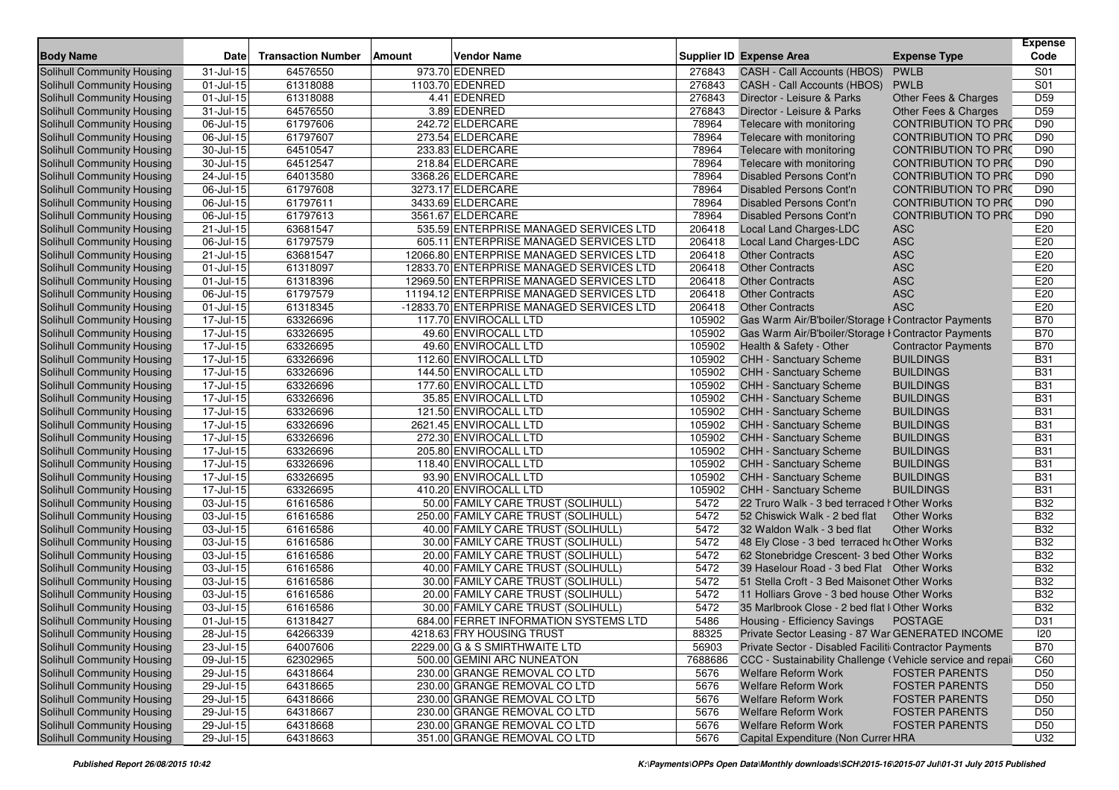| <b>Body Name</b>                  | <b>Date</b>             | <b>Transaction Number</b> | <b>Amount</b> | <b>Vendor Name</b>                        |         | <b>Supplier ID Expense Area</b>                           | <b>Expense Type</b>        | <b>Expense</b><br>Code |
|-----------------------------------|-------------------------|---------------------------|---------------|-------------------------------------------|---------|-----------------------------------------------------------|----------------------------|------------------------|
| <b>Solihull Community Housing</b> | $31 -$ Jul-15           | 64576550                  |               | 973.70 EDENRED                            | 276843  | CASH - Call Accounts (HBOS)                               | <b>PWLB</b>                | S01                    |
| <b>Solihull Community Housing</b> | $01$ -Jul-15            | 61318088                  |               | 1103.70 EDENRED                           | 276843  | CASH - Call Accounts (HBOS)                               | <b>PWLB</b>                | S <sub>01</sub>        |
| Solihull Community Housing        | 01-Jul-15               | 61318088                  |               | 4.41 EDENRED                              | 276843  | Director - Leisure & Parks                                | Other Fees & Charges       | D <sub>59</sub>        |
| Solihull Community Housing        | 31-Jul-15               | 64576550                  |               | 3.89 EDENRED                              | 276843  | Director - Leisure & Parks                                | Other Fees & Charges       | D59                    |
| Solihull Community Housing        | 06-Jul-15               | 61797606                  |               | 242.72 ELDERCARE                          | 78964   | Telecare with monitoring                                  | <b>CONTRIBUTION TO PRO</b> | D90                    |
| Solihull Community Housing        | 06-Jul-15               | 61797607                  |               | 273.54 ELDERCARE                          | 78964   | Telecare with monitoring                                  | <b>CONTRIBUTION TO PRO</b> | D90                    |
| Solihull Community Housing        | 30-Jul-15               | 64510547                  |               | 233.83 ELDERCARE                          | 78964   | Telecare with monitoring                                  | <b>CONTRIBUTION TO PRO</b> | D90                    |
| Solihull Community Housing        | 30-Jul-15               | 64512547                  |               | 218.84 ELDERCARE                          | 78964   | Telecare with monitoring                                  | <b>CONTRIBUTION TO PRO</b> | D90                    |
| Solihull Community Housing        | 24-Jul-15               | 64013580                  |               | 3368.26 ELDERCARE                         | 78964   | Disabled Persons Cont'n                                   | <b>CONTRIBUTION TO PRO</b> | D90                    |
| Solihull Community Housing        | 06-Jul-15               | 61797608                  |               | 3273.17 ELDERCARE                         | 78964   | <b>Disabled Persons Cont'n</b>                            | <b>CONTRIBUTION TO PRO</b> | D90                    |
| Solihull Community Housing        | 06-Jul-15               | 61797611                  |               | 3433.69 ELDERCARE                         | 78964   | Disabled Persons Cont'n                                   | <b>CONTRIBUTION TO PRO</b> | D90                    |
| Solihull Community Housing        | $06$ -Jul-15            | 61797613                  |               | 3561.67 ELDERCARE                         | 78964   | Disabled Persons Cont'n                                   | <b>CONTRIBUTION TO PRO</b> | D90                    |
| Solihull Community Housing        | 21-Jul-15               | 63681547                  |               | 535.59 ENTERPRISE MANAGED SERVICES LTD    | 206418  | Local Land Charges-LDC                                    | <b>ASC</b>                 | E20                    |
| Solihull Community Housing        | 06-Jul-15               | 61797579                  |               | 605.11 ENTERPRISE MANAGED SERVICES LTD    | 206418  | Local Land Charges-LDC                                    | <b>ASC</b>                 | E20                    |
| Solihull Community Housing        | $21 -$ Jul-15           | 63681547                  |               | 12066.80 ENTERPRISE MANAGED SERVICES LTD  | 206418  | <b>Other Contracts</b>                                    | <b>ASC</b>                 | E20                    |
| Solihull Community Housing        | 01-Jul-15               | 61318097                  |               | 12833.70 ENTERPRISE MANAGED SERVICES LTD  | 206418  | <b>Other Contracts</b>                                    | <b>ASC</b>                 | E20                    |
| Solihull Community Housing        | 01-Jul-15               | 61318396                  |               | 12969.50 ENTERPRISE MANAGED SERVICES LTD  | 206418  | <b>Other Contracts</b>                                    | <b>ASC</b>                 | E20                    |
| Solihull Community Housing        | 06-Jul-15               | 61797579                  |               | 11194.12 ENTERPRISE MANAGED SERVICES LTD  | 206418  | <b>Other Contracts</b>                                    | <b>ASC</b>                 | E20                    |
| Solihull Community Housing        | 01-Jul-15               | 61318345                  |               | -12833.70 ENTERPRISE MANAGED SERVICES LTD | 206418  | <b>Other Contracts</b>                                    | <b>ASC</b>                 | E20                    |
| Solihull Community Housing        | 17-Jul-15               | 63326696                  |               | 117.70 ENVIROCALL LTD                     | 105902  | Gas Warm Air/B'boiler/Storage I Contractor Payments       |                            | <b>B70</b>             |
| Solihull Community Housing        | $\overline{17}$ -Jul-15 | 63326695                  |               | 49.60 ENVIROCALL LTD                      | 105902  | Gas Warm Air/B'boiler/Storage I Contractor Payments       |                            | <b>B70</b>             |
| Solihull Community Housing        | 17-Jul-15               | 63326695                  |               | 49.60 ENVIROCALL LTD                      | 105902  | Health & Safety - Other                                   | <b>Contractor Payments</b> | <b>B70</b>             |
| Solihull Community Housing        | $17 -$ Jul-15           | 63326696                  |               | 112.60 ENVIROCALL LTD                     | 105902  | <b>CHH - Sanctuary Scheme</b>                             | <b>BUILDINGS</b>           | <b>B31</b>             |
| Solihull Community Housing        | $\overline{17}$ -Jul-15 | 63326696                  |               | 144.50 ENVIROCALL LTD                     | 105902  | <b>CHH - Sanctuary Scheme</b>                             | <b>BUILDINGS</b>           | <b>B31</b>             |
| Solihull Community Housing        | 17-Jul-15               | 63326696                  |               | 177.60 ENVIROCALL LTD                     | 105902  | <b>CHH - Sanctuary Scheme</b>                             | <b>BUILDINGS</b>           | <b>B31</b>             |
| Solihull Community Housing        | $17 -$ Jul-15           | 63326696                  |               | 35.85 ENVIROCALL LTD                      | 105902  | CHH - Sanctuary Scheme                                    | <b>BUILDINGS</b>           | <b>B31</b>             |
| Solihull Community Housing        | 17-Jul-15               | 63326696                  |               | 121.50 ENVIROCALL LTD                     | 105902  | <b>CHH - Sanctuary Scheme</b>                             | <b>BUILDINGS</b>           | <b>B31</b>             |
| Solihull Community Housing        | 17-Jul-15               | 63326696                  |               | 2621.45 ENVIROCALL LTD                    | 105902  | CHH - Sanctuary Scheme                                    | <b>BUILDINGS</b>           | <b>B31</b>             |
| Solihull Community Housing        | 17-Jul-15               | 63326696                  |               | 272.30 ENVIROCALL LTD                     | 105902  | <b>CHH - Sanctuary Scheme</b>                             | <b>BUILDINGS</b>           | <b>B31</b>             |
| Solihull Community Housing        | $17 -$ Jul-15           | 63326696                  |               | 205.80 ENVIROCALL LTD                     | 105902  | CHH - Sanctuary Scheme                                    | <b>BUILDINGS</b>           | <b>B31</b>             |
| Solihull Community Housing        | 17-Jul-15               | 63326696                  |               | 118.40 ENVIROCALL LTD                     | 105902  | CHH - Sanctuary Scheme                                    | <b>BUILDINGS</b>           | <b>B31</b>             |
| Solihull Community Housing        | $\overline{17}$ -Jul-15 | 63326695                  |               | 93.90 ENVIROCALL LTD                      | 105902  | CHH - Sanctuary Scheme                                    | <b>BUILDINGS</b>           | <b>B31</b>             |
| Solihull Community Housing        | 17-Jul-15               | 63326695                  |               | 410.20 ENVIROCALL LTD                     | 105902  | CHH - Sanctuary Scheme                                    | <b>BUILDINGS</b>           | <b>B31</b>             |
| Solihull Community Housing        | $03$ -Jul-15            | 61616586                  |               | 50.00 FAMILY CARE TRUST (SOLIHULL)        | 5472    | 22 Truro Walk - 3 bed terraced I Other Works              |                            | <b>B32</b>             |
| Solihull Community Housing        | 03-Jul-15               | 61616586                  |               | 250.00 FAMILY CARE TRUST (SOLIHULL)       | 5472    | 52 Chiswick Walk - 2 bed flat                             | <b>Other Works</b>         | <b>B32</b>             |
| Solihull Community Housing        | $03$ -Jul- $15$         | 61616586                  |               | 40.00 FAMILY CARE TRUST (SOLIHULL)        | 5472    | 32 Waldon Walk - 3 bed flat                               | <b>Other Works</b>         | <b>B32</b>             |
| Solihull Community Housing        | $03-Jul-15$             | 61616586                  |               | 30.00 FAMILY CARE TRUST (SOLIHULL)        | 5472    | 48 Ely Close - 3 bed terraced ho Other Works              |                            | <b>B32</b>             |
| Solihull Community Housing        | 03-Jul-15               | 61616586                  |               | 20.00 FAMILY CARE TRUST (SOLIHULL)        | 5472    | 62 Stonebridge Crescent- 3 bed Other Works                |                            | <b>B32</b>             |
| Solihull Community Housing        | 03-Jul-15               | 61616586                  |               | 40.00 FAMILY CARE TRUST (SOLIHULL)        | 5472    | 39 Haselour Road - 3 bed Flat Other Works                 |                            | <b>B32</b>             |
| Solihull Community Housing        | 03-Jul-15               | 61616586                  |               | 30.00 FAMILY CARE TRUST (SOLIHULL)        | 5472    | 51 Stella Croft - 3 Bed Maisonet Other Works              |                            | <b>B32</b>             |
| Solihull Community Housing        | 03-Jul-15               | 61616586                  |               | 20.00 FAMILY CARE TRUST (SOLIHULL)        | 5472    | 11 Holliars Grove - 3 bed house Other Works               |                            | <b>B32</b>             |
| Solihull Community Housing        | 03-Jul-15               | 61616586                  |               | 30.00 FAMILY CARE TRUST (SOLIHULL)        | 5472    | 35 Marlbrook Close - 2 bed flat I Other Works             |                            | <b>B32</b>             |
| Solihull Community Housing        | 01-Jul-15               | 61318427                  |               | 684.00 FERRET INFORMATION SYSTEMS LTD     | 5486    | Housing - Efficiency Savings                              | <b>POSTAGE</b>             | D31                    |
| Solihull Community Housing        | 28-Jul-15               | 64266339                  |               | 4218.63 FRY HOUSING TRUST                 | 88325   | Private Sector Leasing - 87 War GENERATED INCOME          |                            | 20                     |
| Solihull Community Housing        | 23-Jul-15               | 64007606                  |               | 2229.00 G & S SMIRTHWAITE LTD             | 56903   | Private Sector - Disabled Faciliti Contractor Payments    |                            | <b>B70</b>             |
| Solihull Community Housing        | $\overline{09}$ -Jul-15 | 62302965                  |               | 500.00 GEMINI ARC NUNEATON                | 7688686 | CCC - Sustainability Challenge (Vehicle service and repai |                            | C60                    |
| Solihull Community Housing        | 29-Jul-15               | 64318664                  |               | 230.00 GRANGE REMOVAL CO LTD              | 5676    | <b>Welfare Reform Work</b>                                | <b>FOSTER PARENTS</b>      | D <sub>50</sub>        |
| Solihull Community Housing        | 29-Jul-15               | 64318665                  |               | 230.00 GRANGE REMOVAL CO LTD              | 5676    | Welfare Reform Work                                       | <b>FOSTER PARENTS</b>      | D <sub>50</sub>        |
| Solihull Community Housing        | $29$ -Jul-15            | 64318666                  |               | 230.00 GRANGE REMOVAL CO LTD              | 5676    | <b>Welfare Reform Work</b>                                | <b>FOSTER PARENTS</b>      | D <sub>50</sub>        |
| Solihull Community Housing        | 29-Jul-15               | 64318667                  |               | 230.00 GRANGE REMOVAL CO LTD              | 5676    | <b>Welfare Reform Work</b>                                | <b>FOSTER PARENTS</b>      | D <sub>50</sub>        |
| Solihull Community Housing        | 29-Jul-15               | 64318668                  |               | 230.00 GRANGE REMOVAL CO LTD              | 5676    | <b>Welfare Reform Work</b>                                | <b>FOSTER PARENTS</b>      | D <sub>50</sub>        |
| Solihull Community Housing        | 29-Jul-15               | 64318663                  |               | 351.00 GRANGE REMOVAL CO LTD              | 5676    | Capital Expenditure (Non Currer HRA                       |                            | U32                    |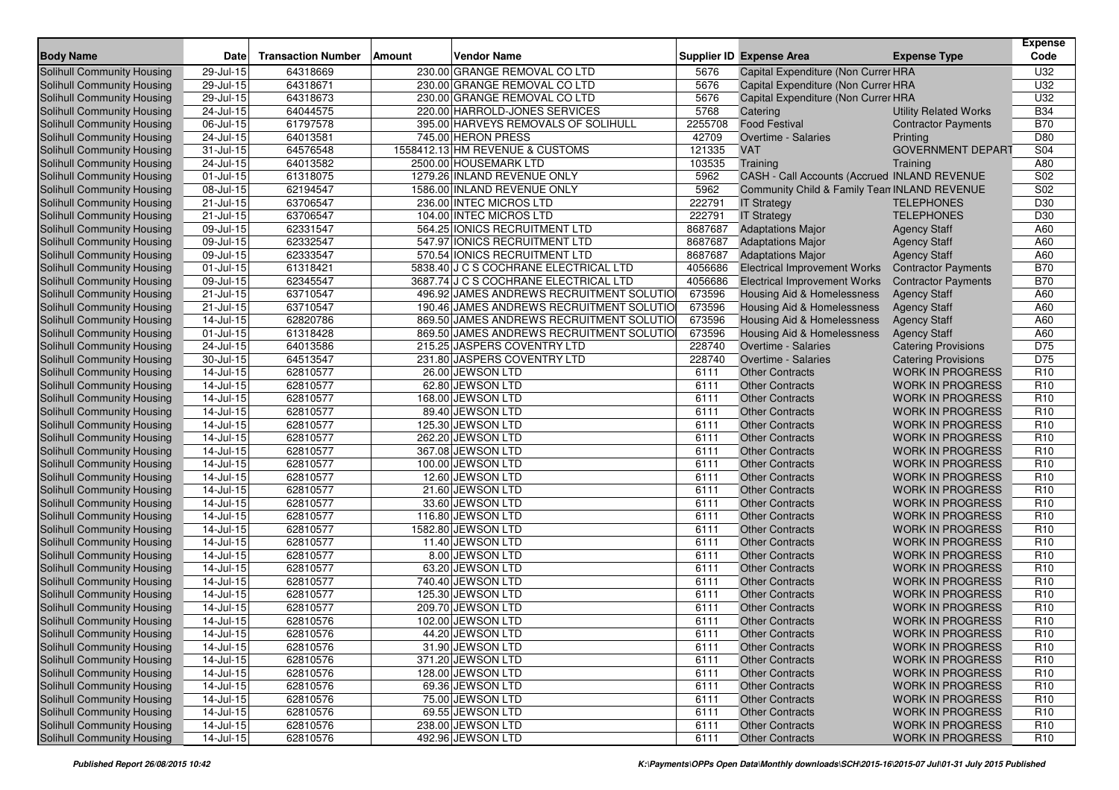| <b>Body Name</b>                                         | <b>Date</b>             | <b>Transaction Number</b> | <b>Vendor Name</b><br>Amount             |              | <b>Supplier ID Expense Area</b>                  | <b>Expense Type</b>                                | <b>Expense</b><br>Code             |
|----------------------------------------------------------|-------------------------|---------------------------|------------------------------------------|--------------|--------------------------------------------------|----------------------------------------------------|------------------------------------|
| Solihull Community Housing                               | 29-Jul-15               | 64318669                  | 230.00 GRANGE REMOVAL CO LTD             | 5676         | Capital Expenditure (Non Currer HRA              |                                                    | U32                                |
| <b>Solihull Community Housing</b>                        | 29-Jul-15               | 64318671                  | 230.00 GRANGE REMOVAL CO LTD             | 5676         | Capital Expenditure (Non Currer HRA              |                                                    | U32                                |
| Solihull Community Housing                               | 29-Jul-15               | 64318673                  | 230.00 GRANGE REMOVAL CO LTD             | 5676         | Capital Expenditure (Non Currer HRA              |                                                    | U32                                |
| Solihull Community Housing                               | 24-Jul-15               | 64044575                  | 220.00 HARROLD-JONES SERVICES            | 5768         | Catering                                         | <b>Utility Related Works</b>                       | <b>B34</b>                         |
| Solihull Community Housing                               | 06-Jul-15               | 61797578                  | 395.00 HARVEYS REMOVALS OF SOLIHULL      | 2255708      | <b>Food Festival</b>                             | <b>Contractor Payments</b>                         | <b>B70</b>                         |
| Solihull Community Housing                               | 24-Jul-15               | 64013581                  | 745.00 HERON PRESS                       | 42709        | <b>Overtime - Salaries</b>                       | Printing                                           | D80                                |
| Solihull Community Housing                               | 31-Jul-15               | 64576548                  | 1558412.13 HM REVENUE & CUSTOMS          | 121335       | <b>VAT</b>                                       | <b>GOVERNMENT DEPART</b>                           | S04                                |
| Solihull Community Housing                               | 24-Jul-15               | 64013582                  | 2500.00 HOUSEMARK LTD                    | 103535       | Training                                         | Training                                           | A80                                |
| Solihull Community Housing                               | 01-Jul-15               | 61318075                  | 1279.26 INLAND REVENUE ONLY              | 5962         | CASH - Call Accounts (Accrued INLAND REVENUE     |                                                    | S02                                |
| Solihull Community Housing                               | 08-Jul-15               | 62194547                  | 1586.00 INLAND REVENUE ONLY              | 5962         | Community Child & Family Tean INLAND REVENUE     |                                                    | S <sub>02</sub>                    |
| Solihull Community Housing                               | 21-Jul-15               | 63706547                  | 236.00 INTEC MICROS LTD                  | 222791       | <b>IT Strategy</b>                               | <b>TELEPHONES</b>                                  | D30                                |
| Solihull Community Housing                               | $21$ -Jul-15            | 63706547                  | 104.00 INTEC MICROS LTD                  | 222791       | <b>IT Strategy</b>                               | <b>TELEPHONES</b>                                  | D <sub>30</sub>                    |
| Solihull Community Housing                               | 09-Jul-15               | 62331547                  | 564.25 IONICS RECRUITMENT LTD            | 8687687      | <b>Adaptations Major</b>                         | <b>Agency Staff</b>                                | A60                                |
| Solihull Community Housing                               | 09-Jul-15               | 62332547                  | 547.97 IONICS RECRUITMENT LTD            | 8687687      | <b>Adaptations Major</b>                         | <b>Agency Staff</b>                                | A60                                |
| Solihull Community Housing                               | 09-Jul-15               | 62333547                  | 570.54 IONICS RECRUITMENT LTD            | 8687687      | <b>Adaptations Major</b>                         | <b>Agency Staff</b>                                | A60                                |
| Solihull Community Housing                               | 01-Jul-15               | 61318421                  | 5838.40 J C S COCHRANE ELECTRICAL LTD    | 4056686      | <b>Electrical Improvement Works</b>              | <b>Contractor Payments</b>                         | <b>B70</b>                         |
| Solihull Community Housing                               | 09-Jul-15               | 62345547                  | 3687.74 J C S COCHRANE ELECTRICAL LTD    | 4056686      | <b>Electrical Improvement Works</b>              | <b>Contractor Payments</b>                         | <b>B70</b>                         |
| Solihull Community Housing                               | 21-Jul-15               | 63710547                  | 496.92 JAMES ANDREWS RECRUITMENT SOLUTIO | 673596       | Housing Aid & Homelessness                       | <b>Agency Staff</b>                                | A60                                |
| Solihull Community Housing                               | 21-Jul-15               | 63710547                  | 190.46 JAMES ANDREWS RECRUITMENT SOLUTIO | 673596       | Housing Aid & Homelessness                       | <b>Agency Staff</b>                                | A60                                |
| Solihull Community Housing                               | 14-Jul-15               | 62820786                  | 869.50 JAMES ANDREWS RECRUITMENT SOLUTIO | 673596       | Housing Aid & Homelessness                       | <b>Agency Staff</b>                                | A60                                |
| Solihull Community Housing                               | 01-Jul-15               | 61318428                  | 869.50 JAMES ANDREWS RECRUITMENT SOLUTIO | 673596       | Housing Aid & Homelessness                       | <b>Agency Staff</b>                                | A60                                |
| Solihull Community Housing                               | 24-Jul-15               | 64013586                  | 215.25 JASPERS COVENTRY LTD              | 228740       | Overtime - Salaries                              | <b>Catering Provisions</b>                         | D75                                |
| Solihull Community Housing                               | 30-Jul-15               | 64513547                  | 231.80 JASPERS COVENTRY LTD              | 228740       | Overtime - Salaries                              | <b>Catering Provisions</b>                         | D75                                |
| <b>Solihull Community Housing</b>                        | 14-Jul-15               | 62810577                  | 26.00 JEWSON LTD                         | 6111         | <b>Other Contracts</b>                           | <b>WORK IN PROGRESS</b>                            | R <sub>10</sub>                    |
| Solihull Community Housing                               | 14-Jul-15               | 62810577                  | 62.80 JEWSON LTD                         | 6111         | <b>Other Contracts</b>                           | <b>WORK IN PROGRESS</b>                            | R <sub>10</sub>                    |
| Solihull Community Housing                               | $14$ -Jul-15            | 62810577                  | 168.00 JEWSON LTD                        | 6111         | <b>Other Contracts</b>                           | <b>WORK IN PROGRESS</b>                            | R <sub>10</sub>                    |
| Solihull Community Housing                               | 14-Jul-15               | 62810577                  | 89.40 JEWSON LTD                         | 6111         | <b>Other Contracts</b>                           | <b>WORK IN PROGRESS</b>                            | R <sub>10</sub>                    |
| Solihull Community Housing                               | 14-Jul-15               | 62810577                  | 125.30 JEWSON LTD                        | 6111         | <b>Other Contracts</b>                           | <b>WORK IN PROGRESS</b>                            | R <sub>10</sub>                    |
| Solihull Community Housing                               | 14-Jul-15               | 62810577                  | 262.20 JEWSON LTD                        | 6111         | <b>Other Contracts</b>                           | <b>WORK IN PROGRESS</b>                            | R <sub>10</sub>                    |
| Solihull Community Housing                               | $14$ -Jul-15            | 62810577                  | 367.08 JEWSON LTD                        | 6111         | <b>Other Contracts</b>                           | <b>WORK IN PROGRESS</b>                            | R <sub>10</sub>                    |
| Solihull Community Housing                               | 14-Jul-15               | 62810577                  | 100.00 JEWSON LTD                        | 6111         | <b>Other Contracts</b>                           | <b>WORK IN PROGRESS</b>                            | R <sub>10</sub>                    |
| Solihull Community Housing                               | 14-Jul-15               | 62810577<br>62810577      | 12.60 JEWSON LTD                         | 6111         | <b>Other Contracts</b>                           | <b>WORK IN PROGRESS</b><br><b>WORK IN PROGRESS</b> | R <sub>10</sub><br>R <sub>10</sub> |
| Solihull Community Housing<br>Solihull Community Housing | 14-Jul-15<br>14-Jul-15  | 62810577                  | 21.60 JEWSON LTD<br>33.60 JEWSON LTD     | 6111<br>6111 | <b>Other Contracts</b><br><b>Other Contracts</b> | <b>WORK IN PROGRESS</b>                            | R <sub>10</sub>                    |
|                                                          |                         |                           | 116.80 JEWSON LTD                        |              |                                                  |                                                    | R <sub>10</sub>                    |
| Solihull Community Housing                               | 14-Jul-15<br>14-Jul-15  | 62810577<br>62810577      | 1582.80 JEWSON LTD                       | 6111<br>6111 | <b>Other Contracts</b><br><b>Other Contracts</b> | <b>WORK IN PROGRESS</b><br><b>WORK IN PROGRESS</b> | R <sub>10</sub>                    |
| Solihull Community Housing<br>Solihull Community Housing | $14$ -Jul-15            | 62810577                  | 11.40 JEWSON LTD                         | 6111         | <b>Other Contracts</b>                           | <b>WORK IN PROGRESS</b>                            | R <sub>10</sub>                    |
| Solihull Community Housing                               | $14$ -Jul-15            | 62810577                  | 8.00 JEWSON LTD                          | 6111         | <b>Other Contracts</b>                           | <b>WORK IN PROGRESS</b>                            | R <sub>10</sub>                    |
| Solihull Community Housing                               | 14-Jul-15               | 62810577                  | 63.20 JEWSON LTD                         | 6111         | <b>Other Contracts</b>                           | <b>WORK IN PROGRESS</b>                            | R <sub>10</sub>                    |
| Solihull Community Housing                               | 14-Jul-15               | 62810577                  | 740.40 JEWSON LTD                        | 6111         | <b>Other Contracts</b>                           | <b>WORK IN PROGRESS</b>                            | R <sub>10</sub>                    |
| Solihull Community Housing                               | 14-Jul-15               | 62810577                  | 125.30 JEWSON LTD                        | 6111         | <b>Other Contracts</b>                           | <b>WORK IN PROGRESS</b>                            | R <sub>10</sub>                    |
| Solihull Community Housing                               | 14-Jul-15               | 62810577                  | 209.70 JEWSON LTD                        | 6111         | <b>Other Contracts</b>                           | <b>WORK IN PROGRESS</b>                            | R <sub>10</sub>                    |
| Solihull Community Housing                               | 14-Jul-15               | 62810576                  | 102.00 JEWSON LTD                        | 6111         | <b>Other Contracts</b>                           | <b>WORK IN PROGRESS</b>                            | R <sub>10</sub>                    |
| Solihull Community Housing                               | 14-Jul-15               | 62810576                  | 44.20 JEWSON LTD                         | 6111         | <b>Other Contracts</b>                           | WORK IN PROGRESS                                   | R <sub>10</sub>                    |
| Solihull Community Housing                               | $\overline{1}$ 4-Jul-15 | 62810576                  | 31.90 JEWSON LTD                         | 6111         | <b>Other Contracts</b>                           | <b>WORK IN PROGRESS</b>                            | R <sub>10</sub>                    |
| Solihull Community Housing                               | $14$ -Jul-15            | 62810576                  | 371.20 JEWSON LTD                        | 6111         | <b>Other Contracts</b>                           | <b>WORK IN PROGRESS</b>                            | R <sub>10</sub>                    |
| Solihull Community Housing                               | 14-Jul-15               | 62810576                  | 128.00 JEWSON LTD                        | 6111         | <b>Other Contracts</b>                           | <b>WORK IN PROGRESS</b>                            | R <sub>10</sub>                    |
| Solihull Community Housing                               | $14$ -Jul-15            | 62810576                  | 69.36 JEWSON LTD                         | 6111         | <b>Other Contracts</b>                           | <b>WORK IN PROGRESS</b>                            | R <sub>10</sub>                    |
| Solihull Community Housing                               | 14-Jul-15               | 62810576                  | 75.00 JEWSON LTD                         | 6111         | <b>Other Contracts</b>                           | <b>WORK IN PROGRESS</b>                            | R <sub>10</sub>                    |
| Solihull Community Housing                               | $14$ -Jul-15            | 62810576                  | 69.55 JEWSON LTD                         | 6111         | <b>Other Contracts</b>                           | <b>WORK IN PROGRESS</b>                            | R <sub>10</sub>                    |
| Solihull Community Housing                               | $14$ -Jul-15            | 62810576                  | 238.00 JEWSON LTD                        | 6111         | <b>Other Contracts</b>                           | <b>WORK IN PROGRESS</b>                            | R <sub>10</sub>                    |
| Solihull Community Housing                               | $14$ -Jul-15            | 62810576                  | 492.96 JEWSON LTD                        | 6111         | <b>Other Contracts</b>                           | WORK IN PROGRESS                                   | R <sub>10</sub>                    |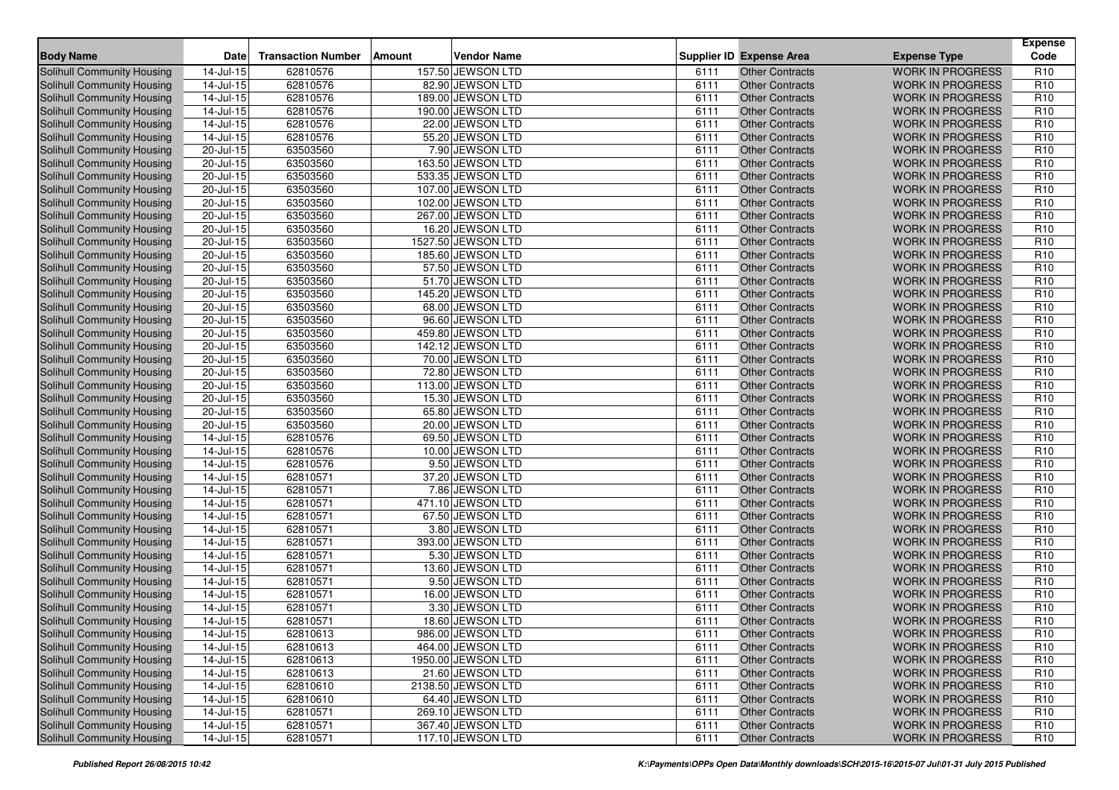|                                   |               |                           |        |                    |      |                                 |                         | <b>Expense</b>  |
|-----------------------------------|---------------|---------------------------|--------|--------------------|------|---------------------------------|-------------------------|-----------------|
| <b>Body Name</b>                  | <b>Date</b>   | <b>Transaction Number</b> | Amount | <b>Vendor Name</b> |      | <b>Supplier ID Expense Area</b> | <b>Expense Type</b>     | Code            |
| Solihull Community Housing        | 14-Jul-15     | 62810576                  |        | 157.50 JEWSON LTD  | 6111 | <b>Other Contracts</b>          | <b>WORK IN PROGRESS</b> | R <sub>10</sub> |
| Solihull Community Housing        | 14-Jul-15     | 62810576                  |        | 82.90 JEWSON LTD   | 6111 | <b>Other Contracts</b>          | <b>WORK IN PROGRESS</b> | R <sub>10</sub> |
| <b>Solihull Community Housing</b> | 14-Jul-15     | 62810576                  |        | 189.00 JEWSON LTD  | 6111 | <b>Other Contracts</b>          | <b>WORK IN PROGRESS</b> | R <sub>10</sub> |
| <b>Solihull Community Housing</b> | 14-Jul-15     | 62810576                  |        | 190.00 JEWSON LTD  | 6111 | Other Contracts                 | <b>WORK IN PROGRESS</b> | R <sub>10</sub> |
| Solihull Community Housing        | $14$ -Jul-15  | 62810576                  |        | 22.00 JEWSON LTD   | 6111 | <b>Other Contracts</b>          | <b>WORK IN PROGRESS</b> | R <sub>10</sub> |
| Solihull Community Housing        | $14$ -Jul-15  | 62810576                  |        | 55.20 JEWSON LTD   | 6111 | <b>Other Contracts</b>          | <b>WORK IN PROGRESS</b> | R <sub>10</sub> |
| Solihull Community Housing        | 20-Jul-15     | 63503560                  |        | 7.90 JEWSON LTD    | 6111 | <b>Other Contracts</b>          | <b>WORK IN PROGRESS</b> | R <sub>10</sub> |
| Solihull Community Housing        | 20-Jul-15     | 63503560                  |        | 163.50 JEWSON LTD  | 6111 | <b>Other Contracts</b>          | <b>WORK IN PROGRESS</b> | R <sub>10</sub> |
| Solihull Community Housing        | $20 -$ Jul-15 | 63503560                  |        | 533.35 JEWSON LTD  | 6111 | <b>Other Contracts</b>          | <b>WORK IN PROGRESS</b> | R <sub>10</sub> |
| <b>Solihull Community Housing</b> | 20-Jul-15     | 63503560                  |        | 107.00 JEWSON LTD  | 6111 | <b>Other Contracts</b>          | <b>WORK IN PROGRESS</b> | R <sub>10</sub> |
| <b>Solihull Community Housing</b> | 20-Jul-15     | 63503560                  |        | 102.00 JEWSON LTD  | 6111 | <b>Other Contracts</b>          | <b>WORK IN PROGRESS</b> | R <sub>10</sub> |
| Solihull Community Housing        | $20 -$ Jul-15 | 63503560                  |        | 267.00 JEWSON LTD  | 6111 | <b>Other Contracts</b>          | <b>WORK IN PROGRESS</b> | R <sub>10</sub> |
| Solihull Community Housing        | 20-Jul-15     | 63503560                  |        | 16.20 JEWSON LTD   | 6111 | <b>Other Contracts</b>          | <b>WORK IN PROGRESS</b> | R <sub>10</sub> |
| Solihull Community Housing        | 20-Jul-15     | 63503560                  |        | 1527.50 JEWSON LTD | 6111 | <b>Other Contracts</b>          | <b>WORK IN PROGRESS</b> | R <sub>10</sub> |
| <b>Solihull Community Housing</b> | 20-Jul-15     | 63503560                  |        | 185.60 JEWSON LTD  | 6111 | <b>Other Contracts</b>          | <b>WORK IN PROGRESS</b> | R <sub>10</sub> |
| Solihull Community Housing        | 20-Jul-15     | 63503560                  |        | 57.50 JEWSON LTD   | 6111 | <b>Other Contracts</b>          | <b>WORK IN PROGRESS</b> | R <sub>10</sub> |
| Solihull Community Housing        | 20-Jul-15     | 63503560                  |        | 51.70 JEWSON LTD   | 6111 | <b>Other Contracts</b>          | <b>WORK IN PROGRESS</b> | R <sub>10</sub> |
| <b>Solihull Community Housing</b> | $20$ -Jul-15  | 63503560                  |        | 145.20 JEWSON LTD  | 6111 | <b>Other Contracts</b>          | <b>WORK IN PROGRESS</b> | R <sub>10</sub> |
| Solihull Community Housing        | 20-Jul-15     | 63503560                  |        | 68.00 JEWSON LTD   | 6111 | <b>Other Contracts</b>          | <b>WORK IN PROGRESS</b> | R <sub>10</sub> |
| Solihull Community Housing        | 20-Jul-15     | 63503560                  |        | 96.60 JEWSON LTD   | 6111 | <b>Other Contracts</b>          | <b>WORK IN PROGRESS</b> | R <sub>10</sub> |
| Solihull Community Housing        | 20-Jul-15     | 63503560                  |        | 459.80 JEWSON LTD  | 6111 | <b>Other Contracts</b>          | <b>WORK IN PROGRESS</b> | R <sub>10</sub> |
| Solihull Community Housing        | 20-Jul-15     | 63503560                  |        | 142.12 JEWSON LTD  | 6111 | <b>Other Contracts</b>          | <b>WORK IN PROGRESS</b> | R <sub>10</sub> |
| Solihull Community Housing        | $20 -$ Jul-15 | 63503560                  |        | 70.00 JEWSON LTD   | 6111 | <b>Other Contracts</b>          | <b>WORK IN PROGRESS</b> | R <sub>10</sub> |
| Solihull Community Housing        | 20-Jul-15     | 63503560                  |        | 72.80 JEWSON LTD   | 6111 | <b>Other Contracts</b>          | <b>WORK IN PROGRESS</b> | R <sub>10</sub> |
| Solihull Community Housing        | 20-Jul-15     | 63503560                  |        | 113.00 JEWSON LTD  | 6111 | <b>Other Contracts</b>          | <b>WORK IN PROGRESS</b> | R <sub>10</sub> |
| <b>Solihull Community Housing</b> | 20-Jul-15     | 63503560                  |        | 15.30 JEWSON LTD   | 6111 | <b>Other Contracts</b>          | <b>WORK IN PROGRESS</b> | R <sub>10</sub> |
| Solihull Community Housing        | 20-Jul-15     | 63503560                  |        | 65.80 JEWSON LTD   | 6111 | <b>Other Contracts</b>          | <b>WORK IN PROGRESS</b> | R <sub>10</sub> |
| Solihull Community Housing        | $20 -$ Jul-15 | 63503560                  |        | 20.00 JEWSON LTD   | 6111 | <b>Other Contracts</b>          | <b>WORK IN PROGRESS</b> | R <sub>10</sub> |
| <b>Solihull Community Housing</b> | 14-Jul-15     | 62810576                  |        | 69.50 JEWSON LTD   | 6111 | Other Contracts                 | <b>WORK IN PROGRESS</b> | R <sub>10</sub> |
| Solihull Community Housing        | $14$ -Jul-15  | 62810576                  |        | 10.00 JEWSON LTD   | 6111 | <b>Other Contracts</b>          | <b>WORK IN PROGRESS</b> | R <sub>10</sub> |
| Solihull Community Housing        | $14$ -Jul-15  | 62810576                  |        | 9.50 JEWSON LTD    | 6111 | <b>Other Contracts</b>          | <b>WORK IN PROGRESS</b> | R <sub>10</sub> |
| <b>Solihull Community Housing</b> | 14-Jul-15     | 62810571                  |        | 37.20 JEWSON LTD   | 6111 | <b>Other Contracts</b>          | <b>WORK IN PROGRESS</b> | R <sub>10</sub> |
| Solihull Community Housing        | 14-Jul-15     | 62810571                  |        | 7.86 JEWSON LTD    | 6111 | <b>Other Contracts</b>          | <b>WORK IN PROGRESS</b> | R <sub>10</sub> |
| Solihull Community Housing        | $14$ -Jul-15  | 62810571                  |        | 471.10 JEWSON LTD  | 6111 | <b>Other Contracts</b>          | <b>WORK IN PROGRESS</b> | R <sub>10</sub> |
| Solihull Community Housing        | 14-Jul-15     | 62810571                  |        | 67.50 JEWSON LTD   | 6111 | <b>Other Contracts</b>          | <b>WORK IN PROGRESS</b> | R <sub>10</sub> |
| Solihull Community Housing        | 14-Jul-15     | 62810571                  |        | 3.80 JEWSON LTD    | 6111 | <b>Other Contracts</b>          | <b>WORK IN PROGRESS</b> | R <sub>10</sub> |
| <b>Solihull Community Housing</b> | $14$ -Jul-15  | 62810571                  |        | 393.00 JEWSON LTD  | 6111 | <b>Other Contracts</b>          | <b>WORK IN PROGRESS</b> | R <sub>10</sub> |
| Solihull Community Housing        | 14-Jul-15     | 62810571                  |        | 5.30 JEWSON LTD    | 6111 | <b>Other Contracts</b>          | <b>WORK IN PROGRESS</b> | R <sub>10</sub> |
| Solihull Community Housing        | 14-Jul-15     | 62810571                  |        | 13.60 JEWSON LTD   | 6111 | <b>Other Contracts</b>          | <b>WORK IN PROGRESS</b> | R <sub>10</sub> |
| <b>Solihull Community Housing</b> | 14-Jul-15     | 62810571                  |        | 9.50 JEWSON LTD    | 6111 | <b>Other Contracts</b>          | <b>WORK IN PROGRESS</b> | R <sub>10</sub> |
| Solihull Community Housing        | 14-Jul-15     | 62810571                  |        | 16.00 JEWSON LTD   | 6111 | <b>Other Contracts</b>          | <b>WORK IN PROGRESS</b> | R <sub>10</sub> |
| Solihull Community Housing        | 14-Jul-15     | 62810571                  |        | 3.30 JEWSON LTD    | 6111 | <b>Other Contracts</b>          | <b>WORK IN PROGRESS</b> | R <sub>10</sub> |
| Solihull Community Housing        | 14-Jul-15     | 62810571                  |        | 18.60 JEWSON LTD   | 6111 | <b>Other Contracts</b>          | <b>WORK IN PROGRESS</b> | R <sub>10</sub> |
| Solihull Community Housing        | $14$ -Jul-15  | 62810613                  |        | 986.00 JEWSON LTD  | 6111 | Other Contracts                 | <b>WORK IN PROGRESS</b> | R <sub>10</sub> |
| <b>Solihull Community Housing</b> | 14-Jul-15     | 62810613                  |        | 464.00 JEWSON LTD  | 6111 | <b>Other Contracts</b>          | <b>WORK IN PROGRESS</b> | R <sub>10</sub> |
| <b>Solihull Community Housing</b> | 14-Jul-15     | 62810613                  |        | 1950.00 JEWSON LTD | 6111 | <b>Other Contracts</b>          | <b>WORK IN PROGRESS</b> | R <sub>10</sub> |
| <b>Solihull Community Housing</b> | 14-Jul-15     | 62810613                  |        | 21.60 JEWSON LTD   | 6111 | <b>Other Contracts</b>          | <b>WORK IN PROGRESS</b> | R <sub>10</sub> |
| <b>Solihull Community Housing</b> | $14$ -Jul-15  | 62810610                  |        | 2138.50 JEWSON LTD | 6111 | <b>Other Contracts</b>          | <b>WORK IN PROGRESS</b> | R <sub>10</sub> |
| <b>Solihull Community Housing</b> | 14-Jul-15     | 62810610                  |        | 64.40 JEWSON LTD   | 6111 | <b>Other Contracts</b>          | <b>WORK IN PROGRESS</b> | R <sub>10</sub> |
| <b>Solihull Community Housing</b> | $14$ -Jul-15  | 62810571                  |        | 269.10 JEWSON LTD  | 6111 | <b>Other Contracts</b>          | <b>WORK IN PROGRESS</b> | R <sub>10</sub> |
| <b>Solihull Community Housing</b> | $14$ -Jul-15  | 62810571                  |        | 367.40 JEWSON LTD  | 6111 | <b>Other Contracts</b>          | <b>WORK IN PROGRESS</b> | R <sub>10</sub> |
| Solihull Community Housing        | $14$ -Jul-15  | 62810571                  |        | 117.10 JEWSON LTD  | 6111 | <b>Other Contracts</b>          | WORK IN PROGRESS        | R <sub>10</sub> |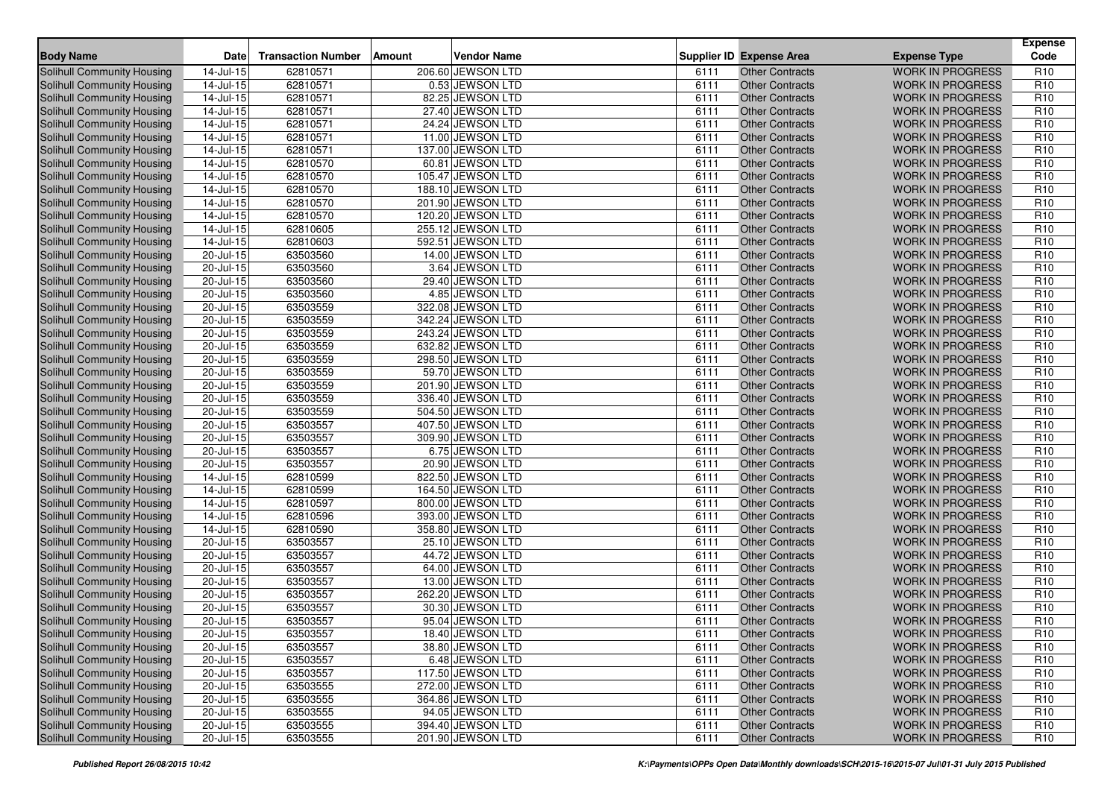| <b>Body Name</b>                  | <b>Date</b>             | <b>Transaction Number</b> | Amount | <b>Vendor Name</b> |      | <b>Supplier ID Expense Area</b> | <b>Expense Type</b>     | <b>Expense</b><br>Code |
|-----------------------------------|-------------------------|---------------------------|--------|--------------------|------|---------------------------------|-------------------------|------------------------|
| Solihull Community Housing        | 14-Jul-15               | 62810571                  |        | 206.60 JEWSON LTD  | 6111 | <b>Other Contracts</b>          | <b>WORK IN PROGRESS</b> | R <sub>10</sub>        |
| <b>Solihull Community Housing</b> | 14-Jul-15               | 62810571                  |        | 0.53 JEWSON LTD    | 6111 | <b>Other Contracts</b>          | <b>WORK IN PROGRESS</b> | R <sub>10</sub>        |
| <b>Solihull Community Housing</b> | 14-Jul-15               | 62810571                  |        | 82.25 JEWSON LTD   | 6111 | <b>Other Contracts</b>          | <b>WORK IN PROGRESS</b> | R <sub>10</sub>        |
| Solihull Community Housing        | $14$ -Jul-15            | 62810571                  |        | 27.40 JEWSON LTD   | 6111 | <b>Other Contracts</b>          | <b>WORK IN PROGRESS</b> | R <sub>10</sub>        |
| Solihull Community Housing        | $14$ -Jul-15            | 62810571                  |        | 24.24 JEWSON LTD   | 6111 | <b>Other Contracts</b>          | <b>WORK IN PROGRESS</b> | R <sub>10</sub>        |
| Solihull Community Housing        | 14-Jul-15               | 62810571                  |        | 11.00 JEWSON LTD   | 6111 | <b>Other Contracts</b>          | <b>WORK IN PROGRESS</b> | R <sub>10</sub>        |
| Solihull Community Housing        | $\overline{14}$ -Jul-15 | 62810571                  |        | 137.00 JEWSON LTD  | 6111 | <b>Other Contracts</b>          | <b>WORK IN PROGRESS</b> | R <sub>10</sub>        |
| <b>Solihull Community Housing</b> | 14-Jul-15               | 62810570                  |        | 60.81 JEWSON LTD   | 6111 | <b>Other Contracts</b>          | <b>WORK IN PROGRESS</b> | R <sub>10</sub>        |
| Solihull Community Housing        | 14-Jul-15               | 62810570                  |        | 105.47 JEWSON LTD  | 6111 | <b>Other Contracts</b>          | <b>WORK IN PROGRESS</b> | R <sub>10</sub>        |
| Solihull Community Housing        | 14-Jul-15               | 62810570                  |        | 188.10 JEWSON LTD  | 6111 | <b>Other Contracts</b>          | <b>WORK IN PROGRESS</b> | R <sub>10</sub>        |
| Solihull Community Housing        | 14-Jul-15               | 62810570                  |        | 201.90 JEWSON LTD  | 6111 | <b>Other Contracts</b>          | <b>WORK IN PROGRESS</b> | R <sub>10</sub>        |
| Solihull Community Housing        | $14$ -Jul-15            | 62810570                  |        | 120.20 JEWSON LTD  | 6111 | <b>Other Contracts</b>          | <b>WORK IN PROGRESS</b> | R <sub>10</sub>        |
| <b>Solihull Community Housing</b> | 14-Jul-15               | 62810605                  |        | 255.12 JEWSON LTD  | 6111 | <b>Other Contracts</b>          | <b>WORK IN PROGRESS</b> | R <sub>10</sub>        |
| <b>Solihull Community Housing</b> | 14-Jul-15               | 62810603                  |        | 592.51 JEWSON LTD  | 6111 | <b>Other Contracts</b>          | <b>WORK IN PROGRESS</b> | R <sub>10</sub>        |
| Solihull Community Housing        | 20-Jul-15               | 63503560                  |        | 14.00 JEWSON LTD   | 6111 | <b>Other Contracts</b>          | <b>WORK IN PROGRESS</b> | R <sub>10</sub>        |
| Solihull Community Housing        | 20-Jul-15               | 63503560                  |        | 3.64 JEWSON LTD    | 6111 | <b>Other Contracts</b>          | <b>WORK IN PROGRESS</b> | R <sub>10</sub>        |
| Solihull Community Housing        | 20-Jul-15               | 63503560                  |        | 29.40 JEWSON LTD   | 6111 | <b>Other Contracts</b>          | <b>WORK IN PROGRESS</b> | R <sub>10</sub>        |
| Solihull Community Housing        | 20-Jul-15               | 63503560                  |        | 4.85 JEWSON LTD    | 6111 | <b>Other Contracts</b>          | <b>WORK IN PROGRESS</b> | R <sub>10</sub>        |
| <b>Solihull Community Housing</b> | 20-Jul-15               | 63503559                  |        | 322.08 JEWSON LTD  | 6111 | <b>Other Contracts</b>          | <b>WORK IN PROGRESS</b> | R <sub>10</sub>        |
| Solihull Community Housing        | 20-Jul-15               | 63503559                  |        | 342.24 JEWSON LTD  | 6111 | <b>Other Contracts</b>          | <b>WORK IN PROGRESS</b> | R <sub>10</sub>        |
| Solihull Community Housing        | 20-Jul-15               | 63503559                  |        | 243.24 JEWSON LTD  | 6111 | <b>Other Contracts</b>          | <b>WORK IN PROGRESS</b> | R <sub>10</sub>        |
| Solihull Community Housing        | 20-Jul-15               | 63503559                  |        | 632.82 JEWSON LTD  | 6111 | <b>Other Contracts</b>          | <b>WORK IN PROGRESS</b> | R <sub>10</sub>        |
| Solihull Community Housing        | 20-Jul-15               | 63503559                  |        | 298.50 JEWSON LTD  | 6111 | <b>Other Contracts</b>          | <b>WORK IN PROGRESS</b> | R <sub>10</sub>        |
| <b>Solihull Community Housing</b> | $\overline{20}$ -Jul-15 | 63503559                  |        | 59.70 JEWSON LTD   | 6111 | <b>Other Contracts</b>          | <b>WORK IN PROGRESS</b> | R <sub>10</sub>        |
| <b>Solihull Community Housing</b> | 20-Jul-15               | 63503559                  |        | 201.90 JEWSON LTD  | 6111 | <b>Other Contracts</b>          | <b>WORK IN PROGRESS</b> | R <sub>10</sub>        |
| Solihull Community Housing        | $20 -$ Jul-15           | 63503559                  |        | 336.40 JEWSON LTD  | 6111 | <b>Other Contracts</b>          | <b>WORK IN PROGRESS</b> | R <sub>10</sub>        |
| <b>Solihull Community Housing</b> | 20-Jul-15               | 63503559                  |        | 504.50 JEWSON LTD  | 6111 | <b>Other Contracts</b>          | <b>WORK IN PROGRESS</b> | R <sub>10</sub>        |
| Solihull Community Housing        | 20-Jul-15               | 63503557                  |        | 407.50 JEWSON LTD  | 6111 | <b>Other Contracts</b>          | <b>WORK IN PROGRESS</b> | R <sub>10</sub>        |
| Solihull Community Housing        | 20-Jul-15               | 63503557                  |        | 309.90 JEWSON LTD  | 6111 | <b>Other Contracts</b>          | <b>WORK IN PROGRESS</b> | R <sub>10</sub>        |
| Solihull Community Housing        | $20 -$ Jul-15           | 63503557                  |        | 6.75 JEWSON LTD    | 6111 | <b>Other Contracts</b>          | <b>WORK IN PROGRESS</b> | R <sub>10</sub>        |
| Solihull Community Housing        | $20 -$ Jul-15           | 63503557                  |        | 20.90 JEWSON LTD   | 6111 | <b>Other Contracts</b>          | <b>WORK IN PROGRESS</b> | R <sub>10</sub>        |
| Solihull Community Housing        | 14-Jul-15               | 62810599                  |        | 822.50 JEWSON LTD  | 6111 | <b>Other Contracts</b>          | <b>WORK IN PROGRESS</b> | R <sub>10</sub>        |
| Solihull Community Housing        | 14-Jul-15               | 62810599                  |        | 164.50 JEWSON LTD  | 6111 | <b>Other Contracts</b>          | <b>WORK IN PROGRESS</b> | R <sub>10</sub>        |
| Solihull Community Housing        | $14$ -Jul-15            | 62810597                  |        | 800.00 JEWSON LTD  | 6111 | <b>Other Contracts</b>          | <b>WORK IN PROGRESS</b> | R <sub>10</sub>        |
| Solihull Community Housing        | $14$ -Jul-15            | 62810596                  |        | 393.00 JEWSON LTD  | 6111 | <b>Other Contracts</b>          | <b>WORK IN PROGRESS</b> | R <sub>10</sub>        |
| <b>Solihull Community Housing</b> | 14-Jul-15               | 62810590                  |        | 358.80 JEWSON LTD  | 6111 | <b>Other Contracts</b>          | <b>WORK IN PROGRESS</b> | R <sub>10</sub>        |
| Solihull Community Housing        | $20 -$ Jul-15           | 63503557                  |        | 25.10 JEWSON LTD   | 6111 | <b>Other Contracts</b>          | <b>WORK IN PROGRESS</b> | R <sub>10</sub>        |
| <b>Solihull Community Housing</b> | 20-Jul-15               | 63503557                  |        | 44.72 JEWSON LTD   | 6111 | <b>Other Contracts</b>          | <b>WORK IN PROGRESS</b> | R <sub>10</sub>        |
| <b>Solihull Community Housing</b> | 20-Jul-15               | 63503557                  |        | 64.00 JEWSON LTD   | 6111 | <b>Other Contracts</b>          | <b>WORK IN PROGRESS</b> | R <sub>10</sub>        |
| Solihull Community Housing        | 20-Jul-15               | 63503557                  |        | 13.00 JEWSON LTD   | 6111 | <b>Other Contracts</b>          | <b>WORK IN PROGRESS</b> | R <sub>10</sub>        |
| Solihull Community Housing        | 20-Jul-15               | 63503557                  |        | 262.20 JEWSON LTD  | 6111 | <b>Other Contracts</b>          | <b>WORK IN PROGRESS</b> | R <sub>10</sub>        |
| Solihull Community Housing        | 20-Jul-15               | 63503557                  |        | 30.30 JEWSON LTD   | 6111 | <b>Other Contracts</b>          | <b>WORK IN PROGRESS</b> | R <sub>10</sub>        |
| Solihull Community Housing        | $\overline{20}$ -Jul-15 | 63503557                  |        | 95.04 JEWSON LTD   | 6111 | <b>Other Contracts</b>          | <b>WORK IN PROGRESS</b> | R <sub>10</sub>        |
| Solihull Community Housing        | $20$ -Jul-15            | 63503557                  |        | 18.40 JEWSON LTD   | 6111 | Other Contracts                 | WORK IN PROGRESS        | R <sub>10</sub>        |
| Solihull Community Housing        | 20-Jul-15               | 63503557                  |        | 38.80 JEWSON LTD   | 6111 | <b>Other Contracts</b>          | <b>WORK IN PROGRESS</b> | R <sub>10</sub>        |
| Solihull Community Housing        | 20-Jul-15               | 63503557                  |        | 6.48 JEWSON LTD    | 6111 | <b>Other Contracts</b>          | <b>WORK IN PROGRESS</b> | R <sub>10</sub>        |
| Solihull Community Housing        | 20-Jul-15               | 63503557                  |        | 117.50 JEWSON LTD  | 6111 | <b>Other Contracts</b>          | <b>WORK IN PROGRESS</b> | R <sub>10</sub>        |
| Solihull Community Housing        | 20-Jul-15               | 63503555                  |        | 272.00 JEWSON LTD  | 6111 | <b>Other Contracts</b>          | <b>WORK IN PROGRESS</b> | R <sub>10</sub>        |
| Solihull Community Housing        | 20-Jul-15               | 63503555                  |        | 364.86 JEWSON LTD  | 6111 | <b>Other Contracts</b>          | <b>WORK IN PROGRESS</b> | R <sub>10</sub>        |
| Solihull Community Housing        | $20 -$ Jul-15           | 63503555                  |        | 94.05 JEWSON LTD   | 6111 | <b>Other Contracts</b>          | <b>WORK IN PROGRESS</b> | R <sub>10</sub>        |
| Solihull Community Housing        | 20-Jul-15               | 63503555                  |        | 394.40 JEWSON LTD  | 6111 | <b>Other Contracts</b>          | <b>WORK IN PROGRESS</b> | R <sub>10</sub>        |
| Solihull Community Housing        | $20$ -Jul-15            | 63503555                  |        | 201.90 JEWSON LTD  | 6111 | <b>Other Contracts</b>          | WORK IN PROGRESS        | R <sub>10</sub>        |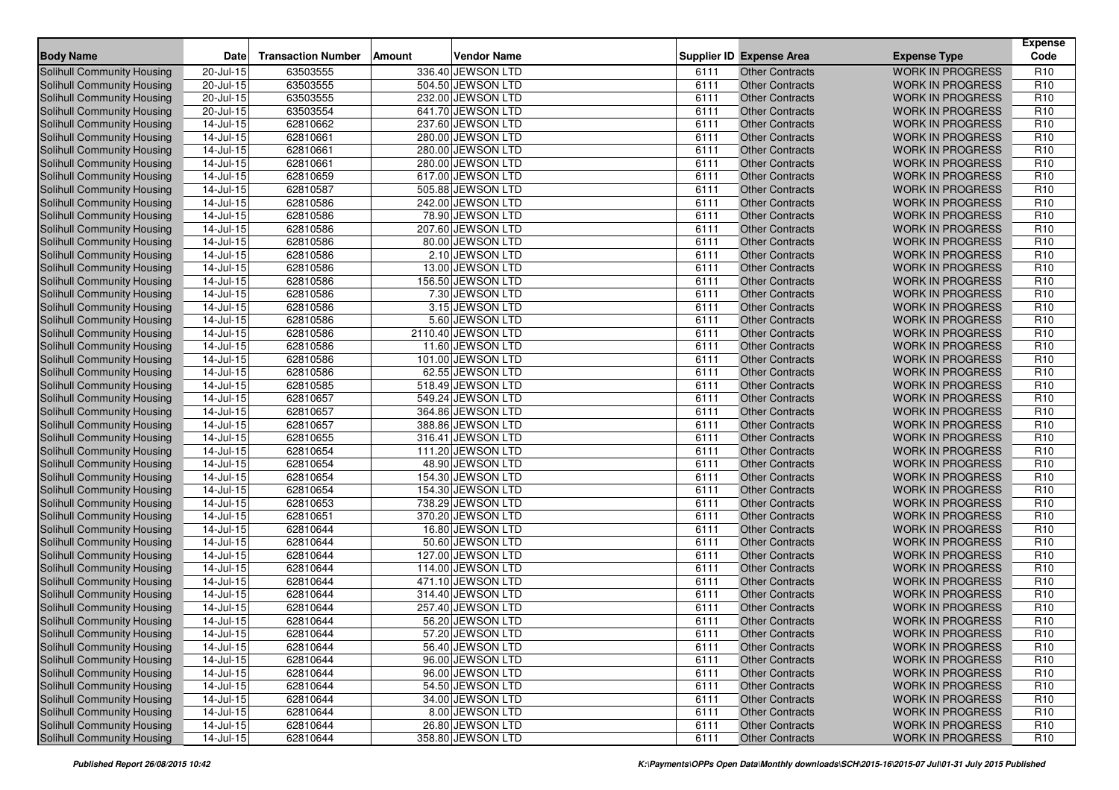| <b>Body Name</b>                  | Date                    | <b>Transaction Number</b> | <b>Amount</b> | <b>Vendor Name</b> |      | <b>Supplier ID Expense Area</b> | <b>Expense Type</b>     | <b>Expense</b><br>Code |
|-----------------------------------|-------------------------|---------------------------|---------------|--------------------|------|---------------------------------|-------------------------|------------------------|
| Solihull Community Housing        | 20-Jul-15               | 63503555                  |               | 336.40 JEWSON LTD  | 6111 | <b>Other Contracts</b>          | <b>WORK IN PROGRESS</b> | R <sub>10</sub>        |
| Solihull Community Housing        | 20-Jul-15               | 63503555                  |               | 504.50 JEWSON LTD  | 6111 | <b>Other Contracts</b>          | <b>WORK IN PROGRESS</b> | R <sub>10</sub>        |
| Solihull Community Housing        | 20-Jul-15               | 63503555                  |               | 232.00 JEWSON LTD  | 6111 | <b>Other Contracts</b>          | <b>WORK IN PROGRESS</b> | R <sub>10</sub>        |
| Solihull Community Housing        | $20 -$ Jul-15           | 63503554                  |               | 641.70 JEWSON LTD  | 6111 | <b>Other Contracts</b>          | <b>WORK IN PROGRESS</b> | R <sub>10</sub>        |
| Solihull Community Housing        | $14$ -Jul-15            | 62810662                  |               | 237.60 JEWSON LTD  | 6111 | <b>Other Contracts</b>          | <b>WORK IN PROGRESS</b> | R <sub>10</sub>        |
| Solihull Community Housing        | 14-Jul-15               | 62810661                  |               | 280.00 JEWSON LTD  | 6111 | <b>Other Contracts</b>          | <b>WORK IN PROGRESS</b> | R <sub>10</sub>        |
| Solihull Community Housing        | 14-Jul-15               | 62810661                  |               | 280.00 JEWSON LTD  | 6111 | <b>Other Contracts</b>          | <b>WORK IN PROGRESS</b> | R <sub>10</sub>        |
| Solihull Community Housing        | 14-Jul-15               | 62810661                  |               | 280.00 JEWSON LTD  | 6111 | <b>Other Contracts</b>          | <b>WORK IN PROGRESS</b> | R <sub>10</sub>        |
| Solihull Community Housing        | 14-Jul-15               | 62810659                  |               | 617.00 JEWSON LTD  | 6111 | <b>Other Contracts</b>          | <b>WORK IN PROGRESS</b> | R <sub>10</sub>        |
| Solihull Community Housing        | 14-Jul-15               | 62810587                  |               | 505.88 JEWSON LTD  | 6111 | <b>Other Contracts</b>          | <b>WORK IN PROGRESS</b> | R <sub>10</sub>        |
| Solihull Community Housing        | 14-Jul-15               | 62810586                  |               | 242.00 JEWSON LTD  | 6111 | <b>Other Contracts</b>          | <b>WORK IN PROGRESS</b> | R <sub>10</sub>        |
| <b>Solihull Community Housing</b> | 14-Jul-15               | 62810586                  |               | 78.90 JEWSON LTD   | 6111 | <b>Other Contracts</b>          | <b>WORK IN PROGRESS</b> | R <sub>10</sub>        |
| Solihull Community Housing        | 14-Jul-15               | 62810586                  |               | 207.60 JEWSON LTD  | 6111 | <b>Other Contracts</b>          | <b>WORK IN PROGRESS</b> | R <sub>10</sub>        |
| <b>Solihull Community Housing</b> | $14$ -Jul-15            | 62810586                  |               | 80.00 JEWSON LTD   | 6111 | <b>Other Contracts</b>          | <b>WORK IN PROGRESS</b> | R <sub>10</sub>        |
| <b>Solihull Community Housing</b> | 14-Jul-15               | 62810586                  |               | 2.10 JEWSON LTD    | 6111 | <b>Other Contracts</b>          | <b>WORK IN PROGRESS</b> | R <sub>10</sub>        |
| Solihull Community Housing        | 14-Jul-15               | 62810586                  |               | 13.00 JEWSON LTD   | 6111 | <b>Other Contracts</b>          | <b>WORK IN PROGRESS</b> | R <sub>10</sub>        |
| Solihull Community Housing        | 14-Jul-15               | 62810586                  |               | 156.50 JEWSON LTD  | 6111 | <b>Other Contracts</b>          | <b>WORK IN PROGRESS</b> | R <sub>10</sub>        |
| Solihull Community Housing        | 14-Jul-15               | 62810586                  |               | 7.30 JEWSON LTD    | 6111 | <b>Other Contracts</b>          | <b>WORK IN PROGRESS</b> | R <sub>10</sub>        |
| Solihull Community Housing        | 14-Jul-15               | 62810586                  |               | 3.15 JEWSON LTD    | 6111 | <b>Other Contracts</b>          | <b>WORK IN PROGRESS</b> | R <sub>10</sub>        |
| Solihull Community Housing        | 14-Jul-15               | 62810586                  |               | 5.60 JEWSON LTD    | 6111 | <b>Other Contracts</b>          | <b>WORK IN PROGRESS</b> | R <sub>10</sub>        |
| Solihull Community Housing        | 14-Jul-15               | 62810586                  |               | 2110.40 JEWSON LTD | 6111 | <b>Other Contracts</b>          | <b>WORK IN PROGRESS</b> | R <sub>10</sub>        |
| Solihull Community Housing        | 14-Jul-15               | 62810586                  |               | 11.60 JEWSON LTD   | 6111 | <b>Other Contracts</b>          | <b>WORK IN PROGRESS</b> | R <sub>10</sub>        |
| Solihull Community Housing        | $14$ -Jul-15            | 62810586                  |               | 101.00 JEWSON LTD  | 6111 | <b>Other Contracts</b>          | <b>WORK IN PROGRESS</b> | R <sub>10</sub>        |
| Solihull Community Housing        | 14-Jul-15               | 62810586                  |               | 62.55 JEWSON LTD   | 6111 | <b>Other Contracts</b>          | <b>WORK IN PROGRESS</b> | R <sub>10</sub>        |
| Solihull Community Housing        | 14-Jul-15               | 62810585                  |               | 518.49 JEWSON LTD  | 6111 | <b>Other Contracts</b>          | <b>WORK IN PROGRESS</b> | R <sub>10</sub>        |
| Solihull Community Housing        | $14$ -Jul-15            | 62810657                  |               | 549.24 JEWSON LTD  | 6111 | <b>Other Contracts</b>          | <b>WORK IN PROGRESS</b> | R <sub>10</sub>        |
| Solihull Community Housing        | $14$ -Jul-15            | 62810657                  |               | 364.86 JEWSON LTD  | 6111 | <b>Other Contracts</b>          | <b>WORK IN PROGRESS</b> | R <sub>10</sub>        |
| Solihull Community Housing        | 14-Jul-15               | 62810657                  |               | 388.86 JEWSON LTD  | 6111 | <b>Other Contracts</b>          | <b>WORK IN PROGRESS</b> | R <sub>10</sub>        |
| Solihull Community Housing        | 14-Jul-15               | 62810655                  |               | 316.41 JEWSON LTD  | 6111 | <b>Other Contracts</b>          | <b>WORK IN PROGRESS</b> | R <sub>10</sub>        |
| Solihull Community Housing        | $14$ -Jul-15            | 62810654                  |               | 111.20 JEWSON LTD  | 6111 | <b>Other Contracts</b>          | <b>WORK IN PROGRESS</b> | R <sub>10</sub>        |
| Solihull Community Housing        | $14$ -Jul-15            | 62810654                  |               | 48.90 JEWSON LTD   | 6111 | <b>Other Contracts</b>          | <b>WORK IN PROGRESS</b> | R <sub>10</sub>        |
| Solihull Community Housing        | 14-Jul-15               | 62810654                  |               | 154.30 JEWSON LTD  | 6111 | <b>Other Contracts</b>          | <b>WORK IN PROGRESS</b> | R <sub>10</sub>        |
| Solihull Community Housing        | 14-Jul-15               | 62810654                  |               | 154.30 JEWSON LTD  | 6111 | <b>Other Contracts</b>          | <b>WORK IN PROGRESS</b> | R <sub>10</sub>        |
| Solihull Community Housing        | $14$ -Jul-15            | 62810653                  |               | 738.29 JEWSON LTD  | 6111 | <b>Other Contracts</b>          | <b>WORK IN PROGRESS</b> | R <sub>10</sub>        |
| Solihull Community Housing        | 14-Jul-15               | 62810651                  |               | 370.20 JEWSON LTD  | 6111 | <b>Other Contracts</b>          | <b>WORK IN PROGRESS</b> | R <sub>10</sub>        |
| Solihull Community Housing        | 14-Jul-15               | 62810644                  |               | 16.80 JEWSON LTD   | 6111 | <b>Other Contracts</b>          | <b>WORK IN PROGRESS</b> | R <sub>10</sub>        |
| <b>Solihull Community Housing</b> | 14-Jul-15               | 62810644                  |               | 50.60 JEWSON LTD   | 6111 | <b>Other Contracts</b>          | <b>WORK IN PROGRESS</b> | R <sub>10</sub>        |
| Solihull Community Housing        | $14$ -Jul-15            | 62810644                  |               | 127.00 JEWSON LTD  | 6111 | <b>Other Contracts</b>          | <b>WORK IN PROGRESS</b> | R <sub>10</sub>        |
| <b>Solihull Community Housing</b> | 14-Jul-15               | 62810644                  |               | 114.00 JEWSON LTD  | 6111 | <b>Other Contracts</b>          | <b>WORK IN PROGRESS</b> | R <sub>10</sub>        |
| <b>Solihull Community Housing</b> | 14-Jul-15               | 62810644                  |               | 471.10 JEWSON LTD  | 6111 | Other Contracts                 | <b>WORK IN PROGRESS</b> | R <sub>10</sub>        |
| Solihull Community Housing        | 14-Jul-15               | 62810644                  |               | 314.40 JEWSON LTD  | 6111 | <b>Other Contracts</b>          | <b>WORK IN PROGRESS</b> | R <sub>10</sub>        |
| Solihull Community Housing        | 14-Jul-15               | 62810644                  |               | 257.40 JEWSON LTD  | 6111 | <b>Other Contracts</b>          | <b>WORK IN PROGRESS</b> | R <sub>10</sub>        |
| Solihull Community Housing        | 14-Jul-15               | 62810644                  |               | 56.20 JEWSON LTD   | 6111 | <b>Other Contracts</b>          | <b>WORK IN PROGRESS</b> | R <sub>10</sub>        |
| Solihull Community Housing        | 14-Jul-15               | 62810644                  |               | 57.20 JEWSON LTD   | 6111 | Other Contracts                 | <b>WORK IN PROGRESS</b> | R <sub>10</sub>        |
| Solihull Community Housing        | 14-Jul-15               | 62810644                  |               | 56.40 JEWSON LTD   | 6111 | <b>Other Contracts</b>          | <b>WORK IN PROGRESS</b> | R <sub>10</sub>        |
| <b>Solihull Community Housing</b> | $14$ -Jul-15            | 62810644                  |               | 96.00 JEWSON LTD   | 6111 | <b>Other Contracts</b>          | <b>WORK IN PROGRESS</b> | R <sub>10</sub>        |
| <b>Solihull Community Housing</b> | 14-Jul-15               | 62810644                  |               | 96.00 JEWSON LTD   | 6111 | <b>Other Contracts</b>          | <b>WORK IN PROGRESS</b> | R <sub>10</sub>        |
| <b>Solihull Community Housing</b> | $14$ -Jul-15            | 62810644                  |               | 54.50 JEWSON LTD   | 6111 | <b>Other Contracts</b>          | <b>WORK IN PROGRESS</b> | R <sub>10</sub>        |
| <b>Solihull Community Housing</b> |                         | 62810644                  |               | 34.00 JEWSON LTD   | 6111 | <b>Other Contracts</b>          | <b>WORK IN PROGRESS</b> | R <sub>10</sub>        |
| Solihull Community Housing        | 14-Jul-15<br>14-Jul-15  | 62810644                  |               | 8.00 JEWSON LTD    | 6111 | <b>Other Contracts</b>          | <b>WORK IN PROGRESS</b> | R <sub>10</sub>        |
| <b>Solihull Community Housing</b> | $\overline{14}$ -Jul-15 | 62810644                  |               | 26.80 JEWSON LTD   | 6111 | <b>Other Contracts</b>          | <b>WORK IN PROGRESS</b> | R <sub>10</sub>        |
|                                   |                         |                           |               | 358.80 JEWSON LTD  |      |                                 |                         |                        |
| Solihull Community Housing        | 14-Jul-15               | 62810644                  |               |                    | 6111 | <b>Other Contracts</b>          | <b>WORK IN PROGRESS</b> | R <sub>10</sub>        |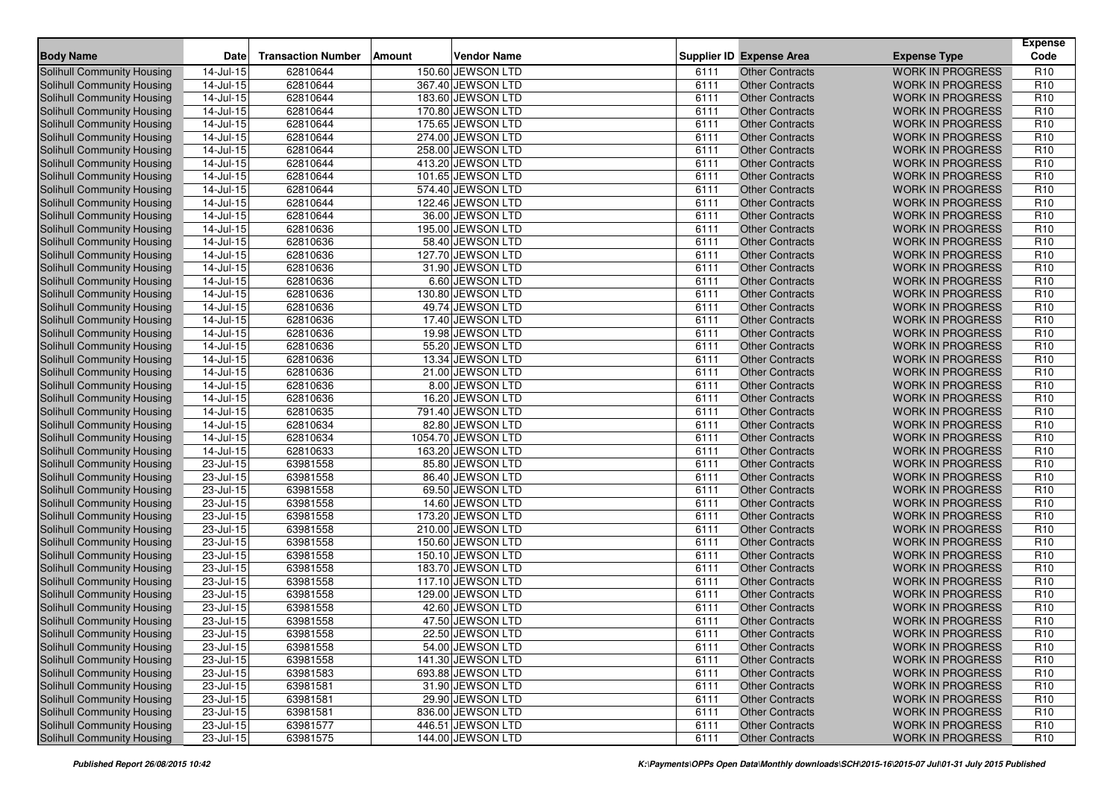| <b>Body Name</b>                  | Date                    | <b>Transaction Number</b> | Amount | <b>Vendor Name</b> |      | <b>Supplier ID Expense Area</b> | <b>Expense Type</b>     | <b>Expense</b><br>Code |
|-----------------------------------|-------------------------|---------------------------|--------|--------------------|------|---------------------------------|-------------------------|------------------------|
| Solihull Community Housing        | 14-Jul-15               | 62810644                  |        | 150.60 JEWSON LTD  | 6111 | <b>Other Contracts</b>          | <b>WORK IN PROGRESS</b> | R <sub>10</sub>        |
| Solihull Community Housing        | 14-Jul-15               | 62810644                  |        | 367.40 JEWSON LTD  | 6111 | <b>Other Contracts</b>          | <b>WORK IN PROGRESS</b> | R <sub>10</sub>        |
| Solihull Community Housing        | 14-Jul-15               | 62810644                  |        | 183.60 JEWSON LTD  | 6111 | <b>Other Contracts</b>          | <b>WORK IN PROGRESS</b> | R <sub>10</sub>        |
| Solihull Community Housing        | $14$ -Jul-15            | 62810644                  |        | 170.80 JEWSON LTD  | 6111 | <b>Other Contracts</b>          | <b>WORK IN PROGRESS</b> | R <sub>10</sub>        |
| Solihull Community Housing        | $14$ -Jul-15            | 62810644                  |        | 175.65 JEWSON LTD  | 6111 | <b>Other Contracts</b>          | <b>WORK IN PROGRESS</b> | R <sub>10</sub>        |
| Solihull Community Housing        | 14-Jul-15               | 62810644                  |        | 274.00 JEWSON LTD  | 6111 | <b>Other Contracts</b>          | <b>WORK IN PROGRESS</b> | R <sub>10</sub>        |
| Solihull Community Housing        | $\overline{14}$ -Jul-15 | 62810644                  |        | 258.00 JEWSON LTD  | 6111 | <b>Other Contracts</b>          | <b>WORK IN PROGRESS</b> | R <sub>10</sub>        |
| Solihull Community Housing        | 14-Jul-15               | 62810644                  |        | 413.20 JEWSON LTD  | 6111 | <b>Other Contracts</b>          | <b>WORK IN PROGRESS</b> | R <sub>10</sub>        |
| Solihull Community Housing        | 14-Jul-15               | 62810644                  |        | 101.65 JEWSON LTD  | 6111 | <b>Other Contracts</b>          | <b>WORK IN PROGRESS</b> | R <sub>10</sub>        |
| Solihull Community Housing        | 14-Jul-15               | 62810644                  |        | 574.40 JEWSON LTD  | 6111 | <b>Other Contracts</b>          | <b>WORK IN PROGRESS</b> | R <sub>10</sub>        |
| Solihull Community Housing        | 14-Jul-15               | 62810644                  |        | 122.46 JEWSON LTD  | 6111 | Other Contracts                 | <b>WORK IN PROGRESS</b> | R <sub>10</sub>        |
| <b>Solihull Community Housing</b> | 14-Jul-15               | 62810644                  |        | 36.00 JEWSON LTD   | 6111 | <b>Other Contracts</b>          | <b>WORK IN PROGRESS</b> | R <sub>10</sub>        |
| Solihull Community Housing        | 14-Jul-15               | 62810636                  |        | 195.00 JEWSON LTD  | 6111 | <b>Other Contracts</b>          | <b>WORK IN PROGRESS</b> | R <sub>10</sub>        |
| <b>Solihull Community Housing</b> | 14-Jul-15               | 62810636                  |        | 58.40 JEWSON LTD   | 6111 | <b>Other Contracts</b>          | <b>WORK IN PROGRESS</b> | R <sub>10</sub>        |
| <b>Solihull Community Housing</b> | 14-Jul-15               | 62810636                  |        | 127.70 JEWSON LTD  | 6111 | <b>Other Contracts</b>          | <b>WORK IN PROGRESS</b> | R <sub>10</sub>        |
| Solihull Community Housing        | 14-Jul-15               | 62810636                  |        | 31.90 JEWSON LTD   | 6111 | <b>Other Contracts</b>          | <b>WORK IN PROGRESS</b> | R <sub>10</sub>        |
| Solihull Community Housing        | 14-Jul-15               | 62810636                  |        | 6.60 JEWSON LTD    | 6111 | <b>Other Contracts</b>          | <b>WORK IN PROGRESS</b> | R <sub>10</sub>        |
| Solihull Community Housing        | 14-Jul-15               | 62810636                  |        | 130.80 JEWSON LTD  | 6111 | <b>Other Contracts</b>          | <b>WORK IN PROGRESS</b> | R <sub>10</sub>        |
| Solihull Community Housing        | 14-Jul-15               | 62810636                  |        | 49.74 JEWSON LTD   | 6111 | <b>Other Contracts</b>          | <b>WORK IN PROGRESS</b> | R <sub>10</sub>        |
| Solihull Community Housing        | $14$ -Jul-15            | 62810636                  |        | 17.40 JEWSON LTD   | 6111 | <b>Other Contracts</b>          | <b>WORK IN PROGRESS</b> | R <sub>10</sub>        |
| Solihull Community Housing        | 14-Jul-15               | 62810636                  |        | 19.98 JEWSON LTD   | 6111 | <b>Other Contracts</b>          | <b>WORK IN PROGRESS</b> | R <sub>10</sub>        |
| Solihull Community Housing        | 14-Jul-15               | 62810636                  |        | 55.20 JEWSON LTD   | 6111 | <b>Other Contracts</b>          | <b>WORK IN PROGRESS</b> | R <sub>10</sub>        |
| Solihull Community Housing        | $14$ -Jul-15            | 62810636                  |        | 13.34 JEWSON LTD   | 6111 | <b>Other Contracts</b>          | <b>WORK IN PROGRESS</b> | R <sub>10</sub>        |
| Solihull Community Housing        | 14-Jul-15               | 62810636                  |        | 21.00 JEWSON LTD   | 6111 | <b>Other Contracts</b>          | <b>WORK IN PROGRESS</b> | R <sub>10</sub>        |
| Solihull Community Housing        | 14-Jul-15               | 62810636                  |        | 8.00 JEWSON LTD    | 6111 | <b>Other Contracts</b>          | <b>WORK IN PROGRESS</b> | R <sub>10</sub>        |
| Solihull Community Housing        | $14$ -Jul-15            | 62810636                  |        | 16.20 JEWSON LTD   | 6111 | <b>Other Contracts</b>          | <b>WORK IN PROGRESS</b> | R <sub>10</sub>        |
| Solihull Community Housing        | $14$ -Jul-15            | 62810635                  |        | 791.40 JEWSON LTD  | 6111 | <b>Other Contracts</b>          | <b>WORK IN PROGRESS</b> | R <sub>10</sub>        |
| Solihull Community Housing        | 14-Jul-15               | 62810634                  |        | 82.80 JEWSON LTD   | 6111 | <b>Other Contracts</b>          | <b>WORK IN PROGRESS</b> | R <sub>10</sub>        |
| Solihull Community Housing        | 14-Jul-15               | 62810634                  |        | 1054.70 JEWSON LTD | 6111 | <b>Other Contracts</b>          | <b>WORK IN PROGRESS</b> | R <sub>10</sub>        |
| Solihull Community Housing        | $14$ -Jul-15            | 62810633                  |        | 163.20 JEWSON LTD  | 6111 | <b>Other Contracts</b>          | <b>WORK IN PROGRESS</b> | R <sub>10</sub>        |
| Solihull Community Housing        | $23 -$ Jul-15           | 63981558                  |        | 85.80 JEWSON LTD   | 6111 | <b>Other Contracts</b>          | <b>WORK IN PROGRESS</b> | R <sub>10</sub>        |
| Solihull Community Housing        | $\overline{23}$ -Jul-15 | 63981558                  |        | 86.40 JEWSON LTD   | 6111 | <b>Other Contracts</b>          | <b>WORK IN PROGRESS</b> | R <sub>10</sub>        |
| <b>Solihull Community Housing</b> | 23-Jul-15               | 63981558                  |        | 69.50 JEWSON LTD   | 6111 | <b>Other Contracts</b>          | <b>WORK IN PROGRESS</b> | R <sub>10</sub>        |
| Solihull Community Housing        | 23-Jul-15               | 63981558                  |        | 14.60 JEWSON LTD   | 6111 | <b>Other Contracts</b>          | <b>WORK IN PROGRESS</b> | R <sub>10</sub>        |
| Solihull Community Housing        | 23-Jul-15               | 63981558                  |        | 173.20 JEWSON LTD  | 6111 | <b>Other Contracts</b>          | <b>WORK IN PROGRESS</b> | R <sub>10</sub>        |
| Solihull Community Housing        | 23-Jul-15               | 63981558                  |        | 210.00 JEWSON LTD  | 6111 | <b>Other Contracts</b>          | <b>WORK IN PROGRESS</b> | R <sub>10</sub>        |
| <b>Solihull Community Housing</b> | $23$ -Jul-15            | 63981558                  |        | 150.60 JEWSON LTD  | 6111 | <b>Other Contracts</b>          | <b>WORK IN PROGRESS</b> | R <sub>10</sub>        |
| Solihull Community Housing        | 23-Jul-15               | 63981558                  |        | 150.10 JEWSON LTD  | 6111 | <b>Other Contracts</b>          | <b>WORK IN PROGRESS</b> | R <sub>10</sub>        |
| <b>Solihull Community Housing</b> | 23-Jul-15               | 63981558                  |        | 183.70 JEWSON LTD  | 6111 | <b>Other Contracts</b>          | <b>WORK IN PROGRESS</b> | R <sub>10</sub>        |
| <b>Solihull Community Housing</b> | 23-Jul-15               | 63981558                  |        | 117.10 JEWSON LTD  | 6111 | <b>Other Contracts</b>          | <b>WORK IN PROGRESS</b> | R <sub>10</sub>        |
| Solihull Community Housing        | 23-Jul-15               | 63981558                  |        | 129.00 JEWSON LTD  | 6111 | <b>Other Contracts</b>          | <b>WORK IN PROGRESS</b> | R <sub>10</sub>        |
| <b>Solihull Community Housing</b> | 23-Jul-15               | 63981558                  |        | 42.60 JEWSON LTD   | 6111 | <b>Other Contracts</b>          | <b>WORK IN PROGRESS</b> | R <sub>10</sub>        |
| Solihull Community Housing        | $\overline{23}$ -Jul-15 | 63981558                  |        | 47.50 JEWSON LTD   | 6111 | <b>Other Contracts</b>          | <b>WORK IN PROGRESS</b> | R <sub>10</sub>        |
| Solihull Community Housing        | 23-Jul-15               | 63981558                  |        | 22.50 JEWSON LTD   | 6111 | Other Contracts                 | WORK IN PROGRESS        | R <sub>10</sub>        |
| Solihull Community Housing        | 23-Jul-15               | 63981558                  |        | 54.00 JEWSON LTD   | 6111 | <b>Other Contracts</b>          | <b>WORK IN PROGRESS</b> | R <sub>10</sub>        |
| <b>Solihull Community Housing</b> | 23-Jul-15               | 63981558                  |        | 141.30 JEWSON LTD  | 6111 | <b>Other Contracts</b>          | <b>WORK IN PROGRESS</b> | R <sub>10</sub>        |
| <b>Solihull Community Housing</b> | 23-Jul-15               | 63981583                  |        | 693.88 JEWSON LTD  | 6111 | <b>Other Contracts</b>          | <b>WORK IN PROGRESS</b> | R <sub>10</sub>        |
| <b>Solihull Community Housing</b> | $23 -$ Jul-15           | 63981581                  |        | 31.90 JEWSON LTD   | 6111 | <b>Other Contracts</b>          | <b>WORK IN PROGRESS</b> | R <sub>10</sub>        |
| <b>Solihull Community Housing</b> | 23-Jul-15               | 63981581                  |        | 29.90 JEWSON LTD   | 6111 | <b>Other Contracts</b>          | <b>WORK IN PROGRESS</b> | R <sub>10</sub>        |
| Solihull Community Housing        | 23-Jul-15               | 63981581                  |        | 836.00 JEWSON LTD  | 6111 | <b>Other Contracts</b>          | <b>WORK IN PROGRESS</b> | R <sub>10</sub>        |
| <b>Solihull Community Housing</b> | $23 -$ Jul-15           | 63981577                  |        | 446.51 JEWSON LTD  | 6111 | <b>Other Contracts</b>          | <b>WORK IN PROGRESS</b> | R <sub>10</sub>        |
| Solihull Community Housing        | $23 -$ Jul-15           | 63981575                  |        | 144.00 JEWSON LTD  | 6111 | <b>Other Contracts</b>          | <b>WORK IN PROGRESS</b> | R <sub>10</sub>        |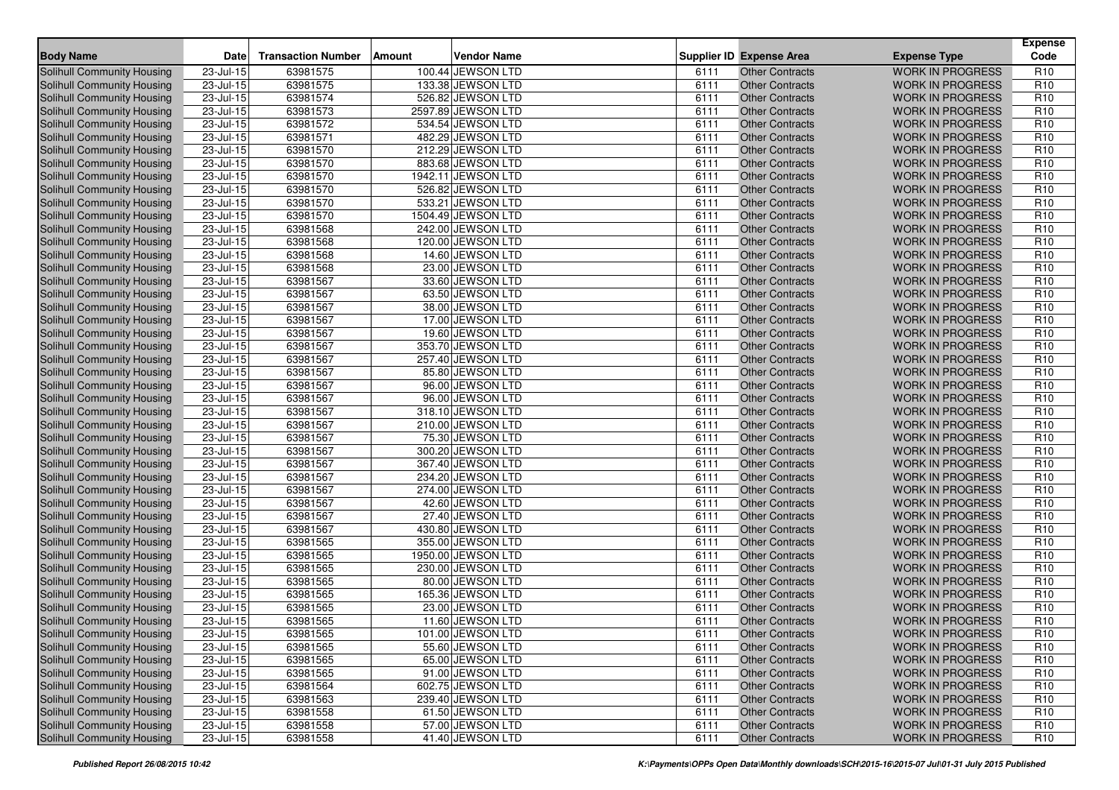| <b>Body Name</b>                                                       | Date                      | <b>Transaction Number</b> | Amount | <b>Vendor Name</b>                    |              | <b>Supplier ID Expense Area</b>                  | <b>Expense Type</b>                                | <b>Expense</b><br>Code             |
|------------------------------------------------------------------------|---------------------------|---------------------------|--------|---------------------------------------|--------------|--------------------------------------------------|----------------------------------------------------|------------------------------------|
| Solihull Community Housing                                             | 23-Jul-15                 | 63981575                  |        | 100.44 JEWSON LTD                     | 6111         | <b>Other Contracts</b>                           | <b>WORK IN PROGRESS</b>                            | R <sub>10</sub>                    |
| Solihull Community Housing                                             | 23-Jul-15                 | 63981575                  |        | 133.38 JEWSON LTD                     | 6111         | <b>Other Contracts</b>                           | <b>WORK IN PROGRESS</b>                            | R <sub>10</sub>                    |
| Solihull Community Housing                                             | 23-Jul-15                 | 63981574                  |        | 526.82 JEWSON LTD                     | 6111         | <b>Other Contracts</b>                           | <b>WORK IN PROGRESS</b>                            | R <sub>10</sub>                    |
| Solihull Community Housing                                             | 23-Jul-15                 | 63981573                  |        | 2597.89 JEWSON LTD                    | 6111         | <b>Other Contracts</b>                           | <b>WORK IN PROGRESS</b>                            | R <sub>10</sub>                    |
| Solihull Community Housing                                             | 23-Jul-15                 | 63981572                  |        | 534.54 JEWSON LTD                     | 6111         | <b>Other Contracts</b>                           | <b>WORK IN PROGRESS</b>                            | R <sub>10</sub>                    |
| Solihull Community Housing                                             | 23-Jul-15                 | 63981571                  |        | 482.29 JEWSON LTD                     | 6111         | <b>Other Contracts</b>                           | <b>WORK IN PROGRESS</b>                            | R <sub>10</sub>                    |
| Solihull Community Housing                                             | 23-Jul-15                 | 63981570                  |        | 212.29 JEWSON LTD                     | 6111         | <b>Other Contracts</b>                           | <b>WORK IN PROGRESS</b>                            | R <sub>10</sub>                    |
| <b>Solihull Community Housing</b>                                      | 23-Jul-15                 | 63981570                  |        | 883.68 JEWSON LTD                     | 6111         | <b>Other Contracts</b>                           | <b>WORK IN PROGRESS</b>                            | R <sub>10</sub>                    |
| Solihull Community Housing                                             | 23-Jul-15                 | 63981570                  |        | 1942.11 JEWSON LTD                    | 6111         | <b>Other Contracts</b>                           | <b>WORK IN PROGRESS</b>                            | R <sub>10</sub>                    |
| <b>Solihull Community Housing</b>                                      | 23-Jul-15                 | 63981570                  |        | 526.82 JEWSON LTD                     | 6111         | <b>Other Contracts</b>                           | <b>WORK IN PROGRESS</b>                            | R <sub>10</sub>                    |
| Solihull Community Housing                                             | 23-Jul-15                 | 63981570                  |        | 533.21 JEWSON LTD                     | 6111         | Other Contracts                                  | <b>WORK IN PROGRESS</b>                            | R <sub>10</sub>                    |
| <b>Solihull Community Housing</b>                                      | 23-Jul-15                 | 63981570                  |        | 1504.49 JEWSON LTD                    | 6111         | <b>Other Contracts</b>                           | <b>WORK IN PROGRESS</b>                            | R <sub>10</sub>                    |
| Solihull Community Housing                                             | 23-Jul-15                 | 63981568                  |        | 242.00 JEWSON LTD                     | 6111         | <b>Other Contracts</b>                           | <b>WORK IN PROGRESS</b>                            | R <sub>10</sub>                    |
| <b>Solihull Community Housing</b>                                      | $23 -$ Jul-15             | 63981568                  |        | 120.00 JEWSON LTD                     | 6111         | <b>Other Contracts</b>                           | <b>WORK IN PROGRESS</b>                            | R <sub>10</sub>                    |
| <b>Solihull Community Housing</b>                                      | 23-Jul-15                 | 63981568                  |        | 14.60 JEWSON LTD                      | 6111         | <b>Other Contracts</b>                           | <b>WORK IN PROGRESS</b>                            | R <sub>10</sub>                    |
| Solihull Community Housing                                             | 23-Jul-15                 | 63981568                  |        | 23.00 JEWSON LTD                      | 6111         | <b>Other Contracts</b>                           | <b>WORK IN PROGRESS</b>                            | R <sub>10</sub>                    |
| Solihull Community Housing                                             | 23-Jul-15                 | 63981567                  |        | 33.60 JEWSON LTD                      | 6111         | <b>Other Contracts</b>                           | <b>WORK IN PROGRESS</b>                            | R <sub>10</sub>                    |
| Solihull Community Housing                                             | 23-Jul-15                 | 63981567                  |        | 63.50 JEWSON LTD                      | 6111         | <b>Other Contracts</b>                           | <b>WORK IN PROGRESS</b>                            | R <sub>10</sub>                    |
| Solihull Community Housing                                             | 23-Jul-15                 | 63981567                  |        | 38.00 JEWSON LTD                      | 6111         | <b>Other Contracts</b>                           | <b>WORK IN PROGRESS</b>                            | R <sub>10</sub>                    |
| Solihull Community Housing                                             | 23-Jul-15                 | 63981567                  |        | 17.00 JEWSON LTD                      | 6111         | <b>Other Contracts</b>                           | <b>WORK IN PROGRESS</b>                            | R <sub>10</sub>                    |
| Solihull Community Housing                                             | 23-Jul-15                 | 63981567                  |        | 19.60 JEWSON LTD                      | 6111         | <b>Other Contracts</b>                           | <b>WORK IN PROGRESS</b>                            | R <sub>10</sub>                    |
| Solihull Community Housing                                             | 23-Jul-15                 | 63981567                  |        | 353.70 JEWSON LTD                     | 6111         | <b>Other Contracts</b>                           | <b>WORK IN PROGRESS</b>                            | R <sub>10</sub>                    |
| Solihull Community Housing                                             | $23$ -Jul-15              | 63981567                  |        | 257.40 JEWSON LTD                     | 6111         | <b>Other Contracts</b>                           | <b>WORK IN PROGRESS</b>                            | R <sub>10</sub>                    |
| Solihull Community Housing                                             | 23-Jul-15                 | 63981567                  |        | 85.80 JEWSON LTD                      | 6111         | <b>Other Contracts</b>                           | <b>WORK IN PROGRESS</b>                            | R <sub>10</sub>                    |
| Solihull Community Housing                                             | 23-Jul-15                 | 63981567                  |        | 96.00 JEWSON LTD                      | 6111         | <b>Other Contracts</b>                           | <b>WORK IN PROGRESS</b>                            | R <sub>10</sub>                    |
| Solihull Community Housing                                             | 23-Jul-15                 | 63981567                  |        | 96.00 JEWSON LTD                      | 6111         | <b>Other Contracts</b>                           | <b>WORK IN PROGRESS</b>                            | R <sub>10</sub>                    |
| Solihull Community Housing                                             | 23-Jul-15                 | 63981567                  |        | 318.10 JEWSON LTD                     | 6111         | <b>Other Contracts</b>                           | <b>WORK IN PROGRESS</b>                            | R <sub>10</sub>                    |
| Solihull Community Housing                                             | 23-Jul-15                 | 63981567                  |        | 210.00 JEWSON LTD                     | 6111         | <b>Other Contracts</b>                           | <b>WORK IN PROGRESS</b>                            | R <sub>10</sub>                    |
| Solihull Community Housing                                             | 23-Jul-15                 | 63981567                  |        | 75.30 JEWSON LTD                      | 6111         | <b>Other Contracts</b>                           | <b>WORK IN PROGRESS</b>                            | R <sub>10</sub>                    |
| Solihull Community Housing                                             | 23-Jul-15                 | 63981567                  |        | 300.20 JEWSON LTD                     | 6111         | <b>Other Contracts</b>                           | <b>WORK IN PROGRESS</b>                            | R <sub>10</sub>                    |
| Solihull Community Housing                                             | 23-Jul-15                 | 63981567                  |        | 367.40 JEWSON LTD                     | 6111         | <b>Other Contracts</b>                           | <b>WORK IN PROGRESS</b>                            | R <sub>10</sub>                    |
| Solihull Community Housing                                             | 23-Jul-15                 | 63981567                  |        | 234.20 JEWSON LTD                     | 6111         | <b>Other Contracts</b>                           | <b>WORK IN PROGRESS</b>                            | R <sub>10</sub>                    |
| Solihull Community Housing                                             | 23-Jul-15                 | 63981567                  |        | 274.00 JEWSON LTD                     | 6111         | <b>Other Contracts</b>                           | <b>WORK IN PROGRESS</b>                            | R <sub>10</sub>                    |
| <b>Solihull Community Housing</b>                                      | 23-Jul-15                 | 63981567                  |        | 42.60 JEWSON LTD                      | 6111         | <b>Other Contracts</b>                           | <b>WORK IN PROGRESS</b>                            | R <sub>10</sub>                    |
| Solihull Community Housing                                             | 23-Jul-15                 | 63981567                  |        | 27.40 JEWSON LTD                      | 6111         | <b>Other Contracts</b>                           | <b>WORK IN PROGRESS</b>                            | R <sub>10</sub>                    |
| Solihull Community Housing                                             | 23-Jul-15                 | 63981567                  |        | 430.80 JEWSON LTD                     | 6111         | <b>Other Contracts</b>                           | <b>WORK IN PROGRESS</b>                            | R <sub>10</sub>                    |
| <b>Solihull Community Housing</b>                                      | $23$ -Jul-15              | 63981565                  |        | 355.00 JEWSON LTD                     | 6111         | <b>Other Contracts</b>                           | <b>WORK IN PROGRESS</b>                            | R <sub>10</sub>                    |
| Solihull Community Housing                                             | 23-Jul-15                 | 63981565                  |        | 1950.00 JEWSON LTD                    | 6111         | <b>Other Contracts</b>                           | <b>WORK IN PROGRESS</b>                            | R <sub>10</sub>                    |
| <b>Solihull Community Housing</b>                                      | 23-Jul-15                 | 63981565                  |        | 230.00 JEWSON LTD                     | 6111         | <b>Other Contracts</b>                           | <b>WORK IN PROGRESS</b>                            | R <sub>10</sub>                    |
| <b>Solihull Community Housing</b>                                      | 23-Jul-15                 | 63981565                  |        | 80.00 JEWSON LTD                      | 6111         | <b>Other Contracts</b>                           | <b>WORK IN PROGRESS</b>                            | R <sub>10</sub>                    |
| Solihull Community Housing                                             | 23-Jul-15                 | 63981565                  |        | 165.36 JEWSON LTD                     | 6111         | <b>Other Contracts</b>                           | <b>WORK IN PROGRESS</b>                            | R <sub>10</sub>                    |
| <b>Solihull Community Housing</b>                                      | 23-Jul-15                 | 63981565                  |        | 23.00 JEWSON LTD                      | 6111         | <b>Other Contracts</b>                           | <b>WORK IN PROGRESS</b>                            | R <sub>10</sub>                    |
| Solihull Community Housing                                             | $\overline{23}$ -Jul-15   | 63981565                  |        | 11.60 JEWSON LTD                      | 6111         | <b>Other Contracts</b>                           | <b>WORK IN PROGRESS</b>                            | R <sub>10</sub>                    |
| Solihull Community Housing                                             | 23-Jul-15                 | 63981565                  |        | 101.00 JEWSON LTD                     | 6111         | Other Contracts                                  | WORK IN PROGRESS                                   | R <sub>10</sub>                    |
| Solihull Community Housing                                             | 23-Jul-15                 | 63981565                  |        | 55.60 JEWSON LTD                      | 6111         | <b>Other Contracts</b>                           | <b>WORK IN PROGRESS</b>                            | R <sub>10</sub>                    |
| <b>Solihull Community Housing</b>                                      | 23-Jul-15                 | 63981565                  |        | 65.00 JEWSON LTD                      | 6111         | <b>Other Contracts</b>                           | <b>WORK IN PROGRESS</b>                            | R <sub>10</sub>                    |
| <b>Solihull Community Housing</b>                                      | 23-Jul-15<br>$23$ -Jul-15 | 63981565                  |        | 91.00 JEWSON LTD<br>602.75 JEWSON LTD | 6111         | <b>Other Contracts</b>                           | <b>WORK IN PROGRESS</b>                            | R <sub>10</sub>                    |
| <b>Solihull Community Housing</b><br><b>Solihull Community Housing</b> |                           | 63981564                  |        | 239.40 JEWSON LTD                     | 6111<br>6111 | <b>Other Contracts</b><br><b>Other Contracts</b> | <b>WORK IN PROGRESS</b><br><b>WORK IN PROGRESS</b> | R <sub>10</sub><br>R <sub>10</sub> |
| Solihull Community Housing                                             | 23-Jul-15<br>23-Jul-15    | 63981563<br>63981558      |        | 61.50 JEWSON LTD                      | 6111         | <b>Other Contracts</b>                           | <b>WORK IN PROGRESS</b>                            | R <sub>10</sub>                    |
| <b>Solihull Community Housing</b>                                      | $23 -$ Jul-15             | 63981558                  |        | 57.00 JEWSON LTD                      | 6111         | <b>Other Contracts</b>                           | <b>WORK IN PROGRESS</b>                            | R <sub>10</sub>                    |
| Solihull Community Housing                                             |                           |                           |        | 41.40 JEWSON LTD                      | 6111         |                                                  | <b>WORK IN PROGRESS</b>                            | R <sub>10</sub>                    |
|                                                                        | $23 -$ Jul-15             | 63981558                  |        |                                       |              | <b>Other Contracts</b>                           |                                                    |                                    |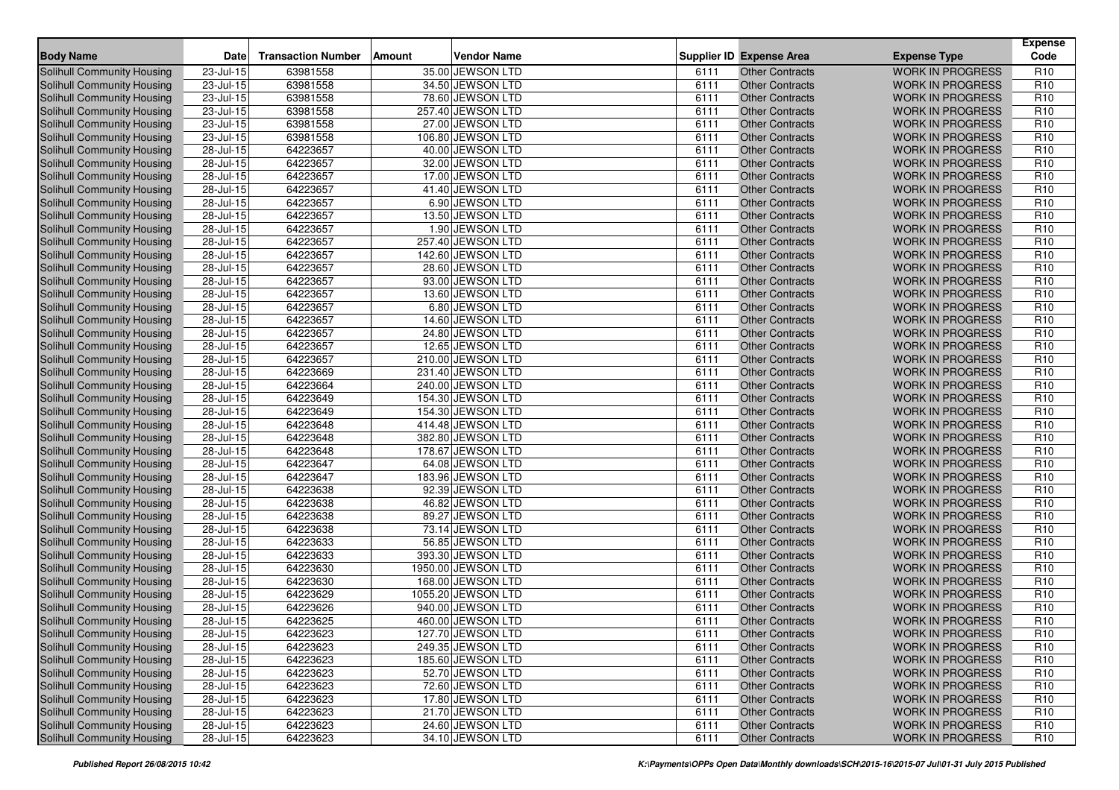| <b>Body Name</b>                  | <b>Date</b>   | <b>Transaction Number</b> | <b>Amount</b> | <b>Vendor Name</b> |      | <b>Supplier ID Expense Area</b> | <b>Expense Type</b>     | <b>Expense</b><br>Code |
|-----------------------------------|---------------|---------------------------|---------------|--------------------|------|---------------------------------|-------------------------|------------------------|
| Solihull Community Housing        | 23-Jul-15     | 63981558                  |               | 35.00 JEWSON LTD   | 6111 | <b>Other Contracts</b>          | <b>WORK IN PROGRESS</b> | R <sub>10</sub>        |
| Solihull Community Housing        | 23-Jul-15     | 63981558                  |               | 34.50 JEWSON LTD   | 6111 | <b>Other Contracts</b>          | <b>WORK IN PROGRESS</b> | R <sub>10</sub>        |
| Solihull Community Housing        | 23-Jul-15     | 63981558                  |               | 78.60 JEWSON LTD   | 6111 | <b>Other Contracts</b>          | <b>WORK IN PROGRESS</b> | R <sub>10</sub>        |
| <b>Solihull Community Housing</b> | 23-Jul-15     | 63981558                  |               | 257.40 JEWSON LTD  | 6111 | <b>Other Contracts</b>          | <b>WORK IN PROGRESS</b> | R <sub>10</sub>        |
| Solihull Community Housing        | $23$ -Jul-15  | 63981558                  |               | 27.00 JEWSON LTD   | 6111 | <b>Other Contracts</b>          | <b>WORK IN PROGRESS</b> | R <sub>10</sub>        |
| Solihull Community Housing        | $23 -$ Jul-15 | 63981558                  |               | 106.80 JEWSON LTD  | 6111 | <b>Other Contracts</b>          | <b>WORK IN PROGRESS</b> | R <sub>10</sub>        |
| Solihull Community Housing        | 28-Jul-15     | 64223657                  |               | 40.00 JEWSON LTD   | 6111 | <b>Other Contracts</b>          | <b>WORK IN PROGRESS</b> | R <sub>10</sub>        |
| Solihull Community Housing        | 28-Jul-15     | 64223657                  |               | 32.00 JEWSON LTD   | 6111 | <b>Other Contracts</b>          | <b>WORK IN PROGRESS</b> | R <sub>10</sub>        |
| Solihull Community Housing        | $28 -$ Jul-15 | 64223657                  |               | 17.00 JEWSON LTD   | 6111 | <b>Other Contracts</b>          | <b>WORK IN PROGRESS</b> | R <sub>10</sub>        |
| <b>Solihull Community Housing</b> | 28-Jul-15     | 64223657                  |               | 41.40 JEWSON LTD   | 6111 | <b>Other Contracts</b>          | <b>WORK IN PROGRESS</b> | R <sub>10</sub>        |
| <b>Solihull Community Housing</b> | 28-Jul-15     | 64223657                  |               | 6.90 JEWSON LTD    | 6111 | <b>Other Contracts</b>          | <b>WORK IN PROGRESS</b> | R <sub>10</sub>        |
| <b>Solihull Community Housing</b> | $28$ -Jul-15  | 64223657                  |               | 13.50 JEWSON LTD   | 6111 | <b>Other Contracts</b>          | <b>WORK IN PROGRESS</b> | R <sub>10</sub>        |
| Solihull Community Housing        | 28-Jul-15     | 64223657                  |               | 1.90 JEWSON LTD    | 6111 | <b>Other Contracts</b>          | <b>WORK IN PROGRESS</b> | R <sub>10</sub>        |
| Solihull Community Housing        | 28-Jul-15     | 64223657                  |               | 257.40 JEWSON LTD  | 6111 | <b>Other Contracts</b>          | <b>WORK IN PROGRESS</b> | R <sub>10</sub>        |
| <b>Solihull Community Housing</b> | 28-Jul-15     | 64223657                  |               | 142.60 JEWSON LTD  | 6111 | <b>Other Contracts</b>          | <b>WORK IN PROGRESS</b> | R <sub>10</sub>        |
| Solihull Community Housing        | 28-Jul-15     | 64223657                  |               | 28.60 JEWSON LTD   | 6111 | <b>Other Contracts</b>          | <b>WORK IN PROGRESS</b> | R <sub>10</sub>        |
| Solihull Community Housing        | 28-Jul-15     | 64223657                  |               | 93.00 JEWSON LTD   | 6111 | <b>Other Contracts</b>          | <b>WORK IN PROGRESS</b> | R <sub>10</sub>        |
| <b>Solihull Community Housing</b> | $28$ -Jul-15  | 64223657                  |               | 13.60 JEWSON LTD   | 6111 | <b>Other Contracts</b>          | <b>WORK IN PROGRESS</b> | R <sub>10</sub>        |
| Solihull Community Housing        | 28-Jul-15     | 64223657                  |               | 6.80 JEWSON LTD    | 6111 | <b>Other Contracts</b>          | <b>WORK IN PROGRESS</b> | R <sub>10</sub>        |
| Solihull Community Housing        | 28-Jul-15     | 64223657                  |               | 14.60 JEWSON LTD   | 6111 | <b>Other Contracts</b>          | <b>WORK IN PROGRESS</b> | R <sub>10</sub>        |
| Solihull Community Housing        | $28$ -Jul-15  | 64223657                  |               | 24.80 JEWSON LTD   | 6111 | <b>Other Contracts</b>          | <b>WORK IN PROGRESS</b> | R <sub>10</sub>        |
| Solihull Community Housing        | 28-Jul-15     | 64223657                  |               | 12.65 JEWSON LTD   | 6111 | <b>Other Contracts</b>          | <b>WORK IN PROGRESS</b> | R <sub>10</sub>        |
| Solihull Community Housing        | 28-Jul-15     | 64223657                  |               | 210.00 JEWSON LTD  | 6111 | <b>Other Contracts</b>          | <b>WORK IN PROGRESS</b> | R <sub>10</sub>        |
| Solihull Community Housing        | 28-Jul-15     | 64223669                  |               | 231.40 JEWSON LTD  | 6111 | <b>Other Contracts</b>          | <b>WORK IN PROGRESS</b> | R <sub>10</sub>        |
| Solihull Community Housing        | 28-Jul-15     | 64223664                  |               | 240.00 JEWSON LTD  | 6111 | <b>Other Contracts</b>          | <b>WORK IN PROGRESS</b> | R <sub>10</sub>        |
| <b>Solihull Community Housing</b> | 28-Jul-15     | 64223649                  |               | 154.30 JEWSON LTD  | 6111 | <b>Other Contracts</b>          | <b>WORK IN PROGRESS</b> | R <sub>10</sub>        |
| Solihull Community Housing        | 28-Jul-15     | 64223649                  |               | 154.30 JEWSON LTD  | 6111 | <b>Other Contracts</b>          | <b>WORK IN PROGRESS</b> | R <sub>10</sub>        |
| Solihull Community Housing        | 28-Jul-15     | 64223648                  |               | 414.48 JEWSON LTD  | 6111 | <b>Other Contracts</b>          | <b>WORK IN PROGRESS</b> | R <sub>10</sub>        |
| <b>Solihull Community Housing</b> | 28-Jul-15     | 64223648                  |               | 382.80 JEWSON LTD  | 6111 | Other Contracts                 | <b>WORK IN PROGRESS</b> | R <sub>10</sub>        |
| Solihull Community Housing        | 28-Jul-15     | 64223648                  |               | 178.67 JEWSON LTD  | 6111 | <b>Other Contracts</b>          | <b>WORK IN PROGRESS</b> | R <sub>10</sub>        |
| Solihull Community Housing        | 28-Jul-15     | 64223647                  |               | 64.08 JEWSON LTD   | 6111 | <b>Other Contracts</b>          | <b>WORK IN PROGRESS</b> | R <sub>10</sub>        |
| <b>Solihull Community Housing</b> | 28-Jul-15     | 64223647                  |               | 183.96 JEWSON LTD  | 6111 | <b>Other Contracts</b>          | <b>WORK IN PROGRESS</b> | R <sub>10</sub>        |
| Solihull Community Housing        | 28-Jul-15     | 64223638                  |               | 92.39 JEWSON LTD   | 6111 | <b>Other Contracts</b>          | <b>WORK IN PROGRESS</b> | R <sub>10</sub>        |
| Solihull Community Housing        | 28-Jul-15     | 64223638                  |               | 46.82 JEWSON LTD   | 6111 | <b>Other Contracts</b>          | <b>WORK IN PROGRESS</b> | R <sub>10</sub>        |
| Solihull Community Housing        | 28-Jul-15     | 64223638                  |               | 89.27 JEWSON LTD   | 6111 | <b>Other Contracts</b>          | <b>WORK IN PROGRESS</b> | R <sub>10</sub>        |
| Solihull Community Housing        | 28-Jul-15     | 64223638                  |               | 73.14 JEWSON LTD   | 6111 | <b>Other Contracts</b>          | <b>WORK IN PROGRESS</b> | R <sub>10</sub>        |
| <b>Solihull Community Housing</b> | $28$ -Jul-15  | 64223633                  |               | 56.85 JEWSON LTD   | 6111 | <b>Other Contracts</b>          | <b>WORK IN PROGRESS</b> | R <sub>10</sub>        |
| Solihull Community Housing        | $28 -$ Jul-15 | 64223633                  |               | 393.30 JEWSON LTD  | 6111 | <b>Other Contracts</b>          | <b>WORK IN PROGRESS</b> | R <sub>10</sub>        |
| <b>Solihull Community Housing</b> | 28-Jul-15     | 64223630                  |               | 1950.00 JEWSON LTD | 6111 | <b>Other Contracts</b>          | <b>WORK IN PROGRESS</b> | R <sub>10</sub>        |
| <b>Solihull Community Housing</b> | 28-Jul-15     | 64223630                  |               | 168.00 JEWSON LTD  | 6111 | <b>Other Contracts</b>          | <b>WORK IN PROGRESS</b> | R <sub>10</sub>        |
| Solihull Community Housing        | 28-Jul-15     | 64223629                  |               | 1055.20 JEWSON LTD | 6111 | <b>Other Contracts</b>          | <b>WORK IN PROGRESS</b> | R <sub>10</sub>        |
| Solihull Community Housing        | 28-Jul-15     | 64223626                  |               | 940.00 JEWSON LTD  | 6111 | <b>Other Contracts</b>          | <b>WORK IN PROGRESS</b> | R <sub>10</sub>        |
| Solihull Community Housing        | 28-Jul-15     | 64223625                  |               | 460.00 JEWSON LTD  | 6111 | <b>Other Contracts</b>          | <b>WORK IN PROGRESS</b> | R <sub>10</sub>        |
| Solihull Community Housing        | 28-Jul-15     | 64223623                  |               | 127.70 JEWSON LTD  | 6111 | <b>Other Contracts</b>          | <b>WORK IN PROGRESS</b> | R <sub>10</sub>        |
| <b>Solihull Community Housing</b> | 28-Jul-15     | 64223623                  |               | 249.35 JEWSON LTD  | 6111 | <b>Other Contracts</b>          | <b>WORK IN PROGRESS</b> | R <sub>10</sub>        |
| <b>Solihull Community Housing</b> | 28-Jul-15     | 64223623                  |               | 185.60 JEWSON LTD  | 6111 | <b>Other Contracts</b>          | <b>WORK IN PROGRESS</b> | R <sub>10</sub>        |
| <b>Solihull Community Housing</b> | 28-Jul-15     | 64223623                  |               | 52.70 JEWSON LTD   | 6111 | <b>Other Contracts</b>          | <b>WORK IN PROGRESS</b> | R <sub>10</sub>        |
| <b>Solihull Community Housing</b> | 28-Jul-15     | 64223623                  |               | 72.60 JEWSON LTD   | 6111 | <b>Other Contracts</b>          | <b>WORK IN PROGRESS</b> | R <sub>10</sub>        |
| <b>Solihull Community Housing</b> | 28-Jul-15     | 64223623                  |               | 17.80 JEWSON LTD   | 6111 | <b>Other Contracts</b>          | <b>WORK IN PROGRESS</b> | R <sub>10</sub>        |
| <b>Solihull Community Housing</b> | 28-Jul-15     | 64223623                  |               | 21.70 JEWSON LTD   | 6111 | <b>Other Contracts</b>          | <b>WORK IN PROGRESS</b> | R <sub>10</sub>        |
| <b>Solihull Community Housing</b> | $28$ -Jul-15  | 64223623                  |               | 24.60 JEWSON LTD   | 6111 | <b>Other Contracts</b>          | <b>WORK IN PROGRESS</b> | R <sub>10</sub>        |
| Solihull Community Housing        | 28-Jul-15     | 64223623                  |               | 34.10 JEWSON LTD   | 6111 | <b>Other Contracts</b>          | <b>WORK IN PROGRESS</b> | R <sub>10</sub>        |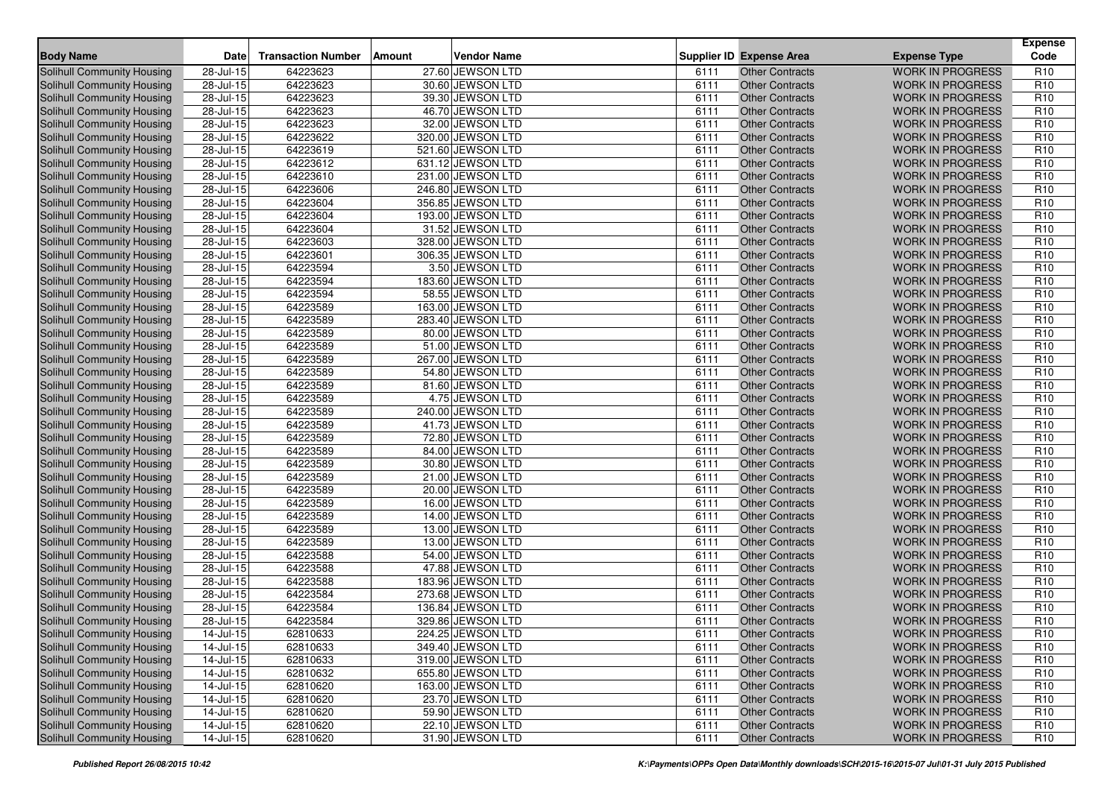| <b>Body Name</b>                  | Date                    | <b>Transaction Number</b> | <b>Amount</b> | <b>Vendor Name</b> |      | <b>Supplier ID Expense Area</b> | <b>Expense Type</b>     | <b>Expense</b><br>Code |
|-----------------------------------|-------------------------|---------------------------|---------------|--------------------|------|---------------------------------|-------------------------|------------------------|
| Solihull Community Housing        | 28-Jul-15               | 64223623                  |               | 27.60 JEWSON LTD   | 6111 | <b>Other Contracts</b>          | <b>WORK IN PROGRESS</b> | R <sub>10</sub>        |
| Solihull Community Housing        | 28-Jul-15               | 64223623                  |               | 30.60 JEWSON LTD   | 6111 | <b>Other Contracts</b>          | <b>WORK IN PROGRESS</b> | R <sub>10</sub>        |
| Solihull Community Housing        | 28-Jul-15               | 64223623                  |               | 39.30 JEWSON LTD   | 6111 | <b>Other Contracts</b>          | <b>WORK IN PROGRESS</b> | R <sub>10</sub>        |
| Solihull Community Housing        | $28$ -Jul-15            | 64223623                  |               | 46.70 JEWSON LTD   | 6111 | <b>Other Contracts</b>          | <b>WORK IN PROGRESS</b> | R <sub>10</sub>        |
| Solihull Community Housing        | 28-Jul-15               | 64223623                  |               | 32.00 JEWSON LTD   | 6111 | <b>Other Contracts</b>          | <b>WORK IN PROGRESS</b> | R <sub>10</sub>        |
| Solihull Community Housing        | 28-Jul-15               | 64223622                  |               | 320.00 JEWSON LTD  | 6111 | <b>Other Contracts</b>          | <b>WORK IN PROGRESS</b> | R <sub>10</sub>        |
| Solihull Community Housing        | 28-Jul-15               | 64223619                  |               | 521.60 JEWSON LTD  | 6111 | <b>Other Contracts</b>          | <b>WORK IN PROGRESS</b> | R <sub>10</sub>        |
| Solihull Community Housing        | 28-Jul-15               | 64223612                  |               | 631.12 JEWSON LTD  | 6111 | <b>Other Contracts</b>          | <b>WORK IN PROGRESS</b> | R <sub>10</sub>        |
| Solihull Community Housing        | 28-Jul-15               | 64223610                  |               | 231.00 JEWSON LTD  | 6111 | <b>Other Contracts</b>          | <b>WORK IN PROGRESS</b> | R <sub>10</sub>        |
| <b>Solihull Community Housing</b> | 28-Jul-15               | 64223606                  |               | 246.80 JEWSON LTD  | 6111 | <b>Other Contracts</b>          | <b>WORK IN PROGRESS</b> | R <sub>10</sub>        |
| Solihull Community Housing        | 28-Jul-15               | 64223604                  |               | 356.85 JEWSON LTD  | 6111 | <b>Other Contracts</b>          | <b>WORK IN PROGRESS</b> | R <sub>10</sub>        |
| <b>Solihull Community Housing</b> | 28-Jul-15               | 64223604                  |               | 193.00 JEWSON LTD  | 6111 | <b>Other Contracts</b>          | <b>WORK IN PROGRESS</b> | R <sub>10</sub>        |
| Solihull Community Housing        | 28-Jul-15               | 64223604                  |               | 31.52 JEWSON LTD   | 6111 | <b>Other Contracts</b>          | <b>WORK IN PROGRESS</b> | R <sub>10</sub>        |
| <b>Solihull Community Housing</b> | 28-Jul-15               | 64223603                  |               | 328.00 JEWSON LTD  | 6111 | <b>Other Contracts</b>          | <b>WORK IN PROGRESS</b> | R <sub>10</sub>        |
| <b>Solihull Community Housing</b> | 28-Jul-15               | 64223601                  |               | 306.35 JEWSON LTD  | 6111 | <b>Other Contracts</b>          | <b>WORK IN PROGRESS</b> | R <sub>10</sub>        |
| Solihull Community Housing        | 28-Jul-15               | 64223594                  |               | 3.50 JEWSON LTD    | 6111 | <b>Other Contracts</b>          | <b>WORK IN PROGRESS</b> | R <sub>10</sub>        |
| Solihull Community Housing        | 28-Jul-15               | 64223594                  |               | 183.60 JEWSON LTD  | 6111 | <b>Other Contracts</b>          | <b>WORK IN PROGRESS</b> | R <sub>10</sub>        |
| Solihull Community Housing        | $28 -$ Jul-15           | 64223594                  |               | 58.55 JEWSON LTD   | 6111 | <b>Other Contracts</b>          | <b>WORK IN PROGRESS</b> | R <sub>10</sub>        |
| Solihull Community Housing        | 28-Jul-15               | 64223589                  |               | 163.00 JEWSON LTD  | 6111 | <b>Other Contracts</b>          | <b>WORK IN PROGRESS</b> | R <sub>10</sub>        |
| Solihull Community Housing        | 28-Jul-15               | 64223589                  |               | 283.40 JEWSON LTD  | 6111 | <b>Other Contracts</b>          | <b>WORK IN PROGRESS</b> | R <sub>10</sub>        |
| Solihull Community Housing        | 28-Jul-15               | 64223589                  |               | 80.00 JEWSON LTD   | 6111 | <b>Other Contracts</b>          | <b>WORK IN PROGRESS</b> | R <sub>10</sub>        |
| Solihull Community Housing        | 28-Jul-15               | 64223589                  |               | 51.00 JEWSON LTD   | 6111 | <b>Other Contracts</b>          | <b>WORK IN PROGRESS</b> | R <sub>10</sub>        |
| Solihull Community Housing        | $28$ -Jul-15            | 64223589                  |               | 267.00 JEWSON LTD  | 6111 | <b>Other Contracts</b>          | <b>WORK IN PROGRESS</b> | R <sub>10</sub>        |
| Solihull Community Housing        | $28 -$ Jul-15           | 64223589                  |               | 54.80 JEWSON LTD   | 6111 | <b>Other Contracts</b>          | <b>WORK IN PROGRESS</b> | R <sub>10</sub>        |
| Solihull Community Housing        | 28-Jul-15               | 64223589                  |               | 81.60 JEWSON LTD   | 6111 | <b>Other Contracts</b>          | <b>WORK IN PROGRESS</b> | R <sub>10</sub>        |
| Solihull Community Housing        | 28-Jul-15               | 64223589                  |               | 4.75 JEWSON LTD    | 6111 | <b>Other Contracts</b>          | <b>WORK IN PROGRESS</b> | R <sub>10</sub>        |
| Solihull Community Housing        | 28-Jul-15               | 64223589                  |               | 240.00 JEWSON LTD  | 6111 | <b>Other Contracts</b>          | <b>WORK IN PROGRESS</b> | R <sub>10</sub>        |
| Solihull Community Housing        | 28-Jul-15               | 64223589                  |               | 41.73 JEWSON LTD   | 6111 | <b>Other Contracts</b>          | <b>WORK IN PROGRESS</b> | R <sub>10</sub>        |
| Solihull Community Housing        | 28-Jul-15               | 64223589                  |               | 72.80 JEWSON LTD   | 6111 | <b>Other Contracts</b>          | <b>WORK IN PROGRESS</b> | R <sub>10</sub>        |
| Solihull Community Housing        | 28-Jul-15               | 64223589                  |               | 84.00 JEWSON LTD   | 6111 | <b>Other Contracts</b>          | <b>WORK IN PROGRESS</b> | R <sub>10</sub>        |
| Solihull Community Housing        | 28-Jul-15               | 64223589                  |               | 30.80 JEWSON LTD   | 6111 | <b>Other Contracts</b>          | <b>WORK IN PROGRESS</b> | R <sub>10</sub>        |
| Solihull Community Housing        | $28$ -Jul-15            | 64223589                  |               | 21.00 JEWSON LTD   | 6111 | <b>Other Contracts</b>          | <b>WORK IN PROGRESS</b> | R <sub>10</sub>        |
| <b>Solihull Community Housing</b> | 28-Jul-15               | 64223589                  |               | 20.00 JEWSON LTD   | 6111 | <b>Other Contracts</b>          | <b>WORK IN PROGRESS</b> | R <sub>10</sub>        |
| Solihull Community Housing        | 28-Jul-15               | 64223589                  |               | 16.00 JEWSON LTD   | 6111 | <b>Other Contracts</b>          | <b>WORK IN PROGRESS</b> | R <sub>10</sub>        |
| Solihull Community Housing        | 28-Jul-15               | 64223589                  |               | 14.00 JEWSON LTD   | 6111 | <b>Other Contracts</b>          | <b>WORK IN PROGRESS</b> | R <sub>10</sub>        |
| Solihull Community Housing        | 28-Jul-15               | 64223589                  |               | 13.00 JEWSON LTD   | 6111 | <b>Other Contracts</b>          | <b>WORK IN PROGRESS</b> | R <sub>10</sub>        |
| <b>Solihull Community Housing</b> | $28 -$ Jul-15           | 64223589                  |               | 13.00 JEWSON LTD   | 6111 | <b>Other Contracts</b>          | <b>WORK IN PROGRESS</b> | R <sub>10</sub>        |
| Solihull Community Housing        | 28-Jul-15               | 64223588                  |               | 54.00 JEWSON LTD   | 6111 | <b>Other Contracts</b>          | <b>WORK IN PROGRESS</b> | R <sub>10</sub>        |
| <b>Solihull Community Housing</b> | 28-Jul-15               | 64223588                  |               | 47.88 JEWSON LTD   | 6111 | <b>Other Contracts</b>          | <b>WORK IN PROGRESS</b> | R <sub>10</sub>        |
| <b>Solihull Community Housing</b> | 28-Jul-15               | 64223588                  |               | 183.96 JEWSON LTD  | 6111 | <b>Other Contracts</b>          | <b>WORK IN PROGRESS</b> | R <sub>10</sub>        |
| Solihull Community Housing        | 28-Jul-15               | 64223584                  |               | 273.68 JEWSON LTD  | 6111 | <b>Other Contracts</b>          | <b>WORK IN PROGRESS</b> | R <sub>10</sub>        |
| <b>Solihull Community Housing</b> | 28-Jul-15               | 64223584                  |               | 136.84 JEWSON LTD  | 6111 | <b>Other Contracts</b>          | <b>WORK IN PROGRESS</b> | R <sub>10</sub>        |
| Solihull Community Housing        | $\overline{28}$ -Jul-15 | 64223584                  |               | 329.86 JEWSON LTD  | 6111 | <b>Other Contracts</b>          | <b>WORK IN PROGRESS</b> | R <sub>10</sub>        |
| Solihull Community Housing        | 14-Jul-15               | 62810633                  |               | 224.25 JEWSON LTD  | 6111 | Other Contracts                 | WORK IN PROGRESS        | R <sub>10</sub>        |
| Solihull Community Housing        | 14-Jul-15               | 62810633                  |               | 349.40 JEWSON LTD  | 6111 | <b>Other Contracts</b>          | <b>WORK IN PROGRESS</b> | R <sub>10</sub>        |
| <b>Solihull Community Housing</b> | $14$ -Jul-15            | 62810633                  |               | 319.00 JEWSON LTD  | 6111 | <b>Other Contracts</b>          | <b>WORK IN PROGRESS</b> | R <sub>10</sub>        |
| <b>Solihull Community Housing</b> | 14-Jul-15               | 62810632                  |               | 655.80 JEWSON LTD  | 6111 | <b>Other Contracts</b>          | <b>WORK IN PROGRESS</b> | R <sub>10</sub>        |
| <b>Solihull Community Housing</b> | $14$ -Jul-15            | 62810620                  |               | 163.00 JEWSON LTD  | 6111 | <b>Other Contracts</b>          | <b>WORK IN PROGRESS</b> | R <sub>10</sub>        |
| <b>Solihull Community Housing</b> | 14-Jul-15               | 62810620                  |               | 23.70 JEWSON LTD   | 6111 | <b>Other Contracts</b>          | <b>WORK IN PROGRESS</b> | R <sub>10</sub>        |
| Solihull Community Housing        | 14-Jul-15               | 62810620                  |               | 59.90 JEWSON LTD   | 6111 | <b>Other Contracts</b>          | <b>WORK IN PROGRESS</b> | R <sub>10</sub>        |
| <b>Solihull Community Housing</b> | $\overline{14}$ -Jul-15 | 62810620                  |               | 22.10 JEWSON LTD   | 6111 | <b>Other Contracts</b>          | <b>WORK IN PROGRESS</b> | R <sub>10</sub>        |
| Solihull Community Housing        | 14-Jul-15               | 62810620                  |               | 31.90 JEWSON LTD   | 6111 | <b>Other Contracts</b>          | WORK IN PROGRESS        | R <sub>10</sub>        |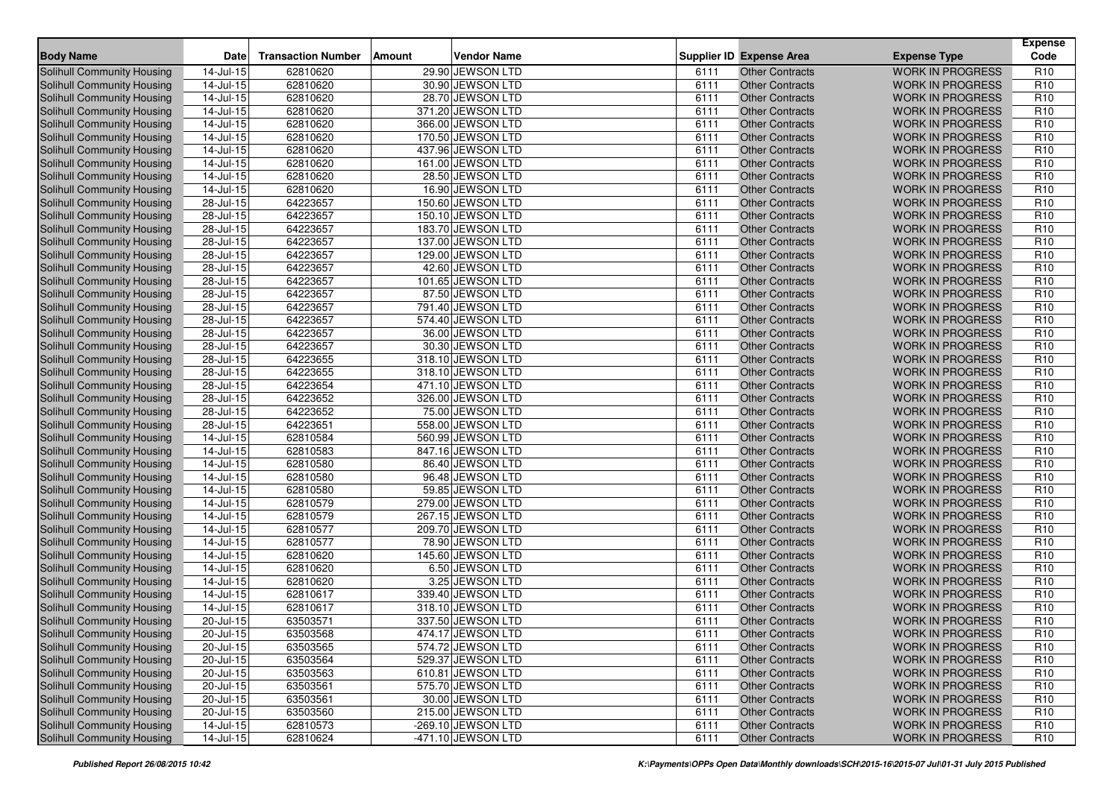| <b>Body Name</b>                  | <b>Date</b>             | <b>Transaction Number</b> | Amount | <b>Vendor Name</b> |      | <b>Supplier ID Expense Area</b> | <b>Expense Type</b>     | <b>Expense</b><br>Code |
|-----------------------------------|-------------------------|---------------------------|--------|--------------------|------|---------------------------------|-------------------------|------------------------|
| Solihull Community Housing        | 14-Jul-15               | 62810620                  |        | 29.90 JEWSON LTD   | 6111 | <b>Other Contracts</b>          | <b>WORK IN PROGRESS</b> | R <sub>10</sub>        |
| <b>Solihull Community Housing</b> | 14-Jul-15               | 62810620                  |        | 30.90 JEWSON LTD   | 6111 | <b>Other Contracts</b>          | <b>WORK IN PROGRESS</b> | R <sub>10</sub>        |
| <b>Solihull Community Housing</b> | 14-Jul-15               | 62810620                  |        | 28.70 JEWSON LTD   | 6111 | <b>Other Contracts</b>          | <b>WORK IN PROGRESS</b> | R <sub>10</sub>        |
| Solihull Community Housing        | $\overline{14}$ -Jul-15 | 62810620                  |        | 371.20 JEWSON LTD  | 6111 | <b>Other Contracts</b>          | <b>WORK IN PROGRESS</b> | R <sub>10</sub>        |
| Solihull Community Housing        | $14$ -Jul-15            | 62810620                  |        | 366.00 JEWSON LTD  | 6111 | <b>Other Contracts</b>          | <b>WORK IN PROGRESS</b> | R <sub>10</sub>        |
| Solihull Community Housing        | 14-Jul-15               | 62810620                  |        | 170.50 JEWSON LTD  | 6111 | <b>Other Contracts</b>          | <b>WORK IN PROGRESS</b> | R <sub>10</sub>        |
| Solihull Community Housing        | $\overline{14}$ -Jul-15 | 62810620                  |        | 437.96 JEWSON LTD  | 6111 | <b>Other Contracts</b>          | <b>WORK IN PROGRESS</b> | R <sub>10</sub>        |
| <b>Solihull Community Housing</b> | 14-Jul-15               | 62810620                  |        | 161.00 JEWSON LTD  | 6111 | <b>Other Contracts</b>          | <b>WORK IN PROGRESS</b> | R <sub>10</sub>        |
| Solihull Community Housing        | 14-Jul-15               | 62810620                  |        | 28.50 JEWSON LTD   | 6111 | <b>Other Contracts</b>          | <b>WORK IN PROGRESS</b> | R <sub>10</sub>        |
| Solihull Community Housing        | 14-Jul-15               | 62810620                  |        | 16.90 JEWSON LTD   | 6111 | <b>Other Contracts</b>          | <b>WORK IN PROGRESS</b> | R <sub>10</sub>        |
| <b>Solihull Community Housing</b> | 28-Jul-15               | 64223657                  |        | 150.60 JEWSON LTD  | 6111 | <b>Other Contracts</b>          | <b>WORK IN PROGRESS</b> | R <sub>10</sub>        |
| Solihull Community Housing        | 28-Jul-15               | 64223657                  |        | 150.10 JEWSON LTD  | 6111 | <b>Other Contracts</b>          | <b>WORK IN PROGRESS</b> | R <sub>10</sub>        |
| <b>Solihull Community Housing</b> | 28-Jul-15               | 64223657                  |        | 183.70 JEWSON LTD  | 6111 | <b>Other Contracts</b>          | <b>WORK IN PROGRESS</b> | R <sub>10</sub>        |
| <b>Solihull Community Housing</b> | 28-Jul-15               | 64223657                  |        | 137.00 JEWSON LTD  | 6111 | <b>Other Contracts</b>          | <b>WORK IN PROGRESS</b> | R <sub>10</sub>        |
| Solihull Community Housing        | 28-Jul-15               | 64223657                  |        | 129.00 JEWSON LTD  | 6111 | <b>Other Contracts</b>          | <b>WORK IN PROGRESS</b> | R <sub>10</sub>        |
| Solihull Community Housing        | 28-Jul-15               | 64223657                  |        | 42.60 JEWSON LTD   | 6111 | <b>Other Contracts</b>          | <b>WORK IN PROGRESS</b> | R <sub>10</sub>        |
| Solihull Community Housing        | 28-Jul-15               | 64223657                  |        | 101.65 JEWSON LTD  | 6111 | <b>Other Contracts</b>          | <b>WORK IN PROGRESS</b> | R <sub>10</sub>        |
| Solihull Community Housing        | 28-Jul-15               | 64223657                  |        | 87.50 JEWSON LTD   | 6111 | <b>Other Contracts</b>          | <b>WORK IN PROGRESS</b> | R <sub>10</sub>        |
| <b>Solihull Community Housing</b> | $28 -$ Jul-15           | 64223657                  |        | 791.40 JEWSON LTD  | 6111 | <b>Other Contracts</b>          | <b>WORK IN PROGRESS</b> | R <sub>10</sub>        |
| Solihull Community Housing        | 28-Jul-15               | 64223657                  |        | 574.40 JEWSON LTD  | 6111 | <b>Other Contracts</b>          | <b>WORK IN PROGRESS</b> | R <sub>10</sub>        |
| <b>Solihull Community Housing</b> | 28-Jul-15               | 64223657                  |        | 36.00 JEWSON LTD   | 6111 | <b>Other Contracts</b>          | <b>WORK IN PROGRESS</b> | R <sub>10</sub>        |
| Solihull Community Housing        | 28-Jul-15               | 64223657                  |        | 30.30 JEWSON LTD   | 6111 | <b>Other Contracts</b>          | <b>WORK IN PROGRESS</b> | R <sub>10</sub>        |
| Solihull Community Housing        | 28-Jul-15               | 64223655                  |        | 318.10 JEWSON LTD  | 6111 | <b>Other Contracts</b>          | <b>WORK IN PROGRESS</b> | R <sub>10</sub>        |
| <b>Solihull Community Housing</b> | $28$ -Jul-15            | 64223655                  |        | 318.10 JEWSON LTD  | 6111 | <b>Other Contracts</b>          | <b>WORK IN PROGRESS</b> | R <sub>10</sub>        |
| <b>Solihull Community Housing</b> | 28-Jul-15               | 64223654                  |        | 471.10 JEWSON LTD  | 6111 | <b>Other Contracts</b>          | <b>WORK IN PROGRESS</b> | R <sub>10</sub>        |
| Solihull Community Housing        | $28 -$ Jul-15           | 64223652                  |        | 326.00 JEWSON LTD  | 6111 | <b>Other Contracts</b>          | <b>WORK IN PROGRESS</b> | R <sub>10</sub>        |
| <b>Solihull Community Housing</b> | 28-Jul-15               | 64223652                  |        | 75.00 JEWSON LTD   | 6111 | <b>Other Contracts</b>          | <b>WORK IN PROGRESS</b> | R <sub>10</sub>        |
| Solihull Community Housing        | 28-Jul-15               | 64223651                  |        | 558.00 JEWSON LTD  | 6111 | <b>Other Contracts</b>          | <b>WORK IN PROGRESS</b> | R <sub>10</sub>        |
| Solihull Community Housing        | 14-Jul-15               | 62810584                  |        | 560.99 JEWSON LTD  | 6111 | <b>Other Contracts</b>          | <b>WORK IN PROGRESS</b> | R <sub>10</sub>        |
| <b>Solihull Community Housing</b> | $14$ -Jul-15            | 62810583                  |        | 847.16 JEWSON LTD  | 6111 | <b>Other Contracts</b>          | <b>WORK IN PROGRESS</b> | R <sub>10</sub>        |
| Solihull Community Housing        | $14$ -Jul-15            | 62810580                  |        | 86.40 JEWSON LTD   | 6111 | <b>Other Contracts</b>          | <b>WORK IN PROGRESS</b> | R <sub>10</sub>        |
| Solihull Community Housing        | 14-Jul-15               | 62810580                  |        | 96.48 JEWSON LTD   | 6111 | <b>Other Contracts</b>          | <b>WORK IN PROGRESS</b> | R <sub>10</sub>        |
| Solihull Community Housing        | 14-Jul-15               | 62810580                  |        | 59.85 JEWSON LTD   | 6111 | <b>Other Contracts</b>          | <b>WORK IN PROGRESS</b> | R <sub>10</sub>        |
| Solihull Community Housing        | $14$ -Jul-15            | 62810579                  |        | 279.00 JEWSON LTD  | 6111 | <b>Other Contracts</b>          | <b>WORK IN PROGRESS</b> | R <sub>10</sub>        |
| Solihull Community Housing        | $14$ -Jul-15            | 62810579                  |        | 267.15 JEWSON LTD  | 6111 | <b>Other Contracts</b>          | <b>WORK IN PROGRESS</b> | R <sub>10</sub>        |
| <b>Solihull Community Housing</b> | 14-Jul-15               | 62810577                  |        | 209.70 JEWSON LTD  | 6111 | <b>Other Contracts</b>          | <b>WORK IN PROGRESS</b> | R <sub>10</sub>        |
| Solihull Community Housing        | $14$ -Jul-15            | 62810577                  |        | 78.90 JEWSON LTD   | 6111 | <b>Other Contracts</b>          | <b>WORK IN PROGRESS</b> | R <sub>10</sub>        |
| <b>Solihull Community Housing</b> | $14$ -Jul-15            | 62810620                  |        | 145.60 JEWSON LTD  | 6111 | <b>Other Contracts</b>          | <b>WORK IN PROGRESS</b> | R <sub>10</sub>        |
| <b>Solihull Community Housing</b> | 14-Jul-15               | 62810620                  |        | 6.50 JEWSON LTD    | 6111 | <b>Other Contracts</b>          | <b>WORK IN PROGRESS</b> | R <sub>10</sub>        |
| Solihull Community Housing        | 14-Jul-15               | 62810620                  |        | 3.25 JEWSON LTD    | 6111 | <b>Other Contracts</b>          | <b>WORK IN PROGRESS</b> | R <sub>10</sub>        |
| <b>Solihull Community Housing</b> | 14-Jul-15               | 62810617                  |        | 339.40 JEWSON LTD  | 6111 | <b>Other Contracts</b>          | <b>WORK IN PROGRESS</b> | R <sub>10</sub>        |
| Solihull Community Housing        | 14-Jul-15               | 62810617                  |        | 318.10 JEWSON LTD  | 6111 | <b>Other Contracts</b>          | <b>WORK IN PROGRESS</b> | R <sub>10</sub>        |
| Solihull Community Housing        | $\overline{20}$ -Jul-15 | 63503571                  |        | 337.50 JEWSON LTD  | 6111 | <b>Other Contracts</b>          | <b>WORK IN PROGRESS</b> | R <sub>10</sub>        |
| Solihull Community Housing        | $20$ -Jul-15            | 63503568                  |        | 474.17 JEWSON LTD  | 6111 | Other Contracts                 | <b>WORK IN PROGRESS</b> | R <sub>10</sub>        |
| Solihull Community Housing        | $20 -$ Jul-15           | 63503565                  |        | 574.72 JEWSON LTD  | 6111 | <b>Other Contracts</b>          | <b>WORK IN PROGRESS</b> | R <sub>10</sub>        |
| Solihull Community Housing        | 20-Jul-15               | 63503564                  |        | 529.37 JEWSON LTD  | 6111 | <b>Other Contracts</b>          | <b>WORK IN PROGRESS</b> | R <sub>10</sub>        |
| Solihull Community Housing        | 20-Jul-15               | 63503563                  |        | 610.81 JEWSON LTD  | 6111 | <b>Other Contracts</b>          | <b>WORK IN PROGRESS</b> | R <sub>10</sub>        |
| Solihull Community Housing        | 20-Jul-15               | 63503561                  |        | 575.70 JEWSON LTD  | 6111 | <b>Other Contracts</b>          | <b>WORK IN PROGRESS</b> | R <sub>10</sub>        |
| Solihull Community Housing        | 20-Jul-15               | 63503561                  |        | 30.00 JEWSON LTD   | 6111 | <b>Other Contracts</b>          | <b>WORK IN PROGRESS</b> | R <sub>10</sub>        |
| Solihull Community Housing        | $20 -$ Jul-15           | 63503560                  |        | 215.00 JEWSON LTD  | 6111 | <b>Other Contracts</b>          | <b>WORK IN PROGRESS</b> | R <sub>10</sub>        |
| Solihull Community Housing        | $14$ -Jul-15            | 62810573                  |        | -269.10 JEWSON LTD | 6111 | <b>Other Contracts</b>          | <b>WORK IN PROGRESS</b> | R <sub>10</sub>        |
| Solihull Community Housing        | $14$ -Jul-15            | 62810624                  |        | -471.10 JEWSON LTD | 6111 | <b>Other Contracts</b>          | WORK IN PROGRESS        | R <sub>10</sub>        |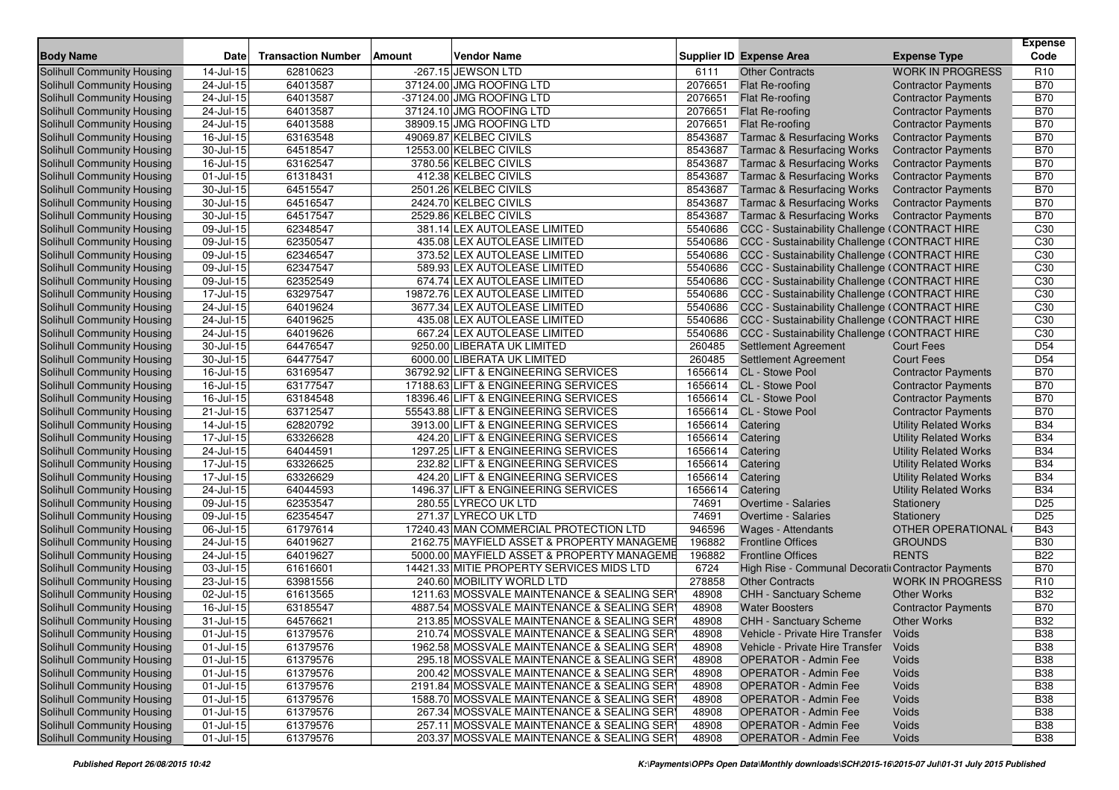| <b>Body Name</b>                  | <b>Date</b>             | <b>Transaction Number</b> | Amount | <b>Vendor Name</b>                          |         | <b>Supplier ID Expense Area</b>                    | <b>Expense Type</b>          | <b>Expense</b><br>Code |
|-----------------------------------|-------------------------|---------------------------|--------|---------------------------------------------|---------|----------------------------------------------------|------------------------------|------------------------|
| <b>Solihull Community Housing</b> | 14-Jul-15               | 62810623                  |        | -267.15 JEWSON LTD                          | 6111    | <b>Other Contracts</b>                             | <b>WORK IN PROGRESS</b>      | R <sub>10</sub>        |
| <b>Solihull Community Housing</b> | 24-Jul-15               | 64013587                  |        | 37124.00 JMG ROOFING LTD                    | 2076651 | Flat Re-roofing                                    | <b>Contractor Payments</b>   | <b>B70</b>             |
| <b>Solihull Community Housing</b> | 24-Jul-15               | 64013587                  |        | -37124.00 JMG ROOFING LTD                   | 2076651 | Flat Re-roofing                                    | <b>Contractor Payments</b>   | <b>B70</b>             |
| Solihull Community Housing        | 24-Jul-15               | 64013587                  |        | 37124.10 JMG ROOFING LTD                    | 2076651 | Flat Re-roofing                                    | <b>Contractor Payments</b>   | <b>B70</b>             |
| Solihull Community Housing        | 24-Jul-15               | 64013588                  |        | 38909.15 JMG ROOFING LTD                    | 2076651 | Flat Re-roofing                                    | <b>Contractor Payments</b>   | <b>B70</b>             |
| Solihull Community Housing        | 16-Jul-15               | 63163548                  |        | 49069.87 KELBEC CIVILS                      | 8543687 | <b>Tarmac &amp; Resurfacing Works</b>              | <b>Contractor Payments</b>   | <b>B70</b>             |
| Solihull Community Housing        | 30-Jul-15               | 64518547                  |        | 12553.00 KELBEC CIVILS                      | 8543687 | <b>Tarmac &amp; Resurfacing Works</b>              | <b>Contractor Payments</b>   | <b>B70</b>             |
| Solihull Community Housing        | 16-Jul-15               | 63162547                  |        | 3780.56 KELBEC CIVILS                       | 8543687 | <b>Tarmac &amp; Resurfacing Works</b>              | <b>Contractor Payments</b>   | <b>B70</b>             |
| Solihull Community Housing        | 01-Jul-15               | 61318431                  |        | 412.38 KELBEC CIVILS                        | 8543687 | <b>Tarmac &amp; Resurfacing Works</b>              | <b>Contractor Payments</b>   | <b>B70</b>             |
| Solihull Community Housing        | 30-Jul-15               | 64515547                  |        | 2501.26 KELBEC CIVILS                       | 8543687 | <b>Tarmac &amp; Resurfacing Works</b>              | <b>Contractor Payments</b>   | <b>B70</b>             |
| Solihull Community Housing        | 30-Jul-15               | 64516547                  |        | 2424.70 KELBEC CIVILS                       | 8543687 | <b>Tarmac &amp; Resurfacing Works</b>              | <b>Contractor Payments</b>   | <b>B70</b>             |
| Solihull Community Housing        | 30-Jul-15               | 64517547                  |        | 2529.86 KELBEC CIVILS                       | 8543687 | <b>Tarmac &amp; Resurfacing Works</b>              | <b>Contractor Payments</b>   | <b>B70</b>             |
| Solihull Community Housing        | 09-Jul-15               | 62348547                  |        | 381.14 LEX AUTOLEASE LIMITED                | 5540686 | CCC - Sustainability Challenge (CONTRACT HIRE      |                              | C30                    |
| Solihull Community Housing        | 09-Jul-15               | 62350547                  |        | 435.08 LEX AUTOLEASE LIMITED                | 5540686 | CCC - Sustainability Challenge (CONTRACT HIRE      |                              | C30                    |
| Solihull Community Housing        | $09-Jul-15$             | 62346547                  |        | 373.52 LEX AUTOLEASE LIMITED                | 5540686 | CCC - Sustainability Challenge (CONTRACT HIRE      |                              | C30                    |
| Solihull Community Housing        | 09-Jul-15               | 62347547                  |        | 589.93 LEX AUTOLEASE LIMITED                | 5540686 | CCC - Sustainability Challenge (CONTRACT HIRE      |                              | C <sub>30</sub>        |
| Solihull Community Housing        | 09-Jul-15               | 62352549                  |        | 674.74 LEX AUTOLEASE LIMITED                | 5540686 | CCC - Sustainability Challenge (CONTRACT HIRE      |                              | C30                    |
| Solihull Community Housing        | 17-Jul-15               | 63297547                  |        | 19872.76 LEX AUTOLEASE LIMITED              | 5540686 | CCC - Sustainability Challenge (CONTRACT HIRE      |                              | C30                    |
| Solihull Community Housing        | 24-Jul-15               | 64019624                  |        | 3677.34 LEX AUTOLEASE LIMITED               | 5540686 | CCC - Sustainability Challenge (CONTRACT HIRE      |                              | C30                    |
| Solihull Community Housing        | 24-Jul-15               | 64019625                  |        | 435.08 LEX AUTOLEASE LIMITED                | 5540686 | CCC - Sustainability Challenge (CONTRACT HIRE      |                              | C30                    |
| Solihull Community Housing        | 24-Jul-15               | 64019626                  |        | 667.24 LEX AUTOLEASE LIMITED                | 5540686 | CCC - Sustainability Challenge (CONTRACT HIRE      |                              | C30                    |
| Solihull Community Housing        | 30-Jul-15               | 64476547                  |        | 9250.00 LIBERATA UK LIMITED                 | 260485  | <b>Settlement Agreement</b>                        | <b>Court Fees</b>            | D <sub>54</sub>        |
| Solihull Community Housing        | 30-Jul-15               | 64477547                  |        | 6000.00 LIBERATA UK LIMITED                 | 260485  | <b>Settlement Agreement</b>                        | <b>Court Fees</b>            | D <sub>54</sub>        |
| Solihull Community Housing        | 16-Jul-15               | 63169547                  |        | 36792.92 LIFT & ENGINEERING SERVICES        | 1656614 | CL - Stowe Pool                                    | <b>Contractor Payments</b>   | <b>B70</b>             |
| Solihull Community Housing        | 16-Jul-15               | 63177547                  |        | 17188.63 LIFT & ENGINEERING SERVICES        | 1656614 | CL - Stowe Pool                                    | <b>Contractor Payments</b>   | <b>B70</b>             |
| Solihull Community Housing        | $16$ -Jul-15            | 63184548                  |        | 18396.46 LIFT & ENGINEERING SERVICES        | 1656614 | <b>CL</b> - Stowe Pool                             | <b>Contractor Payments</b>   | <b>B70</b>             |
| Solihull Community Housing        | 21-Jul-15               | 63712547                  |        | 55543.88 LIFT & ENGINEERING SERVICES        | 1656614 | CL - Stowe Pool                                    | <b>Contractor Payments</b>   | <b>B70</b>             |
| Solihull Community Housing        | 14-Jul-15               | 62820792                  |        | 3913.00 LIFT & ENGINEERING SERVICES         | 1656614 | Catering                                           | <b>Utility Related Works</b> | <b>B34</b>             |
| Solihull Community Housing        | 17-Jul-15               | 63326628                  |        | 424.20 LIFT & ENGINEERING SERVICES          | 1656614 | Catering                                           | <b>Utility Related Works</b> | <b>B34</b>             |
| Solihull Community Housing        | 24-Jul-15               | 64044591                  |        | 1297.25 LIFT & ENGINEERING SERVICES         | 1656614 | Catering                                           | <b>Utility Related Works</b> | <b>B34</b>             |
| Solihull Community Housing        | 17-Jul-15               | 63326625                  |        | 232.82 LIFT & ENGINEERING SERVICES          | 1656614 | Catering                                           | <b>Utility Related Works</b> | <b>B34</b>             |
| Solihull Community Housing        | $\overline{17}$ -Jul-15 | 63326629                  |        | 424.20 LIFT & ENGINEERING SERVICES          | 1656614 | Catering                                           | <b>Utility Related Works</b> | <b>B34</b>             |
| Solihull Community Housing        | 24-Jul-15               | 64044593                  |        | 1496.37 LIFT & ENGINEERING SERVICES         | 1656614 | Catering                                           | <b>Utility Related Works</b> | <b>B34</b>             |
| Solihull Community Housing        | $09$ -Jul-15            | 62353547                  |        | 280.55 LYRECO UK LTD                        | 74691   | Overtime - Salaries                                | Stationery                   | D <sub>25</sub>        |
| Solihull Community Housing        | 09-Jul-15               | 62354547                  |        | 271.37 LYRECO UK LTD                        | 74691   | Overtime - Salaries                                | Stationery                   | D <sub>25</sub>        |
| Solihull Community Housing        | 06-Jul-15               | 61797614                  |        | 17240.43 MAN COMMERCIAL PROTECTION LTD      | 946596  | Wages - Attendants                                 | OTHER OPERATIONAL            | <b>B43</b>             |
| Solihull Community Housing        | $24$ -Jul-15            | 64019627                  |        | 2162.75 MAYFIELD ASSET & PROPERTY MANAGEME  | 196882  | <b>Frontline Offices</b>                           | <b>GROUNDS</b>               | <b>B30</b>             |
| Solihull Community Housing        | 24-Jul-15               | 64019627                  |        | 5000.00 MAYFIELD ASSET & PROPERTY MANAGEME  | 196882  | <b>Frontline Offices</b>                           | <b>RENTS</b>                 | <b>B22</b>             |
| Solihull Community Housing        | 03-Jul-15               | 61616601                  |        | 14421.33 MITIE PROPERTY SERVICES MIDS LTD   | 6724    | High Rise - Communal Decoratir Contractor Payments |                              | <b>B70</b>             |
| Solihull Community Housing        | 23-Jul-15               | 63981556                  |        | 240.60 MOBILITY WORLD LTD                   | 278858  | <b>Other Contracts</b>                             | <b>WORK IN PROGRESS</b>      | R <sub>10</sub>        |
| Solihull Community Housing        | 02-Jul-15               | 61613565                  |        | 1211.63 MOSSVALE MAINTENANCE & SEALING SER  | 48908   | CHH - Sanctuary Scheme                             | <b>Other Works</b>           | <b>B32</b>             |
| <b>Solihull Community Housing</b> | 16-Jul-15               | 63185547                  |        | 4887.54 MOSSVALE MAINTENANCE & SEALING SER  | 48908   | <b>Water Boosters</b>                              | <b>Contractor Payments</b>   | <b>B70</b>             |
| Solihull Community Housing        | 31-Jul-15               | 64576621                  |        | 213.85 MOSSVALE MAINTENANCE & SEALING SER   | 48908   | <b>CHH - Sanctuary Scheme</b>                      | <b>Other Works</b>           | <b>B32</b>             |
| Solihull Community Housing        | 01-Jul-15               | 61379576                  |        | 210.74 MOSSVALE MAINTENANCE & SEALING SER   | 48908   | Vehicle - Private Hire Transfer                    | Voids                        | <b>B38</b>             |
| Solihull Community Housing        | 01-Jul-15               | 61379576                  |        | 1962.58 MOSSVALE MAINTENANCE & SEALING SER  | 48908   | Vehicle - Private Hire Transfer                    | Voids                        | <b>B38</b>             |
| Solihull Community Housing        | 01-Jul-15               | 61379576                  |        | 295.18 MOSSVALE MAINTENANCE & SEALING SER   | 48908   | <b>OPERATOR - Admin Fee</b>                        | Voids                        | <b>B38</b>             |
| Solihull Community Housing        | 01-Jul-15               | 61379576                  |        | 200.42 MOSSVALE MAINTENANCE & SEALING SER   | 48908   | <b>OPERATOR - Admin Fee</b>                        | Voids                        | <b>B38</b>             |
| Solihull Community Housing        | $01$ -Jul-15            | 61379576                  |        | 2191.84 MOSSVALE MAINTENANCE & SEALING SERY | 48908   | <b>OPERATOR - Admin Fee</b>                        | Voids                        | <b>B38</b>             |
| Solihull Community Housing        | 01-Jul-15               | 61379576                  |        | 1588.70 MOSSVALE MAINTENANCE & SEALING SER  | 48908   | <b>OPERATOR - Admin Fee</b>                        | Voids                        | <b>B38</b>             |
| Solihull Community Housing        | 01-Jul-15               | 61379576                  |        | 267.34 MOSSVALE MAINTENANCE & SEALING SERY  | 48908   | <b>OPERATOR - Admin Fee</b>                        | Voids                        | <b>B38</b>             |
| Solihull Community Housing        | $01 -$ Jul-15           | 61379576                  |        | 257.11 MOSSVALE MAINTENANCE & SEALING SER   | 48908   | <b>OPERATOR - Admin Fee</b>                        | Voids                        | <b>B38</b>             |
| Solihull Community Housing        | $01 -$ Jul-15           | 61379576                  |        | 203.37 MOSSVALE MAINTENANCE & SEALING SERY  | 48908   | OPERATOR - Admin Fee                               | Voids                        | <b>B38</b>             |
|                                   |                         |                           |        |                                             |         |                                                    |                              |                        |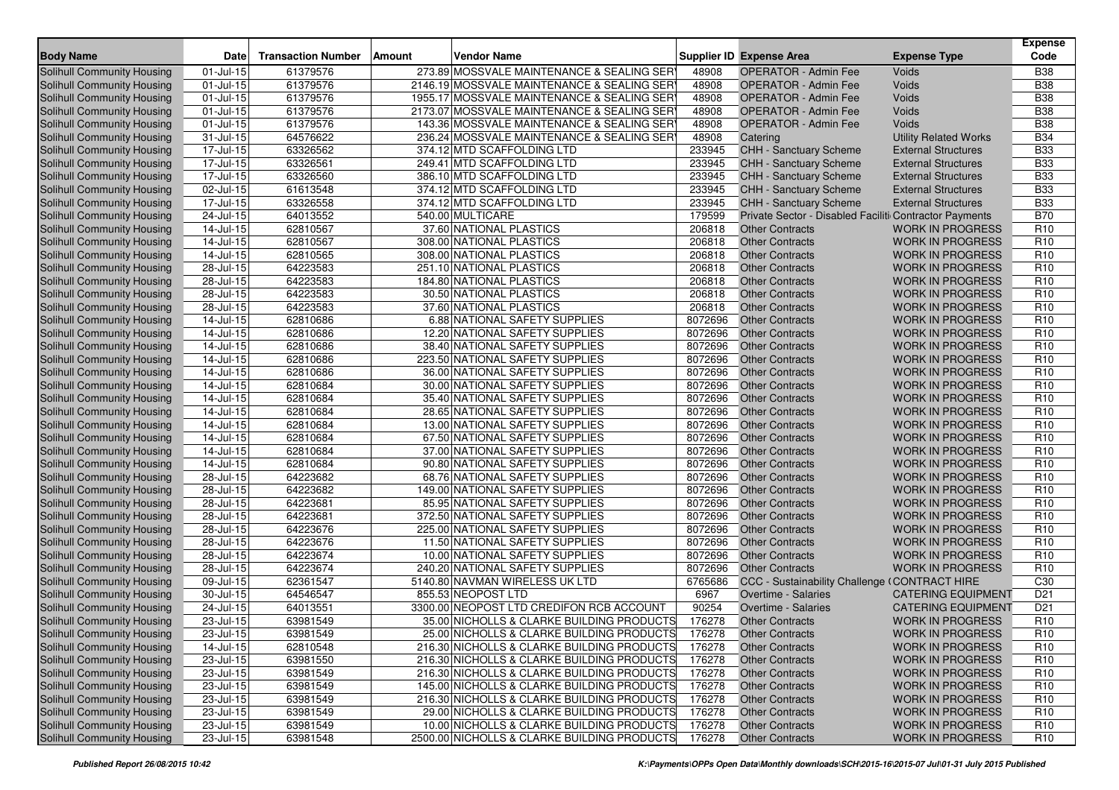| <b>Body Name</b>                  | <b>Date</b>                 | <b>Transaction Number</b> | <b>Vendor Name</b><br>Amount                |         | Supplier ID Expense Area                               | <b>Expense Type</b>          | <b>Expense</b><br>Code |
|-----------------------------------|-----------------------------|---------------------------|---------------------------------------------|---------|--------------------------------------------------------|------------------------------|------------------------|
| <b>Solihull Community Housing</b> | 01-Jul-15                   | 61379576                  | 273.89 MOSSVALE MAINTENANCE & SEALING SER   | 48908   | <b>OPERATOR - Admin Fee</b>                            | Voids                        | <b>B38</b>             |
| Solihull Community Housing        | 01-Jul-15                   | 61379576                  | 2146.19 MOSSVALE MAINTENANCE & SEALING SER  | 48908   | <b>OPERATOR - Admin Fee</b>                            | Voids                        | <b>B38</b>             |
| Solihull Community Housing        | 01-Jul-15                   | 61379576                  | 1955.17 MOSSVALE MAINTENANCE & SEALING SER  | 48908   | <b>OPERATOR - Admin Fee</b>                            | Voids                        | <b>B38</b>             |
| Solihull Community Housing        | 01-Jul-15                   | 61379576                  | 2173.07 MOSSVALE MAINTENANCE & SEALING SER  | 48908   | <b>OPERATOR - Admin Fee</b>                            | Voids                        | <b>B38</b>             |
| Solihull Community Housing        | 01-Jul-15                   | 61379576                  | 143.36 MOSSVALE MAINTENANCE & SEALING SER   | 48908   | <b>OPERATOR - Admin Fee</b>                            | Voids                        | <b>B38</b>             |
| Solihull Community Housing        | 31-Jul-15                   | 64576622                  | 236.24 MOSSVALE MAINTENANCE & SEALING SER   | 48908   | Catering                                               | <b>Utility Related Works</b> | <b>B34</b>             |
| Solihull Community Housing        | 17-Jul-15                   | 63326562                  | 374.12 MTD SCAFFOLDING LTD                  | 233945  | CHH - Sanctuary Scheme                                 | <b>External Structures</b>   | <b>B33</b>             |
| Solihull Community Housing        | $17 -$ Jul- $\overline{15}$ | 63326561                  | 249.41 MTD SCAFFOLDING LTD                  | 233945  | CHH - Sanctuary Scheme                                 | <b>External Structures</b>   | <b>B33</b>             |
| Solihull Community Housing        | 17-Jul-15                   | 63326560                  | 386.10 MTD SCAFFOLDING LTD                  | 233945  | CHH - Sanctuary Scheme                                 | <b>External Structures</b>   | <b>B33</b>             |
| Solihull Community Housing        | 02-Jul-15                   | 61613548                  | 374.12 MTD SCAFFOLDING LTD                  | 233945  | CHH - Sanctuary Scheme                                 | <b>External Structures</b>   | <b>B33</b>             |
| Solihull Community Housing        | 17-Jul-15                   | 63326558                  | 374.12 MTD SCAFFOLDING LTD                  | 233945  | <b>CHH - Sanctuary Scheme</b>                          | <b>External Structures</b>   | <b>B33</b>             |
| Solihull Community Housing        | $24$ -Jul-15                | 64013552                  | 540.00 MULTICARE                            | 179599  | Private Sector - Disabled Faciliti Contractor Payments |                              | <b>B70</b>             |
| Solihull Community Housing        | 14-Jul-15                   | 62810567                  | 37.60 NATIONAL PLASTICS                     | 206818  | <b>Other Contracts</b>                                 | <b>WORK IN PROGRESS</b>      | R <sub>10</sub>        |
| Solihull Community Housing        | 14-Jul-15                   | 62810567                  | 308.00 NATIONAL PLASTICS                    | 206818  | <b>Other Contracts</b>                                 | <b>WORK IN PROGRESS</b>      | R <sub>10</sub>        |
| Solihull Community Housing        | $14$ -Jul-15                | 62810565                  | 308.00 NATIONAL PLASTICS                    | 206818  | <b>Other Contracts</b>                                 | <b>WORK IN PROGRESS</b>      | R <sub>10</sub>        |
| Solihull Community Housing        | 28-Jul-15                   | 64223583                  | 251.10 NATIONAL PLASTICS                    | 206818  | <b>Other Contracts</b>                                 | <b>WORK IN PROGRESS</b>      | R <sub>10</sub>        |
| Solihull Community Housing        | 28-Jul-15                   | 64223583                  | 184.80 NATIONAL PLASTICS                    | 206818  | <b>Other Contracts</b>                                 | <b>WORK IN PROGRESS</b>      | R <sub>10</sub>        |
| Solihull Community Housing        | 28-Jul-15                   | 64223583                  | 30.50 NATIONAL PLASTICS                     | 206818  | <b>Other Contracts</b>                                 | <b>WORK IN PROGRESS</b>      | R <sub>10</sub>        |
| Solihull Community Housing        | 28-Jul-15                   | 64223583                  | 37.60 NATIONAL PLASTICS                     | 206818  | <b>Other Contracts</b>                                 | <b>WORK IN PROGRESS</b>      | R <sub>10</sub>        |
| Solihull Community Housing        | 14-Jul-15                   | 62810686                  | 6.88 NATIONAL SAFETY SUPPLIES               | 8072696 | <b>Other Contracts</b>                                 | <b>WORK IN PROGRESS</b>      | R <sub>10</sub>        |
| Solihull Community Housing        | 14-Jul-15                   | 62810686                  | 12.20 NATIONAL SAFETY SUPPLIES              | 8072696 | <b>Other Contracts</b>                                 | <b>WORK IN PROGRESS</b>      | R <sub>10</sub>        |
| Solihull Community Housing        | 14-Jul-15                   | 62810686                  | 38.40 NATIONAL SAFETY SUPPLIES              | 8072696 | <b>Other Contracts</b>                                 | <b>WORK IN PROGRESS</b>      | R <sub>10</sub>        |
| Solihull Community Housing        | 14-Jul-15                   | 62810686                  | 223.50 NATIONAL SAFETY SUPPLIES             | 8072696 | <b>Other Contracts</b>                                 | <b>WORK IN PROGRESS</b>      | R <sub>10</sub>        |
| Solihull Community Housing        | 14-Jul-15                   | 62810686                  | 36.00 NATIONAL SAFETY SUPPLIES              | 8072696 | <b>Other Contracts</b>                                 | <b>WORK IN PROGRESS</b>      | R <sub>10</sub>        |
| Solihull Community Housing        | 14-Jul-15                   | 62810684                  | 30.00 NATIONAL SAFETY SUPPLIES              | 8072696 | <b>Other Contracts</b>                                 | <b>WORK IN PROGRESS</b>      | R <sub>10</sub>        |
| Solihull Community Housing        | $14$ -Jul-15                | 62810684                  | 35.40 NATIONAL SAFETY SUPPLIES              | 8072696 | <b>Other Contracts</b>                                 | <b>WORK IN PROGRESS</b>      | R <sub>10</sub>        |
| Solihull Community Housing        | 14-Jul-15                   | 62810684                  | 28.65 NATIONAL SAFETY SUPPLIES              | 8072696 | <b>Other Contracts</b>                                 | <b>WORK IN PROGRESS</b>      | R <sub>10</sub>        |
| Solihull Community Housing        | 14-Jul-15                   | 62810684                  | 13.00 NATIONAL SAFETY SUPPLIES              | 8072696 | <b>Other Contracts</b>                                 | <b>WORK IN PROGRESS</b>      | R <sub>10</sub>        |
| Solihull Community Housing        | 14-Jul-15                   | 62810684                  | 67.50 NATIONAL SAFETY SUPPLIES              | 8072696 | <b>Other Contracts</b>                                 | <b>WORK IN PROGRESS</b>      | R <sub>10</sub>        |
| Solihull Community Housing        | 14-Jul-15                   | 62810684                  | 37.00 NATIONAL SAFETY SUPPLIES              | 8072696 | <b>Other Contracts</b>                                 | <b>WORK IN PROGRESS</b>      | R <sub>10</sub>        |
| Solihull Community Housing        | 14-Jul-15                   | 62810684                  | 90.80 NATIONAL SAFETY SUPPLIES              | 8072696 | <b>Other Contracts</b>                                 | <b>WORK IN PROGRESS</b>      | R <sub>10</sub>        |
| Solihull Community Housing        | 28-Jul-15                   | 64223682                  | 68.76 NATIONAL SAFETY SUPPLIES              | 8072696 | <b>Other Contracts</b>                                 | <b>WORK IN PROGRESS</b>      | R <sub>10</sub>        |
| Solihull Community Housing        | 28-Jul-15                   | 64223682                  | 149.00 NATIONAL SAFETY SUPPLIES             | 8072696 | <b>Other Contracts</b>                                 | <b>WORK IN PROGRESS</b>      | R <sub>10</sub>        |
| Solihull Community Housing        | 28-Jul-15                   | 64223681                  | 85.95 NATIONAL SAFETY SUPPLIES              | 8072696 | <b>Other Contracts</b>                                 | <b>WORK IN PROGRESS</b>      | R <sub>10</sub>        |
| Solihull Community Housing        | $28 -$ Jul-15               | 64223681                  | 372.50 NATIONAL SAFETY SUPPLIES             | 8072696 | <b>Other Contracts</b>                                 | <b>WORK IN PROGRESS</b>      | R <sub>10</sub>        |
| Solihull Community Housing        | 28-Jul-15                   | 64223676                  | 225.00 NATIONAL SAFETY SUPPLIES             | 8072696 | <b>Other Contracts</b>                                 | <b>WORK IN PROGRESS</b>      | R <sub>10</sub>        |
| Solihull Community Housing        | 28-Jul-15                   | 64223676                  | 11.50 NATIONAL SAFETY SUPPLIES              | 8072696 | <b>Other Contracts</b>                                 | <b>WORK IN PROGRESS</b>      | R <sub>10</sub>        |
| Solihull Community Housing        | 28-Jul-15                   | 64223674                  | 10.00 NATIONAL SAFETY SUPPLIES              | 8072696 | <b>Other Contracts</b>                                 | <b>WORK IN PROGRESS</b>      | R <sub>10</sub>        |
| Solihull Community Housing        | 28-Jul-15                   | 64223674                  | 240.20 NATIONAL SAFETY SUPPLIES             | 8072696 | <b>Other Contracts</b>                                 | <b>WORK IN PROGRESS</b>      | R <sub>10</sub>        |
| Solihull Community Housing        | 09-Jul-15                   | 62361547                  | 5140.80 NAVMAN WIRELESS UK LTD              | 6765686 | CCC - Sustainability Challenge (CONTRACT HIRE          |                              | C <sub>30</sub>        |
| Solihull Community Housing        | 30-Jul-15                   | 64546547                  | 855.53 NEOPOST LTD                          | 6967    | Overtime - Salaries                                    | <b>CATERING EQUIPMENT</b>    | D <sub>21</sub>        |
| <b>Solihull Community Housing</b> | 24-Jul-15                   | 64013551                  | 3300.00 NEOPOST LTD CREDIFON RCB ACCOUNT    | 90254   | <b>Overtime - Salaries</b>                             | <b>CATERING EQUIPMENT</b>    | D <sub>21</sub>        |
| Solihull Community Housing        | 23-Jul-15                   | 63981549                  | 35.00 NICHOLLS & CLARKE BUILDING PRODUCTS   | 176278  | <b>Other Contracts</b>                                 | <b>WORK IN PROGRESS</b>      | R <sub>10</sub>        |
| Solihull Community Housing        | 23-Jul-15                   | 63981549                  | 25.00 NICHOLLS & CLARKE BUILDING PRODUCTS   | 176278  | Other Contracts                                        | <b>WORK IN PROGRESS</b>      | R <sub>10</sub>        |
| Solihull Community Housing        | 14-Jul-15                   | 62810548                  | 216.30 NICHOLLS & CLARKE BUILDING PRODUCTS  | 176278  | <b>Other Contracts</b>                                 | <b>WORK IN PROGRESS</b>      | R <sub>10</sub>        |
| Solihull Community Housing        | 23-Jul-15                   | 63981550                  | 216.30 NICHOLLS & CLARKE BUILDING PRODUCTS  | 176278  | <b>Other Contracts</b>                                 | <b>WORK IN PROGRESS</b>      | R <sub>10</sub>        |
| Solihull Community Housing        | 23-Jul-15                   | 63981549                  | 216.30 NICHOLLS & CLARKE BUILDING PRODUCTS  | 176278  | <b>Other Contracts</b>                                 | <b>WORK IN PROGRESS</b>      | R <sub>10</sub>        |
| Solihull Community Housing        | 23-Jul-15                   | 63981549                  | 145.00 NICHOLLS & CLARKE BUILDING PRODUCTS  | 176278  | <b>Other Contracts</b>                                 | <b>WORK IN PROGRESS</b>      | R <sub>10</sub>        |
| Solihull Community Housing        | $\overline{2}$ 3-Jul-15     | 63981549                  | 216.30 NICHOLLS & CLARKE BUILDING PRODUCTS  | 176278  | <b>Other Contracts</b>                                 | <b>WORK IN PROGRESS</b>      | R <sub>10</sub>        |
| Solihull Community Housing        | 23-Jul-15                   | 63981549                  | 29.00 NICHOLLS & CLARKE BUILDING PRODUCTS   | 176278  | <b>Other Contracts</b>                                 | <b>WORK IN PROGRESS</b>      | R <sub>10</sub>        |
| Solihull Community Housing        | $23$ -Jul-15                | 63981549                  | 10.00 NICHOLLS & CLARKE BUILDING PRODUCTS   | 176278  | <b>Other Contracts</b>                                 | <b>WORK IN PROGRESS</b>      | R <sub>10</sub>        |
| Solihull Community Housing        | $23 -$ Jul-15               | 63981548                  | 2500.00 NICHOLLS & CLARKE BUILDING PRODUCTS | 176278  | <b>Other Contracts</b>                                 | WORK IN PROGRESS             | R <sub>10</sub>        |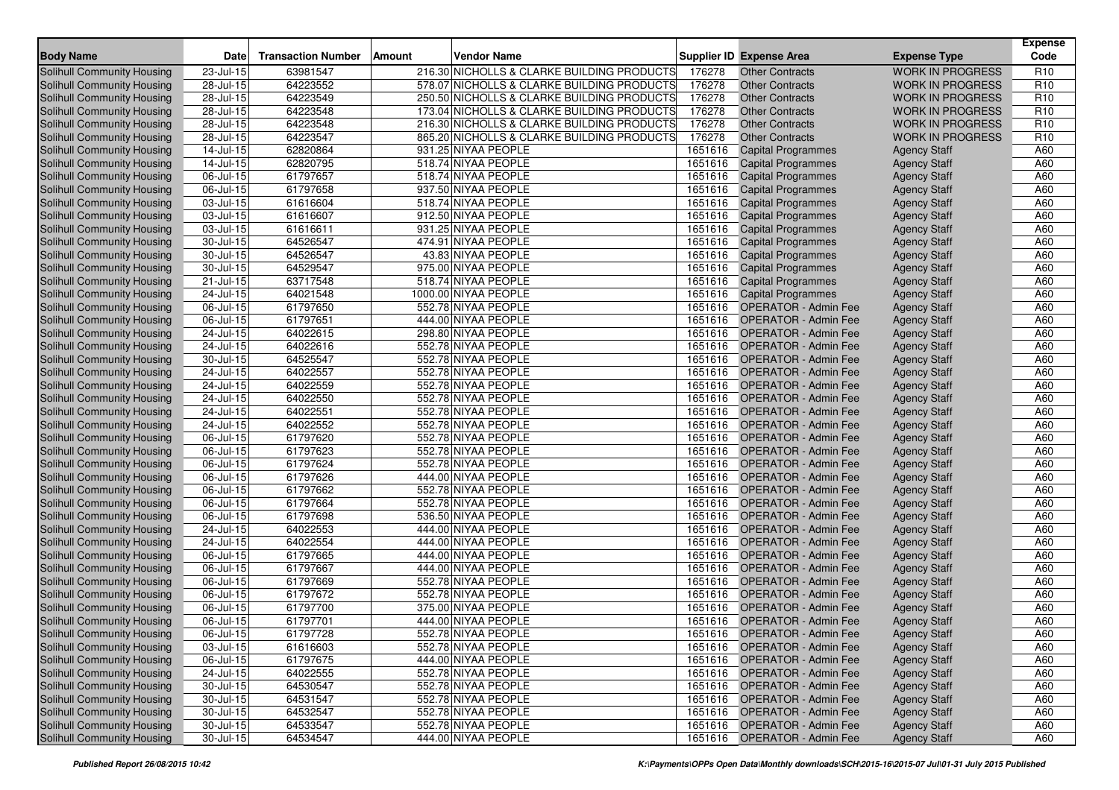| <b>Body Name</b>                                         | <b>Date</b>                          | <b>Transaction Number</b> | <b>Vendor Name</b><br>Amount               |         | Supplier ID Expense Area                                     | <b>Expense Type</b>                        | <b>Expense</b><br>Code |
|----------------------------------------------------------|--------------------------------------|---------------------------|--------------------------------------------|---------|--------------------------------------------------------------|--------------------------------------------|------------------------|
| <b>Solihull Community Housing</b>                        | 23-Jul-15                            | 63981547                  | 216.30 NICHOLLS & CLARKE BUILDING PRODUCTS | 176278  | <b>Other Contracts</b>                                       | <b>WORK IN PROGRESS</b>                    | R <sub>10</sub>        |
| <b>Solihull Community Housing</b>                        | 28-Jul-15                            | 64223552                  | 578.07 NICHOLLS & CLARKE BUILDING PRODUCTS | 176278  | <b>Other Contracts</b>                                       | <b>WORK IN PROGRESS</b>                    | R <sub>10</sub>        |
| <b>Solihull Community Housing</b>                        | 28-Jul-15                            | 64223549                  | 250.50 NICHOLLS & CLARKE BUILDING PRODUCTS | 176278  | <b>Other Contracts</b>                                       | <b>WORK IN PROGRESS</b>                    | R <sub>10</sub>        |
| Solihull Community Housing                               | 28-Jul-15                            | 64223548                  | 173.04 NICHOLLS & CLARKE BUILDING PRODUCTS | 176278  | <b>Other Contracts</b>                                       | <b>WORK IN PROGRESS</b>                    | R <sub>10</sub>        |
| Solihull Community Housing                               | 28-Jul-15                            | 64223548                  | 216.30 NICHOLLS & CLARKE BUILDING PRODUCTS | 176278  | <b>Other Contracts</b>                                       | <b>WORK IN PROGRESS</b>                    | R <sub>10</sub>        |
| <b>Solihull Community Housing</b>                        | 28-Jul-15                            | 64223547                  | 865.20 NICHOLLS & CLARKE BUILDING PRODUCTS | 176278  | <b>Other Contracts</b>                                       | <b>WORK IN PROGRESS</b>                    | R <sub>10</sub>        |
| Solihull Community Housing                               | 14-Jul-15                            | 62820864                  | 931.25 NIYAA PEOPLE                        | 1651616 | <b>Capital Programmes</b>                                    | <b>Agency Staff</b>                        | A60                    |
| Solihull Community Housing                               | $14$ -Jul- $15$                      | 62820795                  | 518.74 NIYAA PEOPLE                        | 1651616 | <b>Capital Programmes</b>                                    | <b>Agency Staff</b>                        | A60                    |
| Solihull Community Housing                               | $\overline{06}$ -Jul-15              | 61797657                  | 518.74 NIYAA PEOPLE                        | 1651616 | <b>Capital Programmes</b>                                    | <b>Agency Staff</b>                        | A60                    |
| Solihull Community Housing                               | 06-Jul-15                            | 61797658                  | 937.50 NIYAA PEOPLE                        | 1651616 | <b>Capital Programmes</b>                                    | <b>Agency Staff</b>                        | A60                    |
| Solihull Community Housing                               | 03-Jul-15                            | 61616604                  | 518.74 NIYAA PEOPLE                        | 1651616 | <b>Capital Programmes</b>                                    | <b>Agency Staff</b>                        | A60                    |
| Solihull Community Housing                               | 03-Jul-15                            | 61616607                  | 912.50 NIYAA PEOPLE                        | 1651616 | <b>Capital Programmes</b>                                    | <b>Agency Staff</b>                        | A60                    |
| <b>Solihull Community Housing</b>                        | 03-Jul-15                            | 61616611                  | 931.25 NIYAA PEOPLE                        | 1651616 | <b>Capital Programmes</b>                                    | <b>Agency Staff</b>                        | A60                    |
| <b>Solihull Community Housing</b>                        | 30-Jul-15                            | 64526547                  | 474.91 NIYAA PEOPLE                        | 1651616 | <b>Capital Programmes</b>                                    | <b>Agency Staff</b>                        | A60                    |
| Solihull Community Housing                               | $30 -$ Jul-15                        | 64526547                  | 43.83 NIYAA PEOPLE                         | 1651616 | <b>Capital Programmes</b>                                    | <b>Agency Staff</b>                        | A60                    |
| Solihull Community Housing                               | 30-Jul-15                            | 64529547                  | 975.00 NIYAA PEOPLE                        | 1651616 | <b>Capital Programmes</b>                                    | <b>Agency Staff</b>                        | A60                    |
| Solihull Community Housing                               | 21-Jul-15                            | 63717548                  | 518.74 NIYAA PEOPLE                        | 1651616 | <b>Capital Programmes</b>                                    | <b>Agency Staff</b>                        | A60                    |
| Solihull Community Housing                               | 24-Jul-15                            | 64021548                  | 1000.00 NIYAA PEOPLE                       | 1651616 | <b>Capital Programmes</b>                                    | <b>Agency Staff</b>                        | A60                    |
| <b>Solihull Community Housing</b>                        | 06-Jul-15                            | 61797650                  | 552.78 NIYAA PEOPLE                        | 1651616 | <b>OPERATOR - Admin Fee</b>                                  | <b>Agency Staff</b>                        | A60                    |
| Solihull Community Housing                               | 06-Jul-15                            | 61797651                  | 444.00 NIYAA PEOPLE                        | 1651616 | <b>OPERATOR - Admin Fee</b>                                  | <b>Agency Staff</b>                        | A60                    |
| Solihull Community Housing                               | 24-Jul-15                            | 64022615                  | 298.80 NIYAA PEOPLE                        | 1651616 | <b>OPERATOR - Admin Fee</b>                                  | <b>Agency Staff</b>                        | A60                    |
| Solihull Community Housing                               | 24-Jul-15                            | 64022616                  | 552.78 NIYAA PEOPLE                        | 1651616 | <b>OPERATOR - Admin Fee</b>                                  | <b>Agency Staff</b>                        | A60                    |
| Solihull Community Housing                               | 30-Jul-15                            | 64525547                  | 552.78 NIYAA PEOPLE                        | 1651616 | <b>OPERATOR - Admin Fee</b>                                  | <b>Agency Staff</b>                        | A60                    |
| <b>Solihull Community Housing</b>                        | 24-Jul-15                            | 64022557                  | 552.78 NIYAA PEOPLE                        | 1651616 | <b>OPERATOR - Admin Fee</b>                                  | <b>Agency Staff</b>                        | A60                    |
| <b>Solihull Community Housing</b>                        | 24-Jul-15                            | 64022559                  | 552.78 NIYAA PEOPLE                        | 1651616 | <b>OPERATOR - Admin Fee</b>                                  | <b>Agency Staff</b>                        | A60                    |
| Solihull Community Housing                               | 24-Jul-15                            | 64022550                  | 552.78 NIYAA PEOPLE                        | 1651616 | <b>OPERATOR - Admin Fee</b>                                  | <b>Agency Staff</b>                        | A60                    |
| <b>Solihull Community Housing</b>                        | 24-Jul-15                            | 64022551                  | 552.78 NIYAA PEOPLE                        | 1651616 | <b>OPERATOR - Admin Fee</b>                                  | <b>Agency Staff</b>                        | A60                    |
| Solihull Community Housing                               | 24-Jul-15                            | 64022552                  | 552.78 NIYAA PEOPLE                        | 1651616 | <b>OPERATOR - Admin Fee</b>                                  | <b>Agency Staff</b>                        | A60                    |
| Solihull Community Housing                               | $06$ -Jul-15                         | 61797620                  | 552.78 NIYAA PEOPLE                        | 1651616 | <b>OPERATOR - Admin Fee</b>                                  | <b>Agency Staff</b>                        | A60                    |
| Solihull Community Housing                               | 06-Jul-15                            | 61797623                  | 552.78 NIYAA PEOPLE                        | 1651616 | <b>OPERATOR - Admin Fee</b>                                  | <b>Agency Staff</b>                        | A60                    |
| <b>Solihull Community Housing</b>                        | 06-Jul-15                            | 61797624                  | 552.78 NIYAA PEOPLE                        | 1651616 | <b>OPERATOR - Admin Fee</b>                                  | <b>Agency Staff</b>                        | A60                    |
| Solihull Community Housing                               | 06-Jul-15                            | 61797626                  | 444.00 NIYAA PEOPLE                        |         | 1651616 OPERATOR - Admin Fee                                 | <b>Agency Staff</b>                        | A60                    |
| Solihull Community Housing                               | 06-Jul-15                            | 61797662                  | 552.78 NIYAA PEOPLE                        | 1651616 | <b>OPERATOR - Admin Fee</b>                                  | <b>Agency Staff</b>                        | A60                    |
| Solihull Community Housing                               | 06-Jul-15                            | 61797664                  | 552.78 NIYAA PEOPLE                        | 1651616 | <b>OPERATOR - Admin Fee</b>                                  | <b>Agency Staff</b>                        | A60                    |
| Solihull Community Housing                               | 06-Jul-15                            | 61797698                  | 536.50 NIYAA PEOPLE                        |         | 1651616 OPERATOR - Admin Fee                                 | <b>Agency Staff</b>                        | A60                    |
| Solihull Community Housing                               | 24-Jul-15                            | 64022553                  | 444.00 NIYAA PEOPLE                        |         | 1651616 OPERATOR - Admin Fee                                 | <b>Agency Staff</b>                        | A60                    |
| Solihull Community Housing                               | 24-Jul-15                            | 64022554                  | 444.00 NIYAA PEOPLE                        | 1651616 | <b>OPERATOR - Admin Fee</b>                                  | <b>Agency Staff</b>                        | A60                    |
| Solihull Community Housing                               | 06-Jul-15                            | 61797665                  | 444.00 NIYAA PEOPLE                        | 1651616 | <b>OPERATOR - Admin Fee</b>                                  | <b>Agency Staff</b>                        | A60                    |
| Solihull Community Housing                               | 06-Jul-15                            | 61797667                  | 444.00 NIYAA PEOPLE                        | 1651616 | <b>OPERATOR - Admin Fee</b>                                  | <b>Agency Staff</b>                        | A60                    |
| Solihull Community Housing                               | 06-Jul-15                            | 61797669                  | 552.78 NIYAA PEOPLE                        | 1651616 | <b>OPERATOR - Admin Fee</b>                                  | <b>Agency Staff</b>                        | A60                    |
| <b>Solihull Community Housing</b>                        | 06-Jul-15                            | 61797672                  | 552.78 NIYAA PEOPLE                        | 1651616 | <b>OPERATOR - Admin Fee</b>                                  | <b>Agency Staff</b>                        | A60                    |
| Solihull Community Housing                               | 06-Jul-15                            | 61797700                  | 375.00 NIYAA PEOPLE                        | 1651616 | <b>OPERATOR - Admin Fee</b>                                  | <b>Agency Staff</b>                        | A60                    |
| Solihull Community Housing                               | 06-Jul-15                            | 61797701                  | 444.00 NIYAA PEOPLE                        |         | 1651616 OPERATOR - Admin Fee                                 | <b>Agency Staff</b>                        | A60                    |
| Solihull Community Housing                               | 06-Jul-15                            | 61797728                  | 552.78 NIYAA PEOPLE                        |         | 1651616 OPERATOR - Admin Fee                                 | <b>Agency Staff</b>                        | A60                    |
| Solihull Community Housing                               | 03-Jul-15                            | 61616603                  | 552.78 NIYAA PEOPLE                        |         | 1651616 OPERATOR - Admin Fee<br>1651616 OPERATOR - Admin Fee | <b>Agency Staff</b>                        | A60                    |
| Solihull Community Housing                               | 06-Jul-15                            | 61797675                  | 444.00 NIYAA PEOPLE                        |         |                                                              | <b>Agency Staff</b>                        | A60                    |
| Solihull Community Housing                               | 24-Jul-15                            | 64022555                  | 552.78 NIYAA PEOPLE                        |         | 1651616 OPERATOR - Admin Fee                                 | <b>Agency Staff</b>                        | A60                    |
| Solihull Community Housing<br>Solihull Community Housing | 30-Jul-15<br>$\overline{30}$ -Jul-15 | 64530547<br>64531547      | 552.78 NIYAA PEOPLE<br>552.78 NIYAA PEOPLE |         | 1651616 OPERATOR - Admin Fee<br>1651616 OPERATOR - Admin Fee | <b>Agency Staff</b><br><b>Agency Staff</b> | A60<br>A60             |
| Solihull Community Housing                               | 30-Jul-15                            | 64532547                  | 552.78 NIYAA PEOPLE                        |         | 1651616 OPERATOR - Admin Fee                                 | <b>Agency Staff</b>                        | A60                    |
| Solihull Community Housing                               | $30 -$ Jul-15                        | 64533547                  | 552.78 NIYAA PEOPLE                        |         | 1651616 OPERATOR - Admin Fee                                 | <b>Agency Staff</b>                        | A60                    |
| Solihull Community Housing                               | 30-Jul-15                            | 64534547                  | 444.00 NIYAA PEOPLE                        |         | 1651616 OPERATOR - Admin Fee                                 | <b>Agency Staff</b>                        | A60                    |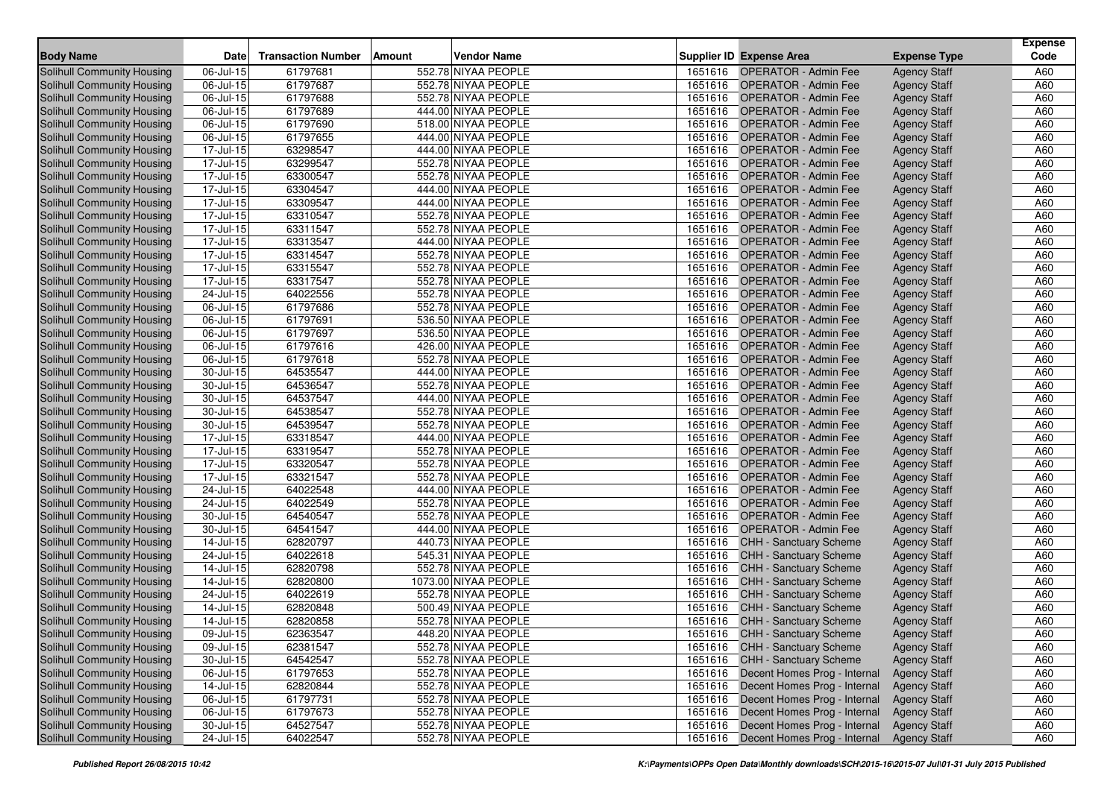|                                   |                         |                           |                                     |         |                                      |                     | <b>Expense</b> |
|-----------------------------------|-------------------------|---------------------------|-------------------------------------|---------|--------------------------------------|---------------------|----------------|
| <b>Body Name</b>                  | Date                    | <b>Transaction Number</b> | <b>Vendor Name</b><br><b>Amount</b> |         | <b>Supplier ID Expense Area</b>      | <b>Expense Type</b> | Code           |
| <b>Solihull Community Housing</b> | 06-Jul-15               | 61797681                  | 552.78 NIYAA PEOPLE                 | 1651616 | <b>OPERATOR - Admin Fee</b>          | <b>Agency Staff</b> | A60            |
| Solihull Community Housing        | 06-Jul-15               | 61797687                  | 552.78 NIYAA PEOPLE                 | 1651616 | <b>OPERATOR - Admin Fee</b>          | <b>Agency Staff</b> | A60            |
| Solihull Community Housing        | 06-Jul-15               | 61797688                  | 552.78 NIYAA PEOPLE                 | 1651616 | <b>OPERATOR - Admin Fee</b>          | <b>Agency Staff</b> | A60            |
| <b>Solihull Community Housing</b> | 06-Jul-15               | 61797689                  | 444.00 NIYAA PEOPLE                 | 1651616 | <b>OPERATOR - Admin Fee</b>          | <b>Agency Staff</b> | A60            |
| Solihull Community Housing        | 06-Jul-15               | 61797690                  | 518.00 NIYAA PEOPLE                 | 1651616 | <b>OPERATOR - Admin Fee</b>          | <b>Agency Staff</b> | A60            |
| Solihull Community Housing        | 06-Jul-15               | 61797655                  | 444.00 NIYAA PEOPLE                 | 1651616 | <b>OPERATOR - Admin Fee</b>          | <b>Agency Staff</b> | A60            |
| Solihull Community Housing        | 17-Jul-15               | 63298547                  | 444.00 NIYAA PEOPLE                 |         | 1651616 OPERATOR - Admin Fee         | <b>Agency Staff</b> | A60            |
| Solihull Community Housing        | 17-Jul-15               | 63299547                  | 552.78 NIYAA PEOPLE                 | 1651616 | <b>OPERATOR - Admin Fee</b>          | <b>Agency Staff</b> | A60            |
| Solihull Community Housing        | 17-Jul-15               | 63300547                  | 552.78 NIYAA PEOPLE                 | 1651616 | <b>OPERATOR - Admin Fee</b>          | <b>Agency Staff</b> | A60            |
| <b>Solihull Community Housing</b> | $\overline{17}$ -Jul-15 | 63304547                  | 444.00 NIYAA PEOPLE                 | 1651616 | <b>OPERATOR - Admin Fee</b>          | <b>Agency Staff</b> | A60            |
| Solihull Community Housing        | 17-Jul-15               | 63309547                  | 444.00 NIYAA PEOPLE                 | 1651616 | <b>OPERATOR - Admin Fee</b>          | <b>Agency Staff</b> | A60            |
| Solihull Community Housing        | 17-Jul-15               | 63310547                  | 552.78 NIYAA PEOPLE                 | 1651616 | <b>OPERATOR - Admin Fee</b>          | <b>Agency Staff</b> | A60            |
| Solihull Community Housing        | 17-Jul-15               | 63311547                  | 552.78 NIYAA PEOPLE                 | 1651616 | <b>OPERATOR - Admin Fee</b>          | <b>Agency Staff</b> | A60            |
| Solihull Community Housing        | 17-Jul-15               | 63313547                  | 444.00 NIYAA PEOPLE                 | 1651616 | <b>OPERATOR - Admin Fee</b>          | <b>Agency Staff</b> | A60            |
| <b>Solihull Community Housing</b> | 17-Jul-15               | 63314547                  | 552.78 NIYAA PEOPLE                 | 1651616 | <b>OPERATOR - Admin Fee</b>          | <b>Agency Staff</b> | A60            |
| Solihull Community Housing        | 17-Jul-15               | 63315547                  | 552.78 NIYAA PEOPLE                 | 1651616 | <b>OPERATOR - Admin Fee</b>          | <b>Agency Staff</b> | A60            |
| Solihull Community Housing        | 17-Jul-15               | 63317547                  | 552.78 NIYAA PEOPLE                 | 1651616 | <b>OPERATOR - Admin Fee</b>          | <b>Agency Staff</b> | A60            |
| <b>Solihull Community Housing</b> | 24-Jul-15               | 64022556                  | 552.78 NIYAA PEOPLE                 | 1651616 | <b>OPERATOR - Admin Fee</b>          | <b>Agency Staff</b> | A60            |
| Solihull Community Housing        | 06-Jul-15               | 61797686                  | 552.78 NIYAA PEOPLE                 | 1651616 | <b>OPERATOR - Admin Fee</b>          | <b>Agency Staff</b> | A60            |
| Solihull Community Housing        | 06-Jul-15               | 61797691                  | 536.50 NIYAA PEOPLE                 | 1651616 | <b>OPERATOR - Admin Fee</b>          | <b>Agency Staff</b> | A60            |
| Solihull Community Housing        | 06-Jul-15               | 61797697                  | 536.50 NIYAA PEOPLE                 | 1651616 | <b>OPERATOR - Admin Fee</b>          | <b>Agency Staff</b> | A60            |
| Solihull Community Housing        | 06-Jul-15               | 61797616                  | 426.00 NIYAA PEOPLE                 | 1651616 | <b>OPERATOR - Admin Fee</b>          | <b>Agency Staff</b> | A60            |
| Solihull Community Housing        | 06-Jul-15               | 61797618                  | 552.78 NIYAA PEOPLE                 | 1651616 | <b>OPERATOR - Admin Fee</b>          | <b>Agency Staff</b> | A60            |
| Solihull Community Housing        | 30-Jul-15               | 64535547                  | 444.00 NIYAA PEOPLE                 | 1651616 | <b>OPERATOR - Admin Fee</b>          | <b>Agency Staff</b> | A60            |
| Solihull Community Housing        | 30-Jul-15               | 64536547                  | 552.78 NIYAA PEOPLE                 | 1651616 | <b>OPERATOR - Admin Fee</b>          | <b>Agency Staff</b> | A60            |
| Solihull Community Housing        | $30 -$ Jul-15           | 64537547                  | 444.00 NIYAA PEOPLE                 | 1651616 | <b>OPERATOR - Admin Fee</b>          | <b>Agency Staff</b> | A60            |
| Solihull Community Housing        | 30-Jul-15               | 64538547                  | 552.78 NIYAA PEOPLE                 | 1651616 | <b>OPERATOR - Admin Fee</b>          | <b>Agency Staff</b> | A60            |
| Solihull Community Housing        | 30-Jul-15               | 64539547                  | 552.78 NIYAA PEOPLE                 | 1651616 | <b>OPERATOR - Admin Fee</b>          | <b>Agency Staff</b> | A60            |
| <b>Solihull Community Housing</b> | 17-Jul-15               | 63318547                  | 444.00 NIYAA PEOPLE                 | 1651616 | <b>OPERATOR - Admin Fee</b>          | <b>Agency Staff</b> | A60            |
| Solihull Community Housing        | 17-Jul-15               | 63319547                  | 552.78 NIYAA PEOPLE                 | 1651616 | <b>OPERATOR - Admin Fee</b>          | <b>Agency Staff</b> | A60            |
| <b>Solihull Community Housing</b> | 17-Jul-15               | 63320547                  | 552.78 NIYAA PEOPLE                 | 1651616 | <b>OPERATOR - Admin Fee</b>          | <b>Agency Staff</b> | A60            |
| Solihull Community Housing        | 17-Jul-15               | 63321547                  | 552.78 NIYAA PEOPLE                 | 1651616 | <b>OPERATOR - Admin Fee</b>          | <b>Agency Staff</b> | A60            |
| Solihull Community Housing        | 24-Jul-15               | 64022548                  | 444.00 NIYAA PEOPLE                 | 1651616 | <b>OPERATOR - Admin Fee</b>          | <b>Agency Staff</b> | A60            |
| Solihull Community Housing        | 24-Jul-15               | 64022549                  | 552.78 NIYAA PEOPLE                 | 1651616 | <b>OPERATOR - Admin Fee</b>          | <b>Agency Staff</b> | A60            |
| <b>Solihull Community Housing</b> | 30-Jul-15               | 64540547                  | 552.78 NIYAA PEOPLE                 | 1651616 | <b>OPERATOR - Admin Fee</b>          | <b>Agency Staff</b> | A60            |
| Solihull Community Housing        | 30-Jul-15               | 64541547                  | 444.00 NIYAA PEOPLE                 | 1651616 | <b>OPERATOR - Admin Fee</b>          | <b>Agency Staff</b> | A60            |
| Solihull Community Housing        | $14$ -Jul-15            | 62820797                  | 440.73 NIYAA PEOPLE                 | 1651616 | <b>CHH - Sanctuary Scheme</b>        | <b>Agency Staff</b> | A60            |
| Solihull Community Housing        | 24-Jul-15               | 64022618                  | 545.31 NIYAA PEOPLE                 | 1651616 | <b>CHH - Sanctuary Scheme</b>        | <b>Agency Staff</b> | A60            |
| Solihull Community Housing        | 14-Jul-15               | 62820798                  | 552.78 NIYAA PEOPLE                 | 1651616 | CHH - Sanctuary Scheme               | <b>Agency Staff</b> | A60            |
| <b>Solihull Community Housing</b> | $\overline{14}$ -Jul-15 | 62820800                  | 1073.00 NIYAA PEOPLE                | 1651616 | <b>CHH - Sanctuary Scheme</b>        | <b>Agency Staff</b> | A60            |
| Solihull Community Housing        | 24-Jul-15               | 64022619                  | 552.78 NIYAA PEOPLE                 | 1651616 | <b>CHH - Sanctuary Scheme</b>        | <b>Agency Staff</b> | A60            |
| <b>Solihull Community Housing</b> | 14-Jul-15               | 62820848                  | 500.49 NIYAA PEOPLE                 | 1651616 | <b>CHH - Sanctuary Scheme</b>        | <b>Agency Staff</b> | A60            |
| Solihull Community Housing        | 14-Jul-15               | 62820858                  | 552.78 NIYAA PEOPLE                 |         | 1651616 CHH - Sanctuary Scheme       | <b>Agency Staff</b> | A60            |
| Solihull Community Housing        | 09-Jul-15               | 62363547                  | 448.20 NIYAA PEOPLE                 |         | 1651616 CHH - Sanctuary Scheme       | <b>Agency Staff</b> | A60            |
| Solihull Community Housing        | 09-Jul-15               | 62381547                  | 552.78 NIYAA PEOPLE                 |         | 1651616 CHH - Sanctuary Scheme       | <b>Agency Staff</b> | A60            |
| Solihull Community Housing        | $\overline{30}$ -Jul-15 | 64542547                  | 552.78 NIYAA PEOPLE                 |         | 1651616 CHH - Sanctuary Scheme       | <b>Agency Staff</b> | A60            |
| Solihull Community Housing        | 06-Jul-15               | 61797653                  | 552.78 NIYAA PEOPLE                 |         | 1651616 Decent Homes Prog - Internal | <b>Agency Staff</b> | A60            |
| Solihull Community Housing        | 14-Jul-15               | 62820844                  | 552.78 NIYAA PEOPLE                 |         | 1651616 Decent Homes Prog - Internal | <b>Agency Staff</b> | A60            |
| Solihull Community Housing        | 06-Jul-15               | 61797731                  | 552.78 NIYAA PEOPLE                 | 1651616 | Decent Homes Prog - Internal         | <b>Agency Staff</b> | A60            |
| Solihull Community Housing        | 06-Jul-15               | 61797673                  | 552.78 NIYAA PEOPLE                 |         | 1651616 Decent Homes Prog - Internal | <b>Agency Staff</b> | A60            |
| Solihull Community Housing        | $30 -$ Jul-15           | 64527547                  | 552.78 NIYAA PEOPLE                 | 1651616 | Decent Homes Prog - Internal         | <b>Agency Staff</b> | A60            |
| Solihull Community Housing        | 24-Jul-15               | 64022547                  | 552.78 NIYAA PEOPLE                 |         | 1651616 Decent Homes Prog - Internal | <b>Agency Staff</b> | A60            |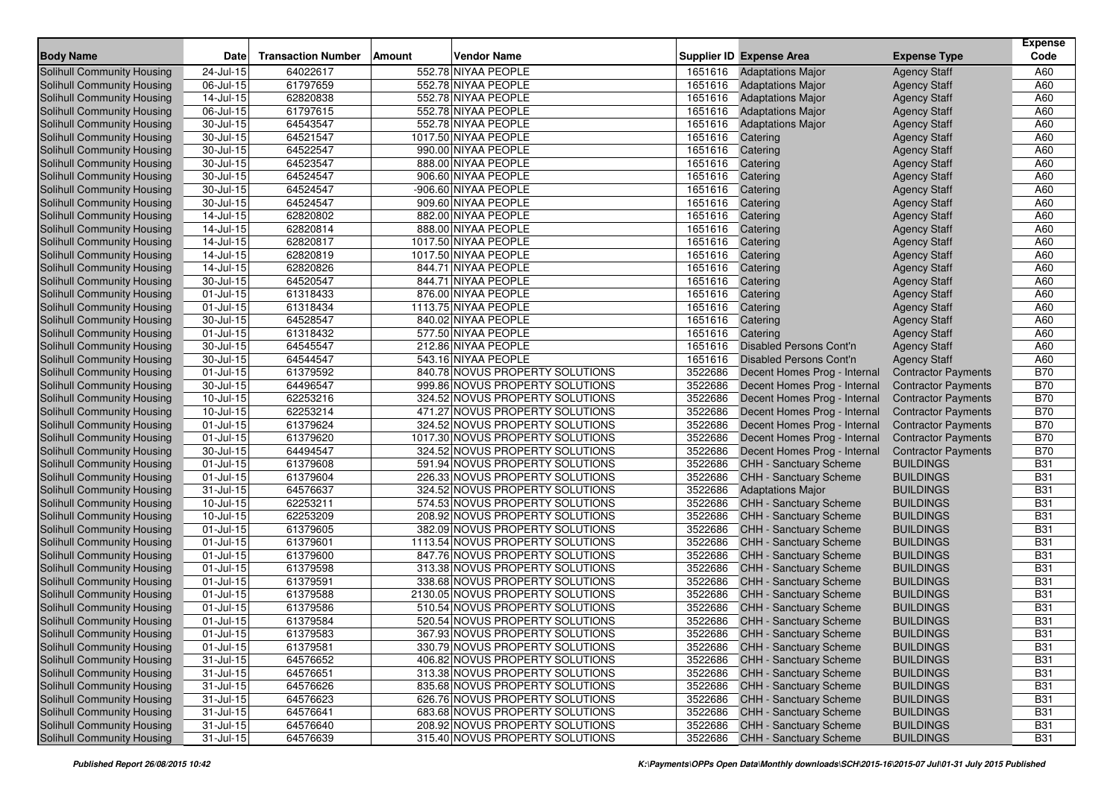|                                                          |                            |                           |                                                                     |                    |                                                    |                                      | <b>Expense</b>           |
|----------------------------------------------------------|----------------------------|---------------------------|---------------------------------------------------------------------|--------------------|----------------------------------------------------|--------------------------------------|--------------------------|
| <b>Body Name</b>                                         | <b>Date</b>                | <b>Transaction Number</b> | <b>Vendor Name</b><br><b>Amount</b>                                 |                    | Supplier ID Expense Area                           | <b>Expense Type</b>                  | Code                     |
| <b>Solihull Community Housing</b>                        | 24-Jul-15                  | 64022617                  | 552.78 NIYAA PEOPLE                                                 | 1651616            | <b>Adaptations Major</b>                           | <b>Agency Staff</b>                  | A60                      |
| <b>Solihull Community Housing</b>                        | 06-Jul-15                  | 61797659                  | 552.78 NIYAA PEOPLE                                                 | 1651616            | <b>Adaptations Major</b>                           | <b>Agency Staff</b>                  | A60                      |
| <b>Solihull Community Housing</b>                        | 14-Jul-15                  | 62820838                  | 552.78 NIYAA PEOPLE                                                 | 1651616            | <b>Adaptations Major</b>                           | <b>Agency Staff</b>                  | A60                      |
| Solihull Community Housing                               | 06-Jul-15                  | 61797615                  | 552.78 NIYAA PEOPLE                                                 | 1651616            | <b>Adaptations Major</b>                           | <b>Agency Staff</b>                  | A60                      |
| Solihull Community Housing                               | 30-Jul-15                  | 64543547                  | 552.78 NIYAA PEOPLE                                                 | 1651616            | <b>Adaptations Major</b>                           | <b>Agency Staff</b>                  | A60                      |
| Solihull Community Housing                               | 30-Jul-15                  | 64521547                  | 1017.50 NIYAA PEOPLE                                                | 1651616            | Catering                                           | <b>Agency Staff</b>                  | A60                      |
| Solihull Community Housing                               | 30-Jul-15                  | 64522547                  | 990.00 NIYAA PEOPLE                                                 | 1651616            | Catering                                           | <b>Agency Staff</b>                  | A60                      |
| Solihull Community Housing                               | 30-Jul-15                  | 64523547                  | 888.00 NIYAA PEOPLE                                                 | 1651616            | Catering                                           | <b>Agency Staff</b>                  | A60                      |
| Solihull Community Housing                               | 30-Jul-15                  | 64524547                  | 906.60 NIYAA PEOPLE                                                 | 1651616            | Catering                                           | <b>Agency Staff</b>                  | A60                      |
| Solihull Community Housing                               | 30-Jul-15                  | 64524547                  | -906.60 NIYAA PEOPLE                                                | 1651616            | Catering                                           | <b>Agency Staff</b>                  | A60                      |
| Solihull Community Housing                               | 30-Jul-15                  | 64524547                  | 909.60 NIYAA PEOPLE                                                 | 1651616            | Catering                                           | <b>Agency Staff</b>                  | A60                      |
| Solihull Community Housing                               | $14$ -Jul-15               | 62820802                  | 882.00 NIYAA PEOPLE                                                 | 1651616            | Catering                                           | <b>Agency Staff</b>                  | A60                      |
| Solihull Community Housing                               | 14-Jul-15                  | 62820814                  | 888.00 NIYAA PEOPLE                                                 | 1651616            | Catering                                           | <b>Agency Staff</b>                  | A60                      |
| Solihull Community Housing                               | 14-Jul-15                  | 62820817                  | 1017.50 NIYAA PEOPLE                                                | 1651616            | Catering                                           | <b>Agency Staff</b>                  | A60                      |
| Solihull Community Housing                               | $14$ -Jul-15               | 62820819                  | 1017.50 NIYAA PEOPLE                                                | 1651616            | Catering                                           | <b>Agency Staff</b>                  | A60                      |
| Solihull Community Housing                               | 14-Jul-15                  | 62820826                  | 844.71 NIYAA PEOPLE                                                 | 1651616            | Catering                                           | <b>Agency Staff</b>                  | A60                      |
| Solihull Community Housing                               | 30-Jul-15                  | 64520547                  | 844.71 NIYAA PEOPLE                                                 | 1651616            | Catering                                           | <b>Agency Staff</b>                  | A60                      |
| Solihull Community Housing                               | $01$ -Jul-15               | 61318433                  | 876.00 NIYAA PEOPLE                                                 | 1651616            | Catering                                           | <b>Agency Staff</b>                  | A60                      |
| Solihull Community Housing                               | 01-Jul-15                  | 61318434                  | 1113.75 NIYAA PEOPLE                                                | 1651616            | Catering                                           | <b>Agency Staff</b>                  | A60                      |
| Solihull Community Housing                               | 30-Jul-15                  | 64528547                  | 840.02 NIYAA PEOPLE                                                 | 1651616            | Catering                                           | <b>Agency Staff</b>                  | A60                      |
| Solihull Community Housing                               | 01-Jul-15                  | 61318432                  | 577.50 NIYAA PEOPLE                                                 | 1651616            | Catering                                           | <b>Agency Staff</b>                  | A60                      |
| Solihull Community Housing                               | 30-Jul-15                  | 64545547                  | 212.86 NIYAA PEOPLE                                                 | 1651616            | <b>Disabled Persons Cont'n</b>                     | <b>Agency Staff</b>                  | A60                      |
| Solihull Community Housing                               | 30-Jul-15                  | 64544547                  | 543.16 NIYAA PEOPLE                                                 | 1651616            | Disabled Persons Cont'n                            | <b>Agency Staff</b>                  | A60                      |
| Solihull Community Housing                               | 01-Jul-15                  | 61379592                  | 840.78 NOVUS PROPERTY SOLUTIONS                                     | 3522686            | Decent Homes Prog - Internal                       | <b>Contractor Payments</b>           | <b>B70</b>               |
| Solihull Community Housing                               | 30-Jul-15                  | 64496547                  | 999.86 NOVUS PROPERTY SOLUTIONS                                     | 3522686            | Decent Homes Prog - Internal                       | <b>Contractor Payments</b>           | <b>B70</b><br><b>B70</b> |
| Solihull Community Housing                               | $10 -$ Jul-15              | 62253216                  | 324.52 NOVUS PROPERTY SOLUTIONS                                     | 3522686            | Decent Homes Prog - Internal                       | <b>Contractor Payments</b>           |                          |
| Solihull Community Housing                               | 10-Jul-15                  | 62253214<br>61379624      | 471.27 NOVUS PROPERTY SOLUTIONS                                     | 3522686            | Decent Homes Prog - Internal                       | <b>Contractor Payments</b>           | <b>B70</b><br><b>B70</b> |
| Solihull Community Housing                               | 01-Jul-15                  |                           | 324.52 NOVUS PROPERTY SOLUTIONS                                     | 3522686            | Decent Homes Prog - Internal                       | <b>Contractor Payments</b>           | <b>B70</b>               |
| Solihull Community Housing                               | 01-Jul-15<br>$30 -$ Jul-15 | 61379620<br>64494547      | 1017.30 NOVUS PROPERTY SOLUTIONS<br>324.52 NOVUS PROPERTY SOLUTIONS | 3522686<br>3522686 | Decent Homes Prog - Internal                       | <b>Contractor Payments</b>           | <b>B70</b>               |
| Solihull Community Housing                               |                            |                           |                                                                     |                    | Decent Homes Prog - Internal                       | <b>Contractor Payments</b>           | <b>B31</b>               |
| Solihull Community Housing                               | 01-Jul-15<br>01-Jul-15     | 61379608<br>61379604      | 591.94 NOVUS PROPERTY SOLUTIONS<br>226.33 NOVUS PROPERTY SOLUTIONS  | 3522686<br>3522686 | CHH - Sanctuary Scheme                             | <b>BUILDINGS</b><br><b>BUILDINGS</b> | <b>B31</b>               |
| Solihull Community Housing<br>Solihull Community Housing | 31-Jul-15                  | 64576637                  | 324.52 NOVUS PROPERTY SOLUTIONS                                     | 3522686            | CHH - Sanctuary Scheme<br><b>Adaptations Major</b> | <b>BUILDINGS</b>                     | <b>B31</b>               |
| Solihull Community Housing                               | $10 -$ Jul-15              | 62253211                  | 574.53 NOVUS PROPERTY SOLUTIONS                                     | 3522686            | CHH - Sanctuary Scheme                             | <b>BUILDINGS</b>                     | <b>B31</b>               |
| Solihull Community Housing                               | 10-Jul-15                  | 62253209                  | 208.92 NOVUS PROPERTY SOLUTIONS                                     | 3522686            | CHH - Sanctuary Scheme                             | <b>BUILDINGS</b>                     | <b>B31</b>               |
| Solihull Community Housing                               | 01-Jul-15                  | 61379605                  | 382.09 NOVUS PROPERTY SOLUTIONS                                     | 3522686            | <b>CHH - Sanctuary Scheme</b>                      | <b>BUILDINGS</b>                     | <b>B31</b>               |
| Solihull Community Housing                               | 01-Jul-15                  | 61379601                  | 1113.54 NOVUS PROPERTY SOLUTIONS                                    | 3522686            | CHH - Sanctuary Scheme                             | <b>BUILDINGS</b>                     | <b>B31</b>               |
| Solihull Community Housing                               | 01-Jul-15                  | 61379600                  | 847.76 NOVUS PROPERTY SOLUTIONS                                     | 3522686            | CHH - Sanctuary Scheme                             | <b>BUILDINGS</b>                     | <b>B31</b>               |
| Solihull Community Housing                               | 01-Jul-15                  | 61379598                  | 313.38 NOVUS PROPERTY SOLUTIONS                                     | 3522686            | <b>CHH - Sanctuary Scheme</b>                      | <b>BUILDINGS</b>                     | <b>B31</b>               |
| Solihull Community Housing                               | 01-Jul-15                  | 61379591                  | 338.68 NOVUS PROPERTY SOLUTIONS                                     | 3522686            | CHH - Sanctuary Scheme                             | <b>BUILDINGS</b>                     | <b>B31</b>               |
| Solihull Community Housing                               | 01-Jul-15                  | 61379588                  | 2130.05 NOVUS PROPERTY SOLUTIONS                                    | 3522686            | CHH - Sanctuary Scheme                             | <b>BUILDINGS</b>                     | <b>B31</b>               |
| <b>Solihull Community Housing</b>                        | 01-Jul-15                  | 61379586                  | 510.54 NOVUS PROPERTY SOLUTIONS                                     | 3522686            | CHH - Sanctuary Scheme                             | <b>BUILDINGS</b>                     | <b>B31</b>               |
| Solihull Community Housing                               | $01$ -Jul-15               | 61379584                  | 520.54 NOVUS PROPERTY SOLUTIONS                                     | 3522686            | <b>CHH - Sanctuary Scheme</b>                      | <b>BUILDINGS</b>                     | <b>B31</b>               |
| Solihull Community Housing                               | $01$ -Jul-15               | 61379583                  | 367.93 NOVUS PROPERTY SOLUTIONS                                     |                    | 3522686 CHH - Sanctuary Scheme                     | <b>BUILDINGS</b>                     | <b>B31</b>               |
| Solihull Community Housing                               | 01-Jul-15                  | 61379581                  | 330.79 NOVUS PROPERTY SOLUTIONS                                     |                    | 3522686 CHH - Sanctuary Scheme                     | <b>BUILDINGS</b>                     | <b>B31</b>               |
| Solihull Community Housing                               | $\overline{31}$ -Jul-15    | 64576652                  | 406.82 NOVUS PROPERTY SOLUTIONS                                     | 3522686            | <b>CHH - Sanctuary Scheme</b>                      | <b>BUILDINGS</b>                     | <b>B31</b>               |
| Solihull Community Housing                               | 31-Jul-15                  | 64576651                  | 313.38 NOVUS PROPERTY SOLUTIONS                                     | 3522686            | <b>CHH - Sanctuary Scheme</b>                      | <b>BUILDINGS</b>                     | <b>B31</b>               |
| Solihull Community Housing                               | 31-Jul-15                  | 64576626                  | 835.68 NOVUS PROPERTY SOLUTIONS                                     | 3522686            | <b>CHH - Sanctuary Scheme</b>                      | <b>BUILDINGS</b>                     | <b>B31</b>               |
| Solihull Community Housing                               | $\overline{31}$ -Jul-15    | 64576623                  | 626.76 NOVUS PROPERTY SOLUTIONS                                     | 3522686            | <b>CHH - Sanctuary Scheme</b>                      | <b>BUILDINGS</b>                     | <b>B31</b>               |
| Solihull Community Housing                               | 31-Jul-15                  | 64576641                  | 683.68 NOVUS PROPERTY SOLUTIONS                                     | 3522686            | <b>CHH - Sanctuary Scheme</b>                      | <b>BUILDINGS</b>                     | <b>B31</b>               |
| Solihull Community Housing                               | $31 -$ Jul-15              | 64576640                  | 208.92 NOVUS PROPERTY SOLUTIONS                                     | 3522686            | CHH - Sanctuary Scheme                             | <b>BUILDINGS</b>                     | <b>B31</b>               |
| Solihull Community Housing                               | $31$ -Jul-15               | 64576639                  | 315.40 NOVUS PROPERTY SOLUTIONS                                     |                    | 3522686 CHH - Sanctuary Scheme                     | <b>BUILDINGS</b>                     | <b>B31</b>               |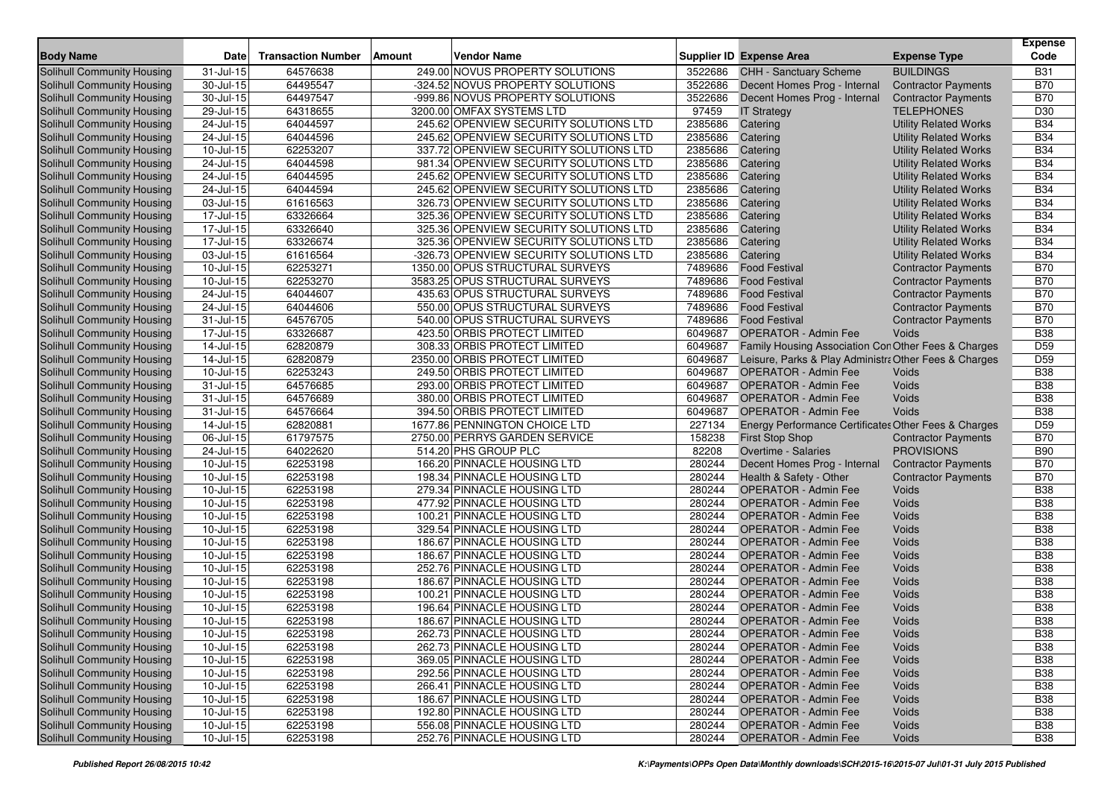| <b>Body Name</b>                                         | <b>Date</b>            | <b>Transaction Number</b> | Amount | <b>Vendor Name</b>                                                               |                    | <b>Supplier ID Expense Area</b>                        | <b>Expense Type</b>                                          | <b>Expense</b><br>Code |
|----------------------------------------------------------|------------------------|---------------------------|--------|----------------------------------------------------------------------------------|--------------------|--------------------------------------------------------|--------------------------------------------------------------|------------------------|
|                                                          |                        |                           |        |                                                                                  |                    |                                                        | <b>BUILDINGS</b>                                             | <b>B31</b>             |
| Solihull Community Housing<br>Solihull Community Housing | 31-Jul-15<br>30-Jul-15 | 64576638<br>64495547      |        | 249.00 NOVUS PROPERTY SOLUTIONS<br>-324.52 NOVUS PROPERTY SOLUTIONS              | 3522686<br>3522686 | CHH - Sanctuary Scheme<br>Decent Homes Prog - Internal |                                                              | <b>B70</b>             |
| <b>Solihull Community Housing</b>                        | 30-Jul-15              | 64497547                  |        | -999.86 NOVUS PROPERTY SOLUTIONS                                                 | 3522686            | Decent Homes Prog - Internal                           | <b>Contractor Payments</b><br><b>Contractor Payments</b>     | <b>B70</b>             |
|                                                          | 29-Jul-15              | 64318655                  |        | 3200.00 OMFAX SYSTEMS LTD                                                        | 97459              |                                                        | <b>TELEPHONES</b>                                            | D30                    |
| Solihull Community Housing                               |                        | 64044597                  |        |                                                                                  | 2385686            | <b>IT Strategy</b>                                     |                                                              | <b>B34</b>             |
| Solihull Community Housing<br>Solihull Community Housing | 24-Jul-15<br>24-Jul-15 | 64044596                  |        | 245.62 OPENVIEW SECURITY SOLUTIONS LTD<br>245.62 OPENVIEW SECURITY SOLUTIONS LTD | 2385686            | Catering<br>Catering                                   | <b>Utility Related Works</b>                                 | <b>B34</b>             |
| Solihull Community Housing                               | 10-Jul-15              | 62253207                  |        | 337.72 OPENVIEW SECURITY SOLUTIONS LTD                                           | 2385686            | Catering                                               | <b>Utility Related Works</b><br><b>Utility Related Works</b> | <b>B34</b>             |
| Solihull Community Housing                               | 24-Jul-15              | 64044598                  |        | 981.34 OPENVIEW SECURITY SOLUTIONS LTD                                           | 2385686            | Catering                                               | <b>Utility Related Works</b>                                 | <b>B34</b>             |
| Solihull Community Housing                               | 24-Jul-15              | 64044595                  |        | 245.62 OPENVIEW SECURITY SOLUTIONS LTD                                           | 2385686            | Catering                                               | <b>Utility Related Works</b>                                 | <b>B34</b>             |
| Solihull Community Housing                               | 24-Jul-15              | 64044594                  |        | 245.62 OPENVIEW SECURITY SOLUTIONS LTD                                           | 2385686            | Catering                                               | <b>Utility Related Works</b>                                 | <b>B34</b>             |
| Solihull Community Housing                               | 03-Jul-15              | 61616563                  |        | 326.73 OPENVIEW SECURITY SOLUTIONS LTD                                           | 2385686            | Catering                                               | <b>Utility Related Works</b>                                 | <b>B34</b>             |
| Solihull Community Housing                               | 17-Jul-15              | 63326664                  |        | 325.36 OPENVIEW SECURITY SOLUTIONS LTD                                           | 2385686            | Catering                                               | <b>Utility Related Works</b>                                 | <b>B34</b>             |
| <b>Solihull Community Housing</b>                        | 17-Jul-15              | 63326640                  |        | 325.36 OPENVIEW SECURITY SOLUTIONS LTD                                           | 2385686            | Catering                                               | <b>Utility Related Works</b>                                 | <b>B34</b>             |
| <b>Solihull Community Housing</b>                        | 17-Jul-15              | 63326674                  |        | 325.36 OPENVIEW SECURITY SOLUTIONS LTD                                           | 2385686            | Catering                                               | <b>Utility Related Works</b>                                 | <b>B34</b>             |
| Solihull Community Housing                               | 03-Jul-15              | 61616564                  |        | -326.73 OPENVIEW SECURITY SOLUTIONS LTD                                          | 2385686            | Catering                                               | <b>Utility Related Works</b>                                 | <b>B34</b>             |
| Solihull Community Housing                               | 10-Jul-15              | 62253271                  |        | 1350.00 OPUS STRUCTURAL SURVEYS                                                  | 7489686            | <b>Food Festival</b>                                   | <b>Contractor Payments</b>                                   | <b>B70</b>             |
| Solihull Community Housing                               | 10-Jul-15              | 62253270                  |        | 3583.25 OPUS STRUCTURAL SURVEYS                                                  | 7489686            | <b>Food Festival</b>                                   | <b>Contractor Payments</b>                                   | <b>B70</b>             |
| Solihull Community Housing                               | 24-Jul-15              | 64044607                  |        | 435.63 OPUS STRUCTURAL SURVEYS                                                   | 7489686            | <b>Food Festival</b>                                   | <b>Contractor Payments</b>                                   | <b>B70</b>             |
| Solihull Community Housing                               | 24-Jul-15              | 64044606                  |        | 550.00 OPUS STRUCTURAL SURVEYS                                                   | 7489686            | <b>Food Festival</b>                                   | <b>Contractor Payments</b>                                   | <b>B70</b>             |
| Solihull Community Housing                               | 31-Jul-15              | 64576705                  |        | 540.00 OPUS STRUCTURAL SURVEYS                                                   | 7489686            | <b>Food Festival</b>                                   | <b>Contractor Payments</b>                                   | <b>B70</b>             |
| Solihull Community Housing                               | 17-Jul-15              | 63326687                  |        | 423.50 ORBIS PROTECT LIMITED                                                     | 6049687            | <b>OPERATOR - Admin Fee</b>                            | Voids                                                        | <b>B38</b>             |
| Solihull Community Housing                               | 14-Jul-15              | 62820879                  |        | 308.33 ORBIS PROTECT LIMITED                                                     | 6049687            | Family Housing Association Con Other Fees & Charges    |                                                              | D <sub>59</sub>        |
| Solihull Community Housing                               | 14-Jul-15              | 62820879                  |        | 2350.00 ORBIS PROTECT LIMITED                                                    | 6049687            | Leisure, Parks & Play Administra Other Fees & Charges  |                                                              | D <sub>59</sub>        |
| Solihull Community Housing                               | 10-Jul-15              | 62253243                  |        | 249.50 ORBIS PROTECT LIMITED                                                     | 6049687            | OPERATOR - Admin Fee                                   | Voids                                                        | <b>B38</b>             |
| <b>Solihull Community Housing</b>                        | 31-Jul-15              | 64576685                  |        | 293.00 ORBIS PROTECT LIMITED                                                     | 6049687            | <b>OPERATOR - Admin Fee</b>                            | Voids                                                        | <b>B38</b>             |
| Solihull Community Housing                               | $31 -$ Jul-15          | 64576689                  |        | 380.00 ORBIS PROTECT LIMITED                                                     | 6049687            | <b>OPERATOR - Admin Fee</b>                            | Voids                                                        | <b>B38</b>             |
| <b>Solihull Community Housing</b>                        | 31-Jul-15              | 64576664                  |        | 394.50 ORBIS PROTECT LIMITED                                                     | 6049687            | <b>OPERATOR - Admin Fee</b>                            | Voids                                                        | <b>B38</b>             |
| <b>Solihull Community Housing</b>                        | 14-Jul-15              | 62820881                  |        | 1677.86 PENNINGTON CHOICE LTD                                                    | 227134             | Energy Performance Certificates Other Fees & Charges   |                                                              | D <sub>59</sub>        |
| Solihull Community Housing                               | 06-Jul-15              | 61797575                  |        | 2750.00 PERRYS GARDEN SERVICE                                                    | 158238             | <b>First Stop Shop</b>                                 | <b>Contractor Payments</b>                                   | <b>B70</b>             |
| Solihull Community Housing                               | 24-Jul-15              | 64022620                  |        | 514.20 PHS GROUP PLC                                                             | 82208              | Overtime - Salaries                                    | <b>PROVISIONS</b>                                            | <b>B90</b>             |
| Solihull Community Housing                               | 10-Jul-15              | 62253198                  |        | 166.20 PINNACLE HOUSING LTD                                                      | 280244             | Decent Homes Prog - Internal                           | <b>Contractor Payments</b>                                   | <b>B70</b>             |
| Solihull Community Housing                               | 10-Jul-15              | 62253198                  |        | 198.34 PINNACLE HOUSING LTD                                                      | 280244             | Health & Safety - Other                                | <b>Contractor Payments</b>                                   | <b>B70</b>             |
| Solihull Community Housing                               | 10-Jul-15              | 62253198                  |        | 279.34 PINNACLE HOUSING LTD                                                      | 280244             | <b>OPERATOR - Admin Fee</b>                            | Voids                                                        | <b>B38</b>             |
| Solihull Community Housing                               | 10-Jul-15              | 62253198                  |        | 477.92 PINNACLE HOUSING LTD                                                      | 280244             | <b>OPERATOR - Admin Fee</b>                            | Voids                                                        | <b>B38</b>             |
| Solihull Community Housing                               | 10-Jul-15              | 62253198                  |        | 100.21 PINNACLE HOUSING LTD                                                      | 280244             | <b>OPERATOR - Admin Fee</b>                            | Voids                                                        | <b>B38</b>             |
| Solihull Community Housing                               | 10-Jul-15              | 62253198                  |        | 329.54 PINNACLE HOUSING LTD                                                      | 280244             | <b>OPERATOR - Admin Fee</b>                            | Voids                                                        | <b>B38</b>             |
| Solihull Community Housing                               | 10-Jul-15              | 62253198                  |        | 186.67 PINNACLE HOUSING LTD                                                      | 280244             | <b>OPERATOR - Admin Fee</b>                            | Voids                                                        | <b>B38</b>             |
| Solihull Community Housing                               | 10-Jul-15              | 62253198                  |        | 186.67 PINNACLE HOUSING LTD                                                      | 280244             | <b>OPERATOR - Admin Fee</b>                            | Voids                                                        | <b>B38</b>             |
| Solihull Community Housing                               | 10-Jul-15              | 62253198                  |        | 252.76 PINNACLE HOUSING LTD                                                      | 280244             | <b>OPERATOR - Admin Fee</b>                            | Voids                                                        | <b>B38</b>             |
| Solihull Community Housing                               | 10-Jul-15              | 62253198                  |        | 186.67 PINNACLE HOUSING LTD                                                      | 280244             | <b>OPERATOR - Admin Fee</b>                            | Voids                                                        | <b>B38</b>             |
| Solihull Community Housing                               | 10-Jul-15              | 62253198                  |        | 100.21 PINNACLE HOUSING LTD                                                      | 280244             | <b>OPERATOR - Admin Fee</b>                            | Voids                                                        | <b>B38</b>             |
| Solihull Community Housing                               | 10-Jul-15              | 62253198                  |        | 196.64 PINNACLE HOUSING LTD                                                      | 280244             | <b>OPERATOR - Admin Fee</b>                            | Voids                                                        | <b>B38</b>             |
| Solihull Community Housing                               | 10-Jul-15              | 62253198                  |        | 186.67 PINNACLE HOUSING LTD                                                      | 280244             | <b>OPERATOR - Admin Fee</b>                            | Voids                                                        | <b>B38</b>             |
| Solihull Community Housing                               | $10$ -Jul-15           | 62253198                  |        | 262.73 PINNACLE HOUSING LTD                                                      | 280244             | OPERATOR - Admin Fee                                   | Voids                                                        | <b>B</b> 38            |
| Solihull Community Housing                               | 10-Jul-15              | 62253198                  |        | 262.73 PINNACLE HOUSING LTD                                                      | 280244             | <b>OPERATOR - Admin Fee</b>                            | Voids                                                        | <b>B38</b>             |
| <b>Solihull Community Housing</b>                        | 10-Jul-15              | 62253198                  |        | 369.05 PINNACLE HOUSING LTD                                                      | 280244             | <b>OPERATOR - Admin Fee</b>                            | Voids                                                        | <b>B38</b>             |
| Solihull Community Housing                               | 10-Jul-15              | 62253198                  |        | 292.56 PINNACLE HOUSING LTD                                                      | 280244             | OPERATOR - Admin Fee                                   | Voids                                                        | <b>B38</b>             |
| Solihull Community Housing                               | 10-Jul-15              | 62253198                  |        | 266.41 PINNACLE HOUSING LTD                                                      | 280244             | <b>OPERATOR - Admin Fee</b>                            | Voids                                                        | <b>B38</b>             |
| Solihull Community Housing                               | 10-Jul-15              | 62253198                  |        | 186.67 PINNACLE HOUSING LTD                                                      | 280244             | <b>OPERATOR - Admin Fee</b>                            | Voids                                                        | <b>B38</b>             |
| Solihull Community Housing                               | 10-Jul-15              | 62253198                  |        | 192.80 PINNACLE HOUSING LTD                                                      | 280244             | <b>OPERATOR - Admin Fee</b>                            | Voids                                                        | <b>B38</b>             |
| Solihull Community Housing                               | $10$ -Jul-15           | 62253198                  |        | 556.08 PINNACLE HOUSING LTD                                                      | 280244             | <b>OPERATOR - Admin Fee</b>                            | Voids                                                        | <b>B38</b>             |
| Solihull Community Housing                               | $10$ -Jul-15           | 62253198                  |        | 252.76 PINNACLE HOUSING LTD                                                      | 280244             | <b>OPERATOR - Admin Fee</b>                            | Voids                                                        | <b>B38</b>             |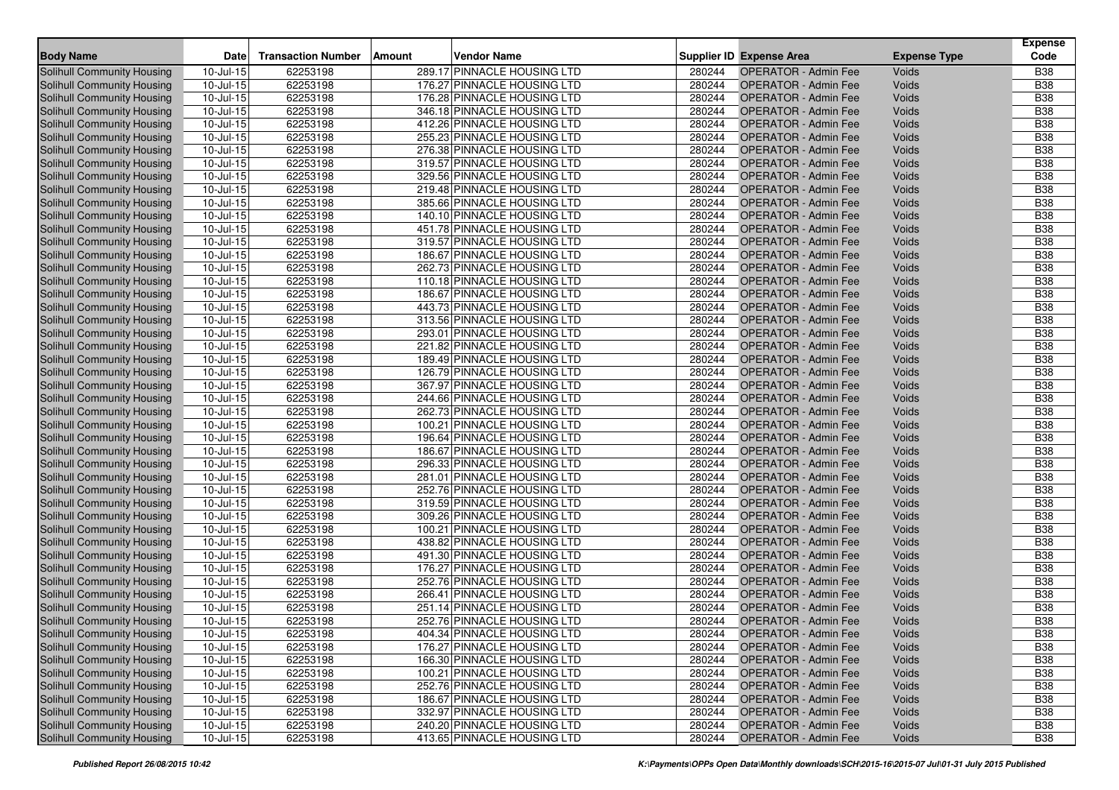|                                   |                         |                           |               |                             |        |                                 |                     | <b>Expense</b> |
|-----------------------------------|-------------------------|---------------------------|---------------|-----------------------------|--------|---------------------------------|---------------------|----------------|
| <b>Body Name</b>                  | Date                    | <b>Transaction Number</b> | <b>Amount</b> | <b>Vendor Name</b>          |        | <b>Supplier ID Expense Area</b> | <b>Expense Type</b> | Code           |
| <b>Solihull Community Housing</b> | 10-Jul-15               | 62253198                  |               | 289.17 PINNACLE HOUSING LTD | 280244 | <b>OPERATOR - Admin Fee</b>     | Voids               | <b>B38</b>     |
| <b>Solihull Community Housing</b> | 10-Jul-15               | 62253198                  |               | 176.27 PINNACLE HOUSING LTD | 280244 | <b>OPERATOR - Admin Fee</b>     | Voids               | <b>B38</b>     |
| <b>Solihull Community Housing</b> | 10-Jul-15               | 62253198                  |               | 176.28 PINNACLE HOUSING LTD | 280244 | <b>OPERATOR - Admin Fee</b>     | Voids               | <b>B38</b>     |
| Solihull Community Housing        | 10-Jul-15               | 62253198                  |               | 346.18 PINNACLE HOUSING LTD | 280244 | <b>OPERATOR - Admin Fee</b>     | Voids               | <b>B38</b>     |
| Solihull Community Housing        | 10-Jul-15               | 62253198                  |               | 412.26 PINNACLE HOUSING LTD | 280244 | <b>OPERATOR - Admin Fee</b>     | Voids               | <b>B</b> 38    |
| Solihull Community Housing        | 10-Jul-15               | 62253198                  |               | 255.23 PINNACLE HOUSING LTD | 280244 | <b>OPERATOR - Admin Fee</b>     | Voids               | <b>B38</b>     |
| Solihull Community Housing        | 10-Jul-15               | 62253198                  |               | 276.38 PINNACLE HOUSING LTD | 280244 | <b>OPERATOR - Admin Fee</b>     | Voids               | <b>B38</b>     |
| Solihull Community Housing        | 10-Jul-15               | 62253198                  |               | 319.57 PINNACLE HOUSING LTD | 280244 | <b>OPERATOR - Admin Fee</b>     | Voids               | <b>B38</b>     |
| Solihull Community Housing        | $10 -$ Jul-15           | 62253198                  |               | 329.56 PINNACLE HOUSING LTD | 280244 | <b>OPERATOR - Admin Fee</b>     | Voids               | <b>B38</b>     |
| Solihull Community Housing        | 10-Jul-15               | 62253198                  |               | 219.48 PINNACLE HOUSING LTD | 280244 | <b>OPERATOR - Admin Fee</b>     | Voids               | <b>B38</b>     |
| Solihull Community Housing        | 10-Jul-15               | 62253198                  |               | 385.66 PINNACLE HOUSING LTD | 280244 | <b>OPERATOR - Admin Fee</b>     | Voids               | <b>B</b> 38    |
| Solihull Community Housing        | $10 -$ Jul-15           | 62253198                  |               | 140.10 PINNACLE HOUSING LTD | 280244 | <b>OPERATOR - Admin Fee</b>     | Voids               | <b>B</b> 38    |
| Solihull Community Housing        | 10-Jul-15               | 62253198                  |               | 451.78 PINNACLE HOUSING LTD | 280244 | <b>OPERATOR - Admin Fee</b>     | Voids               | <b>B38</b>     |
| Solihull Community Housing        | 10-Jul-15               | 62253198                  |               | 319.57 PINNACLE HOUSING LTD | 280244 | <b>OPERATOR - Admin Fee</b>     | Voids               | <b>B</b> 38    |
| Solihull Community Housing        | $10 -$ Jul-15           | 62253198                  |               | 186.67 PINNACLE HOUSING LTD | 280244 | <b>OPERATOR - Admin Fee</b>     | Voids               | <b>B38</b>     |
| Solihull Community Housing        | 10-Jul-15               | 62253198                  |               | 262.73 PINNACLE HOUSING LTD | 280244 | <b>OPERATOR - Admin Fee</b>     | Voids               | <b>B38</b>     |
| Solihull Community Housing        | 10-Jul-15               | 62253198                  |               | 110.18 PINNACLE HOUSING LTD | 280244 | <b>OPERATOR - Admin Fee</b>     | Voids               | <b>B38</b>     |
| Solihull Community Housing        | $10 -$ Jul-15           | 62253198                  |               | 186.67 PINNACLE HOUSING LTD | 280244 | <b>OPERATOR - Admin Fee</b>     | Voids               | <b>B38</b>     |
| <b>Solihull Community Housing</b> | 10-Jul-15               | 62253198                  |               | 443.73 PINNACLE HOUSING LTD | 280244 | <b>OPERATOR - Admin Fee</b>     | Voids               | <b>B38</b>     |
| Solihull Community Housing        | 10-Jul-15               | 62253198                  |               | 313.56 PINNACLE HOUSING LTD | 280244 | <b>OPERATOR - Admin Fee</b>     | Voids               | <b>B</b> 38    |
| Solihull Community Housing        | 10-Jul-15               | 62253198                  |               | 293.01 PINNACLE HOUSING LTD | 280244 | <b>OPERATOR - Admin Fee</b>     | Voids               | <b>B38</b>     |
| Solihull Community Housing        | $10$ -Jul- $15$         | 62253198                  |               | 221.82 PINNACLE HOUSING LTD | 280244 | <b>OPERATOR - Admin Fee</b>     | Voids               | <b>B38</b>     |
| Solihull Community Housing        | 10-Jul-15               | 62253198                  |               | 189.49 PINNACLE HOUSING LTD | 280244 | <b>OPERATOR - Admin Fee</b>     | Voids               | <b>B38</b>     |
| Solihull Community Housing        | 10-Jul-15               | 62253198                  |               | 126.79 PINNACLE HOUSING LTD | 280244 | <b>OPERATOR - Admin Fee</b>     | Voids               | <b>B38</b>     |
| Solihull Community Housing        | 10-Jul-15               | 62253198                  |               | 367.97 PINNACLE HOUSING LTD | 280244 | <b>OPERATOR - Admin Fee</b>     | Voids               | <b>B</b> 38    |
| Solihull Community Housing        | $10$ -Jul-15            | 62253198                  |               | 244.66 PINNACLE HOUSING LTD | 280244 | <b>OPERATOR - Admin Fee</b>     | Voids               | <b>B38</b>     |
| <b>Solihull Community Housing</b> | 10-Jul-15               | 62253198                  |               | 262.73 PINNACLE HOUSING LTD | 280244 | <b>OPERATOR - Admin Fee</b>     | Voids               | <b>B38</b>     |
| <b>Solihull Community Housing</b> | 10-Jul-15               | 62253198                  |               | 100.21 PINNACLE HOUSING LTD | 280244 | <b>OPERATOR - Admin Fee</b>     | Voids               | <b>B38</b>     |
| Solihull Community Housing        | 10-Jul-15               | 62253198                  |               | 196.64 PINNACLE HOUSING LTD | 280244 | <b>OPERATOR - Admin Fee</b>     | Voids               | <b>B</b> 38    |
| Solihull Community Housing        | 10-Jul-15               | 62253198                  |               | 186.67 PINNACLE HOUSING LTD | 280244 | <b>OPERATOR - Admin Fee</b>     | Voids               | <b>B</b> 38    |
| <b>Solihull Community Housing</b> | 10-Jul-15               | 62253198                  |               | 296.33 PINNACLE HOUSING LTD | 280244 | <b>OPERATOR - Admin Fee</b>     | Voids               | <b>B38</b>     |
| Solihull Community Housing        | 10-Jul-15               | 62253198                  |               | 281.01 PINNACLE HOUSING LTD | 280244 | <b>OPERATOR - Admin Fee</b>     | Voids               | <b>B38</b>     |
| Solihull Community Housing        | 10-Jul-15               | 62253198                  |               | 252.76 PINNACLE HOUSING LTD | 280244 | <b>OPERATOR - Admin Fee</b>     | Voids               | <b>B38</b>     |
| Solihull Community Housing        | $10 -$ Jul-15           | 62253198                  |               | 319.59 PINNACLE HOUSING LTD | 280244 | OPERATOR - Admin Fee            | Voids               | <b>B38</b>     |
| Solihull Community Housing        | 10-Jul-15               | 62253198                  |               | 309.26 PINNACLE HOUSING LTD | 280244 | <b>OPERATOR - Admin Fee</b>     | Voids               | <b>B38</b>     |
| Solihull Community Housing        | 10-Jul-15               | 62253198                  |               | 100.21 PINNACLE HOUSING LTD | 280244 | <b>OPERATOR - Admin Fee</b>     | Voids               | <b>B38</b>     |
| Solihull Community Housing        | $10 -$ Jul-15           | 62253198                  |               | 438.82 PINNACLE HOUSING LTD | 280244 | <b>OPERATOR - Admin Fee</b>     | Voids               | <b>B</b> 38    |
| Solihull Community Housing        | 10-Jul-15               | 62253198                  |               | 491.30 PINNACLE HOUSING LTD | 280244 | <b>OPERATOR - Admin Fee</b>     | Voids               | <b>B38</b>     |
| Solihull Community Housing        | 10-Jul-15               | 62253198                  |               | 176.27 PINNACLE HOUSING LTD | 280244 | <b>OPERATOR - Admin Fee</b>     | Voids               | <b>B38</b>     |
| Solihull Community Housing        | 10-Jul-15               | 62253198                  |               | 252.76 PINNACLE HOUSING LTD | 280244 | <b>OPERATOR - Admin Fee</b>     | Voids               | <b>B38</b>     |
| Solihull Community Housing        | 10-Jul-15               | 62253198                  |               | 266.41 PINNACLE HOUSING LTD | 280244 | <b>OPERATOR - Admin Fee</b>     | Voids               | <b>B38</b>     |
| <b>Solihull Community Housing</b> | 10-Jul-15               | 62253198                  |               | 251.14 PINNACLE HOUSING LTD | 280244 | <b>OPERATOR - Admin Fee</b>     | Voids               | <b>B38</b>     |
| Solihull Community Housing        | 10-Jul-15               | 62253198                  |               | 252.76 PINNACLE HOUSING LTD | 280244 | <b>OPERATOR - Admin Fee</b>     | Voids               | <b>B</b> 38    |
| Solihull Community Housing        | $10$ -Jul-15            | 62253198                  |               | 404.34 PINNACLE HOUSING LTD | 280244 | OPERATOR - Admin Fee            | Voids               | <b>B38</b>     |
| Solihull Community Housing        | 10-Jul-15               | 62253198                  |               | 176.27 PINNACLE HOUSING LTD | 280244 | <b>OPERATOR - Admin Fee</b>     | Voids               | <b>B38</b>     |
| Solihull Community Housing        | $\overline{10}$ -Jul-15 | 62253198                  |               | 166.30 PINNACLE HOUSING LTD | 280244 | <b>OPERATOR - Admin Fee</b>     | Voids               | <b>B38</b>     |
| Solihull Community Housing        | 10-Jul-15               | 62253198                  |               | 100.21 PINNACLE HOUSING LTD | 280244 | <b>OPERATOR - Admin Fee</b>     | Voids               | <b>B38</b>     |
| Solihull Community Housing        | 10-Jul-15               | 62253198                  |               | 252.76 PINNACLE HOUSING LTD | 280244 | <b>OPERATOR - Admin Fee</b>     | Voids               | <b>B38</b>     |
| Solihull Community Housing        | 10-Jul-15               | 62253198                  |               | 186.67 PINNACLE HOUSING LTD | 280244 | <b>OPERATOR - Admin Fee</b>     | Voids               | <b>B38</b>     |
| Solihull Community Housing        | $10$ -Jul-15            | 62253198                  |               | 332.97 PINNACLE HOUSING LTD | 280244 | <b>OPERATOR - Admin Fee</b>     | Voids               | <b>B38</b>     |
| Solihull Community Housing        | $10 -$ Jul-15           | 62253198                  |               | 240.20 PINNACLE HOUSING LTD | 280244 | <b>OPERATOR - Admin Fee</b>     | Voids               | <b>B38</b>     |
| Solihull Community Housing        | $10$ -Jul-15            | 62253198                  |               | 413.65 PINNACLE HOUSING LTD | 280244 | <b>OPERATOR - Admin Fee</b>     | Voids               | <b>B38</b>     |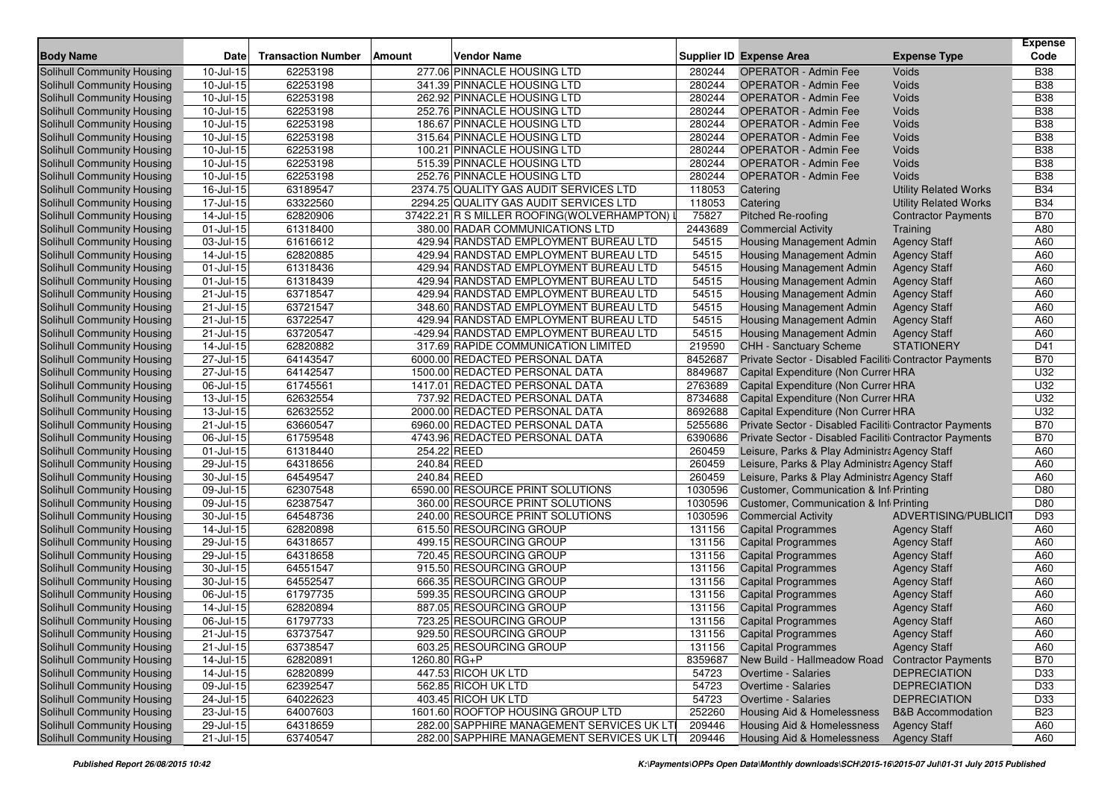|                                                          |                         |                           |                                                                       |                   |                                                                                         |                                          | <b>Expense</b>  |
|----------------------------------------------------------|-------------------------|---------------------------|-----------------------------------------------------------------------|-------------------|-----------------------------------------------------------------------------------------|------------------------------------------|-----------------|
| <b>Body Name</b>                                         | <b>Date</b>             | <b>Transaction Number</b> | <b>Vendor Name</b><br><b>Amount</b>                                   |                   | Supplier ID Expense Area                                                                | <b>Expense Type</b>                      | Code            |
| <b>Solihull Community Housing</b>                        | 10-Jul-15               | 62253198                  | 277.06 PINNACLE HOUSING LTD                                           | 280244            | <b>OPERATOR - Admin Fee</b>                                                             | Voids                                    | <b>B38</b>      |
| <b>Solihull Community Housing</b>                        | 10-Jul-15               | 62253198                  | 341.39 PINNACLE HOUSING LTD                                           | 280244            | <b>OPERATOR - Admin Fee</b>                                                             | Voids                                    | <b>B38</b>      |
| <b>Solihull Community Housing</b>                        | 10-Jul-15               | 62253198                  | 262.92 PINNACLE HOUSING LTD                                           | 280244            | <b>OPERATOR - Admin Fee</b>                                                             | Voids                                    | <b>B38</b>      |
| Solihull Community Housing                               | 10-Jul-15               | 62253198                  | 252.76 PINNACLE HOUSING LTD                                           | 280244            | <b>OPERATOR - Admin Fee</b>                                                             | Voids                                    | <b>B38</b>      |
| Solihull Community Housing                               | 10-Jul-15               | 62253198                  | 186.67 PINNACLE HOUSING LTD                                           | 280244            | <b>OPERATOR - Admin Fee</b>                                                             | Voids                                    | <b>B38</b>      |
| Solihull Community Housing                               | 10-Jul-15               | 62253198                  | 315.64 PINNACLE HOUSING LTD                                           | 280244            | <b>OPERATOR - Admin Fee</b>                                                             | Voids                                    | <b>B38</b>      |
| Solihull Community Housing                               | 10-Jul-15               | 62253198                  | 100.21 PINNACLE HOUSING LTD                                           | 280244            | <b>OPERATOR - Admin Fee</b>                                                             | Voids                                    | <b>B38</b>      |
| Solihull Community Housing                               | 10-Jul-15               | 62253198                  | 515.39 PINNACLE HOUSING LTD                                           | 280244            | <b>OPERATOR - Admin Fee</b>                                                             | Voids                                    | <b>B38</b>      |
| Solihull Community Housing                               | 10-Jul-15               | 62253198                  | 252.76 PINNACLE HOUSING LTD                                           | 280244            | <b>OPERATOR - Admin Fee</b>                                                             | Voids                                    | <b>B38</b>      |
| Solihull Community Housing                               | 16-Jul-15               | 63189547                  | 2374.75 QUALITY GAS AUDIT SERVICES LTD                                | 118053            | Catering                                                                                | <b>Utility Related Works</b>             | <b>B34</b>      |
| Solihull Community Housing                               | 17-Jul-15               | 63322560                  | 2294.25 QUALITY GAS AUDIT SERVICES LTD                                | 118053            | Catering                                                                                | <b>Utility Related Works</b>             | <b>B34</b>      |
| Solihull Community Housing                               | 14-Jul-15               | 62820906                  | 37422.21 R S MILLER ROOFING(WOLVERHAMPTON)                            | 75827             | Pitched Re-roofing                                                                      | <b>Contractor Payments</b>               | <b>B70</b>      |
| Solihull Community Housing                               | 01-Jul-15               | 61318400                  | 380.00 RADAR COMMUNICATIONS LTD                                       | 2443689           | <b>Commercial Activity</b>                                                              | Training                                 | A80             |
| Solihull Community Housing                               | 03-Jul-15               | 61616612                  | 429.94 RANDSTAD EMPLOYMENT BUREAU LTD                                 | 54515             | Housing Management Admin                                                                | <b>Agency Staff</b>                      | A60             |
| Solihull Community Housing                               | $14$ -Jul-15            | 62820885                  | 429.94 RANDSTAD EMPLOYMENT BUREAU LTD                                 | 54515             | <b>Housing Management Admin</b>                                                         | <b>Agency Staff</b>                      | A60             |
| Solihull Community Housing                               | 01-Jul-15               | 61318436                  | 429.94 RANDSTAD EMPLOYMENT BUREAU LTD                                 | 54515             | Housing Management Admin                                                                | <b>Agency Staff</b>                      | A60<br>A60      |
| Solihull Community Housing                               | 01-Jul-15               | 61318439                  | 429.94 RANDSTAD EMPLOYMENT BUREAU LTD                                 | 54515             | <b>Housing Management Admin</b>                                                         | <b>Agency Staff</b>                      |                 |
| Solihull Community Housing                               | $21 -$ Jul-15           | 63718547                  | 429.94 RANDSTAD EMPLOYMENT BUREAU LTD                                 | 54515             | Housing Management Admin                                                                | <b>Agency Staff</b>                      | A60             |
| Solihull Community Housing                               | $21 -$ Jul-15           | 63721547                  | 348.60 RANDSTAD EMPLOYMENT BUREAU LTD                                 | 54515             | Housing Management Admin                                                                | <b>Agency Staff</b>                      | A60             |
| Solihull Community Housing                               | 21-Jul-15               | 63722547                  | 429.94 RANDSTAD EMPLOYMENT BUREAU LTD                                 | 54515             | Housing Management Admin                                                                | <b>Agency Staff</b>                      | A60<br>A60      |
| Solihull Community Housing<br>Solihull Community Housing | 21-Jul-15               | 63720547                  | -429.94 RANDSTAD EMPLOYMENT BUREAU LTD                                | 54515             | Housing Management Admin                                                                | <b>Agency Staff</b><br><b>STATIONERY</b> | D41             |
| Solihull Community Housing                               | 14-Jul-15<br>27-Jul-15  | 62820882<br>64143547      | 317.69 RAPIDE COMMUNICATION LIMITED<br>6000.00 REDACTED PERSONAL DATA | 219590<br>8452687 | <b>CHH - Sanctuary Scheme</b><br>Private Sector - Disabled Faciliti Contractor Payments |                                          | <b>B70</b>      |
| Solihull Community Housing                               | 27-Jul-15               | 64142547                  | 1500.00 REDACTED PERSONAL DATA                                        | 8849687           | Capital Expenditure (Non Currer HRA                                                     |                                          | U32             |
| Solihull Community Housing                               | 06-Jul-15               | 61745561                  | 1417.01 REDACTED PERSONAL DATA                                        | 2763689           | Capital Expenditure (Non Currer HRA                                                     |                                          | U <sub>32</sub> |
| Solihull Community Housing                               | $13 -$ Jul-15           | 62632554                  | 737.92 REDACTED PERSONAL DATA                                         | 8734688           | Capital Expenditure (Non Currer HRA                                                     |                                          | U32             |
| Solihull Community Housing                               | 13-Jul-15               | 62632552                  | 2000.00 REDACTED PERSONAL DATA                                        | 8692688           | Capital Expenditure (Non Currer HRA                                                     |                                          | U <sub>32</sub> |
| Solihull Community Housing                               | 21-Jul-15               | 63660547                  | 6960.00 REDACTED PERSONAL DATA                                        | 5255686           | Private Sector - Disabled Faciliti Contractor Payments                                  |                                          | <b>B70</b>      |
| Solihull Community Housing                               | 06-Jul-15               | 61759548                  | 4743.96 REDACTED PERSONAL DATA                                        | 6390686           | Private Sector - Disabled Faciliti Contractor Payments                                  |                                          | <b>B70</b>      |
| Solihull Community Housing                               | 01-Jul-15               | 61318440                  | 254.22 REED                                                           | 260459            | Leisure, Parks & Play Administra Agency Staff                                           |                                          | A60             |
| Solihull Community Housing                               | 29-Jul-15               | 64318656                  | 240.84 REED                                                           | 260459            | Leisure, Parks & Play Administra Agency Staff                                           |                                          | A60             |
| Solihull Community Housing                               | 30-Jul-15               | 64549547                  | 240.84 REED                                                           | 260459            | Leisure, Parks & Play Administra Agency Staff                                           |                                          | A60             |
| Solihull Community Housing                               | 09-Jul-15               | 62307548                  | 6590.00 RESOURCE PRINT SOLUTIONS                                      | 1030596           | Customer, Communication & Inf Printing                                                  |                                          | D80             |
| Solihull Community Housing                               | 09-Jul-15               | 62387547                  | 360.00 RESOURCE PRINT SOLUTIONS                                       | 1030596           | Customer, Communication & Inf Printing                                                  |                                          | D80             |
| Solihull Community Housing                               | 30-Jul-15               | 64548736                  | 240.00 RESOURCE PRINT SOLUTIONS                                       | 1030596           | <b>Commercial Activity</b>                                                              | ADVERTISING/PUBLICIT                     | D93             |
| Solihull Community Housing                               | 14-Jul-15               | 62820898                  | 615.50 RESOURCING GROUP                                               | 131156            | <b>Capital Programmes</b>                                                               | <b>Agency Staff</b>                      | A60             |
| Solihull Community Housing                               | 29-Jul-15               | 64318657                  | 499.15 RESOURCING GROUP                                               | 131156            | <b>Capital Programmes</b>                                                               | <b>Agency Staff</b>                      | A60             |
| Solihull Community Housing                               | 29-Jul-15               | 64318658                  | 720.45 RESOURCING GROUP                                               | 131156            | <b>Capital Programmes</b>                                                               | <b>Agency Staff</b>                      | A60             |
| Solihull Community Housing                               | 30-Jul-15               | 64551547                  | 915.50 RESOURCING GROUP                                               | 131156            | <b>Capital Programmes</b>                                                               | <b>Agency Staff</b>                      | A60             |
| Solihull Community Housing                               | 30-Jul-15               | 64552547                  | 666.35 RESOURCING GROUP                                               | 131156            | <b>Capital Programmes</b>                                                               | <b>Agency Staff</b>                      | A60             |
| Solihull Community Housing                               | 06-Jul-15               | 61797735                  | 599.35 RESOURCING GROUP                                               | 131156            | <b>Capital Programmes</b>                                                               | <b>Agency Staff</b>                      | A60             |
| <b>Solihull Community Housing</b>                        | 14-Jul-15               | 62820894                  | 887.05 RESOURCING GROUP                                               | 131156            | <b>Capital Programmes</b>                                                               | <b>Agency Staff</b>                      | A60             |
| Solihull Community Housing                               | 06-Jul-15               | 61797733                  | 723.25 RESOURCING GROUP                                               | 131156            | <b>Capital Programmes</b>                                                               | <b>Agency Staff</b>                      | A60             |
| Solihull Community Housing                               | $21$ -Jul-15            | 63737547                  | 929.50 RESOURCING GROUP                                               | 131156            | Capital Programmes                                                                      | Agency Staff                             | A60             |
| Solihull Community Housing                               | 21-Jul-15               | 63738547                  | 603.25 RESOURCING GROUP                                               | 131156            | <b>Capital Programmes</b>                                                               | <b>Agency Staff</b>                      | A60             |
| Solihull Community Housing                               | 14-Jul-15               | 62820891                  | 1260.80 RG+P                                                          | 8359687           | New Build - Hallmeadow Road                                                             | <b>Contractor Payments</b>               | <b>B70</b>      |
| Solihull Community Housing                               | 14-Jul-15               | 62820899                  | 447.53 RICOH UK LTD                                                   | 54723             | Overtime - Salaries                                                                     | <b>DEPRECIATION</b>                      | D33             |
| Solihull Community Housing                               | 09-Jul-15               | 62392547                  | 562.85 RICOH UK LTD                                                   | 54723             | Overtime - Salaries                                                                     | <b>DEPRECIATION</b>                      | D33             |
| Solihull Community Housing                               | $\overline{2}$ 4-Jul-15 | 64022623                  | 403.45 RICOH UK LTD                                                   | 54723             | Overtime - Salaries                                                                     | <b>DEPRECIATION</b>                      | D33             |
| Solihull Community Housing                               | 23-Jul-15               | 64007603                  | 1601.60 ROOFTOP HOUSING GROUP LTD                                     | 252260            | Housing Aid & Homelessness                                                              | <b>B&amp;B Accommodation</b>             | <b>B23</b>      |
| Solihull Community Housing                               | $29$ -Jul-15            | 64318659                  | 282.00 SAPPHIRE MANAGEMENT SERVICES UK LT                             | 209446            | Housing Aid & Homelessness                                                              | <b>Agency Staff</b>                      | A60             |
| Solihull Community Housing                               | $21 -$ Jul-15           | 63740547                  | 282.00 SAPPHIRE MANAGEMENT SERVICES UK LT                             | 209446            | Housing Aid & Homelessness                                                              | <b>Agency Staff</b>                      | A60             |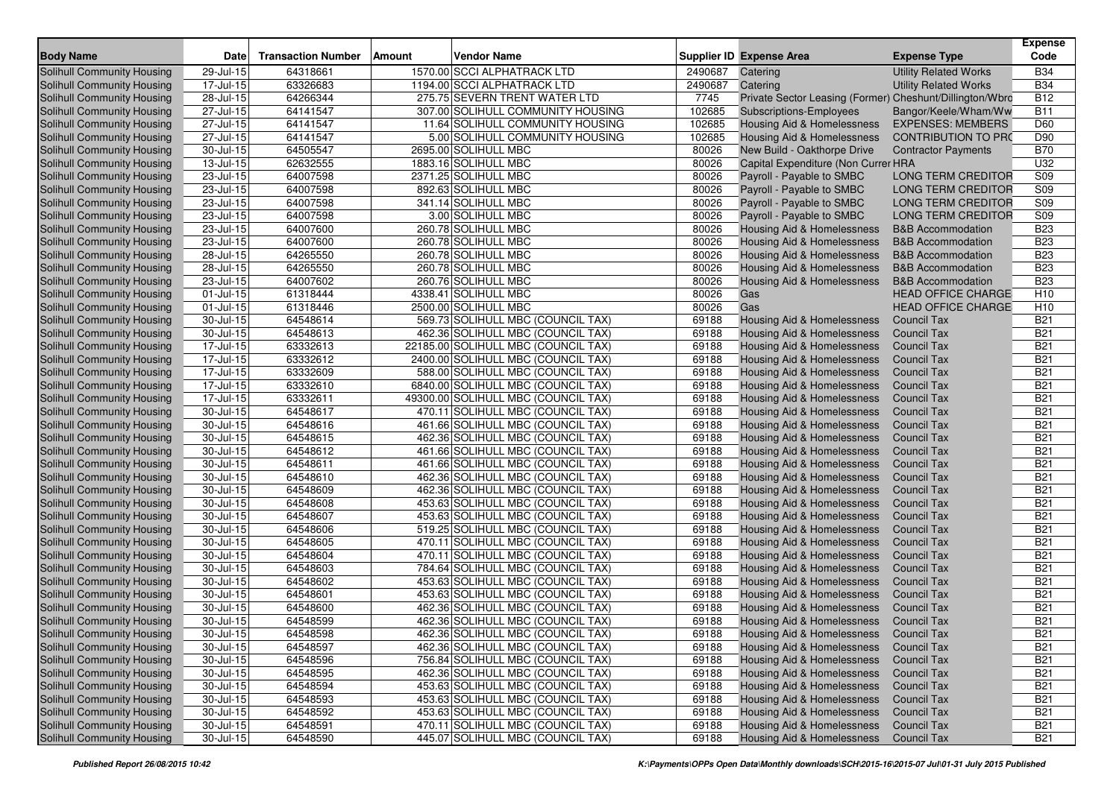| <b>Body Name</b>                                         | Date                    | <b>Transaction Number</b> | <b>Amount</b> | <b>Vendor Name</b>                                                       |                | <b>Supplier ID Expense Area</b>                                     | <b>Expense Type</b>                                          | <b>Expense</b><br>Code        |
|----------------------------------------------------------|-------------------------|---------------------------|---------------|--------------------------------------------------------------------------|----------------|---------------------------------------------------------------------|--------------------------------------------------------------|-------------------------------|
| <b>Solihull Community Housing</b>                        | 29-Jul-15               | 64318661                  |               | 1570.00 SCCI ALPHATRACK LTD                                              | 2490687        | Catering                                                            | <b>Utility Related Works</b>                                 | <b>B34</b>                    |
|                                                          |                         |                           |               |                                                                          |                |                                                                     |                                                              |                               |
| <b>Solihull Community Housing</b>                        | 17-Jul-15               | 63326683                  |               | 1194.00 SCCI ALPHATRACK LTD                                              | 2490687        | Catering                                                            | <b>Utility Related Works</b>                                 | <b>B34</b><br><b>B12</b>      |
| <b>Solihull Community Housing</b>                        | 28-Jul-15               | 64266344                  |               | 275.75 SEVERN TRENT WATER LTD                                            | 7745           | Private Sector Leasing (Former) Cheshunt/Dillington/Wbro            |                                                              |                               |
| Solihull Community Housing                               | 27-Jul-15               | 64141547                  |               | 307.00 SOLIHULL COMMUNITY HOUSING                                        | 102685         | <b>Subscriptions-Employees</b>                                      | Bangor/Keele/Wham/Ww                                         | <b>B11</b>                    |
| Solihull Community Housing                               | 27-Jul-15               | 64141547                  |               | 11.64 SOLIHULL COMMUNITY HOUSING                                         | 102685         | Housing Aid & Homelessness                                          | <b>EXPENSES: MEMBERS</b>                                     | D60                           |
| Solihull Community Housing                               | 27-Jul-15               | 64141547                  |               | 5.00 SOLIHULL COMMUNITY HOUSING                                          | 102685         | <b>Housing Aid &amp; Homelessness</b>                               | <b>CONTRIBUTION TO PRO</b>                                   | D90                           |
| Solihull Community Housing<br>Solihull Community Housing | 30-Jul-15               | 64505547<br>62632555      |               | 2695.00 SOLIHULL MBC<br>1883.16 SOLIHULL MBC                             | 80026<br>80026 | New Build - Oakthorpe Drive                                         | <b>Contractor Payments</b>                                   | <b>B70</b><br>U32             |
|                                                          | 13-Jul-15<br>23-Jul-15  | 64007598                  |               | 2371.25 SOLIHULL MBC                                                     | 80026          | Capital Expenditure (Non Currer HRA                                 | <b>LONG TERM CREDITOR</b>                                    | S09                           |
| Solihull Community Housing<br>Solihull Community Housing |                         |                           |               |                                                                          |                | Payroll - Payable to SMBC                                           |                                                              |                               |
|                                                          | 23-Jul-15               | 64007598<br>64007598      |               | 892.63 SOLIHULL MBC                                                      | 80026          | Payroll - Payable to SMBC                                           | <b>LONG TERM CREDITOR</b>                                    | S09                           |
| Solihull Community Housing                               | 23-Jul-15               | 64007598                  |               | 341.14 SOLIHULL MBC                                                      | 80026<br>80026 | Payroll - Payable to SMBC                                           | LONG TERM CREDITOR<br><b>LONG TERM CREDITOR</b>              | S09                           |
| Solihull Community Housing                               | 23-Jul-15               |                           |               | 3.00 SOLIHULL MBC                                                        |                | Payroll - Payable to SMBC                                           |                                                              | S09                           |
| Solihull Community Housing                               | 23-Jul-15               | 64007600                  |               | 260.78 SOLIHULL MBC                                                      | 80026          | Housing Aid & Homelessness                                          | <b>B&amp;B Accommodation</b>                                 | <b>B23</b>                    |
| Solihull Community Housing                               | 23-Jul-15               | 64007600                  |               | 260.78 SOLIHULL MBC                                                      | 80026          | <b>Housing Aid &amp; Homelessness</b>                               | <b>B&amp;B Accommodation</b>                                 | <b>B23</b>                    |
| Solihull Community Housing                               | 28-Jul-15               | 64265550                  |               | 260.78 SOLIHULL MBC                                                      | 80026          | <b>Housing Aid &amp; Homelessness</b>                               | <b>B&amp;B Accommodation</b><br><b>B&amp;B</b> Accommodation | <b>B23</b><br><b>B23</b>      |
| Solihull Community Housing                               | 28-Jul-15               | 64265550                  |               | 260.78 SOLIHULL MBC                                                      | 80026          | Housing Aid & Homelessness                                          |                                                              | <b>B23</b>                    |
| Solihull Community Housing                               | 23-Jul-15               | 64007602                  |               | 260.76 SOLIHULL MBC                                                      | 80026          | Housing Aid & Homelessness                                          | <b>B&amp;B Accommodation</b>                                 |                               |
| Solihull Community Housing                               | 01-Jul-15               | 61318444                  |               | 4338.41 SOLIHULL MBC                                                     | 80026          | Gas<br>Gas                                                          | <b>HEAD OFFICE CHARGE</b>                                    | H <sub>10</sub>               |
| Solihull Community Housing                               | 01-Jul-15               | 61318446                  |               | 2500.00 SOLIHULL MBC                                                     | 80026<br>69188 |                                                                     | <b>HEAD OFFICE CHARGE</b>                                    | H <sub>10</sub><br><b>B21</b> |
| Solihull Community Housing                               | 30-Jul-15               | 64548614                  |               | 569.73 SOLIHULL MBC (COUNCIL TAX)                                        |                | Housing Aid & Homelessness                                          | <b>Council Tax</b>                                           | <b>B21</b>                    |
| Solihull Community Housing                               | 30-Jul-15               | 64548613                  |               | 462.36 SOLIHULL MBC (COUNCIL TAX)                                        | 69188          | Housing Aid & Homelessness                                          | <b>Council Tax</b><br><b>Council Tax</b>                     |                               |
| Solihull Community Housing                               | 17-Jul-15               | 63332613                  |               | 22185.00 SOLIHULL MBC (COUNCIL TAX)                                      | 69188<br>69188 | <b>Housing Aid &amp; Homelessness</b>                               |                                                              | <b>B21</b><br><b>B21</b>      |
| Solihull Community Housing<br>Solihull Community Housing | 17-Jul-15               | 63332612                  |               | 2400.00 SOLIHULL MBC (COUNCIL TAX)                                       |                | Housing Aid & Homelessness<br><b>Housing Aid &amp; Homelessness</b> | <b>Council Tax</b>                                           | <b>B21</b>                    |
| Solihull Community Housing                               | 17-Jul-15<br>17-Jul-15  | 63332609<br>63332610      |               | 588.00 SOLIHULL MBC (COUNCIL TAX)<br>6840.00 SOLIHULL MBC (COUNCIL TAX)  | 69188<br>69188 | Housing Aid & Homelessness                                          | <b>Council Tax</b><br><b>Council Tax</b>                     | <b>B21</b>                    |
|                                                          | $17 -$ Jul-15           | 63332611                  |               |                                                                          | 69188          |                                                                     | <b>Council Tax</b>                                           | <b>B21</b>                    |
| Solihull Community Housing<br>Solihull Community Housing | 30-Jul-15               | 64548617                  |               | 49300.00 SOLIHULL MBC (COUNCIL TAX)<br>470.11 SOLIHULL MBC (COUNCIL TAX) | 69188          | Housing Aid & Homelessness<br><b>Housing Aid &amp; Homelessness</b> | <b>Council Tax</b>                                           | <b>B21</b>                    |
| Solihull Community Housing                               | 30-Jul-15               | 64548616                  |               | 461.66 SOLIHULL MBC (COUNCIL TAX)                                        | 69188          | <b>Housing Aid &amp; Homelessness</b>                               | <b>Council Tax</b>                                           | <b>B21</b>                    |
| Solihull Community Housing                               | 30-Jul-15               | 64548615                  |               | 462.36 SOLIHULL MBC (COUNCIL TAX)                                        | 69188          | Housing Aid & Homelessness                                          | <b>Council Tax</b>                                           | <b>B21</b>                    |
| Solihull Community Housing                               | 30-Jul-15               | 64548612                  |               | 461.66 SOLIHULL MBC (COUNCIL TAX)                                        | 69188          | Housing Aid & Homelessness                                          | <b>Council Tax</b>                                           | <b>B21</b>                    |
| Solihull Community Housing                               | 30-Jul-15               | 64548611                  |               | 461.66 SOLIHULL MBC (COUNCIL TAX)                                        | 69188          | <b>Housing Aid &amp; Homelessness</b>                               | <b>Council Tax</b>                                           | <b>B21</b>                    |
| Solihull Community Housing                               | 30-Jul-15               | 64548610                  |               | 462.36 SOLIHULL MBC (COUNCIL TAX)                                        | 69188          | Housing Aid & Homelessness                                          | <b>Council Tax</b>                                           | <b>B21</b>                    |
| Solihull Community Housing                               | 30-Jul-15               | 64548609                  |               | 462.36 SOLIHULL MBC (COUNCIL TAX)                                        | 69188          | Housing Aid & Homelessness                                          | <b>Council Tax</b>                                           | <b>B21</b>                    |
| Solihull Community Housing                               | 30-Jul-15               | 64548608                  |               | 453.63 SOLIHULL MBC (COUNCIL TAX)                                        | 69188          | Housing Aid & Homelessness                                          | <b>Council Tax</b>                                           | <b>B21</b>                    |
| Solihull Community Housing                               | 30-Jul-15               | 64548607                  |               | 453.63 SOLIHULL MBC (COUNCIL TAX)                                        | 69188          | Housing Aid & Homelessness                                          | <b>Council Tax</b>                                           | <b>B21</b>                    |
| Solihull Community Housing                               | 30-Jul-15               | 64548606                  |               | 519.25 SOLIHULL MBC (COUNCIL TAX)                                        | 69188          | <b>Housing Aid &amp; Homelessness</b>                               | <b>Council Tax</b>                                           | <b>B21</b>                    |
| Solihull Community Housing                               | 30-Jul-15               | 64548605                  |               | 470.11 SOLIHULL MBC (COUNCIL TAX)                                        | 69188          | Housing Aid & Homelessness                                          | <b>Council Tax</b>                                           | <b>B21</b>                    |
| Solihull Community Housing                               | 30-Jul-15               | 64548604                  |               | 470.11 SOLIHULL MBC (COUNCIL TAX)                                        | 69188          | Housing Aid & Homelessness                                          | <b>Council Tax</b>                                           | <b>B21</b>                    |
| Solihull Community Housing                               | 30-Jul-15               | 64548603                  |               | 784.64 SOLIHULL MBC (COUNCIL TAX)                                        | 69188          | Housing Aid & Homelessness                                          | <b>Council Tax</b>                                           | <b>B21</b>                    |
| Solihull Community Housing                               | 30-Jul-15               | 64548602                  |               | 453.63 SOLIHULL MBC (COUNCIL TAX)                                        | 69188          | <b>Housing Aid &amp; Homelessness</b>                               | <b>Council Tax</b>                                           | <b>B21</b>                    |
| Solihull Community Housing                               | 30-Jul-15               | 64548601                  |               | 453.63 SOLIHULL MBC (COUNCIL TAX)                                        | 69188          | Housing Aid & Homelessness                                          | <b>Council Tax</b>                                           | <b>B21</b>                    |
| Solihull Community Housing                               | 30-Jul-15               | 64548600                  |               | 462.36 SOLIHULL MBC (COUNCIL TAX)                                        | 69188          | <b>Housing Aid &amp; Homelessness</b>                               | <b>Council Tax</b>                                           | <b>B21</b>                    |
| Solihull Community Housing                               | 30-Jul-15               | 64548599                  |               | 462.36 SOLIHULL MBC (COUNCIL TAX)                                        | 69188          | <b>Housing Aid &amp; Homelessness</b>                               | <b>Council Tax</b>                                           | <b>B21</b>                    |
| Solihull Community Housing                               | 30-Jul-15               | 64548598                  |               | 462.36 SOLIHULL MBC (COUNCIL TAX)                                        | 69188          | Housing Aid & Homelessness Council Tax                              |                                                              | <b>B21</b>                    |
| Solihull Community Housing                               | 30-Jul-15               | 64548597                  |               | 462.36 SOLIHULL MBC (COUNCIL TAX)                                        | 69188          | Housing Aid & Homelessness                                          | Council Tax                                                  | <b>B21</b>                    |
| Solihull Community Housing                               | $\overline{30}$ -Jul-15 | 64548596                  |               | 756.84 SOLIHULL MBC (COUNCIL TAX)                                        | 69188          | Housing Aid & Homelessness                                          | <b>Council Tax</b>                                           | <b>B21</b>                    |
| Solihull Community Housing                               | 30-Jul-15               | 64548595                  |               | 462.36 SOLIHULL MBC (COUNCIL TAX)                                        | 69188          | Housing Aid & Homelessness                                          | <b>Council Tax</b>                                           | <b>B21</b>                    |
| Solihull Community Housing                               | 30-Jul-15               | 64548594                  |               | 453.63 SOLIHULL MBC (COUNCIL TAX)                                        | 69188          | Housing Aid & Homelessness                                          | <b>Council Tax</b>                                           | <b>B21</b>                    |
| Solihull Community Housing                               | $30 -$ Jul-15           | 64548593                  |               | 453.63 SOLIHULL MBC (COUNCIL TAX)                                        | 69188          | <b>Housing Aid &amp; Homelessness</b>                               | <b>Council Tax</b>                                           | <b>B21</b>                    |
| Solihull Community Housing                               | 30-Jul-15               | 64548592                  |               | 453.63 SOLIHULL MBC (COUNCIL TAX)                                        | 69188          | Housing Aid & Homelessness                                          | <b>Council Tax</b>                                           | <b>B21</b>                    |
| Solihull Community Housing                               | $30 -$ Jul-15           | 64548591                  |               | 470.11 SOLIHULL MBC (COUNCIL TAX)                                        | 69188          | <b>Housing Aid &amp; Homelessness</b>                               | <b>Council Tax</b>                                           | <b>B21</b>                    |
| Solihull Community Housing                               | $30 -$ Jul-15           | 64548590                  |               | 445.07 SOLIHULL MBC (COUNCIL TAX)                                        | 69188          | <b>Housing Aid &amp; Homelessness</b>                               | <b>Council Tax</b>                                           | <b>B21</b>                    |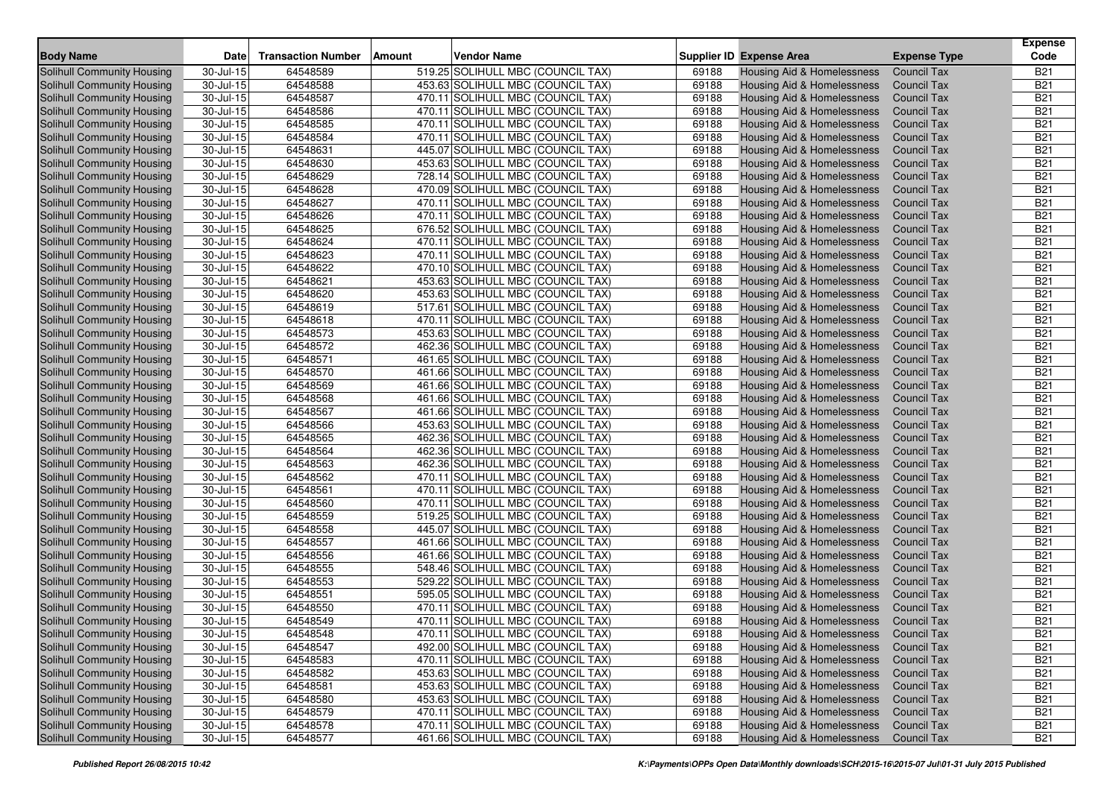|                                                          |                         |                           |        |                                                                        |                |                                                          |                                          | <b>Expense</b>           |
|----------------------------------------------------------|-------------------------|---------------------------|--------|------------------------------------------------------------------------|----------------|----------------------------------------------------------|------------------------------------------|--------------------------|
| <b>Body Name</b>                                         | Date                    | <b>Transaction Number</b> | Amount | <b>Vendor Name</b>                                                     |                | <b>Supplier ID Expense Area</b>                          | <b>Expense Type</b>                      | Code                     |
| Solihull Community Housing                               | 30-Jul-15               | 64548589                  |        | 519.25 SOLIHULL MBC (COUNCIL TAX)                                      | 69188          | Housing Aid & Homelessness                               | <b>Council Tax</b>                       | <b>B21</b>               |
| Solihull Community Housing                               | 30-Jul-15               | 64548588                  |        | 453.63 SOLIHULL MBC (COUNCIL TAX)                                      | 69188          | Housing Aid & Homelessness                               | <b>Council Tax</b>                       | <b>B21</b>               |
| <b>Solihull Community Housing</b>                        | 30-Jul-15               | 64548587                  |        | 470.11 SOLIHULL MBC (COUNCIL TAX)                                      | 69188          | <b>Housing Aid &amp; Homelessness</b>                    | <b>Council Tax</b>                       | <b>B21</b>               |
| Solihull Community Housing                               | 30-Jul-15               | 64548586                  |        | 470.11 SOLIHULL MBC (COUNCIL TAX)                                      | 69188          | Housing Aid & Homelessness                               | <b>Council Tax</b>                       | <b>B21</b>               |
| Solihull Community Housing                               | 30-Jul-15               | 64548585                  |        | 470.11 SOLIHULL MBC (COUNCIL TAX)                                      | 69188          | Housing Aid & Homelessness                               | <b>Council Tax</b>                       | <b>B21</b>               |
| Solihull Community Housing                               | 30-Jul-15               | 64548584                  |        | 470.11 SOLIHULL MBC (COUNCIL TAX)                                      | 69188          | <b>Housing Aid &amp; Homelessness</b>                    | <b>Council Tax</b>                       | <b>B21</b>               |
| Solihull Community Housing                               | 30-Jul-15               | 64548631                  |        | 445.07 SOLIHULL MBC (COUNCIL TAX)                                      | 69188          | Housing Aid & Homelessness                               | <b>Council Tax</b>                       | <b>B21</b>               |
| <b>Solihull Community Housing</b>                        | 30-Jul-15               | 64548630                  |        | 453.63 SOLIHULL MBC (COUNCIL TAX)                                      | 69188          | Housing Aid & Homelessness                               | <b>Council Tax</b>                       | <b>B21</b>               |
| Solihull Community Housing                               | 30-Jul-15               | 64548629                  |        | 728.14 SOLIHULL MBC (COUNCIL TAX)                                      | 69188          | Housing Aid & Homelessness                               | <b>Council Tax</b>                       | <b>B21</b>               |
| Solihull Community Housing                               | 30-Jul-15               | 64548628                  |        | 470.09 SOLIHULL MBC (COUNCIL TAX)                                      | 69188          | Housing Aid & Homelessness                               | <b>Council Tax</b>                       | <b>B21</b>               |
| Solihull Community Housing                               | 30-Jul-15               | 64548627                  |        | 470.11 SOLIHULL MBC (COUNCIL TAX)                                      | 69188          | <b>Housing Aid &amp; Homelessness</b>                    | <b>Council Tax</b>                       | <b>B21</b>               |
| Solihull Community Housing                               | 30-Jul-15               | 64548626                  |        | 470.11 SOLIHULL MBC (COUNCIL TAX)                                      | 69188          | Housing Aid & Homelessness                               | <b>Council Tax</b>                       | <b>B21</b>               |
| Solihull Community Housing                               | 30-Jul-15               | 64548625                  |        | 676.52 SOLIHULL MBC (COUNCIL TAX)                                      | 69188          | Housing Aid & Homelessness                               | <b>Council Tax</b>                       | <b>B21</b>               |
| Solihull Community Housing                               | 30-Jul-15               | 64548624                  |        | 470.11 SOLIHULL MBC (COUNCIL TAX)                                      | 69188          | <b>Housing Aid &amp; Homelessness</b>                    | <b>Council Tax</b>                       | <b>B21</b>               |
| Solihull Community Housing                               | $\overline{30}$ -Jul-15 | 64548623                  |        | 470.11 SOLIHULL MBC (COUNCIL TAX)                                      | 69188          | Housing Aid & Homelessness                               | <b>Council Tax</b>                       | <b>B21</b>               |
| Solihull Community Housing                               | 30-Jul-15               | 64548622                  |        | 470.10 SOLIHULL MBC (COUNCIL TAX)                                      | 69188          | Housing Aid & Homelessness                               | <b>Council Tax</b>                       | <b>B21</b>               |
| Solihull Community Housing                               | 30-Jul-15               | 64548621                  |        | 453.63 SOLIHULL MBC (COUNCIL TAX)                                      | 69188          | Housing Aid & Homelessness                               | <b>Council Tax</b>                       | <b>B21</b>               |
| Solihull Community Housing                               | 30-Jul-15               | 64548620                  |        | 453.63 SOLIHULL MBC (COUNCIL TAX)                                      | 69188          | Housing Aid & Homelessness                               | <b>Council Tax</b>                       | <b>B21</b>               |
| Solihull Community Housing                               | 30-Jul-15               | 64548619                  |        | 517.61 SOLIHULL MBC (COUNCIL TAX)                                      | 69188          | <b>Housing Aid &amp; Homelessness</b>                    | <b>Council Tax</b>                       | <b>B21</b>               |
| Solihull Community Housing                               | 30-Jul-15               | 64548618                  |        | 470.11 SOLIHULL MBC (COUNCIL TAX)                                      | 69188          | <b>Housing Aid &amp; Homelessness</b>                    | <b>Council Tax</b>                       | <b>B21</b>               |
| Solihull Community Housing                               | 30-Jul-15               | 64548573                  |        | 453.63 SOLIHULL MBC (COUNCIL TAX)                                      | 69188          | Housing Aid & Homelessness                               | <b>Council Tax</b>                       | <b>B21</b>               |
| Solihull Community Housing                               | 30-Jul-15               | 64548572                  |        | 462.36 SOLIHULL MBC (COUNCIL TAX)                                      | 69188          | <b>Housing Aid &amp; Homelessness</b>                    | <b>Council Tax</b>                       | <b>B21</b>               |
| Solihull Community Housing                               | 30-Jul-15               | 64548571                  |        | 461.65 SOLIHULL MBC (COUNCIL TAX)                                      | 69188          | Housing Aid & Homelessness                               | <b>Council Tax</b>                       | <b>B21</b>               |
| Solihull Community Housing                               | 30-Jul-15               | 64548570                  |        | 461.66 SOLIHULL MBC (COUNCIL TAX)                                      | 69188          | <b>Housing Aid &amp; Homelessness</b>                    | <b>Council Tax</b>                       | <b>B21</b>               |
| Solihull Community Housing                               | 30-Jul-15               | 64548569                  |        | 461.66 SOLIHULL MBC (COUNCIL TAX)                                      | 69188<br>69188 | Housing Aid & Homelessness                               | <b>Council Tax</b>                       | <b>B21</b><br><b>B21</b> |
| Solihull Community Housing                               | 30-Jul-15               | 64548568                  |        | 461.66 SOLIHULL MBC (COUNCIL TAX)                                      |                | Housing Aid & Homelessness                               | <b>Council Tax</b>                       |                          |
| Solihull Community Housing                               | 30-Jul-15               | 64548567                  |        | 461.66 SOLIHULL MBC (COUNCIL TAX)                                      | 69188<br>69188 | <b>Housing Aid &amp; Homelessness</b>                    | <b>Council Tax</b>                       | <b>B21</b><br><b>B21</b> |
| Solihull Community Housing<br>Solihull Community Housing | 30-Jul-15               | 64548566<br>64548565      |        | 453.63 SOLIHULL MBC (COUNCIL TAX)<br>462.36 SOLIHULL MBC (COUNCIL TAX) | 69188          | <b>Housing Aid &amp; Homelessness</b>                    | <b>Council Tax</b><br><b>Council Tax</b> | <b>B21</b>               |
| Solihull Community Housing                               | 30-Jul-15<br>30-Jul-15  | 64548564                  |        | 462.36 SOLIHULL MBC (COUNCIL TAX)                                      | 69188          | Housing Aid & Homelessness<br>Housing Aid & Homelessness | <b>Council Tax</b>                       | <b>B21</b>               |
| Solihull Community Housing                               | 30-Jul-15               | 64548563                  |        | 462.36 SOLIHULL MBC (COUNCIL TAX)                                      | 69188          | <b>Housing Aid &amp; Homelessness</b>                    | <b>Council Tax</b>                       | <b>B21</b>               |
| Solihull Community Housing                               | 30-Jul-15               | 64548562                  |        | 470.11 SOLIHULL MBC (COUNCIL TAX)                                      | 69188          | Housing Aid & Homelessness                               | <b>Council Tax</b>                       | <b>B21</b>               |
| Solihull Community Housing                               | 30-Jul-15               | 64548561                  |        | 470.11 SOLIHULL MBC (COUNCIL TAX)                                      | 69188          | Housing Aid & Homelessness                               | <b>Council Tax</b>                       | <b>B21</b>               |
| Solihull Community Housing                               | 30-Jul-15               | 64548560                  |        | 470.11 SOLIHULL MBC (COUNCIL TAX)                                      | 69188          | Housing Aid & Homelessness                               | <b>Council Tax</b>                       | <b>B21</b>               |
| Solihull Community Housing                               | 30-Jul-15               | 64548559                  |        | 519.25 SOLIHULL MBC (COUNCIL TAX)                                      | 69188          | <b>Housing Aid &amp; Homelessness</b>                    | <b>Council Tax</b>                       | <b>B21</b>               |
| Solihull Community Housing                               | 30-Jul-15               | 64548558                  |        | 445.07 SOLIHULL MBC (COUNCIL TAX)                                      | 69188          | Housing Aid & Homelessness                               | <b>Council Tax</b>                       | <b>B21</b>               |
| Solihull Community Housing                               | 30-Jul-15               | 64548557                  |        | 461.66 SOLIHULL MBC (COUNCIL TAX)                                      | 69188          | Housing Aid & Homelessness                               | <b>Council Tax</b>                       | <b>B21</b>               |
| Solihull Community Housing                               | 30-Jul-15               | 64548556                  |        | 461.66 SOLIHULL MBC (COUNCIL TAX)                                      | 69188          | Housing Aid & Homelessness                               | <b>Council Tax</b>                       | <b>B21</b>               |
| Solihull Community Housing                               | 30-Jul-15               | 64548555                  |        | 548.46 SOLIHULL MBC (COUNCIL TAX)                                      | 69188          | Housing Aid & Homelessness                               | <b>Council Tax</b>                       | <b>B21</b>               |
| Solihull Community Housing                               | 30-Jul-15               | 64548553                  |        | 529.22 SOLIHULL MBC (COUNCIL TAX)                                      | 69188          | <b>Housing Aid &amp; Homelessness</b>                    | <b>Council Tax</b>                       | <b>B21</b>               |
| Solihull Community Housing                               | 30-Jul-15               | 64548551                  |        | 595.05 SOLIHULL MBC (COUNCIL TAX)                                      | 69188          | <b>Housing Aid &amp; Homelessness</b>                    | <b>Council Tax</b>                       | <b>B21</b>               |
| Solihull Community Housing                               | 30-Jul-15               | 64548550                  |        | 470.11 SOLIHULL MBC (COUNCIL TAX)                                      | 69188          | <b>Housing Aid &amp; Homelessness</b>                    | <b>Council Tax</b>                       | <b>B21</b>               |
| Solihull Community Housing                               | 30-Jul-15               | 64548549                  |        | 470.11 SOLIHULL MBC (COUNCIL TAX)                                      | 69188          | <b>Housing Aid &amp; Homelessness</b>                    | <b>Council Tax</b>                       | <b>B21</b>               |
| Solihull Community Housing                               | 30-Jul-15               | 64548548                  |        | 470.11 SOLIHULL MBC (COUNCIL TAX)                                      | 69188          | Housing Aid & Homelessness Council Tax                   |                                          | <b>B21</b>               |
| Solihull Community Housing                               | 30-Jul-15               | 64548547                  |        | 492.00 SOLIHULL MBC (COUNCIL TAX)                                      | 69188          | Housing Aid & Homelessness                               | Council Tax                              | <b>B21</b>               |
| Solihull Community Housing                               | $\overline{30}$ -Jul-15 | 64548583                  |        | 470.11 SOLIHULL MBC (COUNCIL TAX)                                      | 69188          | Housing Aid & Homelessness                               | <b>Council Tax</b>                       | <b>B21</b>               |
| Solihull Community Housing                               | 30-Jul-15               | 64548582                  |        | 453.63 SOLIHULL MBC (COUNCIL TAX)                                      | 69188          | Housing Aid & Homelessness                               | <b>Council Tax</b>                       | <b>B21</b>               |
| Solihull Community Housing                               | 30-Jul-15               | 64548581                  |        | 453.63 SOLIHULL MBC (COUNCIL TAX)                                      | 69188          | Housing Aid & Homelessness                               | <b>Council Tax</b>                       | <b>B21</b>               |
| Solihull Community Housing                               | $30 -$ Jul-15           | 64548580                  |        | 453.63 SOLIHULL MBC (COUNCIL TAX)                                      | 69188          | <b>Housing Aid &amp; Homelessness</b>                    | <b>Council Tax</b>                       | <b>B21</b>               |
| Solihull Community Housing                               | 30-Jul-15               | 64548579                  |        | 470.11 SOLIHULL MBC (COUNCIL TAX)                                      | 69188          | Housing Aid & Homelessness                               | <b>Council Tax</b>                       | <b>B21</b>               |
| Solihull Community Housing                               | $\overline{30}$ -Jul-15 | 64548578                  |        | 470.11 SOLIHULL MBC (COUNCIL TAX)                                      | 69188          | <b>Housing Aid &amp; Homelessness</b>                    | <b>Council Tax</b>                       | <b>B21</b>               |
| Solihull Community Housing                               | $30 -$ Jul-15           | 64548577                  |        | 461.66 SOLIHULL MBC (COUNCIL TAX)                                      | 69188          | <b>Housing Aid &amp; Homelessness</b>                    | <b>Council Tax</b>                       | <b>B21</b>               |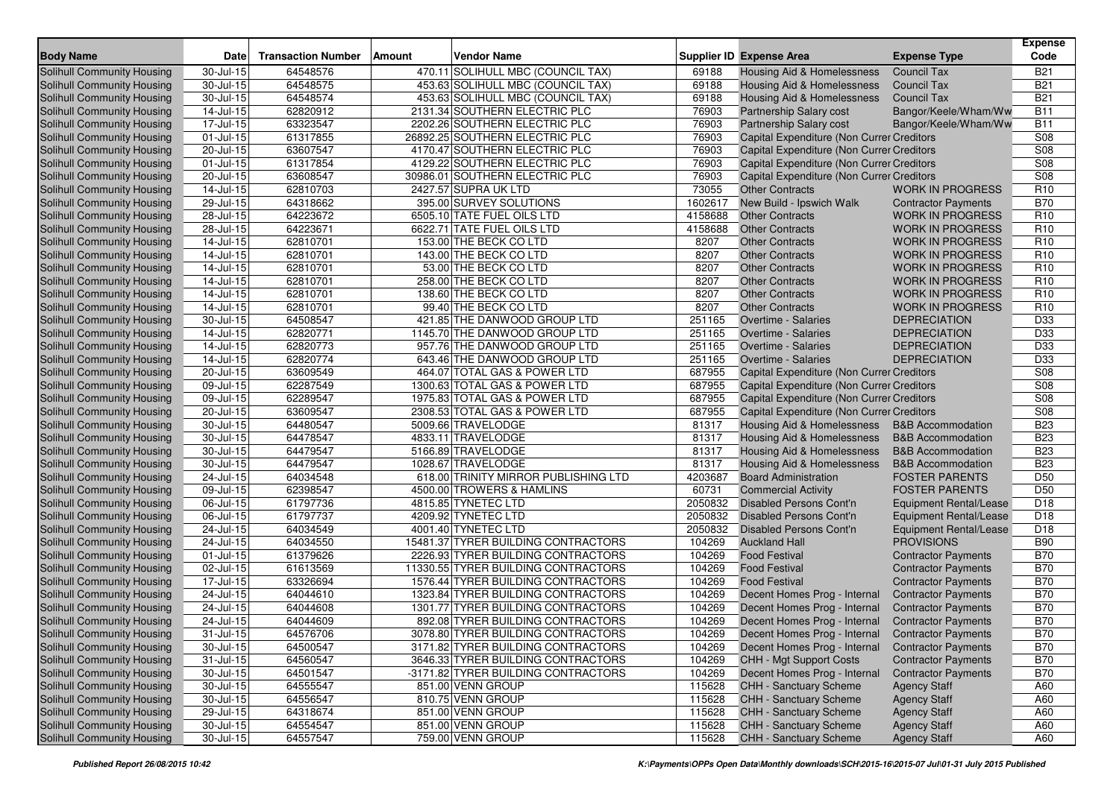| <b>Body Name</b>           | <b>Date</b>             | <b>Transaction Number</b> | <b>Vendor Name</b><br>Amount         |         | <b>Supplier ID Expense Area</b>           | <b>Expense Type</b>           | <b>Expense</b><br>Code |
|----------------------------|-------------------------|---------------------------|--------------------------------------|---------|-------------------------------------------|-------------------------------|------------------------|
| Solihull Community Housing | 30-Jul-15               | 64548576                  | 470.11 SOLIHULL MBC (COUNCIL TAX)    | 69188   | Housing Aid & Homelessness                | <b>Council Tax</b>            | <b>B21</b>             |
| Solihull Community Housing | 30-Jul-15               | 64548575                  | 453.63 SOLIHULL MBC (COUNCIL TAX)    | 69188   | Housing Aid & Homelessness                | <b>Council Tax</b>            | <b>B21</b>             |
| Solihull Community Housing | 30-Jul-15               | 64548574                  | 453.63 SOLIHULL MBC (COUNCIL TAX)    | 69188   | Housing Aid & Homelessness                | <b>Council Tax</b>            | <b>B21</b>             |
| Solihull Community Housing | 14-Jul-15               | 62820912                  | 2131.34 SOUTHERN ELECTRIC PLC        | 76903   | Partnership Salary cost                   | Bangor/Keele/Wham/Ww          | <b>B11</b>             |
| Solihull Community Housing | $17 -$ Jul-15           | 63323547                  | 2202.26 SOUTHERN ELECTRIC PLC        | 76903   | Partnership Salary cost                   | Bangor/Keele/Wham/Ww          | <b>B11</b>             |
| Solihull Community Housing | 01-Jul-15               | 61317855                  | 26892.25 SOUTHERN ELECTRIC PLC       | 76903   | Capital Expenditure (Non Currer Creditors |                               | S08                    |
| Solihull Community Housing | 20-Jul-15               | 63607547                  | 4170.47 SOUTHERN ELECTRIC PLC        | 76903   | Capital Expenditure (Non Currer Creditors |                               | S <sub>08</sub>        |
| Solihull Community Housing | 01-Jul-15               | 61317854                  | 4129.22 SOUTHERN ELECTRIC PLC        | 76903   | Capital Expenditure (Non Currer Creditors |                               | S08                    |
| Solihull Community Housing | 20-Jul-15               | 63608547                  | 30986.01 SOUTHERN ELECTRIC PLC       | 76903   | Capital Expenditure (Non Currer Creditors |                               | S08                    |
| Solihull Community Housing | 14-Jul-15               | 62810703                  | 2427.57 SUPRA UK LTD                 | 73055   | <b>Other Contracts</b>                    | <b>WORK IN PROGRESS</b>       | R <sub>10</sub>        |
| Solihull Community Housing | 29-Jul-15               | 64318662                  | 395.00 SURVEY SOLUTIONS              | 1602617 | New Build - Ipswich Walk                  | <b>Contractor Payments</b>    | <b>B70</b>             |
| Solihull Community Housing | $28 -$ Jul-15           | 64223672                  | 6505.10 TATE FUEL OILS LTD           | 4158688 | <b>Other Contracts</b>                    | <b>WORK IN PROGRESS</b>       | R <sub>10</sub>        |
| Solihull Community Housing | 28-Jul-15               | 64223671                  | 6622.71 TATE FUEL OILS LTD           | 4158688 | <b>Other Contracts</b>                    | <b>WORK IN PROGRESS</b>       | R <sub>10</sub>        |
| Solihull Community Housing | 14-Jul-15               | 62810701                  | 153.00 THE BECK CO LTD               | 8207    | <b>Other Contracts</b>                    | <b>WORK IN PROGRESS</b>       | R <sub>10</sub>        |
| Solihull Community Housing | 14-Jul-15               | 62810701                  | 143.00 THE BECK CO LTD               | 8207    | <b>Other Contracts</b>                    | <b>WORK IN PROGRESS</b>       | R <sub>10</sub>        |
| Solihull Community Housing | 14-Jul-15               | 62810701                  | 53.00 THE BECK CO LTD                | 8207    | <b>Other Contracts</b>                    | <b>WORK IN PROGRESS</b>       | R <sub>10</sub>        |
| Solihull Community Housing | 14-Jul-15               | 62810701                  | 258.00 THE BECK CO LTD               | 8207    | <b>Other Contracts</b>                    | <b>WORK IN PROGRESS</b>       | R <sub>10</sub>        |
| Solihull Community Housing | 14-Jul-15               | 62810701                  | 138.60 THE BECK CO LTD               | 8207    | <b>Other Contracts</b>                    | <b>WORK IN PROGRESS</b>       | R <sub>10</sub>        |
| Solihull Community Housing | 14-Jul-15               | 62810701                  | 99.40 THE BECK CO LTD                | 8207    | <b>Other Contracts</b>                    | <b>WORK IN PROGRESS</b>       | R <sub>10</sub>        |
| Solihull Community Housing | 30-Jul-15               | 64508547                  | 421.85 THE DANWOOD GROUP LTD         | 251165  | <b>Overtime - Salaries</b>                | <b>DEPRECIATION</b>           | D33                    |
| Solihull Community Housing | $\overline{1}$ 4-Jul-15 | 62820771                  | 1145.70 THE DANWOOD GROUP LTD        | 251165  | <b>Overtime - Salaries</b>                | <b>DEPRECIATION</b>           | D33                    |
| Solihull Community Housing | 14-Jul-15               | 62820773                  | 957.76 THE DANWOOD GROUP LTD         | 251165  | <b>Overtime - Salaries</b>                | <b>DEPRECIATION</b>           | D33                    |
| Solihull Community Housing | 14-Jul-15               | 62820774                  | 643.46 THE DANWOOD GROUP LTD         | 251165  | <b>Overtime - Salaries</b>                | <b>DEPRECIATION</b>           | D33                    |
| Solihull Community Housing | 20-Jul-15               | 63609549                  | 464.07 TOTAL GAS & POWER LTD         | 687955  | Capital Expenditure (Non Currer Creditors |                               | S08                    |
| Solihull Community Housing | 09-Jul-15               | 62287549                  | 1300.63 TOTAL GAS & POWER LTD        | 687955  | Capital Expenditure (Non Currer Creditors |                               | S08                    |
| Solihull Community Housing | 09-Jul-15               | 62289547                  | 1975.83 TOTAL GAS & POWER LTD        | 687955  | Capital Expenditure (Non Currer Creditors |                               | S08                    |
| Solihull Community Housing | 20-Jul-15               | 63609547                  | 2308.53 TOTAL GAS & POWER LTD        | 687955  | Capital Expenditure (Non Currer Creditors |                               | S <sub>08</sub>        |
| Solihull Community Housing | 30-Jul-15               | 64480547                  | 5009.66 TRAVELODGE                   | 81317   | Housing Aid & Homelessness                | <b>B&amp;B</b> Accommodation  | <b>B23</b>             |
| Solihull Community Housing | 30-Jul-15               | 64478547                  | 4833.11 TRAVELODGE                   | 81317   | Housing Aid & Homelessness                | <b>B&amp;B</b> Accommodation  | <b>B23</b>             |
| Solihull Community Housing | 30-Jul-15               | 64479547                  | 5166.89 TRAVELODGE                   | 81317   | Housing Aid & Homelessness                | <b>B&amp;B Accommodation</b>  | <b>B23</b>             |
| Solihull Community Housing | 30-Jul-15               | 64479547                  | 1028.67 TRAVELODGE                   | 81317   | <b>Housing Aid &amp; Homelessness</b>     | <b>B&amp;B</b> Accommodation  | <b>B23</b>             |
| Solihull Community Housing | 24-Jul-15               | 64034548                  | 618.00 TRINITY MIRROR PUBLISHING LTD | 4203687 | <b>Board Administration</b>               | <b>FOSTER PARENTS</b>         | D <sub>50</sub>        |
| Solihull Community Housing | 09-Jul-15               | 62398547                  | 4500.00 TROWERS & HAMLINS            | 60731   | <b>Commercial Activity</b>                | <b>FOSTER PARENTS</b>         | D <sub>50</sub>        |
| Solihull Community Housing | 06-Jul-15               | 61797736                  | 4815.85 TYNETEC LTD                  | 2050832 | Disabled Persons Cont'n                   | Equipment Rental/Lease        | D <sub>18</sub>        |
| Solihull Community Housing | 06-Jul-15               | 61797737                  | 4209.92 TYNETEC LTD                  | 2050832 | Disabled Persons Cont'n                   | <b>Equipment Rental/Lease</b> | D <sub>18</sub>        |
| Solihull Community Housing | 24-Jul-15               | 64034549                  | 4001.40 TYNETEC LTD                  | 2050832 | Disabled Persons Cont'n                   | <b>Equipment Rental/Lease</b> | D18                    |
| Solihull Community Housing | 24-Jul-15               | 64034550                  | 15481.37 TYRER BUILDING CONTRACTORS  | 104269  | <b>Auckland Hall</b>                      | <b>PROVISIONS</b>             | <b>B90</b>             |
| Solihull Community Housing | 01-Jul-15               | 61379626                  | 2226.93 TYRER BUILDING CONTRACTORS   | 104269  | <b>Food Festival</b>                      | <b>Contractor Payments</b>    | <b>B70</b>             |
| Solihull Community Housing | 02-Jul-15               | 61613569                  | 11330.55 TYRER BUILDING CONTRACTORS  | 104269  | <b>Food Festival</b>                      | <b>Contractor Payments</b>    | <b>B70</b>             |
| Solihull Community Housing | 17-Jul-15               | 63326694                  | 1576.44 TYRER BUILDING CONTRACTORS   | 104269  | <b>Food Festival</b>                      | <b>Contractor Payments</b>    | <b>B70</b>             |
| Solihull Community Housing | 24-Jul-15               | 64044610                  | 1323.84 TYRER BUILDING CONTRACTORS   | 104269  | Decent Homes Prog - Internal              | <b>Contractor Payments</b>    | <b>B70</b>             |
| Solihull Community Housing | 24-Jul-15               | 64044608                  | 1301.77 TYRER BUILDING CONTRACTORS   | 104269  | Decent Homes Prog - Internal              | <b>Contractor Payments</b>    | <b>B70</b>             |
| Solihull Community Housing | 24-Jul-15               | 64044609                  | 892.08 TYRER BUILDING CONTRACTORS    | 104269  | Decent Homes Prog - Internal              | <b>Contractor Payments</b>    | <b>B70</b>             |
| Solihull Community Housing | $31 -$ Jul-15           | 64576706                  | 3078.80 TYRER BUILDING CONTRACTORS   | 104269  | Decent Homes Prog - Internal              | <b>Contractor Payments</b>    | <b>B70</b>             |
| Solihull Community Housing | 30-Jul-15               | 64500547                  | 3171.82 TYRER BUILDING CONTRACTORS   | 104269  | Decent Homes Prog - Internal              | <b>Contractor Payments</b>    | <b>B70</b>             |
| Solihull Community Housing | $31 -$ Jul-15           | 64560547                  | 3646.33 TYRER BUILDING CONTRACTORS   | 104269  | CHH - Mgt Support Costs                   | <b>Contractor Payments</b>    | <b>B70</b>             |
| Solihull Community Housing | 30-Jul-15               | 64501547                  | -3171.82 TYRER BUILDING CONTRACTORS  | 104269  | Decent Homes Prog - Internal              | <b>Contractor Payments</b>    | <b>B70</b>             |
| Solihull Community Housing | $30 -$ Jul-15           | 64555547                  | 851.00 VENN GROUP                    | 115628  | CHH - Sanctuary Scheme                    | <b>Agency Staff</b>           | A60                    |
| Solihull Community Housing | 30-Jul-15               | 64556547                  | 810.75 VENN GROUP                    | 115628  | CHH - Sanctuary Scheme                    | <b>Agency Staff</b>           | A60                    |
| Solihull Community Housing | 29-Jul-15               | 64318674                  | 851.00 VENN GROUP                    | 115628  | CHH - Sanctuary Scheme                    | <b>Agency Staff</b>           | A60                    |
| Solihull Community Housing | $30 -$ Jul-15           | 64554547                  | 851.00 VENN GROUP                    | 115628  | CHH - Sanctuary Scheme                    | <b>Agency Staff</b>           | A60                    |
| Solihull Community Housing | $30 -$ Jul-15           | 64557547                  | 759.00 VENN GROUP                    | 115628  | CHH - Sanctuary Scheme                    | <b>Agency Staff</b>           | A60                    |